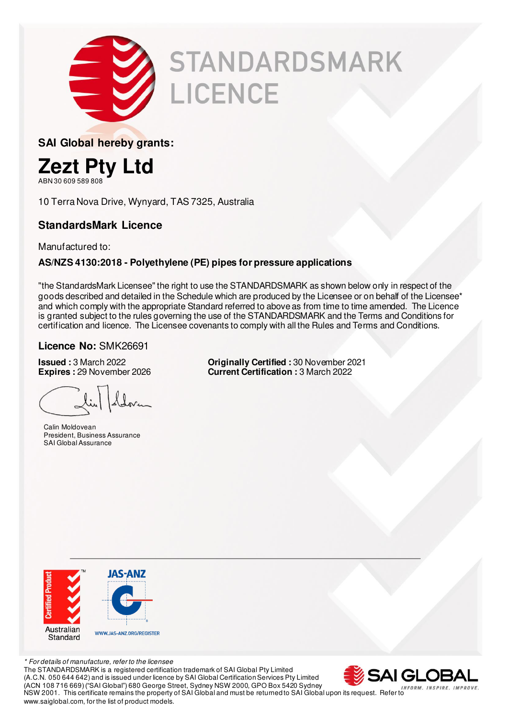

# **STANDARDSMARK** LICENCE

**SAI Global hereby grants:** 



ABN 30 609 589 808

10 Terra Nova Drive, Wynyard, TAS 7325, Australia

#### **StandardsMark Licence**

Manufactured to:

#### **AS/NZS 4130:2018 - Polyethylene (PE) pipes for pressure applications**

"the StandardsMark Licensee" the right to use the STANDARDSMARK as shown below only in respect of the goods described and detailed in the Schedule which are produced by the Licensee or on behalf of the Licensee\* and which comply with the appropriate Standard referred to above as from time to time amended. The Licence is granted subject to the rules governing the use of the STANDARDSMARK and the Terms and Conditions for certification and licence. The Licensee covenants to comply with all the Rules and Terms and Conditions.

#### **Licence No:** SMK26691

 Calin Moldovean President, Business Assurance SAI Global Assurance

**Issued :** 3 March 2022 **Originally Certified :** 30 November 2021 **Current Certification :** 3 March 2022



\* For details of manufacture, refer to the licensee The STANDARDSMARK is a registered certification trademark of SAI Global Pty Limited (A.C.N. 050 644 642) and is issued under licence by SAI Global Certification Services Pty Limited (ACN 108 716 669) ("SAI Global") 680 George Street, Sydney NSW 2000, GPO Box 5420 Sydney NSW 2001. This certificate remains the property of SAI Global and must be returned to SAI Global upon its request. Refer to www.saiglobal.com, for the list of product models.

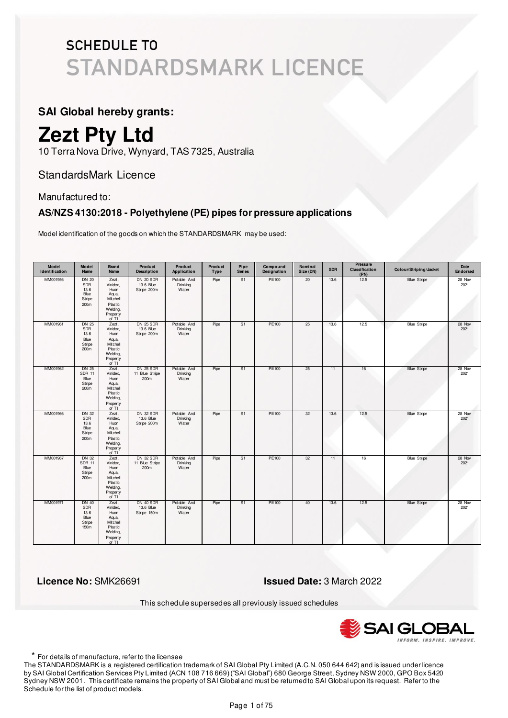#### **SAI Global hereby grants:**

## **Zezt Pty Ltd**

10 Terra Nova Drive, Wynyard, TAS 7325, Australia

#### StandardsMark Licence

#### Manufactured to:

#### **AS/NZS 4130:2018 - Polyethylene (PE) pipes for pressure applications**

Model identification of the goods on which the STANDARDSMARK may be used:

| Model<br>Identification | Model<br><b>Name</b>                                    | Brand<br><b>Name</b>                                                                       | Product<br><b>Description</b>                | Product<br>Application           | Product<br>Type | Pipe<br><b>Series</b> | Compound<br>Designation | Nominal<br>Size (DN) | <b>SDR</b> | <b>Pressure</b><br>Classification<br>(PN) | Colour/Striping/Jacket | Date<br><b>Endorsed</b> |
|-------------------------|---------------------------------------------------------|--------------------------------------------------------------------------------------------|----------------------------------------------|----------------------------------|-----------------|-----------------------|-------------------------|----------------------|------------|-------------------------------------------|------------------------|-------------------------|
| MM001956                | <b>DN 20</b><br>SDR<br>13.6<br>Blue<br>Stripe<br>200m   | Zezt,<br>Vinidex,<br>Huon<br>Aqua,<br>Mitchell<br>Plastic<br>Welding,<br>Property<br>of TI | <b>DN 20 SDR</b><br>13.6 Blue<br>Stripe 200m | Potable And<br>Drinking<br>Water | Pipe            | S <sub>1</sub>        | PE100                   | 20                   | 13.6       | 12.5                                      | <b>Blue Stripe</b>     | 28 Nov<br>2021          |
| MM001961                | <b>DN 25</b><br>SDR<br>13.6<br>Blue<br>Stripe<br>200m   | Zezt,<br>Vinidex,<br>Huon<br>Aqua,<br>Mitchell<br>Plastic<br>Welding,<br>Property<br>of TI | <b>DN 25 SDR</b><br>13.6 Blue<br>Stripe 200m | Potable And<br>Drinking<br>Water | Pipe            | S <sub>1</sub>        | PE100                   | 25                   | 13.6       | 12.5                                      | <b>Blue Stripe</b>     | 28 Nov<br>2021          |
| MM001962                | <b>DN 25</b><br><b>SDR 11</b><br>Blue<br>Stripe<br>200m | Zezt,<br>Vinidex,<br>Huon<br>Aqua,<br>Mitchell<br>Plastic<br>Welding,<br>Property<br>of TI | <b>DN 25 SDR</b><br>11 Blue Stripe<br>200m   | Potable And<br>Drinking<br>Water | Pipe            | S1                    | PE100                   | 25                   | 11         | 16                                        | <b>Blue Stripe</b>     | 28 Nov<br>2021          |
| MM001966                | <b>DN 32</b><br>SDR<br>13.6<br>Blue<br>Stripe<br>200m   | Zezt,<br>Vinidex,<br>Huon<br>Aqua,<br>Mitchell<br>Plastic<br>Welding,<br>Property<br>of TI | DN 32 SDR<br>13.6 Blue<br>Stripe 200m        | Potable And<br>Drinking<br>Water | Pipe            | S1                    | PE100                   | 32                   | 13.6       | 12.5                                      | <b>Blue Stripe</b>     | 28 Nov<br>2021          |
| MM001967                | <b>DN 32</b><br><b>SDR 11</b><br>Blue<br>Stripe<br>200m | Zezt,<br>Vinidex.<br>Huon<br>Aqua,<br>Mitchell<br>Plastic<br>Welding,<br>Property<br>of TI | DN 32 SDR<br>11 Blue Stripe<br>200m          | Potable And<br>Drinking<br>Water | Pipe            | S1                    | PE100                   | 32                   | 11         | 16                                        | <b>Blue Stripe</b>     | 28 Nov<br>2021          |
| MM001971                | DN 40<br><b>SDR</b><br>13.6<br>Blue<br>Stripe<br>150m   | Zezt,<br>Vinidex,<br>Huon<br>Aqua,<br>Mitchell<br>Plastic<br>Welding,<br>Property<br>of TI | DN 40 SDR<br>13.6 Blue<br>Stripe 150m        | Potable And<br>Drinking<br>Water | Pipe            | S1                    | PE100                   | 40                   | 13.6       | 12.5                                      | <b>Blue Stripe</b>     | 28 Nov<br>2021          |

 **Licence No:** SMK26691 **Issued Date:** 3 March 2022

This schedule supersedes all previously issued schedules



\* For details of manufacture, refer to the licensee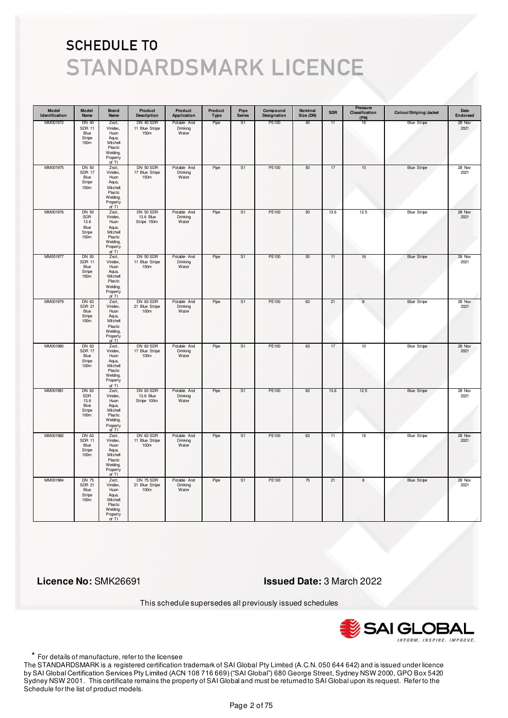| Model<br>Identification | Model<br>Name                                                | <b>Brand</b><br>Name                                                                       | Product<br><b>Description</b>              | Product<br>Application           | Product<br>Type | Pipe<br><b>Series</b> | Compound<br>Designation | Nominal<br>Size (DN) | <b>SDR</b> | <b>Pressure</b><br>Classification<br>(PN) | Colour/Striping/Jacket | Date<br>Endorsed |
|-------------------------|--------------------------------------------------------------|--------------------------------------------------------------------------------------------|--------------------------------------------|----------------------------------|-----------------|-----------------------|-------------------------|----------------------|------------|-------------------------------------------|------------------------|------------------|
| MM001972                | DN 40<br><b>SDR 11</b><br>Blue<br>Stripe<br>150m             | Zezt,<br>Vinidex,<br>Huon<br>Aqua,<br>Mitchell<br>Plastic<br>Welding,<br>Property<br>of TI | DN 40 SDR<br>11 Blue Stripe<br>150m        | Potable And<br>Drinking<br>Water | Pipe            | S <sub>1</sub>        | PE100                   | 40                   | 11         | 16                                        | <b>Blue Stripe</b>     | 28 Nov<br>2021   |
| MM001975                | DN 50<br><b>SDR 17</b><br>Blue<br>Stripe<br>150m             | Zezt,<br>Vinidex,<br>Huon<br>Aqua,<br>Mitchell<br>Plastic<br>Welding,<br>Property<br>of TI | DN 50 SDR<br>17 Blue Stripe<br>150m        | Potable And<br>Drinking<br>Water | Pipe            | S <sub>1</sub>        | PE100                   | 50                   | 17         | 10                                        | <b>Blue Stripe</b>     | 28 Nov<br>2021   |
| MM001976                | <b>DN 50</b><br>SDR<br>13.6<br>Blue<br>Stripe<br>150m        | Zezt,<br>Vinidex,<br>Huon<br>Aqua,<br>Mitchell<br>Plastic<br>Welding,<br>Property<br>of TI | DN 50 SDR<br>13.6 Blue<br>Stripe 150m      | Potable And<br>Drinking<br>Water | Pipe            | S1                    | PE100                   | 50                   | 13.6       | 12.5                                      | <b>Blue Stripe</b>     | 28 Nov<br>2021   |
| MM001977                | DN 50<br><b>SDR 11</b><br>Blue<br>Stripe<br>150 <sub>m</sub> | Zezt,<br>Vinidex,<br>Huon<br>Aqua,<br>Mitchell<br>Plastic<br>Welding,<br>Property<br>of TI | DN 50 SDR<br>11 Blue Stripe<br>150m        | Potable And<br>Drinking<br>Water | Pipe            | S1                    | PE100                   | 50                   | 11         | 16                                        | <b>Blue Stripe</b>     | 28 Nov<br>2021   |
| MM001979                | DN 63<br><b>SDR 21</b><br>Blue<br>Stripe<br>100m             | Zezt,<br>Vinidex,<br>Huon<br>Aqua,<br>Mitchell<br>Plastic<br>Welding,<br>Property<br>of TI | DN 63 SDR<br>21 Blue Stripe<br>100m        | Potable And<br>Drinking<br>Water | Pipe            | S <sub>1</sub>        | PE100                   | 63                   | 21         | $\bf8$                                    | <b>Blue Stripe</b>     | 28 Nov<br>2021   |
| MM001980                | DN 63<br><b>SDR 17</b><br>Blue<br>Stripe<br>100m             | Zezt,<br>Vinidex,<br>Huon<br>Aqua,<br>Mitchell<br>Plastic<br>Welding,<br>Property<br>of TI | DN 63 SDR<br>17 Blue Stripe<br>100m        | Potable And<br>Drinking<br>Water | Pipe            | S <sub>1</sub>        | <b>PE100</b>            | 63                   | 17         | 10                                        | <b>Blue Stripe</b>     | 28 Nov<br>2021   |
| MM001981                | DN 63<br>SDR<br>13.6<br>Blue<br>Stripe<br>100m               | Zezt,<br>Vinidex,<br>Huon<br>Aqua,<br>Mitchell<br>Plastic<br>Welding,<br>Property<br>of TI | DN 63 SDR<br>13.6 Blue<br>Stripe 100m      | Potable And<br>Drinking<br>Water | Pipe            | S1                    | PE100                   | 63                   | 13.6       | 12.5                                      | <b>Blue Stripe</b>     | 28 Nov<br>2021   |
| MM001982                | DN 63<br><b>SDR 11</b><br>Blue<br>Stripe<br>100m             | Zezt,<br>Vinidex,<br>Huon<br>Aqua,<br>Mitchell<br>Plastic<br>Welding,<br>Property<br>of TI | DN 63 SDR<br>11 Blue Stripe<br>100m        | Potable And<br>Drinking<br>Water | Pipe            | S <sub>1</sub>        | <b>PE100</b>            | 63                   | 11         | 16                                        | <b>Blue Stripe</b>     | 28 Nov<br>2021   |
| MM001984                | <b>DN 75</b><br><b>SDR 21</b><br>Blue<br>Stripe<br>100m      | Zezt,<br>Vinidex,<br>Huon<br>Aqua,<br>Mitchell<br>Plastic<br>Welding,<br>Property<br>of TI | <b>DN 75 SDR</b><br>21 Blue Stripe<br>100m | Potable And<br>Drinking<br>Water | Pipe            | S <sub>1</sub>        | PE100                   | 75                   | 21         | 8                                         | <b>Blue Stripe</b>     | 28 Nov<br>2021   |

 **Licence No:** SMK26691 **Issued Date:** 3 March 2022

This schedule supersedes all previously issued schedules



\* For details of manufacture, refer to the licensee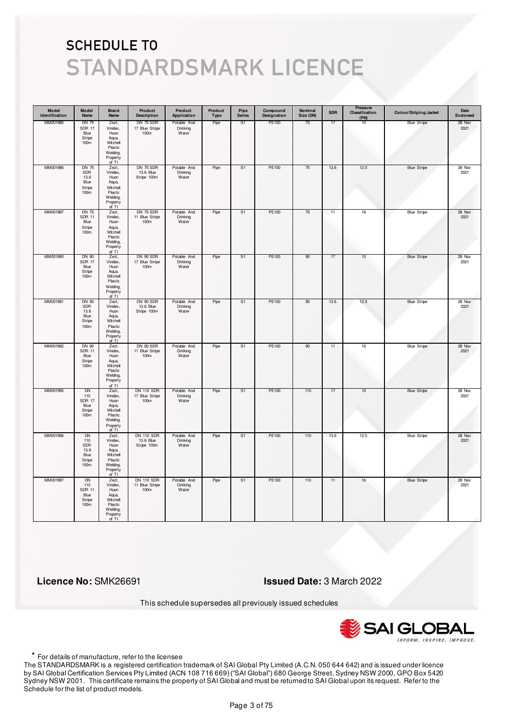| Model<br>Identification | Model<br>Name                                                         | <b>Brand</b><br>Name                                                                       | Product<br><b>Description</b>                 | Product<br>Application           | Product<br>Type | Pipe<br><b>Series</b> | Compound<br>Designation | Nominal<br>Size (DN) | <b>SDR</b> | <b>Pressure</b><br>Classification<br>(PN) | Colour/Striping/Jacket | Date<br>Endorsed |
|-------------------------|-----------------------------------------------------------------------|--------------------------------------------------------------------------------------------|-----------------------------------------------|----------------------------------|-----------------|-----------------------|-------------------------|----------------------|------------|-------------------------------------------|------------------------|------------------|
| MM001985                | DN 75<br><b>SDR 17</b><br>Blue<br>Stripe<br>100 <sub>m</sub>          | Zezt,<br>Vinidex,<br>Huon<br>Aqua,<br>Mitchell<br>Plastic<br>Welding,<br>Property<br>of TI | DN 75 SDR<br>17 Blue Stripe<br>100m           | Potable And<br>Drinking<br>Water | Pipe            | S <sub>1</sub>        | PE100                   | 75                   | 17         | 10                                        | <b>Blue Stripe</b>     | 28 Nov<br>2021   |
| MM001986                | <b>DN 75</b><br>SDR<br>13.6<br>Blue<br>Stripe<br>100m                 | Zezt,<br>Vinidex,<br>Huon<br>Aqua,<br>Mitchell<br>Plastic<br>Welding,<br>Property<br>of TI | DN 75 SDR<br>13.6 Blue<br>Stripe 100m         | Potable And<br>Drinking<br>Water | Pipe            | S <sub>1</sub>        | PE100                   | 75                   | 13.6       | 12.5                                      | <b>Blue Stripe</b>     | 28 Nov<br>2021   |
| MM001987                | <b>DN 75</b><br><b>SDR 11</b><br>Blue<br>Stripe<br>100m               | Zezt,<br>Vinidex,<br>Huon<br>Aqua,<br>Mitchell<br>Plastic<br>Welding,<br>Property<br>of TI | <b>DN 75 SDR</b><br>11 Blue Stripe<br>100m    | Potable And<br>Drinking<br>Water | Pipe            | S1                    | PE100                   | 75                   | 11         | 16                                        | <b>Blue Stripe</b>     | 28 Nov<br>2021   |
| MM001990                | DN 90<br><b>SDR 17</b><br>Blue<br>Stripe<br>100 <sub>m</sub>          | Zezt,<br>Vinidex,<br>Huon<br>Aqua,<br>Mitchell<br>Plastic<br>Welding,<br>Property<br>of TI | DN 90 SDR<br>17 Blue Stripe<br>100m           | Potable And<br>Drinking<br>Water | Pipe            | S1                    | PE100                   | 90                   | 17         | 10                                        | <b>Blue Stripe</b>     | 28 Nov<br>2021   |
| MM001991                | <b>DN 90</b><br>SDR<br>13.6<br>Blue<br>Stripe<br>100m                 | Zezt,<br>Vinidex,<br>Huon<br>Aqua,<br>Mitchell<br>Plastic<br>Welding,<br>Property<br>of TI | DN 90 SDR<br>13.6 Blue<br>Stripe 100m         | Potable And<br>Drinking<br>Water | Pipe            | S <sub>1</sub>        | PE100                   | 90                   | 13.6       | 12.5                                      | <b>Blue Stripe</b>     | 28 Nov<br>2021   |
| MM001992                | DN 90<br><b>SDR 11</b><br>Blue<br>Stripe<br>100m                      | Zezt,<br>Vinidex,<br>Huon<br>Aqua,<br>Mitchell<br>Plastic<br>Welding,<br>Property<br>of TI | DN 90 SDR<br>11 Blue Stripe<br>100m           | Potable And<br>Drinking<br>Water | Pipe            | S <sub>1</sub>        | <b>PE100</b>            | 90                   | 11         | 16                                        | <b>Blue Stripe</b>     | 28 Nov<br>2021   |
| MM001995                | DN<br>110<br><b>SDR 17</b><br>Blue<br>Stripe<br>100m                  | Zezt,<br>Vinidex,<br>Huon<br>Aqua,<br>Mitchell<br>Plastic<br>Welding,<br>Property<br>of TI | <b>DN 110 SDR</b><br>17 Blue Stripe<br>100m   | Potable And<br>Drinking<br>Water | Pipe            | S1                    | PE100                   | 110                  | 17         | 10                                        | <b>Blue Stripe</b>     | 28 Nov<br>2021   |
| MM001996                | <b>DN</b><br>110<br>SDR<br>13.6<br>Blue<br>Stripe<br>100 <sub>m</sub> | Zezt,<br>Vinidex,<br>Huon<br>Aqua,<br>Mitchell<br>Plastic<br>Welding,<br>Property<br>of TI | <b>DN 110 SDR</b><br>13.6 Blue<br>Stripe 100m | Potable And<br>Drinking<br>Water | Pipe            | S <sub>1</sub>        | PE100                   | 110                  | 13.6       | 12.5                                      | <b>Blue Stripe</b>     | 28 Nov<br>2021   |
| MM001997                | <b>DN</b><br>110<br><b>SDR 11</b><br>Blue<br>Stripe<br>100m           | Zezt,<br>Vinidex,<br>Huon<br>Aqua,<br>Mitchell<br>Plastic<br>Welding,<br>Property<br>of TI | <b>DN 110 SDR</b><br>11 Blue Stripe<br>100m   | Potable And<br>Drinking<br>Water | Pipe            | S <sub>1</sub>        | PE100                   | 110                  | 11         | 16                                        | <b>Blue Stripe</b>     | 28 Nov<br>2021   |

 **Licence No:** SMK26691 **Issued Date:** 3 March 2022

This schedule supersedes all previously issued schedules



\* For details of manufacture, refer to the licensee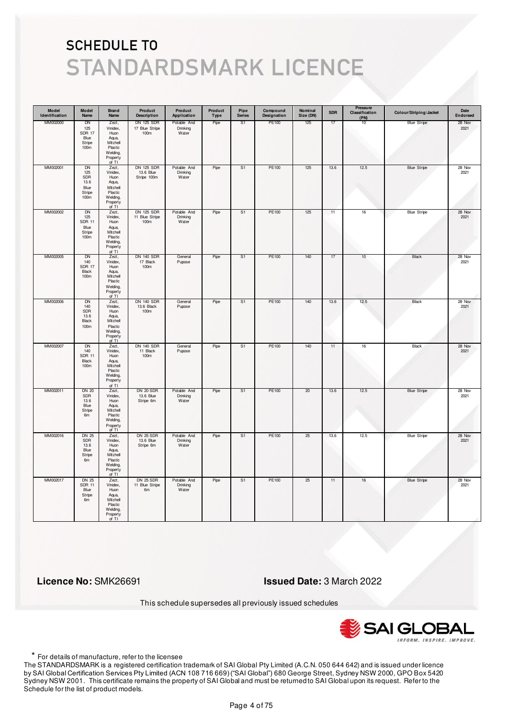| Model<br>Identification | Model<br>Name                                                           | <b>Brand</b><br>Name                                                                       | Product<br><b>Description</b>               | Product<br>Application           | Product<br>Type | Pipe<br><b>Series</b> | Compound<br>Designation | Nominal<br>Size (DN) | <b>SDR</b> | Pressure<br>Classification<br>(PN) | Colour/Striping/Jacket | Date<br>Endorsed |
|-------------------------|-------------------------------------------------------------------------|--------------------------------------------------------------------------------------------|---------------------------------------------|----------------------------------|-----------------|-----------------------|-------------------------|----------------------|------------|------------------------------------|------------------------|------------------|
| MM002000                | DN<br>125<br><b>SDR 17</b><br>Blue<br>Stripe<br>100 <sub>m</sub>        | Zezt,<br>Vinidex,<br>Huon<br>Aqua,<br>Mitchell<br>Plastic<br>Welding,<br>Property<br>of TI | DN 125 SDR<br>17 Blue Stripe<br>100m        | Potable And<br>Drinking<br>Water | Pipe            | S1                    | PE100                   | 125                  | 17         | 10                                 | <b>Blue Stripe</b>     | 28 Nov<br>2021   |
| MM002001                | <b>DN</b><br>125<br>SDR<br>13.6<br>Blue<br>Stripe<br>100m               | Zezt,<br>Vinidex,<br>Huon<br>Aqua,<br>Mitchell<br>Plastic<br>Welding,<br>Property<br>of TI | DN 125 SDR<br>13.6 Blue<br>Stripe 100m      | Potable And<br>Drinking<br>Water | Pipe            | S1                    | PE100                   | 125                  | 13.6       | 12.5                               | <b>Blue Stripe</b>     | 28 Nov<br>2021   |
| MM002002                | <b>DN</b><br>125<br><b>SDR 11</b><br>Blue<br>Stripe<br>100 <sub>m</sub> | Zezt,<br>Vinidex,<br>Huon<br>Aqua,<br>Mitchell<br>Plastic<br>Welding,<br>Property<br>of TI | <b>DN 125 SDR</b><br>11 Blue Stripe<br>100m | Potable And<br>Drinking<br>Water | Pipe            | S <sub>1</sub>        | PE100                   | 125                  | 11         | $16\,$                             | <b>Blue Stripe</b>     | 28 Nov<br>2021   |
| MM002005                | DN<br>140<br>SDR 17<br>Black<br>100m                                    | Zezt,<br>Vinidex,<br>Huon<br>Aqua,<br>Mitchell<br>Plastic<br>Welding,<br>Property<br>of TI | <b>DN 140 SDR</b><br>17 Black<br>100m       | General<br>Pupose                | Pipe            | S1                    | PE100                   | 140                  | 17         | 10                                 | Black                  | 28 Nov<br>2021   |
| MM002006                | DN<br>140<br>SDR<br>13.6<br><b>Black</b><br>100m                        | Zezt,<br>Vinidex,<br>Huon<br>Aqua,<br>Mitchell<br>Plastic<br>Welding,<br>Property<br>of TI | <b>DN 140 SDR</b><br>13.6 Black<br>100m     | General<br>Pupose                | Pipe            | S1                    | PE100                   | 140                  | 13.6       | 12.5                               | Black                  | 28 Nov<br>2021   |
| MM002007                | <b>DN</b><br>140<br><b>SDR 11</b><br>Black<br>100m                      | Zezt,<br>Vinidex,<br>Huon<br>Aqua,<br>Mitchell<br>Plastic<br>Welding,<br>Property<br>of TI | <b>DN 140 SDR</b><br>11 Black<br>100m       | General<br>Pupose                | Pipe            | S <sub>1</sub>        | <b>PE100</b>            | 140                  | 11         | 16                                 | <b>Black</b>           | 28 Nov<br>2021   |
| MM002011                | <b>DN 20</b><br><b>SDR</b><br>13.6<br>Blue<br>Stripe<br>6m              | Zezt,<br>Vinidex,<br>Huon<br>Aqua,<br>Mitchell<br>Plastic<br>Welding,<br>Property<br>of TI | DN 20 SDR<br>13.6 Blue<br>Stripe 6m         | Potable And<br>Drinking<br>Water | Pipe            | S1                    | PE100                   | 20                   | 13.6       | 12.5                               | <b>Blue Stripe</b>     | 28 Nov<br>2021   |
| MM002016                | <b>DN 25</b><br><b>SDR</b><br>13.6<br>Blue<br>Stripe<br>6m              | Zezt,<br>Vinidex,<br>Huon<br>Aqua,<br>Mitchell<br>Plastic<br>Welding,<br>Property<br>of TI | <b>DN 25 SDR</b><br>13.6 Blue<br>Stripe 6m  | Potable And<br>Drinking<br>Water | Pipe            | S <sub>1</sub>        | <b>PE100</b>            | 25                   | 13.6       | 12.5                               | <b>Blue Stripe</b>     | 28 Nov<br>2021   |
| MM002017                | <b>DN 25</b><br><b>SDR 11</b><br>Blue<br>Stripe<br>6m                   | Zezt,<br>Vinidex,<br>Huon<br>Aqua,<br>Mitchell<br>Plastic<br>Welding,<br>Property<br>of TI | <b>DN 25 SDR</b><br>11 Blue Stripe<br>6m    | Potable And<br>Drinking<br>Water | Pipe            | S <sub>1</sub>        | PE100                   | 25                   | 11         | 16                                 | <b>Blue Stripe</b>     | 28 Nov<br>2021   |

 **Licence No:** SMK26691 **Issued Date:** 3 March 2022

This schedule supersedes all previously issued schedules



\* For details of manufacture, refer to the licensee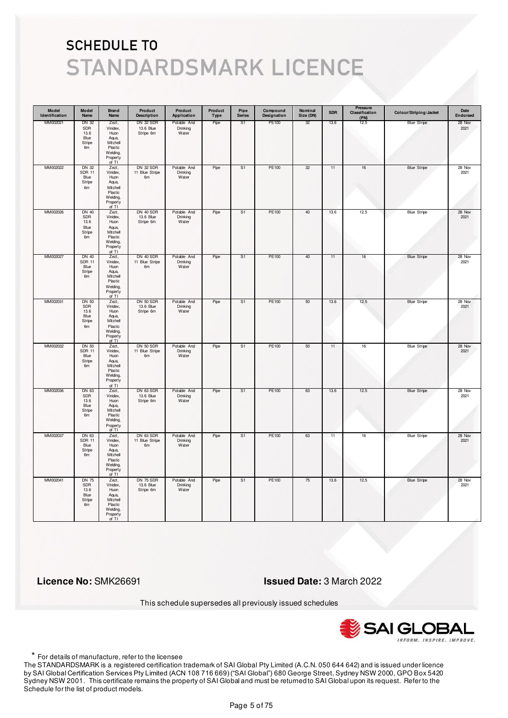| Model<br>Identification | Model<br>Name                                              | <b>Brand</b><br>Name                                                                       | Product<br><b>Description</b>                 | Product<br>Application           | Product<br>Type | Pipe<br><b>Series</b> | Compound<br>Designation | Nominal<br>Size (DN) | <b>SDR</b> | <b>Pressure</b><br>Classification<br>(PN) | Colour/Striping/Jacket | Date<br>Endorsed |
|-------------------------|------------------------------------------------------------|--------------------------------------------------------------------------------------------|-----------------------------------------------|----------------------------------|-----------------|-----------------------|-------------------------|----------------------|------------|-------------------------------------------|------------------------|------------------|
| MM002021                | DN 32<br>SDR<br>13.6<br>Blue<br>Stripe<br>6m               | Zezt,<br>Vinidex,<br>Huon<br>Aqua,<br>Mitchell<br>Plastic<br>Welding,<br>Property<br>of TI | DN 32 SDR<br>13.6 Blue<br>Stripe 6m           | Potable And<br>Drinking<br>Water | Pipe            | S <sub>1</sub>        | PE100                   | 32                   | 13.6       | 12.5                                      | <b>Blue Stripe</b>     | 28 Nov<br>2021   |
| MM002022                | <b>DN 32</b><br><b>SDR 11</b><br>Blue<br>Stripe<br>6m      | Zezt,<br>Vinidex,<br>Huon<br>Aqua,<br>Mitchell<br>Plastic<br>Welding,<br>Property<br>of TI | <b>DN 32 SDR</b><br>11 Blue Stripe<br>6m      | Potable And<br>Drinking<br>Water | Pipe            | S <sub>1</sub>        | PE100                   | 32                   | 11         | 16                                        | <b>Blue Stripe</b>     | 28 Nov<br>2021   |
| MM002026                | <b>DN 40</b><br><b>SDR</b><br>13.6<br>Blue<br>Stripe<br>6m | Zezt,<br>Vinidex,<br>Huon<br>Aqua,<br>Mitchell<br>Plastic<br>Welding,<br>Property<br>of TI | DN 40 SDR<br>13.6 Blue<br>Stripe 6m           | Potable And<br>Drinking<br>Water | Pipe            | S1                    | PE100                   | 40                   | 13.6       | 12.5                                      | <b>Blue Stripe</b>     | 28 Nov<br>2021   |
| MM002027                | <b>DN 40</b><br><b>SDR 11</b><br>Blue<br>Stripe<br>6m      | Zezt,<br>Vinidex,<br>Huon<br>Aqua,<br>Mitchell<br>Plastic<br>Welding,<br>Property<br>of TI | DN 40 SDR<br>11 Blue Stripe<br>6 <sub>m</sub> | Potable And<br>Drinking<br>Water | Pipe            | S1                    | PE100                   | 40                   | 11         | 16                                        | <b>Blue Stripe</b>     | 28 Nov<br>2021   |
| MM002031                | <b>DN 50</b><br>SDR<br>13.6<br>Blue<br>Stripe<br>6m        | Zezt,<br>Vinidex,<br>Huon<br>Aqua,<br>Mitchell<br>Plastic<br>Welding,<br>Property<br>of TI | DN 50 SDR<br>13.6 Blue<br>Stripe 6m           | Potable And<br>Drinking<br>Water | Pipe            | S <sub>1</sub>        | PE100                   | 50                   | 13.6       | 12.5                                      | <b>Blue Stripe</b>     | 28 Nov<br>2021   |
| MM002032                | DN 50<br><b>SDR 11</b><br>Blue<br>Stripe<br>6 <sub>m</sub> | Zezt,<br>Vinidex,<br>Huon<br>Aqua,<br>Mitchell<br>Plastic<br>Welding,<br>Property<br>of TI | DN 50 SDR<br>11 Blue Stripe<br>6m             | Potable And<br>Drinking<br>Water | Pipe            | S <sub>1</sub>        | <b>PE100</b>            | 50                   | 11         | 16                                        | <b>Blue Stripe</b>     | 28 Nov<br>2021   |
| MM002036                | DN 63<br>SDR<br>13.6<br>Blue<br>Stripe<br>6 <sub>m</sub>   | Zezt,<br>Vinidex,<br>Huon<br>Aqua,<br>Mitchell<br>Plastic<br>Welding,<br>Property<br>of TI | DN 63 SDR<br>13.6 Blue<br>Stripe 6m           | Potable And<br>Drinking<br>Water | Pipe            | S1                    | PE100                   | 63                   | 13.6       | 12.5                                      | <b>Blue Stripe</b>     | 28 Nov<br>2021   |
| MM002037                | DN 63<br><b>SDR 11</b><br>Blue<br>Stripe<br>6m             | Zezt,<br>Vinidex,<br>Huon<br>Aqua,<br>Mitchell<br>Plastic<br>Welding,<br>Property<br>of TI | DN 63 SDR<br>11 Blue Stripe<br>6m             | Potable And<br>Drinking<br>Water | Pipe            | S <sub>1</sub>        | <b>PE100</b>            | 63                   | 11         | 16                                        | <b>Blue Stripe</b>     | 28 Nov<br>2021   |
| MM002041                | <b>DN 75</b><br><b>SDR</b><br>13.6<br>Blue<br>Stripe<br>6m | Zezt,<br>Vinidex,<br>Huon<br>Aqua,<br>Mitchell<br>Plastic<br>Welding,<br>Property<br>of TI | DN 75 SDR<br>13.6 Blue<br>Stripe 6m           | Potable And<br>Drinking<br>Water | Pipe            | S <sub>1</sub>        | PE100                   | 75                   | 13.6       | 12.5                                      | <b>Blue Stripe</b>     | 28 Nov<br>2021   |

 **Licence No:** SMK26691 **Issued Date:** 3 March 2022

This schedule supersedes all previously issued schedules



\* For details of manufacture, refer to the licensee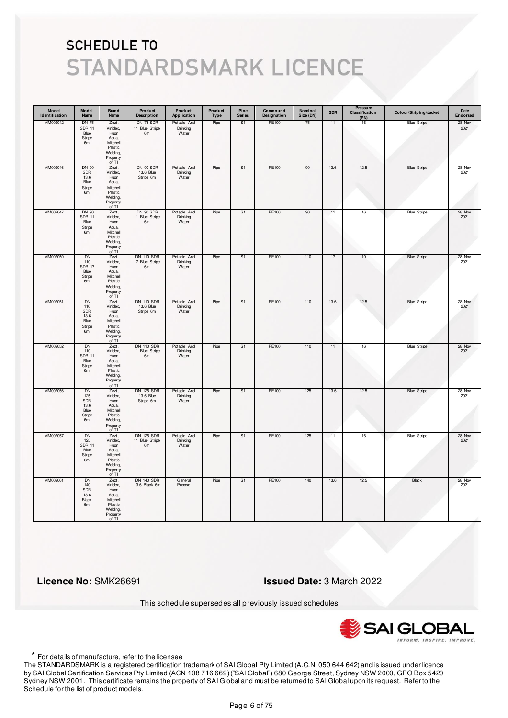| Model<br>Identification | Model<br>Name                                                | Brand<br>Name                                                                              | Product<br><b>Description</b>                         | Product<br>Application           | Product<br>Type | Pipe<br><b>Series</b> | Compound<br>Designation | Nominal<br>Size (DN) | <b>SDR</b> | <b>Pressure</b><br>Classification<br>(PN) | Colour/Striping/Jacket | Date<br>Endorsed |
|-------------------------|--------------------------------------------------------------|--------------------------------------------------------------------------------------------|-------------------------------------------------------|----------------------------------|-----------------|-----------------------|-------------------------|----------------------|------------|-------------------------------------------|------------------------|------------------|
| MM002042                | <b>DN 75</b><br><b>SDR 11</b><br>Blue<br>Stripe<br>6m        | Zezt,<br>Vinidex,<br>Huon<br>Aqua,<br>Mitchell<br>Plastic<br>Welding,<br>Property<br>of TI | DN 75 SDR<br>11 Blue Stripe<br>6m                     | Potable And<br>Drinking<br>Water | Pipe            | S <sub>1</sub>        | PE100                   | 75                   | 11         | 16                                        | <b>Blue Stripe</b>     | 28 Nov<br>2021   |
| MM002046                | <b>DN 90</b><br>SDR<br>13.6<br>Blue<br>Stripe<br>6m          | Zezt,<br>Vinidex,<br>Huon<br>Aqua,<br>Mitchell<br>Plastic<br>Welding,<br>Property<br>of TI | DN 90 SDR<br>13.6 Blue<br>Stripe 6m                   | Potable And<br>Drinking<br>Water | Pipe            | S <sub>1</sub>        | PE100                   | 90                   | 13.6       | 12.5                                      | <b>Blue Stripe</b>     | 28 Nov<br>2021   |
| MM002047                | DN 90<br><b>SDR 11</b><br>Blue<br>Stripe<br>6m               | Zezt,<br>Vinidex,<br>Huon<br>Aqua,<br>Mitchell<br>Plastic<br>Welding,<br>Property<br>of TI | DN 90 SDR<br>11 Blue Stripe<br>6 <sub>m</sub>         | Potable And<br>Drinking<br>Water | Pipe            | S1                    | PE100                   | 90                   | 11         | 16                                        | <b>Blue Stripe</b>     | 28 Nov<br>2021   |
| MM002050                | DN<br>110<br><b>SDR 17</b><br>Blue<br>Stripe<br>6m           | Zezt,<br>Vinidex,<br>Huon<br>Aqua,<br>Mitchell<br>Plastic<br>Welding,<br>Property<br>of TI | <b>DN 110 SDR</b><br>17 Blue Stripe<br>6 <sub>m</sub> | Potable And<br>Drinking<br>Water | Pipe            | S1                    | PE100                   | 110                  | 17         | 10                                        | <b>Blue Stripe</b>     | 28 Nov<br>2021   |
| MM002051                | DN<br>110<br>SDR<br>13.6<br>Blue<br>Stripe<br>6m             | Zezt,<br>Vinidex,<br>Huon<br>Aqua,<br>Mitchell<br>Plastic<br>Welding,<br>Property<br>of TI | <b>DN 110 SDR</b><br>13.6 Blue<br>Stripe 6m           | Potable And<br>Drinking<br>Water | Pipe            | S <sub>1</sub>        | PE100                   | 110                  | 13.6       | 12.5                                      | <b>Blue Stripe</b>     | 28 Nov<br>2021   |
| MM002052                | <b>DN</b><br>110<br><b>SDR 11</b><br>Blue<br>Stripe<br>6m    | Zezt,<br>Vinidex,<br>Huon<br>Aqua,<br>Mitchell<br>Plastic<br>Welding,<br>Property<br>of TI | <b>DN 110 SDR</b><br>11 Blue Stripe<br>6m             | Potable And<br>Drinking<br>Water | Pipe            | S <sub>1</sub>        | <b>PE100</b>            | 110                  | 11         | 16                                        | <b>Blue Stripe</b>     | 28 Nov<br>2021   |
| MM002056                | DN<br>125<br>SDR<br>13.6<br>Blue<br>Stripe<br>6m             | Zezt,<br>Vinidex,<br>Huon<br>Aqua,<br>Mitchell<br>Plastic<br>Welding,<br>Property<br>of TI | <b>DN 125 SDR</b><br>13.6 Blue<br>Stripe 6m           | Potable And<br>Drinking<br>Water | Pipe            | S1                    | PE100                   | 125                  | 13.6       | 12.5                                      | <b>Blue Stripe</b>     | 28 Nov<br>2021   |
| MM002057                | <b>DN</b><br>125<br><b>SDR 11</b><br>Blue<br>Stripe<br>6m    | Zezt,<br>Vinidex,<br>Huon<br>Aqua,<br>Mitchell<br>Plastic<br>Welding,<br>Property<br>of TI | <b>DN 125 SDR</b><br>11 Blue Stripe<br>6m             | Potable And<br>Drinking<br>Water | Pipe            | S <sub>1</sub>        | <b>PE100</b>            | 125                  | 11         | 16                                        | <b>Blue Stripe</b>     | 28 Nov<br>2021   |
| MM002061                | <b>DN</b><br>140<br><b>SDR</b><br>13.6<br><b>Black</b><br>6m | Zezt,<br>Vinidex,<br>Huon<br>Aqua,<br>Mitchell<br>Plastic<br>Welding,<br>Property<br>of TI | <b>DN 140 SDR</b><br>13.6 Black 6m                    | General<br>Pupose                | Pipe            | S <sub>1</sub>        | PE100                   | 140                  | 13.6       | 12.5                                      | <b>Black</b>           | 28 Nov<br>2021   |

 **Licence No:** SMK26691 **Issued Date:** 3 March 2022

This schedule supersedes all previously issued schedules



\* For details of manufacture, refer to the licensee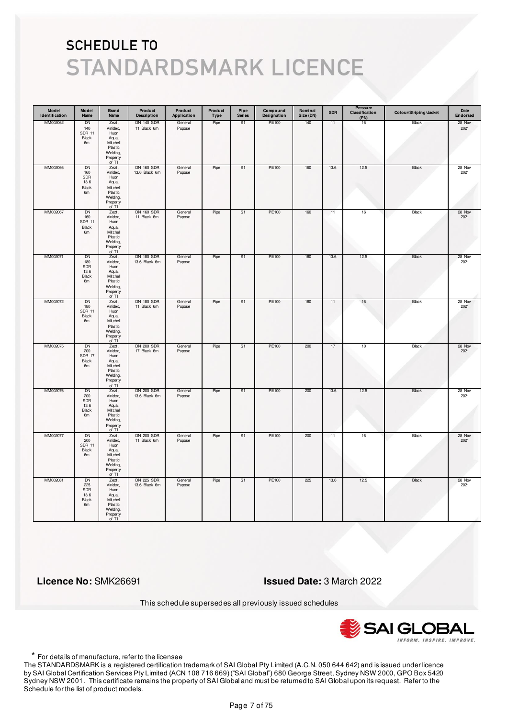| Model<br>Identification | Model<br>Name                                    | <b>Brand</b><br>Name                                                                       | Product<br><b>Description</b>      | Product<br>Application | Product<br>Type | Pipe<br><b>Series</b> | Compound<br>Designation | Nominal<br>Size (DN) | <b>SDR</b> | Pressure<br>Classification<br>(PN) | Colour/Striping/Jacket | Date<br>Endorsed |
|-------------------------|--------------------------------------------------|--------------------------------------------------------------------------------------------|------------------------------------|------------------------|-----------------|-----------------------|-------------------------|----------------------|------------|------------------------------------|------------------------|------------------|
| MM002062                | DN<br>140<br><b>SDR 11</b><br>Black<br>6m        | Zezt,<br>Vinidex,<br>Huon<br>Aqua,<br>Mitchell<br>Plastic<br>Welding,<br>Property<br>of TI | <b>DN 140 SDR</b><br>11 Black 6m   | General<br>Pupose      | Pipe            | S1                    | PE100                   | 140                  | 11         | 16                                 | Black                  | 28 Nov<br>2021   |
| MM002066                | DN<br>160<br>SDR<br>13.6<br>Black<br>6m          | Zezt,<br>Vinidex,<br>Huon<br>Aqua,<br>Mitchell<br>Plastic<br>Welding,<br>Property<br>of TI | <b>DN 160 SDR</b><br>13.6 Black 6m | General<br>Pupose      | Pipe            | S1                    | PE100                   | 160                  | 13.6       | 12.5                               | Black                  | 28 Nov<br>2021   |
| MM002067                | DN<br>160<br><b>SDR 11</b><br>Black<br>6m        | Zezt,<br>Vinidex,<br>Huon<br>Aqua,<br>Mitchell<br>Plastic<br>Welding,<br>Property<br>of TI | <b>DN 160 SDR</b><br>11 Black 6m   | General<br>Pupose      | Pipe            | S <sub>1</sub>        | PE100                   | 160                  | 11         | $16\,$                             | Black                  | 28 Nov<br>2021   |
| MM002071                | DN<br>180<br><b>SDR</b><br>13.6<br>Black<br>6m   | Zezt,<br>Vinidex,<br>Huon<br>Aqua,<br>Mitchell<br>Plastic<br>Welding,<br>Property<br>of TI | <b>DN 180 SDR</b><br>13.6 Black 6m | General<br>Pupose      | Pipe            | S <sub>1</sub>        | PE100                   | 180                  | 13.6       | 12.5                               | Black                  | 28 Nov<br>2021   |
| MM002072                | <b>DN</b><br>180<br><b>SDR 11</b><br>Black<br>6m | Zezt,<br>Vinidex,<br>Huon<br>Aqua,<br>Mitchell<br>Plastic<br>Welding,<br>Property<br>of TI | <b>DN 180 SDR</b><br>11 Black 6m   | General<br>Pupose      | Pipe            | S1                    | PE100                   | 180                  | 11         | 16                                 | Black                  | 28 Nov<br>2021   |
| MM002075                | <b>DN</b><br>200<br><b>SDR 17</b><br>Black<br>6m | Zezt,<br>Vinidex,<br>Huon<br>Aqua,<br>Mitchell<br>Plastic<br>Welding,<br>Property<br>of TI | <b>DN 200 SDR</b><br>17 Black 6m   | General<br>Pupose      | Pipe            | S <sub>1</sub>        | PE100                   | 200                  | 17         | 10                                 | Black                  | 28 Nov<br>2021   |
| MM002076                | DN<br>200<br><b>SDR</b><br>13.6<br>Black<br>6m   | Zezt,<br>Vinidex,<br>Huon<br>Aqua,<br>Mitchell<br>Plastic<br>Welding,<br>Property<br>of TI | <b>DN 200 SDR</b><br>13.6 Black 6m | General<br>Pupose      | Pipe            | S1                    | PE100                   | 200                  | 13.6       | 12.5                               | Black                  | 28 Nov<br>2021   |
| MM002077                | <b>DN</b><br>200<br><b>SDR 11</b><br>Black<br>6m | Zezt,<br>Vinidex,<br>Huon<br>Aqua,<br>Mitchell<br>Plastic<br>Welding,<br>Property<br>of TI | <b>DN 200 SDR</b><br>11 Black 6m   | General<br>Pupose      | Pipe            | S <sub>1</sub>        | PE100                   | 200                  | 11         | 16                                 | Black                  | 28 Nov<br>2021   |
| MM002081                | <b>DN</b><br>225<br>SDR<br>13.6<br>Black<br>6m   | Zezt,<br>Vinidex,<br>Huon<br>Aqua,<br>Mitchell<br>Plastic<br>Welding,<br>Property<br>of TI | <b>DN 225 SDR</b><br>13.6 Black 6m | General<br>Pupose      | Pipe            | S <sub>1</sub>        | <b>PE100</b>            | 225                  | 13.6       | 12.5                               | <b>Black</b>           | 28 Nov<br>2021   |

 **Licence No:** SMK26691 **Issued Date:** 3 March 2022

This schedule supersedes all previously issued schedules



\* For details of manufacture, refer to the licensee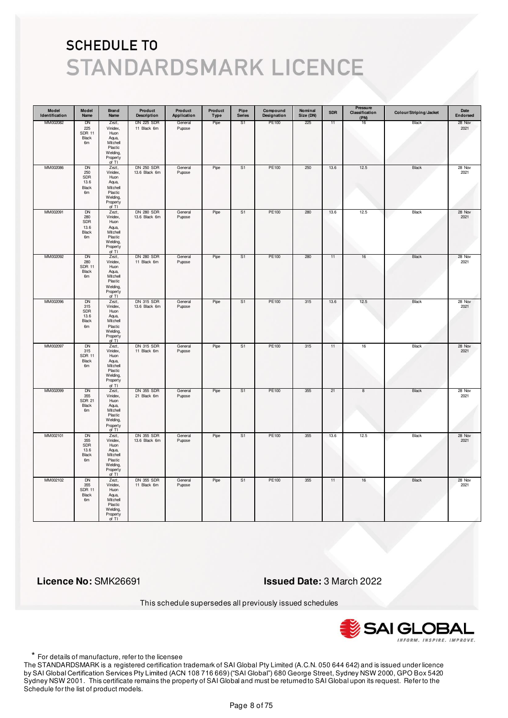| Model<br>Identification | Model<br>Name                                                | Brand<br>Name                                                                                | Product<br><b>Description</b>      | Product<br>Application | Product<br>Type | Pipe<br><b>Series</b> | Compound<br>Designation | Nominal<br>Size (DN) | <b>SDR</b> | Pressure<br>Classification<br>(PN) | Colour/Striping/Jacket | Date<br>Endorsed |
|-------------------------|--------------------------------------------------------------|----------------------------------------------------------------------------------------------|------------------------------------|------------------------|-----------------|-----------------------|-------------------------|----------------------|------------|------------------------------------|------------------------|------------------|
| MM002082                | DN<br>225<br><b>SDR 11</b><br>Black<br>6m                    | Zezt,<br>Vinidex,<br>Huon<br>Aqua,<br>Mitchell<br>Plastic<br>Welding,<br>Property<br>of TI   | <b>DN 225 SDR</b><br>11 Black 6m   | General<br>Pupose      | Pipe            | S1                    | PE100                   | 225                  | 11         | 16                                 | Black                  | 28 Nov<br>2021   |
| MM002086                | DN<br>250<br>SDR<br>13.6<br><b>Black</b><br>6m               | Zezt,<br>Vinidex,<br>Huon<br>Aqua,<br>Mitchell<br>Plastic<br>Welding,<br>Property<br>of $TI$ | <b>DN 250 SDR</b><br>13.6 Black 6m | General<br>Pupose      | Pipe            | S1                    | PE100                   | 250                  | 13.6       | 12.5                               | Black                  | 28 Nov<br>2021   |
| MM002091                | <b>DN</b><br>280<br>SDR<br>13.6<br>Black<br>6m               | Zezt,<br>Vinidex,<br>Huon<br>Aqua,<br>Mitchell<br>Plastic<br>Welding,<br>Property<br>of TI   | <b>DN 280 SDR</b><br>13.6 Black 6m | General<br>Pupose      | Pipe            | S <sub>1</sub>        | PE100                   | 280                  | 13.6       | 12.5                               | Black                  | 28 Nov<br>2021   |
| MM002092                | DN<br>280<br><b>SDR 11</b><br>Black<br>6m                    | Zezt,<br>Vinidex,<br>Huon<br>Aqua,<br>Mitchell<br>Plastic<br>Welding,<br>Property<br>of TI   | <b>DN 280 SDR</b><br>11 Black 6m   | General<br>Pupose      | Pipe            | S1                    | PE100                   | 280                  | 11         | 16                                 | Black                  | 28 Nov<br>2021   |
| MM002096                | DN<br>$315\,$<br>SDR<br>13.6<br>Black<br>6m                  | Zezt,<br>Vinidex,<br>Huon<br>Aqua,<br>Mitchell<br>Plastic<br>Welding,<br>Property<br>of TI   | <b>DN 315 SDR</b><br>13.6 Black 6m | General<br>Pupose      | Pipe            | S <sub>1</sub>        | PE100                   | 315                  | 13.6       | 12.5                               | Black                  | 28 Nov<br>2021   |
| MM002097                | <b>DN</b><br>315<br><b>SDR 11</b><br>Black<br>6 <sub>m</sub> | Zezt,<br>Vinidex,<br>Huon<br>Aqua,<br>Mitchell<br>Plastic<br>Welding,<br>Property<br>of TI   | <b>DN 315 SDR</b><br>11 Black 6m   | General<br>Pupose      | Pipe            | S <sub>1</sub>        | <b>PE100</b>            | 315                  | 11         | 16                                 | <b>Black</b>           | 28 Nov<br>2021   |
| MM002099                | DN<br>355<br><b>SDR 21</b><br>Black<br>6m                    | Zezt,<br>Vinidex,<br>Huon<br>Aqua,<br>Mitchell<br>Plastic<br>Welding,<br>Property<br>of TI   | <b>DN 355 SDR</b><br>21 Black 6m   | General<br>Pupose      | Pipe            | S1                    | PE100                   | 355                  | 21         | 8                                  | Black                  | 28 Nov<br>2021   |
| MM002101                | <b>DN</b><br>355<br>SDR<br>13.6<br>Black<br>6m               | Zezt,<br>Vinidex,<br>Huon<br>Aqua,<br>Mitchell<br>Plastic<br>Welding,<br>Property<br>of TI   | <b>DN 355 SDR</b><br>13.6 Black 6m | General<br>Pupose      | Pipe            | S <sub>1</sub>        | <b>PE100</b>            | 355                  | 13.6       | 12.5                               | <b>Black</b>           | 28 Nov<br>2021   |
| MM002102                | <b>DN</b><br>355<br><b>SDR 11</b><br>Black<br>6m             | Zezt,<br>Vinidex,<br>Huon<br>Aqua,<br>Mitchell<br>Plastic<br>Welding,<br>Property<br>of TI   | <b>DN 355 SDR</b><br>11 Black 6m   | General<br>Pupose      | Pipe            | S <sub>1</sub>        | PE100                   | 355                  | 11         | $16\,$                             | Black                  | 28 Nov<br>2021   |

 **Licence No:** SMK26691 **Issued Date:** 3 March 2022

This schedule supersedes all previously issued schedules



\* For details of manufacture, refer to the licensee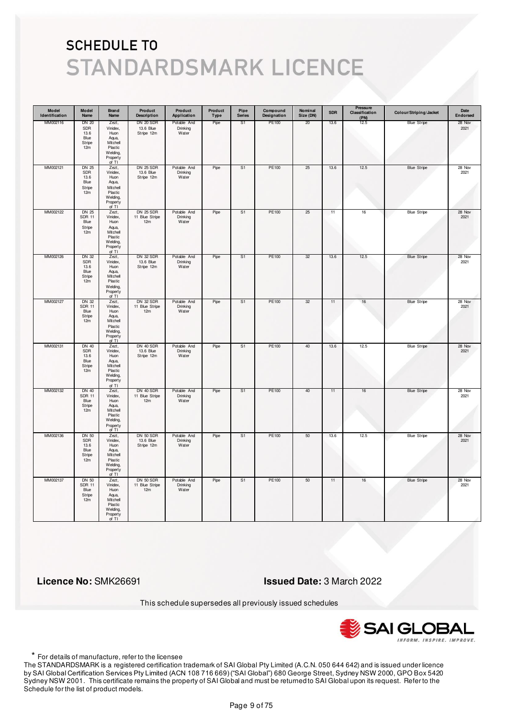| Model<br>Identification | Model<br>Name                                               | <b>Brand</b><br>Name                                                                       | Product<br><b>Description</b>               | Product<br>Application           | Product<br>Type | Pipe<br><b>Series</b> | Compound<br>Designation | Nominal<br>Size (DN) | <b>SDR</b> | Pressure<br>Classification<br>(PN) | Colour/Striping/Jacket | Date<br>Endorsed |
|-------------------------|-------------------------------------------------------------|--------------------------------------------------------------------------------------------|---------------------------------------------|----------------------------------|-----------------|-----------------------|-------------------------|----------------------|------------|------------------------------------|------------------------|------------------|
| MM002116                | <b>DN 20</b><br>SDR<br>13.6<br>Blue<br>Stripe<br>12m        | Zezt,<br>Vinidex,<br>Huon<br>Aqua,<br>Mitchell<br>Plastic<br>Welding,<br>Property<br>of TI | DN 20 SDR<br>13.6 Blue<br>Stripe 12m        | Potable And<br>Drinking<br>Water | Pipe            | S1                    | PE100                   | 20                   | 13.6       | 12.5                               | <b>Blue Stripe</b>     | 28 Nov<br>2021   |
| MM002121                | <b>DN 25</b><br>SDR<br>13.6<br>Blue<br>Stripe<br>12m        | Zezt,<br>Vinidex,<br>Huon<br>Aqua,<br>Mitchell<br>Plastic<br>Welding,<br>Property<br>of TI | <b>DN 25 SDR</b><br>13.6 Blue<br>Stripe 12m | Potable And<br>Drinking<br>Water | Pipe            | S1                    | PE100                   | 25                   | 13.6       | 12.5                               | <b>Blue Stripe</b>     | 28 Nov<br>2021   |
| MM002122                | <b>DN 25</b><br><b>SDR 11</b><br>Blue<br>Stripe<br>12m      | Zezt,<br>Vinidex,<br>Huon<br>Aqua,<br>Mitchell<br>Plastic<br>Welding,<br>Property<br>of TI | <b>DN 25 SDR</b><br>11 Blue Stripe<br>12m   | Potable And<br>Drinking<br>Water | Pipe            | S1                    | PE100                   | 25                   | 11         | 16                                 | <b>Blue Stripe</b>     | 28 Nov<br>2021   |
| MM002126                | <b>DN 32</b><br>SDR<br>13.6<br>Blue<br>Stripe<br>12m        | Zezt,<br>Vinidex,<br>Huon<br>Aqua,<br>Mitchell<br>Plastic<br>Welding,<br>Property<br>of TI | DN 32 SDR<br>13.6 Blue<br>Stripe 12m        | Potable And<br>Drinking<br>Water | Pipe            | S1                    | PE100                   | 32                   | 13.6       | 12.5                               | <b>Blue Stripe</b>     | 28 Nov<br>2021   |
| MM002127                | DN 32<br><b>SDR 11</b><br>Blue<br>Stripe<br>12m             | Zezt,<br>Vinidex,<br>Huon<br>Aqua,<br>Mitchell<br>Plastic<br>Welding,<br>Property<br>of TI | DN 32 SDR<br>11 Blue Stripe<br>12m          | Potable And<br>Drinking<br>Water | Pipe            | S <sub>1</sub>        | PE100                   | 32                   | 11         | 16                                 | <b>Blue Stripe</b>     | 28 Nov<br>2021   |
| MM002131                | <b>DN 40</b><br><b>SDR</b><br>13.6<br>Blue<br>Stripe<br>12m | Zezt,<br>Vinidex,<br>Huon<br>Aqua,<br>Mitchell<br>Plastic<br>Welding,<br>Property<br>of TI | DN 40 SDR<br>13.6 Blue<br>Stripe 12m        | Potable And<br>Drinking<br>Water | Pipe            | S <sub>1</sub>        | PE100                   | 40                   | 13.6       | 12.5                               | <b>Blue Stripe</b>     | 28 Nov<br>2021   |
| MM002132                | DN 40<br><b>SDR 11</b><br>Blue<br>Stripe<br>12m             | Zezt,<br>Vinidex,<br>Huon<br>Aqua,<br>Mitchell<br>Plastic<br>Welding,<br>Property<br>of TI | DN 40 SDR<br>11 Blue Stripe<br>12m          | Potable And<br>Drinking<br>Water | Pipe            | S1                    | PE100                   | 40                   | 11         | 16                                 | <b>Blue Stripe</b>     | 28 Nov<br>2021   |
| MM002136                | DN 50<br><b>SDR</b><br>13.6<br>Blue<br>Stripe<br>12m        | Zezt,<br>Vinidex,<br>Huon<br>Aqua,<br>Mitchell<br>Plastic<br>Welding,<br>Property<br>of TI | DN 50 SDR<br>13.6 Blue<br>Stripe 12m        | Potable And<br>Drinking<br>Water | Pipe            | S <sub>1</sub>        | PE100                   | 50                   | 13.6       | 12.5                               | <b>Blue Stripe</b>     | 28 Nov<br>2021   |
| MM002137                | DN 50<br><b>SDR 11</b><br>Blue<br>Stripe<br>12m             | Zezt,<br>Vinidex,<br>Huon<br>Aqua,<br>Mitchell<br>Plastic<br>Welding,<br>Property<br>of TI | DN 50 SDR<br>11 Blue Stripe<br>12m          | Potable And<br>Drinking<br>Water | Pipe            | S1                    | PE100                   | 50                   | 11         | 16                                 | <b>Blue Stripe</b>     | 28 Nov<br>2021   |

 **Licence No:** SMK26691 **Issued Date:** 3 March 2022

This schedule supersedes all previously issued schedules



\* For details of manufacture, refer to the licensee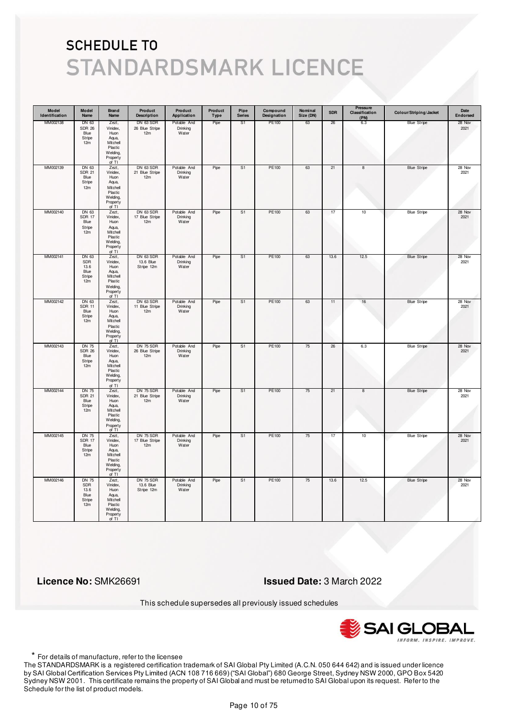| Model<br>Identification | Model<br>Name                                          | <b>Brand</b><br>Name                                                                       | Product<br><b>Description</b>        | Product<br>Application           | Product<br>Type | Pipe<br><b>Series</b> | Compound<br>Designation | Nominal<br>Size (DN) | <b>SDR</b> | Pressure<br>Classification<br>(PN) | Colour/Striping/Jacket | Date<br>Endorsed |
|-------------------------|--------------------------------------------------------|--------------------------------------------------------------------------------------------|--------------------------------------|----------------------------------|-----------------|-----------------------|-------------------------|----------------------|------------|------------------------------------|------------------------|------------------|
| MM002138                | DN 63<br><b>SDR 26</b><br>Blue<br>Stripe<br>12m        | Zezt,<br>Vinidex,<br>Huon<br>Aqua,<br>Mitchell<br>Plastic<br>Welding,<br>Property<br>of TI | DN 63 SDR<br>26 Blue Stripe<br>12m   | Potable And<br>Drinking<br>Water | Pipe            | S1                    | PE100                   | 63                   | 26         | 6.3                                | <b>Blue Stripe</b>     | 28 Nov<br>2021   |
| MM002139                | DN 63<br><b>SDR 21</b><br>Blue<br>Stripe<br>12m        | Zezt,<br>Vinidex,<br>Huon<br>Aqua,<br>Mitchell<br>Plastic<br>Welding,<br>Property<br>of TI | DN 63 SDR<br>21 Blue Stripe<br>12m   | Potable And<br>Drinking<br>Water | Pipe            | S1                    | PE100                   | 63                   | 21         | 8                                  | <b>Blue Stripe</b>     | 28 Nov<br>2021   |
| MM002140                | DN 63<br><b>SDR 17</b><br>Blue<br>Stripe<br>12m        | Zezt,<br>Vinidex,<br>Huon<br>Aqua,<br>Mitchell<br>Plastic<br>Welding,<br>Property<br>of TI | DN 63 SDR<br>17 Blue Stripe<br>12m   | Potable And<br>Drinking<br>Water | Pipe            | S1                    | PE100                   | 63                   | 17         | 10                                 | <b>Blue Stripe</b>     | 28 Nov<br>2021   |
| MM002141                | DN 63<br>SDR<br>13.6<br>Blue<br>Stripe<br>12m          | Zezt,<br>Vinidex,<br>Huon<br>Aqua,<br>Mitchell<br>Plastic<br>Welding,<br>Property<br>of TI | DN 63 SDR<br>13.6 Blue<br>Stripe 12m | Potable And<br>Drinking<br>Water | Pipe            | S1                    | PE100                   | 63                   | 13.6       | 12.5                               | <b>Blue Stripe</b>     | 28 Nov<br>2021   |
| MM002142                | DN 63<br><b>SDR 11</b><br>Blue<br>Stripe<br>12m        | Zezt,<br>Vinidex,<br>Huon<br>Aqua,<br>Mitchell<br>Plastic<br>Welding,<br>Property<br>of TI | DN 63 SDR<br>11 Blue Stripe<br>12m   | Potable And<br>Drinking<br>Water | Pipe            | S <sub>1</sub>        | PE100                   | 63                   | 11         | 16                                 | <b>Blue Stripe</b>     | 28 Nov<br>2021   |
| MM002143                | <b>DN 75</b><br><b>SDR 26</b><br>Blue<br>Stripe<br>12m | Zezt,<br>Vinidex,<br>Huon<br>Aqua,<br>Mitchell<br>Plastic<br>Welding,<br>Property<br>of TI | DN 75 SDR<br>26 Blue Stripe<br>12m   | Potable And<br>Drinking<br>Water | Pipe            | S <sub>1</sub>        | PE100                   | 75                   | 26         | 6.3                                | <b>Blue Stripe</b>     | 28 Nov<br>2021   |
| MM002144                | DN 75<br><b>SDR 21</b><br>Blue<br>Stripe<br>12m        | Zezt,<br>Vinidex,<br>Huon<br>Aqua,<br>Mitchell<br>Plastic<br>Welding,<br>Property<br>of TI | DN 75 SDR<br>21 Blue Stripe<br>12m   | Potable And<br>Drinking<br>Water | Pipe            | S1                    | PE100                   | 75                   | 21         | 8                                  | <b>Blue Stripe</b>     | 28 Nov<br>2021   |
| MM002145                | DN 75<br><b>SDR 17</b><br>Blue<br>Stripe<br>12m        | Zezt,<br>Vinidex,<br>Huon<br>Aqua,<br>Mitchell<br>Plastic<br>Welding,<br>Property<br>of TI | DN 75 SDR<br>17 Blue Stripe<br>12m   | Potable And<br>Drinking<br>Water | Pipe            | S <sub>1</sub>        | PE100                   | 75                   | 17         | 10                                 | <b>Blue Stripe</b>     | 28 Nov<br>2021   |
| MM002146                | <b>DN 75</b><br>SDR<br>13.6<br>Blue<br>Stripe<br>12m   | Zezt,<br>Vinidex,<br>Huon<br>Aqua,<br>Mitchell<br>Plastic<br>Welding,<br>Property<br>of TI | DN 75 SDR<br>13.6 Blue<br>Stripe 12m | Potable And<br>Drinking<br>Water | Pipe            | S1                    | PE100                   | 75                   | 13.6       | 12.5                               | <b>Blue Stripe</b>     | 28 Nov<br>2021   |

 **Licence No:** SMK26691 **Issued Date:** 3 March 2022

This schedule supersedes all previously issued schedules



\* For details of manufacture, refer to the licensee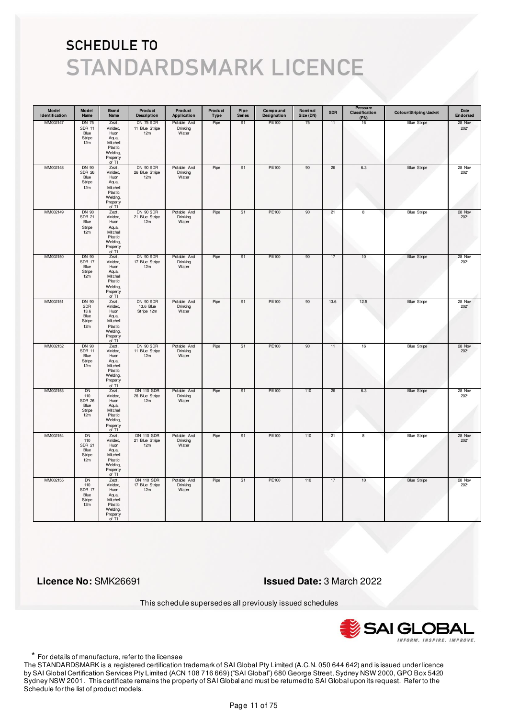| Model<br>Identification | Model<br>Name                                              | <b>Brand</b><br>Name                                                                       | Product<br><b>Description</b>              | Product<br>Application           | Product<br>Type | Pipe<br><b>Series</b> | Compound<br>Designation | Nominal<br>Size (DN) | <b>SDR</b> | <b>Pressure</b><br>Classification<br>(PN) | Colour/Striping/Jacket | Date<br>Endorsed |
|-------------------------|------------------------------------------------------------|--------------------------------------------------------------------------------------------|--------------------------------------------|----------------------------------|-----------------|-----------------------|-------------------------|----------------------|------------|-------------------------------------------|------------------------|------------------|
| MM002147                | DN 75<br><b>SDR 11</b><br>Blue<br>Stripe<br>12m            | Zezt,<br>Vinidex,<br>Huon<br>Aqua,<br>Mitchell<br>Plastic<br>Welding,<br>Property<br>of TI | DN 75 SDR<br>11 Blue Stripe<br>12m         | Potable And<br>Drinking<br>Water | Pipe            | S1                    | PE100                   | 75                   | 11         | 16                                        | <b>Blue Stripe</b>     | 28 Nov<br>2021   |
| MM002148                | DN 90<br><b>SDR 26</b><br>Blue<br>Stripe<br>12m            | Zezt,<br>Vinidex,<br>Huon<br>Aqua,<br>Mitchell<br>Plastic<br>Welding,<br>Property<br>of TI | DN 90 SDR<br>26 Blue Stripe<br>12m         | Potable And<br>Drinking<br>Water | Pipe            | S <sub>1</sub>        | PE100                   | 90                   | 26         | 6.3                                       | <b>Blue Stripe</b>     | 28 Nov<br>2021   |
| MM002149                | DN 90<br><b>SDR 21</b><br>Blue<br>Stripe<br>12m            | Zezt,<br>Vinidex,<br>Huon<br>Aqua,<br>Mitchell<br>Plastic<br>Welding,<br>Property<br>of TI | DN 90 SDR<br>21 Blue Stripe<br>12m         | Potable And<br>Drinking<br>Water | Pipe            | S1                    | PE100                   | 90                   | 21         | 8                                         | <b>Blue Stripe</b>     | 28 Nov<br>2021   |
| MM002150                | DN 90<br><b>SDR 17</b><br>Blue<br>Stripe<br>12m            | Zezt,<br>Vinidex,<br>Huon<br>Aqua,<br>Mitchell<br>Plastic<br>Welding,<br>Property<br>of TI | DN 90 SDR<br>17 Blue Stripe<br>12m         | Potable And<br>Drinking<br>Water | Pipe            | S1                    | PE100                   | 90                   | 17         | 10                                        | <b>Blue Stripe</b>     | 28 Nov<br>2021   |
| MM002151                | <b>DN 90</b><br>SDR<br>13.6<br>Blue<br>Stripe<br>12m       | Zezt,<br>Vinidex,<br>Huon<br>Aqua,<br>Mitchell<br>Plastic<br>Welding,<br>Property<br>of TI | DN 90 SDR<br>13.6 Blue<br>Stripe 12m       | Potable And<br>Drinking<br>Water | Pipe            | S <sub>1</sub>        | PE100                   | 90                   | 13.6       | 12.5                                      | <b>Blue Stripe</b>     | 28 Nov<br>2021   |
| MM002152                | DN 90<br><b>SDR 11</b><br>Blue<br>Stripe<br>12m            | Zezt,<br>Vinidex,<br>Huon<br>Aqua,<br>Mitchell<br>Plastic<br>Welding,<br>Property<br>of TI | DN 90 SDR<br>11 Blue Stripe<br>12m         | Potable And<br>Drinking<br>Water | Pipe            | S <sub>1</sub>        | <b>PE100</b>            | 90                   | 11         | 16                                        | <b>Blue Stripe</b>     | 28 Nov<br>2021   |
| MM002153                | DN<br>110<br><b>SDR 26</b><br>Blue<br>Stripe<br>12m        | Zezt,<br>Vinidex,<br>Huon<br>Aqua,<br>Mitchell<br>Plastic<br>Welding,<br>Property<br>of TI | <b>DN 110 SDR</b><br>26 Blue Stripe<br>12m | Potable And<br>Drinking<br>Water | Pipe            | S1                    | PE100                   | 110                  | 26         | 6.3                                       | <b>Blue Stripe</b>     | 28 Nov<br>2021   |
| MM002154                | <b>DN</b><br>110<br><b>SDR 21</b><br>Blue<br>Stripe<br>12m | Zezt,<br>Vinidex,<br>Huon<br>Aqua,<br>Mitchell<br>Plastic<br>Welding,<br>Property<br>of TI | <b>DN 110 SDR</b><br>21 Blue Stripe<br>12m | Potable And<br>Drinking<br>Water | Pipe            | S <sub>1</sub>        | PE100                   | 110                  | 21         | 8                                         | <b>Blue Stripe</b>     | 28 Nov<br>2021   |
| MM002155                | <b>DN</b><br>110<br><b>SDR 17</b><br>Blue<br>Stripe<br>12m | Zezt,<br>Vinidex,<br>Huon<br>Aqua,<br>Mitchell<br>Plastic<br>Welding,<br>Property<br>of TI | <b>DN 110 SDR</b><br>17 Blue Stripe<br>12m | Potable And<br>Drinking<br>Water | Pipe            | S <sub>1</sub>        | PE100                   | 110                  | 17         | 10                                        | <b>Blue Stripe</b>     | 28 Nov<br>2021   |

 **Licence No:** SMK26691 **Issued Date:** 3 March 2022

This schedule supersedes all previously issued schedules



\* For details of manufacture, refer to the licensee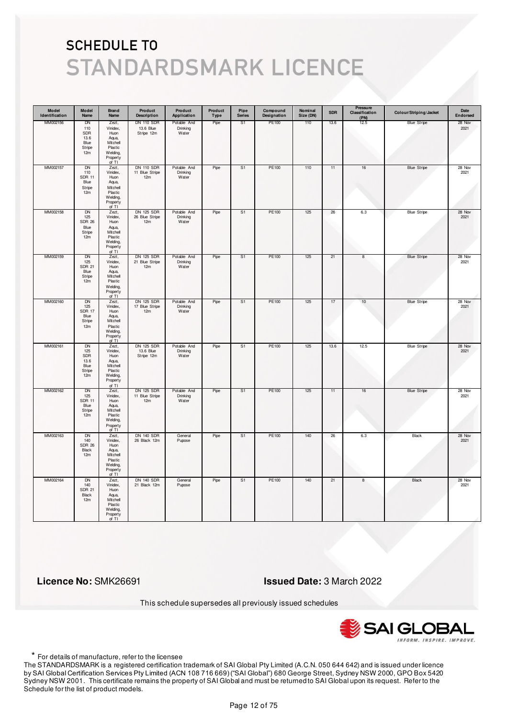| Model<br>Identification | Model<br>Name                                              | <b>Brand</b><br>Name                                                                       | Product<br><b>Description</b>                | Product<br>Application           | Product<br>Type | Pipe<br><b>Series</b> | Compound<br>Designation | Nominal<br>Size (DN) | <b>SDR</b> | Pressure<br>Classification<br>(PN) | Colour/Striping/Jacket | Date<br>Endorsed |
|-------------------------|------------------------------------------------------------|--------------------------------------------------------------------------------------------|----------------------------------------------|----------------------------------|-----------------|-----------------------|-------------------------|----------------------|------------|------------------------------------|------------------------|------------------|
| MM002156                | DN<br>110<br>SDR<br>13.6<br>Blue<br>Stripe<br>12m          | Zezt,<br>Vinidex,<br>Huon<br>Aqua,<br>Mitchell<br>Plastic<br>Welding,<br>Property<br>of TI | <b>DN 110 SDR</b><br>13.6 Blue<br>Stripe 12m | Potable And<br>Drinking<br>Water | Pipe            | S <sub>1</sub>        | PE100                   | 110                  | 13.6       | 12.5                               | <b>Blue Stripe</b>     | 28 Nov<br>2021   |
| MM002157                | <b>DN</b><br>110<br><b>SDR 11</b><br>Blue<br>Stripe<br>12m | Zezt,<br>Vinidex,<br>Huon<br>Aqua,<br>Mitchell<br>Plastic<br>Welding,<br>Property<br>of TI | <b>DN 110 SDR</b><br>11 Blue Stripe<br>12m   | Potable And<br>Drinking<br>Water | Pipe            | S <sub>1</sub>        | PE100                   | 110                  | 11         | $16\,$                             | <b>Blue Stripe</b>     | 28 Nov<br>2021   |
| MM002158                | DN<br>125<br><b>SDR 26</b><br>Blue<br>Stripe<br>12m        | Zezt,<br>Vinidex,<br>Huon<br>Aqua,<br>Mitchell<br>Plastic<br>Welding,<br>Property<br>of TI | <b>DN 125 SDR</b><br>26 Blue Stripe<br>12m   | Potable And<br>Drinking<br>Water | Pipe            | S <sub>1</sub>        | PE100                   | 125                  | 26         | 6.3                                | <b>Blue Stripe</b>     | 28 Nov<br>2021   |
| MM002159                | DN<br>125<br><b>SDR 21</b><br>Blue<br>Stripe<br>12m        | Zezt,<br>Vinidex,<br>Huon<br>Aqua,<br>Mitchell<br>Plastic<br>Welding,<br>Property<br>of TI | DN 125 SDR<br>21 Blue Stripe<br>12m          | Potable And<br>Drinking<br>Water | Pipe            | S1                    | PE100                   | 125                  | 21         | 8                                  | <b>Blue Stripe</b>     | 28 Nov<br>2021   |
| MM002160                | <b>DN</b><br>125<br><b>SDR 17</b><br>Blue<br>Stripe<br>12m | Zezt,<br>Vinidex,<br>Huon<br>Aqua,<br>Mitchell<br>Plastic<br>Welding,<br>Property<br>of TI | <b>DN 125 SDR</b><br>17 Blue Stripe<br>12m   | Potable And<br>Drinking<br>Water | Pipe            | S <sub>1</sub>        | PE100                   | 125                  | 17         | 10                                 | <b>Blue Stripe</b>     | 28 Nov<br>2021   |
| MM002161                | <b>DN</b><br>125<br>SDR<br>13.6<br>Blue<br>Stripe<br>12m   | Zezt,<br>Vinidex,<br>Huon<br>Aqua,<br>Mitchell<br>Plastic<br>Welding,<br>Property<br>of TI | <b>DN 125 SDR</b><br>13.6 Blue<br>Stripe 12m | Potable And<br>Drinking<br>Water | Pipe            | S <sub>1</sub>        | <b>PE100</b>            | 125                  | 13.6       | 12.5                               | <b>Blue Stripe</b>     | 28 Nov<br>2021   |
| MM002162                | DN<br>125<br><b>SDR 11</b><br>Blue<br>Stripe<br>12m        | Zezt,<br>Vinidex,<br>Huon<br>Aqua,<br>Mitchell<br>Plastic<br>Welding,<br>Property<br>of TI | <b>DN 125 SDR</b><br>11 Blue Stripe<br>12m   | Potable And<br>Drinking<br>Water | Pipe            | S1                    | PE100                   | 125                  | 11         | 16                                 | <b>Blue Stripe</b>     | 28 Nov<br>2021   |
| MM002163                | <b>DN</b><br>140<br><b>SDR 26</b><br>Black<br>12m          | Zezt,<br>Vinidex,<br>Huon<br>Aqua,<br>Mitchell<br>Plastic<br>Welding,<br>Property<br>of TI | <b>DN 140 SDR</b><br>26 Black 12m            | General<br>Pupose                | Pipe            | S <sub>1</sub>        | PE100                   | 140                  | 26         | 6.3                                | <b>Black</b>           | 28 Nov<br>2021   |
| MM002164                | <b>DN</b><br>140<br><b>SDR 21</b><br>Black<br>12m          | Zezt,<br>Vinidex,<br>Huon<br>Aqua,<br>Mitchell<br>Plastic<br>Welding,<br>Property<br>of TI | <b>DN 140 SDR</b><br>21 Black 12m            | General<br>Pupose                | Pipe            | S <sub>1</sub>        | PE100                   | 140                  | 21         | 8                                  | <b>Black</b>           | 28 Nov<br>2021   |

 **Licence No:** SMK26691 **Issued Date:** 3 March 2022

This schedule supersedes all previously issued schedules



\* For details of manufacture, refer to the licensee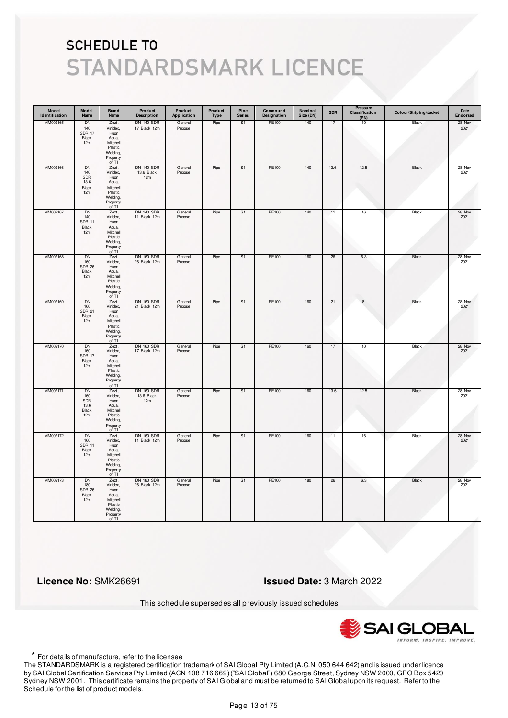| Model<br>Identification | Model<br>Name                                     | Brand<br>Name                                                                                | Product<br><b>Description</b>          | Product<br>Application | Product<br>Type | Pipe<br><b>Series</b> | Compound<br>Designation | Nominal<br>Size (DN) | <b>SDR</b> | Pressure<br>Classification<br>(PN) | Colour/Striping/Jacket | Date<br>Endorsed |
|-------------------------|---------------------------------------------------|----------------------------------------------------------------------------------------------|----------------------------------------|------------------------|-----------------|-----------------------|-------------------------|----------------------|------------|------------------------------------|------------------------|------------------|
| MM002165                | DN<br>140<br><b>SDR 17</b><br>Black<br>12m        | Zezt,<br>Vinidex,<br>Huon<br>Aqua,<br>Mitchell<br>Plastic<br>Welding,<br>Property<br>of TI   | <b>DN 140 SDR</b><br>17 Black 12m      | General<br>Pupose      | Pipe            | S <sub>1</sub>        | PE100                   | 140                  | 17         | 10                                 | Black                  | 28 Nov<br>2021   |
| MM002166                | DN<br>140<br>SDR<br>13.6<br>Black<br>12m          | Zezt,<br>Vinidex,<br>Huon<br>Aqua,<br>Mitchell<br>Plastic<br>Welding,<br>Property<br>of $TI$ | <b>DN 140 SDR</b><br>13.6 Black<br>12m | General<br>Pupose      | Pipe            | S <sub>1</sub>        | PE100                   | 140                  | 13.6       | 12.5                               | Black                  | 28 Nov<br>2021   |
| MM002167                | DN<br>140<br><b>SDR 11</b><br>Black<br>12m        | Zezt,<br>Vinidex,<br>Huon<br>Aqua,<br>Mitchell<br>Plastic<br>Welding,<br>Property<br>of TI   | <b>DN 140 SDR</b><br>11 Black 12m      | General<br>Pupose      | Pipe            | S <sub>1</sub>        | PE100                   | 140                  | 11         | $16\,$                             | Black                  | 28 Nov<br>2021   |
| MM002168                | DN<br>160<br><b>SDR 26</b><br>Black<br>12m        | Zezt,<br>Vinidex,<br>Huon<br>Aqua,<br>Mitchell<br>Plastic<br>Welding,<br>Property<br>of TI   | <b>DN 160 SDR</b><br>26 Black 12m      | General<br>Pupose      | Pipe            | S1                    | PE100                   | 160                  | 26         | 6.3                                | Black                  | 28 Nov<br>2021   |
| MM002169                | DN<br>160<br><b>SDR 21</b><br>Black<br>12m        | Zezt,<br>Vinidex,<br>Huon<br>Aqua,<br>Mitchell<br>Plastic<br>Welding,<br>Property<br>of TI   | <b>DN 160 SDR</b><br>21 Black 12m      | General<br>Pupose      | Pipe            | S1                    | PE100                   | 160                  | 21         | $\boldsymbol{8}$                   | Black                  | 28 Nov<br>2021   |
| MM002170                | <b>DN</b><br>160<br><b>SDR 17</b><br>Black<br>12m | Zezt,<br>Vinidex,<br>Huon<br>Aqua,<br>Mitchell<br>Plastic<br>Welding,<br>Property<br>of TI   | <b>DN 160 SDR</b><br>17 Black 12m      | General<br>Pupose      | Pipe            | S <sub>1</sub>        | PE100                   | 160                  | 17         | 10                                 | <b>Black</b>           | 28 Nov<br>2021   |
| MM002171                | DN<br>160<br>SDR<br>13.6<br>Black<br>12m          | Zezt,<br>Vinidex,<br>Huon<br>Aqua,<br>Mitchell<br>Plastic<br>Welding,<br>Property<br>of TI   | <b>DN 160 SDR</b><br>13.6 Black<br>12m | General<br>Pupose      | Pipe            | S1                    | PE100                   | 160                  | 13.6       | 12.5                               | Black                  | 28 Nov<br>2021   |
| MM002172                | <b>DN</b><br>160<br><b>SDR 11</b><br>Black<br>12m | Zezt,<br>Vinidex,<br>Huon<br>Aqua,<br>Mitchell<br>Plastic<br>Welding,<br>Property<br>of TI   | <b>DN 160 SDR</b><br>11 Black 12m      | General<br>Pupose      | Pipe            | S <sub>1</sub>        | <b>PE100</b>            | 160                  | 11         | 16                                 | <b>Black</b>           | 28 Nov<br>2021   |
| MM002173                | <b>DN</b><br>180<br><b>SDR 26</b><br>Black<br>12m | Zezt,<br>Vinidex,<br>Huon<br>Aqua,<br>Mitchell<br>Plastic<br>Welding,<br>Property<br>of TI   | <b>DN 180 SDR</b><br>26 Black 12m      | General<br>Pupose      | Pipe            | S <sub>1</sub>        | PE100                   | 180                  | 26         | 6.3                                | <b>Black</b>           | 28 Nov<br>2021   |

 **Licence No:** SMK26691 **Issued Date:** 3 March 2022

This schedule supersedes all previously issued schedules



\* For details of manufacture, refer to the licensee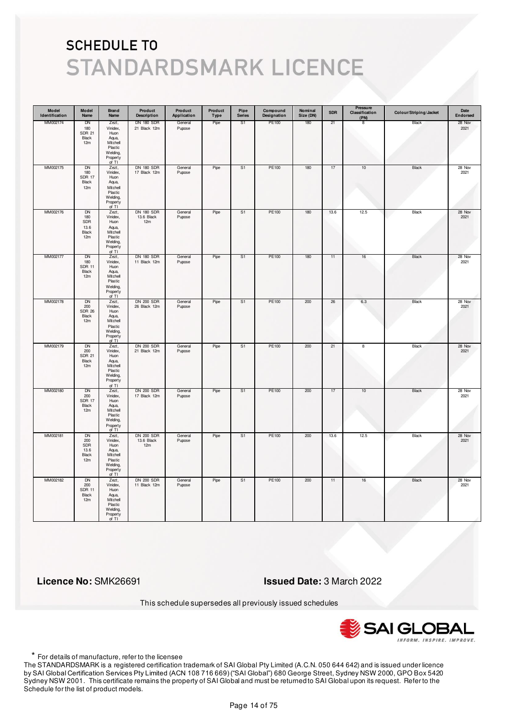| Model<br>Identification | Model<br>Name                                     | Brand<br>Name                                                                                | Product<br><b>Description</b>          | Product<br>Application | Product<br>Type | Pipe<br><b>Series</b> | Compound<br>Designation | Nominal<br>Size (DN) | <b>SDR</b> | Pressure<br>Classification<br>(PN) | Colour/Striping/Jacket | Date<br>Endorsed |
|-------------------------|---------------------------------------------------|----------------------------------------------------------------------------------------------|----------------------------------------|------------------------|-----------------|-----------------------|-------------------------|----------------------|------------|------------------------------------|------------------------|------------------|
| MM002174                | DN<br>180<br><b>SDR 21</b><br>Black<br>12m        | Zezt,<br>Vinidex,<br>Huon<br>Aqua,<br>Mitchell<br>Plastic<br>Welding,<br>Property<br>of TI   | <b>DN 180 SDR</b><br>21 Black 12m      | General<br>Pupose      | Pipe            | S <sub>1</sub>        | PE100                   | 180                  | 21         | 8                                  | Black                  | 28 Nov<br>2021   |
| MM002175                | DN<br>180<br><b>SDR 17</b><br>Black<br>12m        | Zezt,<br>Vinidex,<br>Huon<br>Aqua,<br>Mitchell<br>Plastic<br>Welding,<br>Property<br>of $TI$ | <b>DN 180 SDR</b><br>17 Black 12m      | General<br>Pupose      | Pipe            | S1                    | PE100                   | 180                  | $17\,$     | $10$                               | Black                  | 28 Nov<br>2021   |
| MM002176                | <b>DN</b><br>180<br>SDR<br>13.6<br>Black<br>12m   | Zezt,<br>Vinidex,<br>Huon<br>Aqua,<br>Mitchell<br>Plastic<br>Welding,<br>Property<br>of TI   | <b>DN 180 SDR</b><br>13.6 Black<br>12m | General<br>Pupose      | Pipe            | S <sub>1</sub>        | PE100                   | 180                  | 13.6       | 12.5                               | Black                  | 28 Nov<br>2021   |
| MM002177                | DN<br>180<br><b>SDR 11</b><br>Black<br>12m        | Zezt,<br>Vinidex,<br>Huon<br>Aqua,<br>Mitchell<br>Plastic<br>Welding,<br>Property<br>of TI   | <b>DN 180 SDR</b><br>11 Black 12m      | General<br>Pupose      | Pipe            | S1                    | PE100                   | 180                  | 11         | 16                                 | Black                  | 28 Nov<br>2021   |
| MM002178                | DN<br>200<br><b>SDR 26</b><br>Black<br>12m        | Zezt,<br>Vinidex,<br>Huon<br>Aqua,<br>Mitchell<br>Plastic<br>Welding,<br>Property<br>of TI   | <b>DN 200 SDR</b><br>26 Black 12m      | General<br>Pupose      | Pipe            | S1                    | PE100                   | 200                  | 26         | 6.3                                | Black                  | 28 Nov<br>2021   |
| MM002179                | <b>DN</b><br>200<br><b>SDR 21</b><br>Black<br>12m | Zezt,<br>Vinidex,<br>Huon<br>Aqua,<br>Mitchell<br>Plastic<br>Welding,<br>Property<br>of TI   | <b>DN 200 SDR</b><br>21 Black 12m      | General<br>Pupose      | Pipe            | S <sub>1</sub>        | PE100                   | 200                  | 21         | $\overline{\mathbf{8}}$            | <b>Black</b>           | 28 Nov<br>2021   |
| MM002180                | DN<br>200<br><b>SDR 17</b><br>Black<br>12m        | Zezt,<br>Vinidex,<br>Huon<br>Aqua,<br>Mitchell<br>Plastic<br>Welding,<br>Property<br>of TI   | <b>DN 200 SDR</b><br>17 Black 12m      | General<br>Pupose      | Pipe            | S1                    | PE100                   | 200                  | 17         | 10                                 | Black                  | 28 Nov<br>2021   |
| MM002181                | <b>DN</b><br>200<br>SDR<br>13.6<br>Black<br>12m   | Zezt,<br>Vinidex,<br>Huon<br>Aqua,<br>Mitchell<br>Plastic<br>Welding,<br>Property<br>of TI   | <b>DN 200 SDR</b><br>13.6 Black<br>12m | General<br>Pupose      | Pipe            | S <sub>1</sub>        | <b>PE100</b>            | 200                  | 13.6       | 12.5                               | <b>Black</b>           | 28 Nov<br>2021   |
| MM002182                | <b>DN</b><br>200<br><b>SDR 11</b><br>Black<br>12m | Zezt,<br>Vinidex,<br>Huon<br>Aqua,<br>Mitchell<br>Plastic<br>Welding,<br>Property<br>of TI   | <b>DN 200 SDR</b><br>11 Black 12m      | General<br>Pupose      | Pipe            | S <sub>1</sub>        | PE100                   | 200                  | 11         | $16\,$                             | <b>Black</b>           | 28 Nov<br>2021   |

 **Licence No:** SMK26691 **Issued Date:** 3 March 2022

This schedule supersedes all previously issued schedules



\* For details of manufacture, refer to the licensee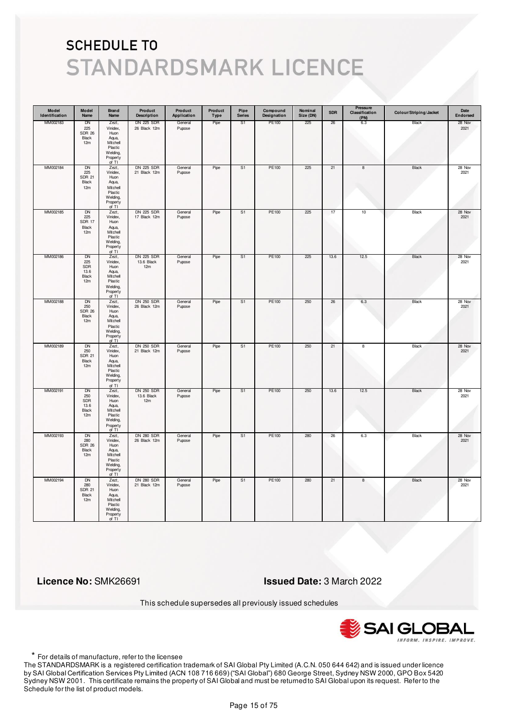| Model<br>Identification | Model<br>Name                                          | Brand<br>Name                                                                              | Product<br><b>Description</b>          | Product<br>Application | Product<br>Type | Pipe<br><b>Series</b> | Compound<br>Designation | Nominal<br>Size (DN) | <b>SDR</b> | Pressure<br>Classification<br>(PN) | Colour/Striping/Jacket | Date<br>Endorsed |
|-------------------------|--------------------------------------------------------|--------------------------------------------------------------------------------------------|----------------------------------------|------------------------|-----------------|-----------------------|-------------------------|----------------------|------------|------------------------------------|------------------------|------------------|
| MM002183                | DN<br>225<br><b>SDR 26</b><br>Black<br>12m             | Zezt,<br>Vinidex,<br>Huon<br>Aqua,<br>Mitchell<br>Plastic<br>Welding,<br>Property<br>of TI | DN 225 SDR<br>26 Black 12m             | General<br>Pupose      | Pipe            | S1                    | PE100                   | 225                  | 26         | 6.3                                | Black                  | 28 Nov<br>2021   |
| MM002184                | DN<br>225<br><b>SDR 21</b><br>Black<br>12m             | Zezt,<br>Vinidex,<br>Huon<br>Aqua,<br>Mitchell<br>Plastic<br>Welding,<br>Property<br>of TI | <b>DN 225 SDR</b><br>21 Black 12m      | General<br>Pupose      | Pipe            | S1                    | PE100                   | 225                  | 21         | 8                                  | Black                  | 28 Nov<br>2021   |
| MM002185                | DN<br>225<br>SDR 17<br>Black<br>12m                    | Zezt,<br>Vinidex,<br>Huon<br>Aqua,<br>Mitchell<br>Plastic<br>Welding,<br>Property<br>of TI | <b>DN 225 SDR</b><br>17 Black 12m      | General<br>Pupose      | Pipe            | S <sub>1</sub>        | PE100                   | 225                  | 17         | $10$                               | Black                  | 28 Nov<br>2021   |
| MM002186                | DN<br>225<br><b>SDR</b><br>13.6<br><b>Black</b><br>12m | Zezt,<br>Vinidex,<br>Huon<br>Aqua,<br>Mitchell<br>Plastic<br>Welding,<br>Property<br>of TI | <b>DN 225 SDR</b><br>13.6 Black<br>12m | General<br>Pupose      | Pipe            | S <sub>1</sub>        | PE100                   | 225                  | 13.6       | 12.5                               | Black                  | 28 Nov<br>2021   |
| MM002188                | <b>DN</b><br>250<br><b>SDR 26</b><br>Black<br>12m      | Zezt,<br>Vinidex,<br>Huon<br>Aqua,<br>Mitchell<br>Plastic<br>Welding,<br>Property<br>of TI | <b>DN 250 SDR</b><br>26 Black 12m      | General<br>Pupose      | Pipe            | S1                    | PE100                   | 250                  | 26         | 6.3                                | Black                  | 28 Nov<br>2021   |
| MM002189                | <b>DN</b><br>250<br><b>SDR 21</b><br>Black<br>12m      | Zezt,<br>Vinidex,<br>Huon<br>Aqua,<br>Mitchell<br>Plastic<br>Welding,<br>Property<br>of TI | <b>DN 250 SDR</b><br>21 Black 12m      | General<br>Pupose      | Pipe            | S1                    | PE100                   | 250                  | 21         | $\overline{\mathbf{8}}$            | Black                  | 28 Nov<br>2021   |
| MM002191                | DN<br>250<br>SDR<br>13.6<br>Black<br>12m               | Zezt,<br>Vinidex,<br>Huon<br>Aqua,<br>Mitchell<br>Plastic<br>Welding,<br>Property<br>of TI | <b>DN 250 SDR</b><br>13.6 Black<br>12m | General<br>Pupose      | Pipe            | S1                    | PE100                   | 250                  | 13.6       | 12.5                               | Black                  | 28 Nov<br>2021   |
| MM002193                | <b>DN</b><br>280<br><b>SDR 26</b><br>Black<br>12m      | Zezt,<br>Vinidex,<br>Huon<br>Aqua,<br>Mitchell<br>Plastic<br>Welding,<br>Property<br>of TI | <b>DN 280 SDR</b><br>26 Black 12m      | General<br>Pupose      | Pipe            | S <sub>1</sub>        | PE100                   | 280                  | 26         | 6.3                                | Black                  | 28 Nov<br>2021   |
| MM002194                | <b>DN</b><br>280<br><b>SDR 21</b><br>Black<br>12m      | Zezt,<br>Vinidex,<br>Huon<br>Aqua,<br>Mitchell<br>Plastic<br>Welding,<br>Property<br>of TI | <b>DN 280 SDR</b><br>21 Black 12m      | General<br>Pupose      | Pipe            | S <sub>1</sub>        | <b>PE100</b>            | 280                  | 21         | 8                                  | <b>Black</b>           | 28 Nov<br>2021   |

 **Licence No:** SMK26691 **Issued Date:** 3 March 2022

This schedule supersedes all previously issued schedules



\* For details of manufacture, refer to the licensee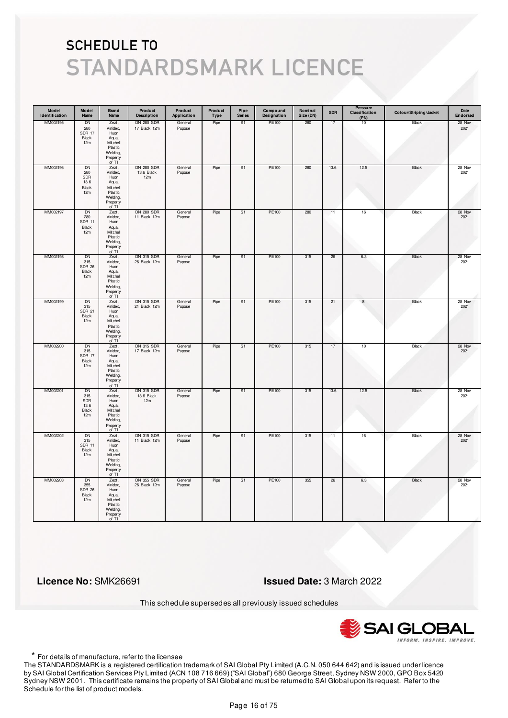| Model<br>Identification | Model<br>Name                                     | <b>Brand</b><br>Name                                                                         | Product<br><b>Description</b>          | Product<br>Application | Product<br><b>Type</b> | Pipe<br><b>Series</b> | Compound<br>Designation | Nominal<br>Size (DN) | <b>SDR</b> | Pressure<br>Classification<br>(PN) | Colour/Striping/Jacket | Date<br>Endorsed |
|-------------------------|---------------------------------------------------|----------------------------------------------------------------------------------------------|----------------------------------------|------------------------|------------------------|-----------------------|-------------------------|----------------------|------------|------------------------------------|------------------------|------------------|
| MM002195                | DN<br>280<br><b>SDR 17</b><br>Black<br>12m        | Zezt,<br>Vinidex,<br>Huon<br>Aqua,<br>Mitchell<br>Plastic<br>Welding,<br>Property<br>of TI   | <b>DN 280 SDR</b><br>17 Black 12m      | General<br>Pupose      | Pipe                   | S1                    | PE100                   | 280                  | 17         | 10                                 | Black                  | 28 Nov<br>2021   |
| MM002196                | DN<br>280<br>SDR<br>13.6<br>Black<br>12m          | Zezt,<br>Vinidex,<br>Huon<br>Aqua,<br>Mitchell<br>Plastic<br>Welding,<br>Property<br>of TI   | <b>DN 280 SDR</b><br>13.6 Black<br>12m | General<br>Pupose      | Pipe                   | S <sub>1</sub>        | PE100                   | 280                  | 13.6       | 12.5                               | Black                  | 28 Nov<br>2021   |
| MM002197                | DN<br>280<br><b>SDR 11</b><br>Black<br>12m        | Zezt,<br>Vinidex,<br>Huon<br>Aqua,<br>Mitchell<br>Plastic<br>Welding,<br>Property<br>of TI   | <b>DN 280 SDR</b><br>11 Black 12m      | General<br>Pupose      | Pipe                   | S1                    | PE100                   | 280                  | 11         | 16                                 | Black                  | 28 Nov<br>2021   |
| MM002198                | DN<br>315<br><b>SDR 26</b><br>Black<br>12m        | Zezt,<br>Vinidex,<br>Huon<br>Aqua,<br>Mitchell<br>Plastic<br>Welding,<br>Property<br>of TI   | DN 315 SDR<br>26 Black 12m             | General<br>Pupose      | Pipe                   | S1                    | PE100                   | 315                  | 26         | 6.3                                | Black                  | 28 Nov<br>2021   |
| MM002199                | DN<br>315<br><b>SDR 21</b><br>Black<br>12m        | Zezt,<br>Vinidex,<br>Huon<br>Aqua,<br>Mitchell<br>Plastic<br>Welding,<br>Property<br>of TI   | <b>DN 315 SDR</b><br>21 Black 12m      | General<br>Pupose      | Pipe                   | S <sub>1</sub>        | PE100                   | 315                  | 21         | $\boldsymbol{8}$                   | Black                  | 28 Nov<br>2021   |
| MM002200                | <b>DN</b><br>315<br><b>SDR 17</b><br>Black<br>12m | Zezt,<br>Vinidex,<br>Huon<br>Aqua,<br>Mitchell<br>Plastic<br>Welding,<br>Property<br>of TI   | <b>DN 315 SDR</b><br>17 Black 12m      | General<br>Pupose      | Pipe                   | S <sub>1</sub>        | <b>PE100</b>            | 315                  | 17         | 10                                 | Black                  | 28 Nov<br>2021   |
| MM002201                | DN<br>315<br>SDR<br>13.6<br>Black<br>12m          | Zezt,<br>Vinidex,<br>Huon<br>Aqua,<br>Mitchell<br>Plastic<br>Welding,<br>Property<br>of $TI$ | <b>DN 315 SDR</b><br>13.6 Black<br>12m | General<br>Pupose      | Pipe                   | S1                    | PE100                   | 315                  | 13.6       | 12.5                               | Black                  | 28 Nov<br>2021   |
| MM002202                | <b>DN</b><br>315<br><b>SDR 11</b><br>Black<br>12m | Zezt,<br>Vinidex,<br>Huon<br>Aqua,<br>Mitchell<br>Plastic<br>Welding,<br>Property<br>of TI   | <b>DN 315 SDR</b><br>11 Black 12m      | General<br>Pupose      | Pipe                   | S <sub>1</sub>        | PE100                   | 315                  | 11         | 16                                 | Black                  | 28 Nov<br>2021   |
| MM002203                | <b>DN</b><br>355<br><b>SDR 26</b><br>Black<br>12m | Zezt,<br>Vinidex,<br>Huon<br>Aqua,<br>Mitchell<br>Plastic<br>Welding,<br>Property<br>of TI   | <b>DN 355 SDR</b><br>26 Black 12m      | General<br>Pupose      | Pipe                   | S <sub>1</sub>        | <b>PE100</b>            | 355                  | 26         | 6.3                                | <b>Black</b>           | 28 Nov<br>2021   |

 **Licence No:** SMK26691 **Issued Date:** 3 March 2022

This schedule supersedes all previously issued schedules



\* For details of manufacture, refer to the licensee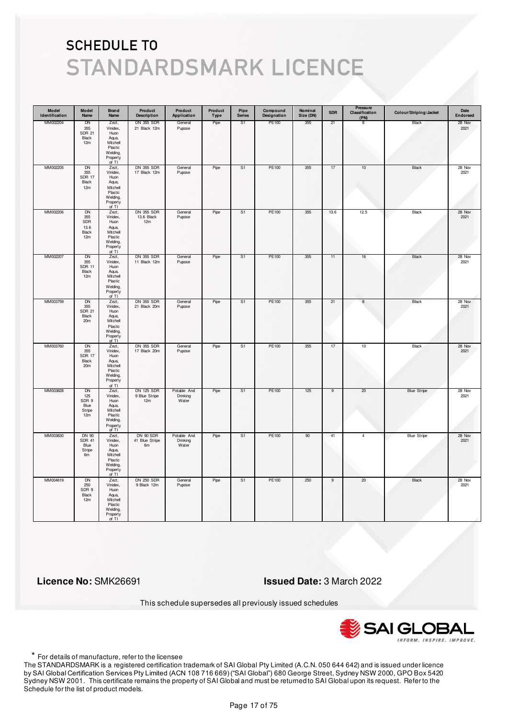| Model<br>Identification | Model<br>Name                                         | Brand<br>Name                                                                                | Product<br><b>Description</b>          | Product<br>Application           | Product<br>Type | Pipe<br><b>Series</b> | Compound<br>Designation | Nominal<br>Size (DN) | <b>SDR</b> | Pressure<br>Classification<br>(PN) | Colour/Striping/Jacket | Date<br>Endorsed |
|-------------------------|-------------------------------------------------------|----------------------------------------------------------------------------------------------|----------------------------------------|----------------------------------|-----------------|-----------------------|-------------------------|----------------------|------------|------------------------------------|------------------------|------------------|
| MM002204                | DN<br>355<br><b>SDR 21</b><br>Black<br>12m            | Zezt,<br>Vinidex,<br>Huon<br>Aqua,<br>Mitchell<br>Plastic<br>Welding,<br>Property<br>of TI   | <b>DN 355 SDR</b><br>21 Black 12m      | General<br>Pupose                | Pipe            | S <sub>1</sub>        | PE100                   | 355                  | 21         | 8                                  | Black                  | 28 Nov<br>2021   |
| MM002205                | DN<br>355<br><b>SDR 17</b><br>Black<br>12m            | Zezt,<br>Vinidex,<br>Huon<br>Aqua,<br>Mitchell<br>Plastic<br>Welding,<br>Property<br>of $TI$ | DN 355 SDR<br>17 Black 12m             | General<br>Pupose                | Pipe            | S1                    | PE100                   | 355                  | $17\,$     | $10$                               | Black                  | 28 Nov<br>2021   |
| MM002206                | <b>DN</b><br>355<br>SDR<br>13.6<br>Black<br>12m       | Zezt,<br>Vinidex,<br>Huon<br>Aqua,<br>Mitchell<br>Plastic<br>Welding,<br>Property<br>of TI   | <b>DN 355 SDR</b><br>13.6 Black<br>12m | General<br>Pupose                | Pipe            | S <sub>1</sub>        | PE100                   | 355                  | 13.6       | 12.5                               | Black                  | 28 Nov<br>2021   |
| MM002207                | DN<br>355<br><b>SDR 11</b><br>Black<br>12m            | Zezt,<br>Vinidex,<br>Huon<br>Aqua,<br>Mitchell<br>Plastic<br>Welding,<br>Property<br>of TI   | DN 355 SDR<br>11 Black 12m             | General<br>Pupose                | Pipe            | S1                    | PE100                   | 355                  | 11         | 16                                 | Black                  | 28 Nov<br>2021   |
| MM003759                | DN<br>355<br><b>SDR 21</b><br>Black<br>20m            | Zezt,<br>Vinidex,<br>Huon<br>Aqua,<br>Mitchell<br>Plastic<br>Welding,<br>Property<br>of TI   | <b>DN 355 SDR</b><br>21 Black 20m      | General<br>Pupose                | Pipe            | S <sub>1</sub>        | PE100                   | 355                  | 21         | $\boldsymbol{8}$                   | Black                  | 28 Nov<br>2021   |
| MM003760                | <b>DN</b><br>355<br><b>SDR 17</b><br>Black<br>20m     | Zezt,<br>Vinidex,<br>Huon<br>Aqua,<br>Mitchell<br>Plastic<br>Welding,<br>Property<br>of TI   | <b>DN 355 SDR</b><br>17 Black 20m      | General<br>Pupose                | Pipe            | S <sub>1</sub>        | PE100                   | 355                  | 17         | 10                                 | <b>Black</b>           | 28 Nov<br>2021   |
| MM003828                | DN<br>125<br>SDR 9<br>Blue<br>Stripe<br>12m           | Zezt,<br>Vinidex,<br>Huon<br>Aqua,<br>Mitchell<br>Plastic<br>Welding,<br>Property<br>of TI   | DN 125 SDR<br>9 Blue Stripe<br>12m     | Potable And<br>Drinking<br>Water | Pipe            | S1                    | PE100                   | 125                  | 9          | 20                                 | <b>Blue Stripe</b>     | 28 Nov<br>2021   |
| MM003830                | <b>DN 90</b><br><b>SDR 41</b><br>Blue<br>Stripe<br>6m | Zezt,<br>Vinidex,<br>Huon<br>Aqua,<br>Mitchell<br>Plastic<br>Welding,<br>Property<br>of TI   | DN 90 SDR<br>41 Blue Stripe<br>6m      | Potable And<br>Drinking<br>Water | Pipe            | S <sub>1</sub>        | <b>PE100</b>            | 90                   | 41         | $\overline{4}$                     | <b>Blue Stripe</b>     | 28 Nov<br>2021   |
| MM004619                | <b>DN</b><br>250<br>SDR 9<br>Black<br>12m             | Zezt,<br>Vinidex,<br>Huon<br>Aqua,<br>Mitchell<br>Plastic<br>Welding,<br>Property<br>of TI   | <b>DN 250 SDR</b><br>9 Black 12m       | General<br>Pupose                | Pipe            | S <sub>1</sub>        | PE100                   | 250                  | 9          | 20                                 | Black                  | 28 Nov<br>2021   |

 **Licence No:** SMK26691 **Issued Date:** 3 March 2022

This schedule supersedes all previously issued schedules



\* For details of manufacture, refer to the licensee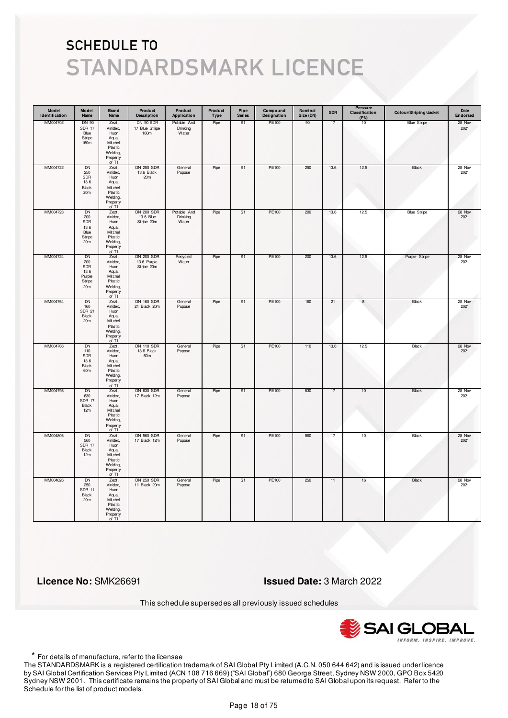| Model<br>Identification | Model<br>Name                                                          | <b>Brand</b><br>Name                                                                         | Product<br><b>Description</b>                  | Product<br>Application           | Product<br><b>Type</b> | Pipe<br><b>Series</b> | Compound<br>Designation | Nominal<br>Size (DN) | <b>SDR</b> | Pressure<br>Classification<br>(PN) | Colour/Striping/Jacket | Date<br>Endorsed |
|-------------------------|------------------------------------------------------------------------|----------------------------------------------------------------------------------------------|------------------------------------------------|----------------------------------|------------------------|-----------------------|-------------------------|----------------------|------------|------------------------------------|------------------------|------------------|
| MM004702                | <b>DN 90</b><br><b>SDR 17</b><br>Blue<br>Stripe<br>160m                | Zezt,<br>Vinidex,<br>Huon<br>Aqua,<br>Mitchell<br>Plastic<br>Welding,<br>Property<br>of TI   | DN 90 SDR<br>17 Blue Stripe<br>160m            | Potable And<br>Drinking<br>Water | Pipe                   | S1                    | PE100                   | 90                   | 17         | 10                                 | <b>Blue Stripe</b>     | 28 Nov<br>2021   |
| MM004722                | <b>DN</b><br>250<br>SDR<br>13.6<br>Black<br>20m                        | Zezt,<br>Vinidex,<br>Huon<br>Aqua,<br>Mitchell<br>Plastic<br>Welding,<br>Property<br>of TI   | <b>DN 250 SDR</b><br>13.6 Black<br>20m         | General<br>Pupose                | Pipe                   | S <sub>1</sub>        | PE100                   | 250                  | 13.6       | 12.5                               | Black                  | 28 Nov<br>2021   |
| MM004723                | <b>DN</b><br>200<br>SDR<br>13.6<br>Blue<br>Stripe<br>20m               | Zezt,<br>Vinidex,<br>Huon<br>Aqua,<br>Mitchell<br>Plastic<br>Welding,<br>Property<br>of TI   | <b>DN 200 SDR</b><br>13.6 Blue<br>Stripe 20m   | Potable And<br>Drinking<br>Water | Pipe                   | S1                    | PE100                   | 200                  | 13.6       | 12.5                               | <b>Blue Stripe</b>     | 28 Nov<br>2021   |
| MM004724                | DN<br>200<br><b>SDR</b><br>13.6<br>Purple<br>Stripe<br>20 <sub>m</sub> | Zezt,<br>Vinidex,<br>Huon<br>Aqua,<br>Mitchell<br>Plastic<br>Welding,<br>Property<br>of $TI$ | <b>DN 200 SDR</b><br>13.6 Purple<br>Stripe 20m | Recycled<br>Water                | Pipe                   | S1                    | PE100                   | 200                  | 13.6       | 12.5                               | Purple Stripe          | 28 Nov<br>2021   |
| MM004764                | DN<br>160<br><b>SDR 21</b><br>Black<br>20m                             | Zezt,<br>Vinidex,<br>Huon<br>Aqua,<br>Mitchell<br>Plastic<br>Welding,<br>Property<br>of TI   | <b>DN 160 SDR</b><br>21 Black 20m              | General<br>Pupose                | Pipe                   | S1                    | PE100                   | 160                  | 21         | $^{\rm 8}$                         | Black                  | 28 Nov<br>2021   |
| MM004766                | <b>DN</b><br>110<br>SDR<br>13.6<br>Black<br>60m                        | Zezt,<br>Vinidex,<br>Huon<br>Aqua,<br>Mitchell<br>Plastic<br>Welding,<br>Property<br>of TI   | <b>DN 110 SDR</b><br>13.6 Black<br>60m         | General<br>Pupose                | Pipe                   | S <sub>1</sub>        | PE100                   | 110                  | 13.6       | 12.5                               | <b>Black</b>           | 28 Nov<br>2021   |
| MM004798                | DN<br>630<br><b>SDR 17</b><br>Black<br>12m                             | Zezt,<br>Vinidex,<br>Huon<br>Aqua,<br>Mitchell<br>Plastic<br>Welding,<br>Property<br>of TI   | <b>DN 630 SDR</b><br>17 Black 12m              | General<br>Pupose                | Pipe                   | S1                    | PE100                   | 630                  | 17         | 10                                 | Black                  | 28 Nov<br>2021   |
| MM004806                | <b>DN</b><br>560<br><b>SDR 17</b><br>Black<br>12m                      | Zezt,<br>Vinidex,<br>Huon<br>Aqua,<br>Mitchell<br>Plastic<br>Welding,<br>Property<br>of TI   | <b>DN 560 SDR</b><br>17 Black 12m              | General<br>Pupose                | Pipe                   | S <sub>1</sub>        | <b>PE100</b>            | 560                  | 17         | 10                                 | <b>Black</b>           | 28 Nov<br>2021   |
| MM004826                | <b>DN</b><br>250<br>SDR 11<br>Black<br>20m                             | Zezt,<br>Vinidex,<br>Huon<br>Aqua,<br>Mitchell<br>Plastic<br>Welding,<br>Property<br>of TI   | <b>DN 250 SDR</b><br>11 Black 20m              | General<br>Pupose                | Pipe                   | S <sub>1</sub>        | PE100                   | 250                  | 11         | 16                                 | <b>Black</b>           | 28 Nov<br>2021   |

 **Licence No:** SMK26691 **Issued Date:** 3 March 2022

This schedule supersedes all previously issued schedules



\* For details of manufacture, refer to the licensee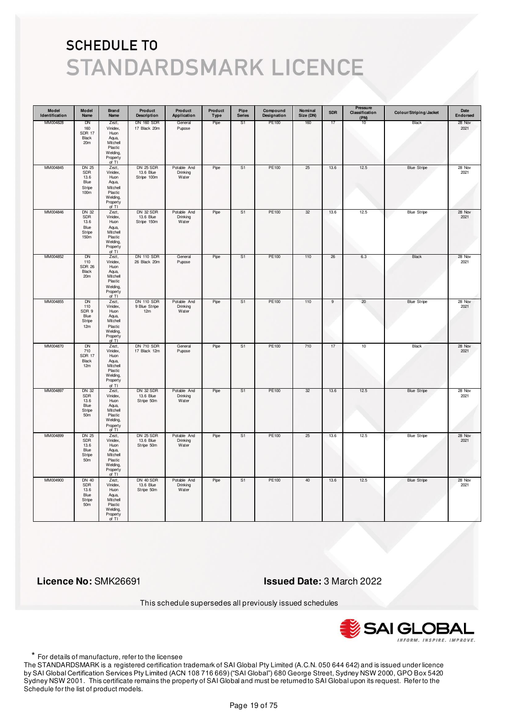| Model<br>Identification | Model<br>Name                                                           | <b>Brand</b><br>Name                                                                       | Product<br><b>Description</b>                | Product<br>Application           | Product<br>Type | Pipe<br><b>Series</b> | Compound<br>Designation | Nominal<br>Size (DN) | <b>SDR</b>     | Pressure<br>Classification<br>(PN) | Colour/Striping/Jacket | Date<br>Endorsed |
|-------------------------|-------------------------------------------------------------------------|--------------------------------------------------------------------------------------------|----------------------------------------------|----------------------------------|-----------------|-----------------------|-------------------------|----------------------|----------------|------------------------------------|------------------------|------------------|
| MM004828                | DN<br>160<br><b>SDR 17</b><br>Black<br>20 <sub>m</sub>                  | Zezt,<br>Vinidex,<br>Huon<br>Aqua,<br>Mitchell<br>Plastic<br>Welding,<br>Property<br>of TI | <b>DN 160 SDR</b><br>17 Black 20m            | General<br>Pupose                | Pipe            | S1                    | PE100                   | 160                  | 17             | 10                                 | Black                  | 28 Nov<br>2021   |
| MM004845                | <b>DN 25</b><br>SDR<br>13.6<br>Blue<br>Stripe<br>100m                   | Zezt,<br>Vinidex,<br>Huon<br>Aqua,<br>Mitchell<br>Plastic<br>Welding,<br>Property<br>of TI | <b>DN 25 SDR</b><br>13.6 Blue<br>Stripe 100m | Potable And<br>Drinking<br>Water | Pipe            | S1                    | PE100                   | 25                   | 13.6           | 12.5                               | <b>Blue Stripe</b>     | 28 Nov<br>2021   |
| MM004846                | <b>DN 32</b><br>SDR<br>13.6<br>Blue<br>Stripe<br>150 <sub>m</sub>       | Zezt,<br>Vinidex,<br>Huon<br>Aqua,<br>Mitchell<br>Plastic<br>Welding,<br>Property<br>of TI | <b>DN 32 SDR</b><br>13.6 Blue<br>Stripe 150m | Potable And<br>Drinking<br>Water | Pipe            | S1                    | PE100                   | 32                   | 13.6           | 12.5                               | <b>Blue Stripe</b>     | 28 Nov<br>2021   |
| MM004852                | DN<br>110<br><b>SDR 26</b><br>Black<br>20 <sub>m</sub>                  | Zezt,<br>Vinidex,<br>Huon<br>Aqua,<br>Mitchell<br>Plastic<br>Welding,<br>Property<br>of TI | <b>DN 110 SDR</b><br>26 Black 20m            | General<br>Pupose                | Pipe            | S1                    | PE100                   | 110                  | 26             | 6.3                                | Black                  | 28 Nov<br>2021   |
| MM004855                | DN<br>110<br>SDR 9<br>Blue<br>Stripe<br>12m                             | Zezt,<br>Vinidex,<br>Huon<br>Aqua,<br>Mitchell<br>Plastic<br>Welding,<br>Property<br>of TI | <b>DN 110 SDR</b><br>9 Blue Stripe<br>12m    | Potable And<br>Drinking<br>Water | Pipe            | S1                    | PE100                   | 110                  | $\overline{9}$ | 20                                 | <b>Blue Stripe</b>     | 28 Nov<br>2021   |
| MM004870                | <b>DN</b><br>710<br><b>SDR 17</b><br>Black<br>12m                       | Zezt,<br>Vinidex,<br>Huon<br>Aqua,<br>Mitchell<br>Plastic<br>Welding,<br>Property<br>of TI | <b>DN 710 SDR</b><br>17 Black 12m            | General<br>Pupose                | Pipe            | S <sub>1</sub>        | <b>PE100</b>            | 710                  | 17             | 10                                 | <b>Black</b>           | 28 Nov<br>2021   |
| MM004897                | DN 32<br>SDR<br>13.6<br>Blue<br>Stripe<br>50m                           | Zezt,<br>Vinidex,<br>Huon<br>Aqua,<br>Mitchell<br>Plastic<br>Welding,<br>Property<br>of TI | DN 32 SDR<br>13.6 Blue<br>Stripe 50m         | Potable And<br>Drinking<br>Water | Pipe            | S1                    | PE100                   | 32                   | 13.6           | 12.5                               | <b>Blue Stripe</b>     | 28 Nov<br>2021   |
| MM004899                | <b>DN 25</b><br><b>SDR</b><br>13.6<br>Blue<br>Stripe<br>50m             | Zezt,<br>Vinidex,<br>Huon<br>Aqua,<br>Mitchell<br>Plastic<br>Welding,<br>Property<br>of TI | <b>DN 25 SDR</b><br>13.6 Blue<br>Stripe 50m  | Potable And<br>Drinking<br>Water | Pipe            | S <sub>1</sub>        | <b>PE100</b>            | 25                   | 13.6           | 12.5                               | <b>Blue Stripe</b>     | 28 Nov<br>2021   |
| MM004900                | <b>DN 40</b><br><b>SDR</b><br>13.6<br>Blue<br>Stripe<br>50 <sub>m</sub> | Zezt,<br>Vinidex,<br>Huon<br>Aqua,<br>Mitchell<br>Plastic<br>Welding,<br>Property<br>of TI | DN 40 SDR<br>13.6 Blue<br>Stripe 50m         | Potable And<br>Drinking<br>Water | Pipe            | S <sub>1</sub>        | PE100                   | 40                   | 13.6           | 12.5                               | <b>Blue Stripe</b>     | 28 Nov<br>2021   |

 **Licence No:** SMK26691 **Issued Date:** 3 March 2022

This schedule supersedes all previously issued schedules



\* For details of manufacture, refer to the licensee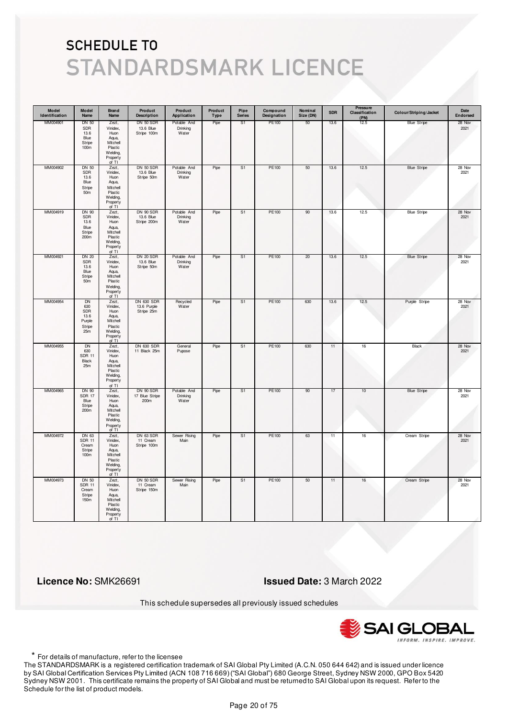| Model<br>Identification | Model<br>Name                                                        | <b>Brand</b><br>Name                                                                       | Product<br><b>Description</b>                  | Product<br>Application           | Product<br>Type | Pipe<br><b>Series</b> | Compound<br>Designation | Nominal<br>Size (DN) | <b>SDR</b> | Pressure<br>Classification<br>(PN) | Colour/Striping/Jacket | Date<br>Endorsed |
|-------------------------|----------------------------------------------------------------------|--------------------------------------------------------------------------------------------|------------------------------------------------|----------------------------------|-----------------|-----------------------|-------------------------|----------------------|------------|------------------------------------|------------------------|------------------|
| MM004901                | <b>DN 50</b><br>SDR<br>13.6<br>Blue<br>Stripe<br>100m                | Zezt,<br>Vinidex,<br>Huon<br>Aqua,<br>Mitchell<br>Plastic<br>Welding,<br>Property<br>of TI | DN 50 SDR<br>13.6 Blue<br>Stripe 100m          | Potable And<br>Drinking<br>Water | Pipe            | S <sub>1</sub>        | PE100                   | 50                   | 13.6       | 12.5                               | <b>Blue Stripe</b>     | 28 Nov<br>2021   |
| MM004902                | <b>DN 50</b><br>SDR<br>13.6<br>Blue<br>Stripe<br>50 <sub>m</sub>     | Zezt,<br>Vinidex,<br>Huon<br>Aqua,<br>Mitchell<br>Plastic<br>Welding,<br>Property<br>of TI | DN 50 SDR<br>13.6 Blue<br>Stripe 50m           | Potable And<br>Drinking<br>Water | Pipe            | S <sub>1</sub>        | PE100                   | 50                   | 13.6       | 12.5                               | <b>Blue Stripe</b>     | 28 Nov<br>2021   |
| MM004919                | DN 90<br>SDR<br>13.6<br>Blue<br>Stripe<br>200m                       | Zezt,<br>Vinidex,<br>Huon<br>Aqua,<br>Mitchell<br>Plastic<br>Welding,<br>Property<br>of TI | DN 90 SDR<br>13.6 Blue<br>Stripe 200m          | Potable And<br>Drinking<br>Water | Pipe            | S1                    | PE100                   | 90                   | 13.6       | 12.5                               | <b>Blue Stripe</b>     | 28 Nov<br>2021   |
| MM004921                | <b>DN 20</b><br>SDR<br>13.6<br>Blue<br>Stripe<br>50 <sub>m</sub>     | Zezt,<br>Vinidex,<br>Huon<br>Aqua,<br>Mitchell<br>Plastic<br>Welding,<br>Property<br>of TI | DN 20 SDR<br>13.6 Blue<br>Stripe 50m           | Potable And<br>Drinking<br>Water | Pipe            | S1                    | PE100                   | 20                   | 13.6       | 12.5                               | <b>Blue Stripe</b>     | 28 Nov<br>2021   |
| MM004954                | <b>DN</b><br>630<br>SDR<br>13.6<br>Purple<br>Stripe<br>25m           | Zezt,<br>Vinidex,<br>Huon<br>Aqua,<br>Mitchell<br>Plastic<br>Welding,<br>Property<br>of TI | <b>DN 630 SDR</b><br>13.6 Purple<br>Stripe 25m | Recycled<br>Water                | Pipe            | S <sub>1</sub>        | <b>PE100</b>            | 630                  | 13.6       | 12.5                               | Purple Stripe          | 28 Nov<br>2021   |
| MM004955                | DN<br>630<br><b>SDR 11</b><br>Black<br>25m                           | Zezt,<br>Vinidex,<br>Huon<br>Aqua,<br>Mitchell<br>Plastic<br>Welding,<br>Property<br>of TI | <b>DN 630 SDR</b><br>11 Black 25m              | General<br>Pupose                | Pipe            | S <sub>1</sub>        | PE100                   | 630                  | 11         | 16                                 | Black                  | 28 Nov<br>2021   |
| MM004965                | DN 90<br><b>SDR 17</b><br>Blue<br>Stripe<br>200m                     | Zezt,<br>Vinidex,<br>Huon<br>Aqua,<br>Mitchell<br>Plastic<br>Welding,<br>Property<br>of TI | DN 90 SDR<br>17 Blue Stripe<br>200m            | Potable And<br>Drinking<br>Water | Pipe            | S1                    | PE100                   | 90                   | 17         | 10                                 | <b>Blue Stripe</b>     | 28 Nov<br>2021   |
| MM004972                | DN 63<br><b>SDR 11</b><br>Cream<br>Stripe<br>100m                    | Zezt,<br>Vinidex,<br>Huon<br>Aqua,<br>Mitchell<br>Plastic<br>Welding,<br>Property<br>of TI | DN 63 SDR<br>11 Cream<br>Stripe 100m           | Sewer Rising<br>Main             | Pipe            | S <sub>1</sub>        | <b>PE100</b>            | 63                   | 11         | 16                                 | Cream Stripe           | 28 Nov<br>2021   |
| MM004973                | <b>DN 50</b><br><b>SDR 11</b><br>Cream<br>Stripe<br>150 <sub>m</sub> | Zezt,<br>Vinidex,<br>Huon<br>Aqua,<br>Mitchell<br>Plastic<br>Welding,<br>Property<br>of TI | DN 50 SDR<br>11 Cream<br>Stripe 150m           | Sewer Rising<br>Main             | Pipe            | S1                    | PE100                   | 50                   | 11         | 16                                 | Cream Stripe           | 28 Nov<br>2021   |

 **Licence No:** SMK26691 **Issued Date:** 3 March 2022

This schedule supersedes all previously issued schedules



\* For details of manufacture, refer to the licensee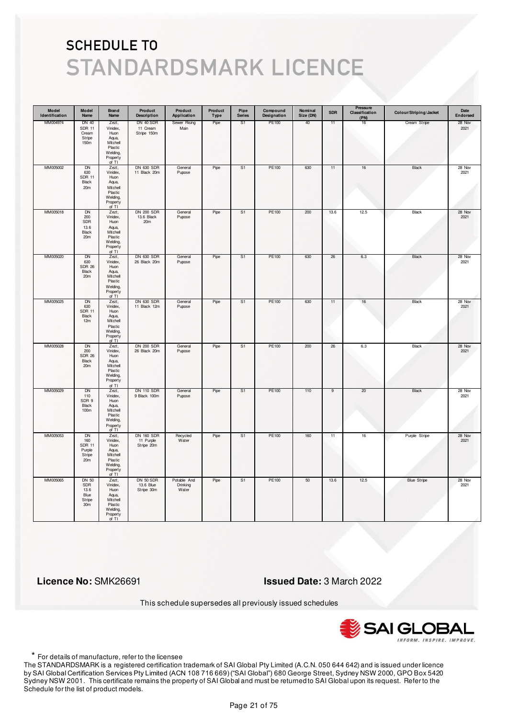| Model<br>Identification | Model<br>Name                                                            | Brand<br>Name                                                                                 | Product<br><b>Description</b>                | Product<br>Application           | Product<br>Type | Pipe<br><b>Series</b> | Compound<br>Designation | Nominal<br>Size (DN) | <b>SDR</b> | Pressure<br>Classification<br>(PN) | Colour/Striping/Jacket | Date<br>Endorsed |
|-------------------------|--------------------------------------------------------------------------|-----------------------------------------------------------------------------------------------|----------------------------------------------|----------------------------------|-----------------|-----------------------|-------------------------|----------------------|------------|------------------------------------|------------------------|------------------|
| MM004974                | <b>DN 40</b><br><b>SDR 11</b><br>Cream<br>Stripe<br>150m                 | Zezt,<br>Vinidex,<br>Huon<br>Aqua,<br>Mitchell<br>Plastic<br>Welding,<br>Property<br>of TI    | DN 40 SDR<br>11 Cream<br>Stripe 150m         | Sewer Rising<br>Main             | Pipe            | S <sub>1</sub>        | PE100                   | 40                   | 11         | 16                                 | Cream Stripe           | 28 Nov<br>2021   |
| MM005002                | DN<br>630<br><b>SDR 11</b><br>Black<br>20m                               | Zezt,<br>Vinidex,<br>$H$ uon<br>Aqua,<br>Mitchell<br>Plastic<br>Welding,<br>Property<br>of TI | DN 630 SDR<br>11 Black 20m                   | General<br>Pupose                | Pipe            | S <sub>1</sub>        | PE100                   | 630                  | 11         | $16\,$                             | Black                  | 28 Nov<br>2021   |
| MM005018                | <b>DN</b><br>200<br>SDR<br>13.6<br>Black<br>20m                          | Zezt,<br>Vinidex,<br>Huon<br>Aqua,<br>Mitchell<br>Plastic<br>Welding,<br>Property<br>of TI    | <b>DN 200 SDR</b><br>13.6 Black<br>20m       | General<br>Pupose                | Pipe            | S <sub>1</sub>        | PE100                   | 200                  | 13.6       | 12.5                               | Black                  | 28 Nov<br>2021   |
| MM005020                | DN<br>630<br><b>SDR 26</b><br>Black<br>20m                               | Zezt,<br>Vinidex,<br>Huon<br>Aqua,<br>Mitchell<br>Plastic<br>Welding,<br>Property<br>of TI    | <b>DN 630 SDR</b><br>26 Black 20m            | General<br>Pupose                | Pipe            | S1                    | PE100                   | 630                  | 26         | 6.3                                | Black                  | 28 Nov<br>2021   |
| MM005025                | DN<br>630<br><b>SDR 11</b><br>Black<br>12m                               | Zezt,<br>Vinidex,<br>Huon<br>Aqua,<br>Mitchell<br>Plastic<br>Welding,<br>Property<br>of TI    | <b>DN 630 SDR</b><br>11 Black 12m            | General<br>Pupose                | Pipe            | S <sub>1</sub>        | PE100                   | 630                  | 11         | 16                                 | Black                  | 28 Nov<br>2021   |
| MM005028                | <b>DN</b><br>200<br><b>SDR 26</b><br>Black<br>20m                        | Zezt,<br>Vinidex,<br>Huon<br>Aqua,<br>Mitchell<br>Plastic<br>Welding,<br>Property<br>of TI    | <b>DN 200 SDR</b><br>26 Black 20m            | General<br>Pupose                | Pipe            | S <sub>1</sub>        | <b>PE100</b>            | 200                  | 26         | 6.3                                | <b>Black</b>           | 28 Nov<br>2021   |
| MM005029                | DN<br>110<br>SDR 9<br>Black<br>100m                                      | Zezt,<br>Vinidex,<br>Huon<br>Aqua,<br>Mitchell<br>Plastic<br>Welding,<br>Property<br>of TI    | <b>DN 110 SDR</b><br>9 Black 100m            | General<br>Pupose                | Pipe            | S1                    | PE100                   | 110                  | 9          | 20                                 | Black                  | 28 Nov<br>2021   |
| MM005053                | <b>DN</b><br>160<br><b>SDR 11</b><br>Purple<br>Stripe<br>20 <sub>m</sub> | Zezt,<br>Vinidex,<br>Huon<br>Aqua,<br>Mitchell<br>Plastic<br>Welding,<br>Property<br>of TI    | <b>DN 160 SDR</b><br>11 Purple<br>Stripe 20m | Recycled<br>Water                | Pipe            | S <sub>1</sub>        | <b>PE100</b>            | 160                  | 11         | 16                                 | Purple Stripe          | 28 Nov<br>2021   |
| MM005065                | <b>DN 50</b><br><b>SDR</b><br>13.6<br>Blue<br>Stripe<br>30 <sub>m</sub>  | Zezt,<br>Vinidex,<br>Huon<br>Aqua,<br>Mitchell<br>Plastic<br>Welding,<br>Property<br>of TI    | DN 50 SDR<br>13.6 Blue<br>Stripe 30m         | Potable And<br>Drinking<br>Water | Pipe            | S1                    | PE100                   | 50                   | 13.6       | 12.5                               | <b>Blue Stripe</b>     | 28 Nov<br>2021   |

 **Licence No:** SMK26691 **Issued Date:** 3 March 2022

This schedule supersedes all previously issued schedules



\* For details of manufacture, refer to the licensee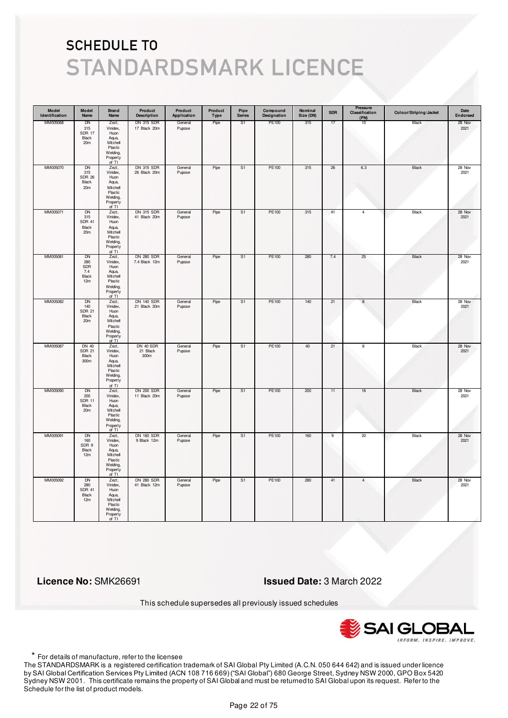| Model<br>Identification | Model<br>Name                                                 | Brand<br>Name                                                                                | Product<br><b>Description</b>      | Product<br>Application | Product<br>Type | Pipe<br><b>Series</b> | Compound<br>Designation | Nominal<br>Size (DN) | <b>SDR</b>     | Pressure<br>Classification<br>(PN) | Colour/Striping/Jacket | Date<br>Endorsed |
|-------------------------|---------------------------------------------------------------|----------------------------------------------------------------------------------------------|------------------------------------|------------------------|-----------------|-----------------------|-------------------------|----------------------|----------------|------------------------------------|------------------------|------------------|
| MM005068                | DN<br>315<br><b>SDR 17</b><br>Black<br>20 <sub>m</sub>        | Zezt,<br>Vinidex,<br>Huon<br>Aqua,<br>Mitchell<br>Plastic<br>Welding,<br>Property<br>of TI   | DN 315 SDR<br>17 Black 20m         | General<br>Pupose      | Pipe            | S1                    | PE100                   | 315                  | 17             | 10                                 | Black                  | 28 Nov<br>2021   |
| MM005070                | DN<br>315<br><b>SDR 26</b><br>Black<br>20m                    | Zezt,<br>Vinidex,<br>Huon<br>Aqua,<br>Mitchell<br>Plastic<br>Welding,<br>Property<br>of $TI$ | <b>DN 315 SDR</b><br>26 Black 20m  | General<br>Pupose      | Pipe            | S1                    | PE100                   | 315                  | 26             | $6.3\,$                            | Black                  | 28 Nov<br>2021   |
| MM005071                | <b>DN</b><br>315<br><b>SDR 41</b><br>Black<br>20 <sub>m</sub> | Zezt,<br>Vinidex,<br>Huon<br>Aqua,<br>Mitchell<br>Plastic<br>Welding,<br>Property<br>of TI   | <b>DN 315 SDR</b><br>41 Black 20m  | General<br>Pupose      | Pipe            | S <sub>1</sub>        | PE100                   | 315                  | 41             | $\overline{4}$                     | Black                  | 28 Nov<br>2021   |
| MM005081                | DN<br>280<br>SDR<br>7.4<br>Black<br>12m                       | Zezt,<br>Vinidex,<br>Huon<br>Aqua,<br>Mitchell<br>Plastic<br>Welding,<br>Property<br>of TI   | <b>DN 280 SDR</b><br>7.4 Black 12m | General<br>Pupose      | Pipe            | S1                    | PE100                   | 280                  | 7.4            | 25                                 | Black                  | 28 Nov<br>2021   |
| MM005082                | DN<br>140<br><b>SDR 21</b><br>Black<br>20m                    | Zezt,<br>Vinidex,<br>Huon<br>Aqua,<br>Mitchell<br>Plastic<br>Welding,<br>Property<br>of TI   | <b>DN 140 SDR</b><br>21 Black 20m  | General<br>Pupose      | Pipe            | S <sub>1</sub>        | PE100                   | 140                  | 21             | $\boldsymbol{8}$                   | Black                  | 28 Nov<br>2021   |
| MM005087                | <b>DN 40</b><br><b>SDR 21</b><br>Black<br>300m                | Zezt,<br>Vinidex,<br>Huon<br>Aqua,<br>Mitchell<br>Plastic<br>Welding,<br>Property<br>of TI   | DN 40 SDR<br>21 Black<br>300m      | General<br>Pupose      | Pipe            | S <sub>1</sub>        | PE100                   | 40                   | 21             | $\overline{\mathbf{8}}$            | <b>Black</b>           | 28 Nov<br>2021   |
| MM005090                | DN<br>200<br><b>SDR 11</b><br>Black<br>20m                    | Zezt,<br>Vinidex,<br>Huon<br>Aqua,<br>Mitchell<br>Plastic<br>Welding,<br>Property<br>of TI   | <b>DN 200 SDR</b><br>11 Black 20m  | General<br>Pupose      | Pipe            | S1                    | PE100                   | 200                  | 11             | 16                                 | Black                  | 28 Nov<br>2021   |
| MM005091                | <b>DN</b><br>160<br>SDR 9<br>Black<br>12m                     | Zezt,<br>Vinidex,<br>Huon<br>Aqua,<br>Mitchell<br>Plastic<br>Welding,<br>Property<br>of TI   | <b>DN 160 SDR</b><br>9 Black 12m   | General<br>Pupose      | Pipe            | S <sub>1</sub>        | <b>PE100</b>            | 160                  | $\overline{9}$ | 20                                 | <b>Black</b>           | 28 Nov<br>2021   |
| MM005092                | <b>DN</b><br>280<br><b>SDR 41</b><br>Black<br>12m             | Zezt,<br>Vinidex,<br>Huon<br>Aqua,<br>Mitchell<br>Plastic<br>Welding,<br>Property<br>of TI   | <b>DN 280 SDR</b><br>41 Black 12m  | General<br>Pupose      | Pipe            | S1                    | PE100                   | 280                  | 41             | $\overline{4}$                     | Black                  | 28 Nov<br>2021   |

 **Licence No:** SMK26691 **Issued Date:** 3 March 2022

This schedule supersedes all previously issued schedules



\* For details of manufacture, refer to the licensee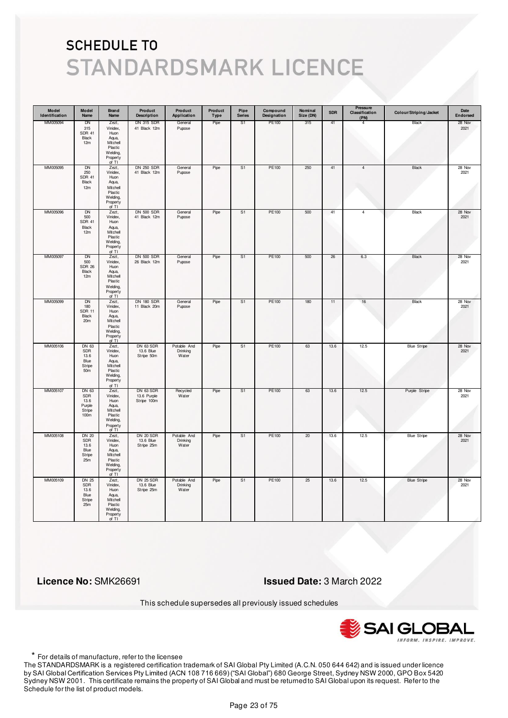| Model<br>Identification | Model<br>Name                                               | <b>Brand</b><br>Name                                                                       | Product<br><b>Description</b>               | Product<br>Application           | Product<br><b>Type</b> | Pipe<br><b>Series</b> | Compound<br>Designation | Nominal<br>Size (DN) | <b>SDR</b> | Pressure<br>Classification<br>(PN) | Colour/Striping/Jacket | Date<br>Endorsed |
|-------------------------|-------------------------------------------------------------|--------------------------------------------------------------------------------------------|---------------------------------------------|----------------------------------|------------------------|-----------------------|-------------------------|----------------------|------------|------------------------------------|------------------------|------------------|
| MM005094                | <b>DN</b><br>315<br><b>SDR 41</b><br>Black<br>12m           | Zezt,<br>Vinidex,<br>Huon<br>Aqua,<br>Mitchell<br>Plastic<br>Welding,<br>Property<br>of TI | <b>DN 315 SDR</b><br>41 Black 12m           | General<br>Pupose                | Pipe                   | S1                    | PE100                   | 315                  | 41         | $\overline{4}$                     | Black                  | 28 Nov<br>2021   |
| MM005095                | <b>DN</b><br>250<br><b>SDR 41</b><br>Black<br>12m           | Zezt,<br>Vinidex,<br>Huon<br>Aqua,<br>Mitchell<br>Plastic<br>Welding,<br>Property<br>of TI | <b>DN 250 SDR</b><br>41 Black 12m           | General<br>Pupose                | Pipe                   | S <sub>1</sub>        | PE100                   | 250                  | 41         | $\overline{4}$                     | Black                  | 28 Nov<br>2021   |
| MM005096                | DN<br>500<br><b>SDR 41</b><br>Black<br>12m                  | Zezt,<br>Vinidex,<br>Huon<br>Aqua,<br>Mitchell<br>Plastic<br>Welding,<br>Property<br>of TI | <b>DN 500 SDR</b><br>41 Black 12m           | General<br>Pupose                | Pipe                   | S1                    | PE100                   | 500                  | 41         | $\overline{4}$                     | Black                  | 28 Nov<br>2021   |
| MM005097                | DN<br>500<br><b>SDR 26</b><br>Black<br>12m                  | Zezt,<br>Vinidex,<br>Huon<br>Aqua,<br>Mitchell<br>Plastic<br>Welding,<br>Property<br>of TI | <b>DN 500 SDR</b><br>26 Black 12m           | General<br>Pupose                | Pipe                   | S1                    | PE100                   | 500                  | 26         | 6.3                                | Black                  | 28 Nov<br>2021   |
| MM005099                | DN<br>180<br><b>SDR 11</b><br>Black<br>20m                  | Zezt,<br>Vinidex,<br>Huon<br>Aqua,<br>Mitchell<br>Plastic<br>Welding,<br>Property<br>of TI | <b>DN 180 SDR</b><br>11 Black 20m           | General<br>Pupose                | Pipe                   | S1                    | PE100                   | 180                  | 11         | 16                                 | Black                  | 28 Nov<br>2021   |
| MM005106                | DN 63<br>SDR<br>13.6<br>Blue<br>Stripe<br>50m               | Zezt,<br>Vinidex,<br>Huon<br>Aqua,<br>Mitchell<br>Plastic<br>Welding,<br>Property<br>of TI | DN 63 SDR<br>13.6 Blue<br>Stripe 50m        | Potable And<br>Drinking<br>Water | Pipe                   | S <sub>1</sub>        | PE100                   | 63                   | 13.6       | 12.5                               | <b>Blue Stripe</b>     | 28 Nov<br>2021   |
| MM005107                | DN 63<br>SDR<br>13.6<br>Purple<br>Stripe<br>100m            | Zezt,<br>Vinidex,<br>Huon<br>Aqua,<br>Mitchell<br>Plastic<br>Welding,<br>Property<br>of TI | DN 63 SDR<br>13.6 Purple<br>Stripe 100m     | Recycled<br>Water                | Pipe                   | S1                    | PE100                   | 63                   | 13.6       | 12.5                               | Purple Stripe          | 28 Nov<br>2021   |
| MM005108                | <b>DN 20</b><br><b>SDR</b><br>13.6<br>Blue<br>Stripe<br>25m | Zezt,<br>Vinidex,<br>Huon<br>Aqua,<br>Mitchell<br>Plastic<br>Welding,<br>Property<br>of TI | DN 20 SDR<br>13.6 Blue<br>Stripe 25m        | Potable And<br>Drinking<br>Water | Pipe                   | S <sub>1</sub>        | <b>PE100</b>            | 20                   | 13.6       | 12.5                               | <b>Blue Stripe</b>     | 28 Nov<br>2021   |
| MM005109                | <b>DN 25</b><br><b>SDR</b><br>13.6<br>Blue<br>Stripe<br>25m | Zezt,<br>Vinidex,<br>Huon<br>Aqua,<br>Mitchell<br>Plastic<br>Welding,<br>Property<br>of TI | <b>DN 25 SDR</b><br>13.6 Blue<br>Stripe 25m | Potable And<br>Drinking<br>Water | Pipe                   | S1                    | PE100                   | 25                   | 13.6       | 12.5                               | <b>Blue Stripe</b>     | 28 Nov<br>2021   |

 **Licence No:** SMK26691 **Issued Date:** 3 March 2022

This schedule supersedes all previously issued schedules



\* For details of manufacture, refer to the licensee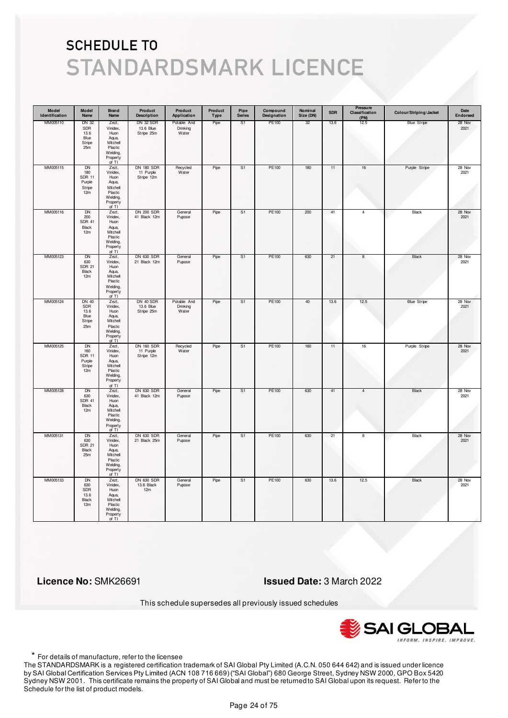| Model<br>Identification | Model<br>Name                                                | <b>Brand</b><br>Name                                                                         | Product<br><b>Description</b>                | Product<br>Application           | Product<br>Type | Pipe<br><b>Series</b> | Compound<br>Designation | Nominal<br>Size (DN) | <b>SDR</b> | Pressure<br>Classification<br>(PN) | Colour/Striping/Jacket | Date<br>Endorsed |
|-------------------------|--------------------------------------------------------------|----------------------------------------------------------------------------------------------|----------------------------------------------|----------------------------------|-----------------|-----------------------|-------------------------|----------------------|------------|------------------------------------|------------------------|------------------|
| MM005110                | DN 32<br>SDR<br>13.6<br>Blue<br>Stripe<br>25m                | Zezt,<br>Vinidex,<br>Huon<br>Aqua,<br>Mitchell<br>Plastic<br>Welding,<br>Property<br>of TI   | DN 32 SDR<br>13.6 Blue<br>Stripe 25m         | Potable And<br>Drinking<br>Water | Pipe            | S1                    | PE100                   | 32                   | 13.6       | 12.5                               | <b>Blue Stripe</b>     | 28 Nov<br>2021   |
| MM005115                | <b>DN</b><br>180<br><b>SDR 11</b><br>Purple<br>Stripe<br>12m | Zezt,<br>Vinidex,<br>Huon<br>Aqua,<br>Mitchell<br>Plastic<br>Welding,<br>Property<br>of TI   | <b>DN 180 SDR</b><br>11 Purple<br>Stripe 12m | Recycled<br>Water                | Pipe            | S1                    | PE100                   | 180                  | 11         | $16\,$                             | Purple Stripe          | 28 Nov<br>2021   |
| MM005116                | <b>DN</b><br>200<br><b>SDR 41</b><br>Black<br>12m            | Zezt,<br>Vinidex,<br>Huon<br>Aqua,<br>Mitchell<br>Plastic<br>Welding,<br>Property<br>of TI   | <b>DN 200 SDR</b><br>41 Black 12m            | General<br>Pupose                | Pipe            | S1                    | PE100                   | 200                  | 41         | $\overline{4}$                     | Black                  | 28 Nov<br>2021   |
| MM005123                | DN<br>630<br><b>SDR 21</b><br>Black<br>12m                   | Zezt,<br>Vinidex,<br>Huon<br>Aqua,<br>Mitchell<br>Plastic<br>Welding,<br>Property<br>of TI   | <b>DN 630 SDR</b><br>21 Black 12m            | General<br>Pupose                | Pipe            | S1                    | PE100                   | 630                  | 21         | 8                                  | Black                  | 28 Nov<br>2021   |
| MM005124                | <b>DN 40</b><br><b>SDR</b><br>13.6<br>Blue<br>Stripe<br>25m  | Zezt,<br>Vinidex,<br>Huon<br>Aqua,<br>Mitchell<br>Plastic<br>Welding,<br>Property<br>of TI   | DN 40 SDR<br>13.6 Blue<br>Stripe 25m         | Potable And<br>Drinking<br>Water | Pipe            | S1                    | PE100                   | 40                   | 13.6       | 12.5                               | <b>Blue Stripe</b>     | 28 Nov<br>2021   |
| MM005125                | <b>DN</b><br>160<br><b>SDR 11</b><br>Purple<br>Stripe<br>12m | Zezt,<br>Vinidex,<br>Huon<br>Aqua,<br>Mitchell<br>Plastic<br>Welding,<br>Property<br>of $TI$ | <b>DN 160 SDR</b><br>11 Purple<br>Stripe 12m | Recycled<br>Water                | Pipe            | S <sub>1</sub>        | <b>PE100</b>            | 160                  | 11         | 16                                 | Purple Stripe          | 28 Nov<br>2021   |
| MM005128                | DN<br>630<br><b>SDR 41</b><br>Black<br>12m                   | Zezt,<br>Vinidex,<br>Huon<br>Aqua,<br>Mitchell<br>Plastic<br>Welding,<br>Property<br>of TI   | <b>DN 630 SDR</b><br>41 Black 12m            | General<br>Pupose                | Pipe            | S1                    | PE100                   | 630                  | 41         | 4                                  | Black                  | 28 Nov<br>2021   |
| MM005131                | <b>DN</b><br>630<br><b>SDR 21</b><br>Black<br>25m            | Zezt,<br>Vinidex,<br>Huon<br>Aqua,<br>Mitchell<br>Plastic<br>Welding,<br>Property<br>of TI   | <b>DN 630 SDR</b><br>21 Black 25m            | General<br>Pupose                | Pipe            | S <sub>1</sub>        | <b>PE100</b>            | 630                  | 21         | 8                                  | <b>Black</b>           | 28 Nov<br>2021   |
| MM005133                | <b>DN</b><br>630<br>SDR<br>13.6<br><b>Black</b><br>12m       | Zezt,<br>Vinidex,<br>Huon<br>Aqua,<br>Mitchell<br>Plastic<br>Welding,<br>Property<br>of TI   | <b>DN 630 SDR</b><br>13.6 Black<br>12m       | General<br>Pupose                | Pipe            | S <sub>1</sub>        | PE100                   | 630                  | 13.6       | 12.5                               | <b>Black</b>           | 28 Nov<br>2021   |

 **Licence No:** SMK26691 **Issued Date:** 3 March 2022

This schedule supersedes all previously issued schedules



\* For details of manufacture, refer to the licensee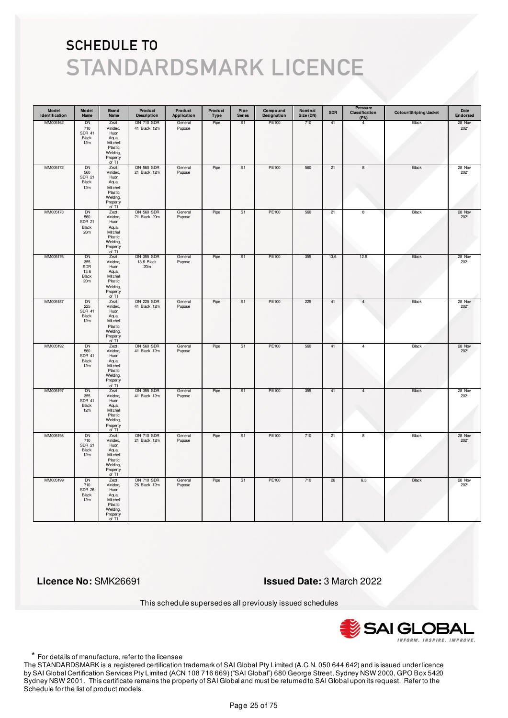| Model<br>Identification | Model<br>Name                                          | Brand<br>Name                                                                                | Product<br><b>Description</b>                      | Product<br>Application | Product<br>Type | Pipe<br><b>Series</b> | Compound<br>Designation | Nominal<br>Size (DN) | <b>SDR</b> | Pressure<br>Classification<br>(PN) | Colour/Striping/Jacket | Date<br>Endorsed |
|-------------------------|--------------------------------------------------------|----------------------------------------------------------------------------------------------|----------------------------------------------------|------------------------|-----------------|-----------------------|-------------------------|----------------------|------------|------------------------------------|------------------------|------------------|
| MM005162                | DN<br>710<br><b>SDR 41</b><br>Black<br>12m             | Zezt,<br>Vinidex,<br>Huon<br>Aqua,<br>Mitchell<br>Plastic<br>Welding,<br>Property<br>of TI   | <b>DN 710 SDR</b><br>41 Black 12m                  | General<br>Pupose      | Pipe            | S <sub>1</sub>        | PE100                   | 710                  | 41         | 4                                  | Black                  | 28 Nov<br>2021   |
| MM005172                | DN<br>560<br><b>SDR 21</b><br>Black<br>12m             | Zezt,<br>Vinidex,<br>Huon<br>Aqua,<br>Mitchell<br>Plastic<br>Welding,<br>Property<br>of $TI$ | DN 560 SDR<br>21 Black 12m                         | General<br>Pupose      | Pipe            | S1                    | PE100                   | 560                  | 21         | $\bf8$                             | Black                  | 28 Nov<br>2021   |
| MM005173                | DN<br>560<br><b>SDR 21</b><br>Black<br>20 <sub>m</sub> | Zezt,<br>Vinidex,<br>Huon<br>Aqua,<br>Mitchell<br>Plastic<br>Welding,<br>Property<br>of TI   | <b>DN 560 SDR</b><br>21 Black 20m                  | General<br>Pupose      | Pipe            | S <sub>1</sub>        | PE100                   | 560                  | 21         | $\overline{\mathbf{8}}$            | Black                  | 28 Nov<br>2021   |
| MM005176                | DN<br>355<br>SDR<br>13.6<br>Black<br>20 <sub>m</sub>   | Zezt,<br>Vinidex,<br>Huon<br>Aqua,<br>Mitchell<br>Plastic<br>Welding,<br>Property<br>of TI   | <b>DN 355 SDR</b><br>13.6 Black<br>20 <sub>m</sub> | General<br>Pupose      | Pipe            | S1                    | PE100                   | 355                  | 13.6       | 12.5                               | Black                  | 28 Nov<br>2021   |
| MM005187                | DN<br>225<br><b>SDR 41</b><br>Black<br>12m             | Zezt,<br>Vinidex,<br>Huon<br>Aqua,<br>Mitchell<br>Plastic<br>Welding,<br>Property<br>of TI   | <b>DN 225 SDR</b><br>41 Black 12m                  | General<br>Pupose      | Pipe            | S1                    | PE100                   | 225                  | 41         | $\overline{4}$                     | Black                  | 28 Nov<br>2021   |
| MM005192                | <b>DN</b><br>560<br><b>SDR 41</b><br>Black<br>12m      | Zezt,<br>Vinidex,<br>Huon<br>Aqua,<br>Mitchell<br>Plastic<br>Welding,<br>Property<br>of TI   | <b>DN 560 SDR</b><br>41 Black 12m                  | General<br>Pupose      | Pipe            | S <sub>1</sub>        | PE100                   | 560                  | 41         | $\overline{4}$                     | <b>Black</b>           | 28 Nov<br>2021   |
| MM005197                | DN<br>355<br><b>SDR 41</b><br>Black<br>12m             | Zezt,<br>Vinidex,<br>Huon<br>Aqua,<br>Mitchell<br>Plastic<br>Welding,<br>Property<br>of TI   | <b>DN 355 SDR</b><br>41 Black 12m                  | General<br>Pupose      | Pipe            | S1                    | PE100                   | 355                  | 41         | 4                                  | Black                  | 28 Nov<br>2021   |
| MM005198                | <b>DN</b><br>710<br><b>SDR 21</b><br>Black<br>12m      | Zezt,<br>Vinidex,<br>Huon<br>Aqua,<br>Mitchell<br>Plastic<br>Welding,<br>Property<br>of TI   | <b>DN 710 SDR</b><br>21 Black 12m                  | General<br>Pupose      | Pipe            | S <sub>1</sub>        | <b>PE100</b>            | 710                  | 21         | $\overline{\mathbf{8}}$            | <b>Black</b>           | 28 Nov<br>2021   |
| MM005199                | <b>DN</b><br>710<br><b>SDR 26</b><br>Black<br>12m      | Zezt,<br>Vinidex,<br>Huon<br>Aqua,<br>Mitchell<br>Plastic<br>Welding,<br>Property<br>of TI   | <b>DN 710 SDR</b><br>26 Black 12m                  | General<br>Pupose      | Pipe            | S1                    | PE100                   | 710                  | 26         | 6.3                                | Black                  | 28 Nov<br>2021   |

 **Licence No:** SMK26691 **Issued Date:** 3 March 2022

This schedule supersedes all previously issued schedules



\* For details of manufacture, refer to the licensee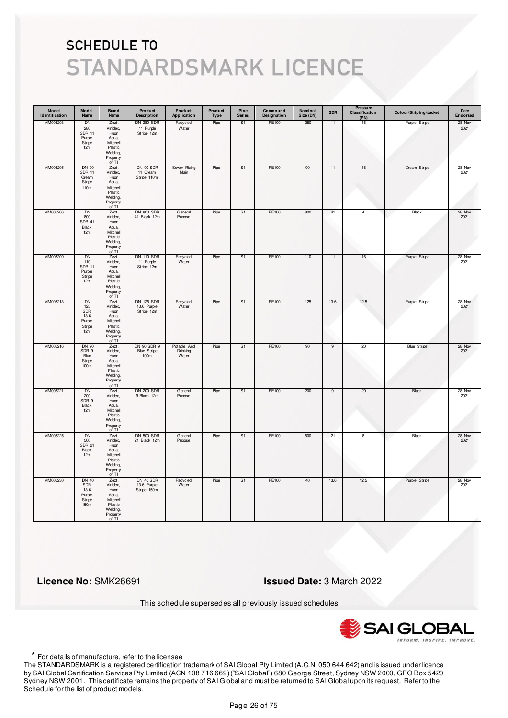| Model<br>Identification | Model<br>Name                                              | <b>Brand</b><br>Name                                                                       | Product<br><b>Description</b>                  | Product<br>Application           | Product<br>Type | Pipe<br><b>Series</b> | Compound<br>Designation | Nominal<br>Size (DN) | <b>SDR</b>     | <b>Pressure</b><br>Classification<br>(PN) | Colour/Striping/Jacket | Date<br>Endorsed |
|-------------------------|------------------------------------------------------------|--------------------------------------------------------------------------------------------|------------------------------------------------|----------------------------------|-----------------|-----------------------|-------------------------|----------------------|----------------|-------------------------------------------|------------------------|------------------|
| MM005203                | DN<br>280<br><b>SDR 11</b><br>Purple<br>Stripe<br>12m      | Zezt,<br>Vinidex,<br>Huon<br>Aqua,<br>Mitchell<br>Plastic<br>Welding,<br>Property<br>of TI | <b>DN 280 SDR</b><br>11 Purple<br>Stripe 12m   | Recycled<br>Water                | Pipe            | S <sub>1</sub>        | PE100                   | 280                  | 11             | 16                                        | Purple Stripe          | 28 Nov<br>2021   |
| MM005205                | DN 90<br><b>SDR 11</b><br>Cream<br>Stripe<br>110m          | Zezt,<br>Vinidex,<br>Huon<br>Aqua,<br>Mitchell<br>Plastic<br>Welding,<br>Property<br>of TI | DN 90 SDR<br>11 Cream<br>Stripe 110m           | Sewer Rising<br>Main             | Pipe            | S <sub>1</sub>        | PE100                   | 90                   | 11             | $16\,$                                    | Cream Stripe           | 28 Nov<br>2021   |
| MM005206                | DN<br>800<br><b>SDR 41</b><br>Black<br>12m                 | Zezt,<br>Vinidex,<br>Huon<br>Aqua,<br>Mitchell<br>Plastic<br>Welding,<br>Property<br>of TI | <b>DN 800 SDR</b><br>41 Black 12m              | General<br>Pupose                | Pipe            | S <sub>1</sub>        | PE100                   | 800                  | 41             | 4                                         | Black                  | 28 Nov<br>2021   |
| MM005209                | DN<br>110<br>SDR 11<br>Purple<br>Stripe<br>12m             | Zezt,<br>Vinidex,<br>Huon<br>Aqua,<br>Mitchell<br>Plastic<br>Welding,<br>Property<br>of TI | <b>DN 110 SDR</b><br>11 Purple<br>Stripe 12m   | Recycled<br>Water                | Pipe            | S1                    | PE100                   | 110                  | 11             | 16                                        | Purple Stripe          | 28 Nov<br>2021   |
| MM005213                | <b>DN</b><br>125<br>SDR<br>13.6<br>Purple<br>Stripe<br>12m | Zezt,<br>Vinidex,<br>Huon<br>Aqua,<br>Mitchell<br>Plastic<br>Welding,<br>Property<br>of TI | <b>DN 125 SDR</b><br>13.6 Purple<br>Stripe 12m | Recycled<br>Water                | Pipe            | S <sub>1</sub>        | PE100                   | 125                  | 13.6           | 12.5                                      | Purple Stripe          | 28 Nov<br>2021   |
| MM005216                | DN 90<br>SDR 9<br>Blue<br>Stripe<br>100m                   | Zezt,<br>Vinidex,<br>Huon<br>Aqua,<br>Mitchell<br>Plastic<br>Welding,<br>Property<br>of TI | DN 90 SDR 9<br><b>Blue Stripe</b><br>100m      | Potable And<br>Drinking<br>Water | Pipe            | S <sub>1</sub>        | <b>PE100</b>            | 90                   | $\overline{9}$ | 20                                        | <b>Blue Stripe</b>     | 28 Nov<br>2021   |
| MM005221                | DN<br>200<br>SDR 9<br>Black<br>12m                         | Zezt,<br>Vinidex,<br>Huon<br>Aqua,<br>Mitchell<br>Plastic<br>Welding,<br>Property<br>of TI | <b>DN 200 SDR</b><br>9 Black 12m               | General<br>Pupose                | Pipe            | S1                    | PE100                   | 200                  | 9              | 20                                        | Black                  | 28 Nov<br>2021   |
| MM005225                | <b>DN</b><br>500<br><b>SDR 21</b><br>Black<br>12m          | Zezt,<br>Vinidex,<br>Huon<br>Aqua,<br>Mitchell<br>Plastic<br>Welding,<br>Property<br>of TI | <b>DN 500 SDR</b><br>21 Black 12m              | General<br>Pupose                | Pipe            | S <sub>1</sub>        | <b>PE100</b>            | 500                  | 21             | 8                                         | <b>Black</b>           | 28 Nov<br>2021   |
| MM005230                | <b>DN 40</b><br>SDR<br>13.6<br>Purple<br>Stripe<br>150m    | Zezt,<br>Vinidex,<br>Huon<br>Aqua,<br>Mitchell<br>Plastic<br>Welding,<br>Property<br>of TI | DN 40 SDR<br>13.6 Purple<br>Stripe 150m        | Recycled<br>Water                | Pipe            | S1                    | PE100                   | 40                   | 13.6           | 12.5                                      | Purple Stripe          | 28 Nov<br>2021   |

 **Licence No:** SMK26691 **Issued Date:** 3 March 2022

This schedule supersedes all previously issued schedules



\* For details of manufacture, refer to the licensee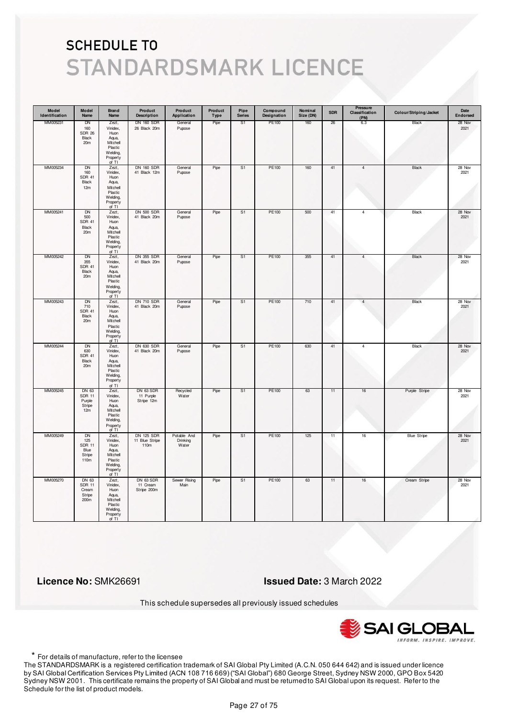| Model<br>Identification | Model<br>Name                                                 | Brand<br>Name                                                                                | Product<br><b>Description</b>               | Product<br>Application           | Product<br><b>Type</b> | Pipe<br><b>Series</b> | Compound<br>Designation | Nominal<br>Size (DN) | <b>SDR</b> | Pressure<br>Classification<br>(PN) | Colour/Striping/Jacket | Date<br>Endorsed |
|-------------------------|---------------------------------------------------------------|----------------------------------------------------------------------------------------------|---------------------------------------------|----------------------------------|------------------------|-----------------------|-------------------------|----------------------|------------|------------------------------------|------------------------|------------------|
| MM005231                | DN<br>160<br><b>SDR 26</b><br>Black<br>20 <sub>m</sub>        | Zezt,<br>Vinidex,<br>Huon<br>Aqua,<br>Mitchell<br>Plastic<br>Welding,<br>Property<br>of TI   | <b>DN 160 SDR</b><br>26 Black 20m           | General<br>Pupose                | Pipe                   | S1                    | PE100                   | 160                  | 26         | 6.3                                | Black                  | 28 Nov<br>2021   |
| MM005234                | DN<br>160<br><b>SDR 41</b><br>Black<br>12m                    | Zezt,<br>Vinidex,<br>Huon<br>Aqua,<br>Mitchell<br>Plastic<br>Welding,<br>Property<br>of TI   | <b>DN 160 SDR</b><br>41 Black 12m           | General<br>Pupose                | Pipe                   | S <sub>1</sub>        | PE100                   | 160                  | 41         | $\overline{4}$                     | Black                  | 28 Nov<br>2021   |
| MM005241                | <b>DN</b><br>500<br><b>SDR 41</b><br>Black<br>20m             | Zezt,<br>Vinidex,<br>Huon<br>Aqua,<br>Mitchell<br>Plastic<br>Welding,<br>Property<br>of TI   | <b>DN 500 SDR</b><br>41 Black 20m           | General<br>Pupose                | Pipe                   | S1                    | PE100                   | 500                  | 41         | $\overline{4}$                     | Black                  | 28 Nov<br>2021   |
| MM005242                | DN<br>355<br><b>SDR 41</b><br>Black<br>20m                    | Zezt,<br>Vinidex,<br>Huon<br>Aqua,<br>Mitchell<br>Plastic<br>Welding,<br>Property<br>of $TI$ | <b>DN 355 SDR</b><br>41 Black 20m           | General<br>Pupose                | Pipe                   | S1                    | PE100                   | 355                  | 41         | 4                                  | Black                  | 28 Nov<br>2021   |
| MM005243                | DN<br>710<br><b>SDR 41</b><br>Black<br>20m                    | Zezt,<br>Vinidex,<br>Huon<br>Aqua,<br>Mitchell<br>Plastic<br>Welding,<br>Property<br>of TI   | <b>DN 710 SDR</b><br>41 Black 20m           | General<br>Pupose                | Pipe                   | S1                    | PE100                   | 710                  | 41         | $\overline{4}$                     | Black                  | 28 Nov<br>2021   |
| MM005244                | <b>DN</b><br>630<br><b>SDR 41</b><br>Black<br>20m             | Zezt,<br>Vinidex,<br>Huon<br>Aqua,<br>Mitchell<br>Plastic<br>Welding,<br>Property<br>of TI   | <b>DN 630 SDR</b><br>41 Black 20m           | General<br>Pupose                | Pipe                   | S <sub>1</sub>        | PE100                   | 630                  | 41         | $\overline{4}$                     | <b>Black</b>           | 28 Nov<br>2021   |
| MM005245                | DN 63<br><b>SDR 11</b><br>Purple<br>Stripe<br>12m             | Zezt,<br>Vinidex,<br>Huon<br>Aqua,<br>Mitchell<br>Plastic<br>Welding,<br>Property<br>of TI   | DN 63 SDR<br>11 Purple<br>Stripe 12m        | Recycled<br>Water                | Pipe                   | S1                    | PE100                   | 63                   | 11         | 16                                 | Purple Stripe          | 28 Nov<br>2021   |
| MM005249                | <b>DN</b><br>125<br><b>SDR 11</b><br>Blue<br>Stripe<br>110m   | Zezt,<br>Vinidex,<br>Huon<br>Aqua,<br>Mitchell<br>Plastic<br>Welding,<br>Property<br>of TI   | <b>DN 125 SDR</b><br>11 Blue Stripe<br>110m | Potable And<br>Drinking<br>Water | Pipe                   | S <sub>1</sub>        | PE100                   | 125                  | 11         | 16                                 | <b>Blue Stripe</b>     | 28 Nov<br>2021   |
| MM005270                | DN 63<br><b>SDR 11</b><br>Cream<br>Stripe<br>200 <sub>m</sub> | Zezt,<br>Vinidex,<br>Huon<br>Aqua,<br>Mitchell<br>Plastic<br>Welding,<br>Property<br>of TI   | DN 63 SDR<br>11 Cream<br>Stripe 200m        | Sewer Rising<br>Main             | Pipe                   | S1                    | PE100                   | 63                   | 11         | $16\,$                             | Cream Stripe           | 28 Nov<br>2021   |

 **Licence No:** SMK26691 **Issued Date:** 3 March 2022

This schedule supersedes all previously issued schedules



\* For details of manufacture, refer to the licensee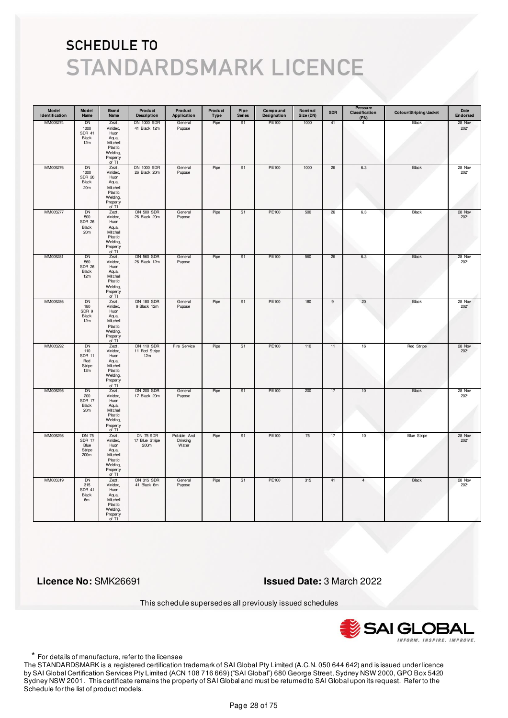| Model<br>Identification | Model<br>Name                                             | Brand<br>Name                                                                                | Product<br><b>Description</b>             | Product<br>Application           | Product<br>Type | Pipe<br><b>Series</b> | Compound<br>Designation | Nominal<br>Size (DN) | <b>SDR</b>     | Pressure<br>Classification<br>(PN) | Colour/Striping/Jacket | Date<br>Endorsed |
|-------------------------|-----------------------------------------------------------|----------------------------------------------------------------------------------------------|-------------------------------------------|----------------------------------|-----------------|-----------------------|-------------------------|----------------------|----------------|------------------------------------|------------------------|------------------|
| MM005274                | <b>DN</b><br>1000<br><b>SDR 41</b><br>Black<br>12m        | Zezt,<br>Vinidex,<br>Huon<br>Aqua,<br>Mitchell<br>Plastic<br>Welding,<br>Property<br>of TI   | <b>DN 1000 SDR</b><br>41 Black 12m        | General<br>Pupose                | Pipe            | S1                    | PE100                   | 1000                 | 41             | 4                                  | Black                  | 28 Nov<br>2021   |
| MM005276                | DN<br>1000<br><b>SDR 26</b><br>Black<br>20m               | Zezt,<br>Vinidex,<br>Huon<br>Aqua,<br>Mitchell<br>Plastic<br>Welding,<br>Property<br>of $TI$ | DN 1000 SDR<br>26 Black 20m               | General<br>Pupose                | Pipe            | S1                    | PE100                   | 1000                 | 26             | $6.3\,$                            | Black                  | 28 Nov<br>2021   |
| MM005277                | DN<br>500<br><b>SDR 26</b><br>Black<br>20 <sub>m</sub>    | Zezt,<br>Vinidex,<br>Huon<br>Aqua,<br>Mitchell<br>Plastic<br>Welding,<br>Property<br>of TI   | <b>DN 500 SDR</b><br>26 Black 20m         | General<br>Pupose                | Pipe            | S <sub>1</sub>        | PE100                   | 500                  | 26             | 6.3                                | Black                  | 28 Nov<br>2021   |
| MM005281                | DN<br>560<br><b>SDR 26</b><br>Black<br>12m                | Zezt,<br>Vinidex,<br>Huon<br>Aqua,<br>Mitchell<br>Plastic<br>Welding,<br>Property<br>of TI   | <b>DN 560 SDR</b><br>26 Black 12m         | General<br>Pupose                | Pipe            | S1                    | PE100                   | 560                  | 26             | 6.3                                | Black                  | 28 Nov<br>2021   |
| MM005286                | DN<br>180<br>SDR 9<br>Black<br>12m                        | Zezt,<br>Vinidex,<br>Huon<br>Aqua,<br>Mitchell<br>Plastic<br>Welding,<br>Property<br>of TI   | <b>DN 180 SDR</b><br>9 Black 12m          | General<br>Pupose                | Pipe            | S <sub>1</sub>        | PE100                   | 180                  | $\overline{9}$ | 20                                 | Black                  | 28 Nov<br>2021   |
| MM005292                | <b>DN</b><br>110<br><b>SDR 11</b><br>Red<br>Stripe<br>12m | Zezt,<br>Vinidex,<br>Huon<br>Aqua,<br>Mitchell<br>Plastic<br>Welding,<br>Property<br>of TI   | <b>DN 110 SDR</b><br>11 Red Stripe<br>12m | Fire Service                     | Pipe            | S <sub>1</sub>        | <b>PE100</b>            | 110                  | 11             | 16                                 | Red Stripe             | 28 Nov<br>2021   |
| MM005295                | DN<br>200<br><b>SDR 17</b><br>Black<br>20m                | Zezt,<br>Vinidex,<br>Huon<br>Aqua,<br>Mitchell<br>Plastic<br>Welding,<br>Property<br>of TI   | <b>DN 200 SDR</b><br>17 Black 20m         | General<br>Pupose                | Pipe            | S1                    | PE100                   | 200                  | 17             | 10                                 | Black                  | 28 Nov<br>2021   |
| MM005298                | <b>DN 75</b><br><b>SDR 17</b><br>Blue<br>Stripe<br>200m   | Zezt,<br>Vinidex,<br>Huon<br>Aqua,<br>Mitchell<br>Plastic<br>Welding,<br>Property<br>of TI   | DN 75 SDR<br>17 Blue Stripe<br>200m       | Potable And<br>Drinking<br>Water | Pipe            | S <sub>1</sub>        | <b>PE100</b>            | 75                   | 17             | 10                                 | <b>Blue Stripe</b>     | 28 Nov<br>2021   |
| MM005319                | <b>DN</b><br>315<br><b>SDR 41</b><br>Black<br>6m          | Zezt,<br>Vinidex,<br>Huon<br>Aqua,<br>Mitchell<br>Plastic<br>Welding,<br>Property<br>of TI   | <b>DN 315 SDR</b><br>41 Black 6m          | General<br>Pupose                | Pipe            | S <sub>1</sub>        | PE100                   | 315                  | 41             | $\overline{4}$                     | Black                  | 28 Nov<br>2021   |

 **Licence No:** SMK26691 **Issued Date:** 3 March 2022

This schedule supersedes all previously issued schedules



\* For details of manufacture, refer to the licensee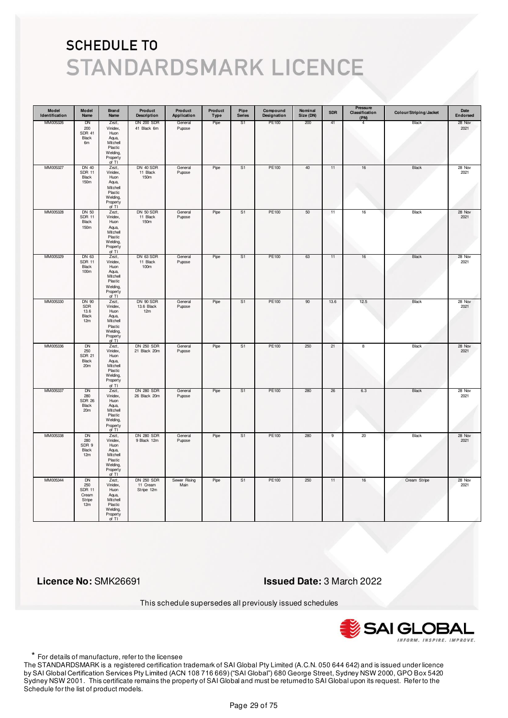| Model<br>Identification | Model<br>Name                                               | Brand<br>Name                                                                              | Product<br><b>Description</b>               | Product<br>Application | Product<br>Type | Pipe<br><b>Series</b> | Compound<br>Designation | Nominal<br>Size (DN) | <b>SDR</b>     | Pressure<br>Classification<br>(PN) | Colour/Striping/Jacket | Date<br>Endorsed |
|-------------------------|-------------------------------------------------------------|--------------------------------------------------------------------------------------------|---------------------------------------------|------------------------|-----------------|-----------------------|-------------------------|----------------------|----------------|------------------------------------|------------------------|------------------|
| MM005326                | DN<br>200<br><b>SDR 41</b><br>Black<br>6m                   | Zezt,<br>Vinidex,<br>Huon<br>Aqua,<br>Mitchell<br>Plastic<br>Welding,<br>Property<br>of TI | <b>DN 200 SDR</b><br>41 Black 6m            | General<br>Pupose      | Pipe            | S1                    | PE100                   | 200                  | 41             | 4                                  | Black                  | 28 Nov<br>2021   |
| MM005327                | <b>DN 40</b><br><b>SDR 11</b><br>Black<br>150m              | Zezt,<br>Vinidex,<br>Huon<br>Aqua,<br>Mitchell<br>Plastic<br>Welding,<br>Property<br>of TI | DN 40 SDR<br>11 Black<br>150m               | General<br>Pupose      | Pipe            | S <sub>1</sub>        | PE100                   | 40                   | 11             | $16\,$                             | Black                  | 28 Nov<br>2021   |
| MM005328                | <b>DN 50</b><br><b>SDR 11</b><br>Black<br>150m              | Zezt,<br>Vinidex,<br>Huon<br>Aqua,<br>Mitchell<br>Plastic<br>Welding,<br>Property<br>of TI | DN 50 SDR<br>11 Black<br>150m               | General<br>Pupose      | Pipe            | S <sub>1</sub>        | PE100                   | 50                   | 11             | 16                                 | Black                  | 28 Nov<br>2021   |
| MM005329                | DN 63<br><b>SDR 11</b><br>Black<br>100m                     | Zezt,<br>Vinidex,<br>Huon<br>Aqua,<br>Mitchell<br>Plastic<br>Welding,<br>Property<br>of TI | DN 63 SDR<br>11 Black<br>100m               | General<br>Pupose      | Pipe            | S1                    | PE100                   | 63                   | 11             | 16                                 | Black                  | 28 Nov<br>2021   |
| MM005330                | <b>DN 90</b><br>SDR<br>13.6<br>Black<br>12m                 | Zezt,<br>Vinidex,<br>Huon<br>Aqua,<br>Mitchell<br>Plastic<br>Welding,<br>Property<br>of TI | DN 90 SDR<br>13.6 Black<br>12m              | General<br>Pupose      | Pipe            | S <sub>1</sub>        | PE100                   | 90                   | 13.6           | 12.5                               | Black                  | 28 Nov<br>2021   |
| MM005336                | <b>DN</b><br>250<br><b>SDR 21</b><br>Black<br>20m           | Zezt,<br>Vinidex,<br>Huon<br>Aqua,<br>Mitchell<br>Plastic<br>Welding,<br>Property<br>of TI | <b>DN 250 SDR</b><br>21 Black 20m           | General<br>Pupose      | Pipe            | S <sub>1</sub>        | PE100                   | 250                  | 21             | 8                                  | <b>Black</b>           | 28 Nov<br>2021   |
| MM005337                | DN<br>280<br><b>SDR 26</b><br>Black<br>20m                  | Zezt,<br>Vinidex,<br>Huon<br>Aqua,<br>Mitchell<br>Plastic<br>Welding,<br>Property<br>of TI | <b>DN 280 SDR</b><br>26 Black 20m           | General<br>Pupose      | Pipe            | S1                    | PE100                   | 280                  | 26             | 6.3                                | Black                  | 28 Nov<br>2021   |
| MM005338                | <b>DN</b><br>280<br>SDR 9<br>Black<br>12m                   | Zezt,<br>Vinidex,<br>Huon<br>Aqua,<br>Mitchell<br>Plastic<br>Welding,<br>Property<br>of TI | <b>DN 280 SDR</b><br>9 Black 12m            | General<br>Pupose      | Pipe            | S <sub>1</sub>        | <b>PE100</b>            | 280                  | $\overline{9}$ | 20                                 | <b>Black</b>           | 28 Nov<br>2021   |
| MM005344                | <b>DN</b><br>250<br><b>SDR 11</b><br>Cream<br>Stripe<br>12m | Zezt,<br>Vinidex,<br>Huon<br>Aqua,<br>Mitchell<br>Plastic<br>Welding,<br>Property<br>of TI | <b>DN 250 SDR</b><br>11 Cream<br>Stripe 12m | Sewer Rising<br>Main   | Pipe            | S <sub>1</sub>        | PE100                   | 250                  | 11             | 16                                 | Cream Stripe           | 28 Nov<br>2021   |

 **Licence No:** SMK26691 **Issued Date:** 3 March 2022

This schedule supersedes all previously issued schedules



\* For details of manufacture, refer to the licensee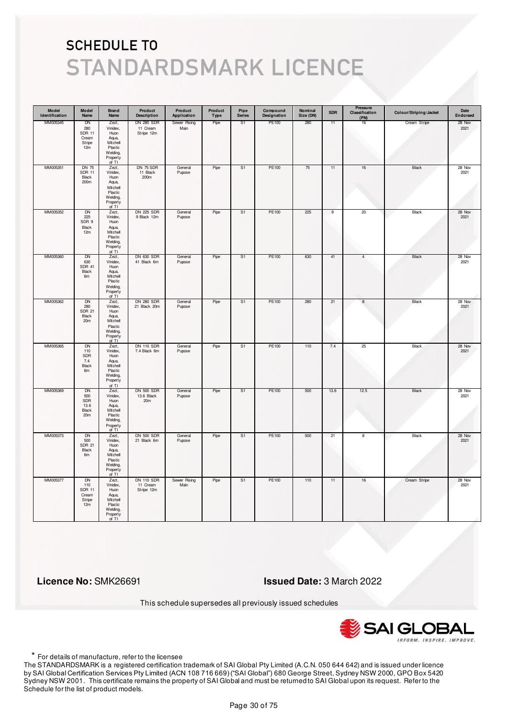| Model<br>Identification | Model<br>Name                                               | Brand<br>Name                                                                                | Product<br><b>Description</b>               | Product<br>Application | Product<br>Type | Pipe<br><b>Series</b> | Compound<br>Designation | Nominal<br>Size (DN) | <b>SDR</b>     | Pressure<br>Classification<br>(PN) | Colour/Striping/Jacket | Date<br>Endorsed |
|-------------------------|-------------------------------------------------------------|----------------------------------------------------------------------------------------------|---------------------------------------------|------------------------|-----------------|-----------------------|-------------------------|----------------------|----------------|------------------------------------|------------------------|------------------|
| MM005345                | DN<br>280<br><b>SDR 11</b><br>Cream<br>Stripe<br>12m        | Zezt,<br>Vinidex,<br>Huon<br>Aqua,<br>Mitchell<br>Plastic<br>Welding,<br>Property<br>of TI   | <b>DN 280 SDR</b><br>11 Cream<br>Stripe 12m | Sewer Rising<br>Main   | Pipe            | S <sub>1</sub>        | PE100                   | 280                  | 11             | 16                                 | Cream Stripe           | 28 Nov<br>2021   |
| MM005351                | <b>DN 75</b><br><b>SDR 11</b><br>Black<br>200m              | Zezt,<br>Vinidex,<br>Huon<br>Aqua,<br>Mitchell<br>Plastic<br>Welding,<br>Property<br>of $TI$ | DN 75 SDR<br>11 Black<br>200m               | General<br>Pupose      | Pipe            | S <sub>1</sub>        | PE100                   | 75                   | 11             | $16\,$                             | Black                  | 28 Nov<br>2021   |
| MM005352                | <b>DN</b><br>225<br>SDR 9<br>Black<br>12m                   | Zezt,<br>Vinidex,<br>Huon<br>Aqua,<br>Mitchell<br>Plastic<br>Welding,<br>Property<br>of TI   | <b>DN 225 SDR</b><br>9 Black 12m            | General<br>Pupose      | Pipe            | S <sub>1</sub>        | PE100                   | 225                  | $\overline{9}$ | 20                                 | Black                  | 28 Nov<br>2021   |
| MM005360                | DN<br>630<br><b>SDR 41</b><br>Black<br>6m                   | Zezt,<br>Vinidex,<br>Huon<br>Aqua,<br>Mitchell<br>Plastic<br>Welding,<br>Property<br>of TI   | <b>DN 630 SDR</b><br>41 Black 6m            | General<br>Pupose      | Pipe            | S1                    | PE100                   | 630                  | 41             | 4                                  | Black                  | 28 Nov<br>2021   |
| MM005362                | DN<br>280<br><b>SDR 21</b><br>Black<br>20m                  | Zezt,<br>Vinidex,<br>Huon<br>Aqua,<br>Mitchell<br>Plastic<br>Welding,<br>Property<br>of TI   | <b>DN 280 SDR</b><br>21 Black 20m           | General<br>Pupose      | Pipe            | S <sub>1</sub>        | PE100                   | 280                  | 21             | $\boldsymbol{8}$                   | Black                  | 28 Nov<br>2021   |
| MM005365                | <b>DN</b><br>110<br>SDR<br>7.4<br>Black<br>6m               | Zezt,<br>Vinidex,<br>Huon<br>Aqua,<br>Mitchell<br>Plastic<br>Welding,<br>Property<br>of TI   | <b>DN 110 SDR</b><br>7.4 Black 6m           | General<br>Pupose      | Pipe            | S <sub>1</sub>        | PE100                   | 110                  | 7.4            | 25                                 | <b>Black</b>           | 28 Nov<br>2021   |
| MM005369                | DN<br>500<br>SDR<br>13.6<br>Black<br>20 <sub>m</sub>        | Zezt,<br>Vinidex,<br>Huon<br>Aqua,<br>Mitchell<br>Plastic<br>Welding,<br>Property<br>of TI   | <b>DN 500 SDR</b><br>13.6 Black<br>20m      | General<br>Pupose      | Pipe            | S1                    | PE100                   | 500                  | 13.6           | 12.5                               | Black                  | 28 Nov<br>2021   |
| MM005373                | <b>DN</b><br>500<br><b>SDR 21</b><br>Black<br>6m            | Zezt,<br>Vinidex,<br>Huon<br>Aqua,<br>Mitchell<br>Plastic<br>Welding,<br>Property<br>of TI   | <b>DN 500 SDR</b><br>21 Black 6m            | General<br>Pupose      | Pipe            | S <sub>1</sub>        | <b>PE100</b>            | 500                  | 21             | $\overline{\mathbf{8}}$            | <b>Black</b>           | 28 Nov<br>2021   |
| MM005377                | <b>DN</b><br>110<br><b>SDR 11</b><br>Cream<br>Stripe<br>12m | Zezt,<br>Vinidex,<br>Huon<br>Aqua,<br>Mitchell<br>Plastic<br>Welding,<br>Property<br>of TI   | <b>DN 110 SDR</b><br>11 Cream<br>Stripe 12m | Sewer Rising<br>Main   | Pipe            | S1                    | PE100                   | 110                  | 11             | $16\,$                             | Cream Stripe           | 28 Nov<br>2021   |

 **Licence No:** SMK26691 **Issued Date:** 3 March 2022

This schedule supersedes all previously issued schedules



\* For details of manufacture, refer to the licensee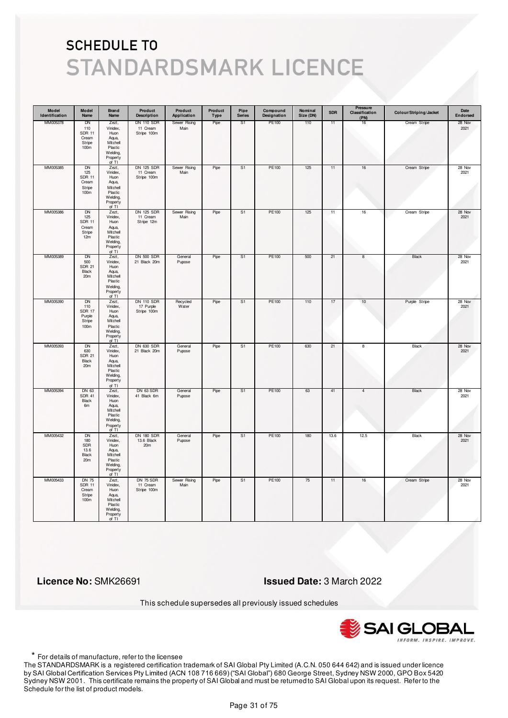| Model<br>Identification | Model<br>Name                                                        | Brand<br>Name                                                                                | Product<br><b>Description</b>                 | Product<br>Application | Product<br>Type | Pipe<br><b>Series</b> | Compound<br>Designation | Nominal<br>Size (DN) | <b>SDR</b> | Pressure<br>Classification<br>(PN) | Colour/Striping/Jacket | Date<br>Endorsed |
|-------------------------|----------------------------------------------------------------------|----------------------------------------------------------------------------------------------|-----------------------------------------------|------------------------|-----------------|-----------------------|-------------------------|----------------------|------------|------------------------------------|------------------------|------------------|
| MM005378                | DN<br>110<br><b>SDR 11</b><br>Cream<br>Stripe<br>100 <sub>m</sub>    | Zezt,<br>Vinidex,<br>Huon<br>Aqua,<br>Mitchell<br>Plastic<br>Welding,<br>Property<br>of TI   | <b>DN 110 SDR</b><br>11 Cream<br>Stripe 100m  | Sewer Rising<br>Main   | Pipe            | S <sub>1</sub>        | PE100                   | 110                  | 11         | 16                                 | Cream Stripe           | 28 Nov<br>2021   |
| MM005385                | DN<br>125<br><b>SDR 11</b><br>Cream<br>Stripe<br>100 <sub>m</sub>    | Zezt,<br>Vinidex,<br>Huon<br>Aqua,<br>Mitchell<br>Plastic<br>Welding,<br>Property<br>of $TI$ | DN 125 SDR<br>11 Cream<br>Stripe 100m         | Sewer Rising<br>Main   | Pipe            | S <sub>1</sub>        | PE100                   | 125                  | 11         | $16\,$                             | Cream Stripe           | 28 Nov<br>2021   |
| MM005386                | <b>DN</b><br>125<br><b>SDR 11</b><br>Cream<br>Stripe<br>12m          | Zezt,<br>Vinidex,<br>Huon<br>Aqua,<br>Mitchell<br>Plastic<br>Welding,<br>Property<br>of TI   | <b>DN 125 SDR</b><br>11 Cream<br>Stripe 12m   | Sewer Rising<br>Main   | Pipe            | S <sub>1</sub>        | PE100                   | 125                  | 11         | $16\,$                             | Cream Stripe           | 28 Nov<br>2021   |
| MM005389                | DN<br>500<br><b>SDR 21</b><br>Black<br>20m                           | Zezt,<br>Vinidex,<br>Huon<br>Aqua,<br>Mitchell<br>Plastic<br>Welding,<br>Property<br>of TI   | <b>DN 500 SDR</b><br>21 Black 20m             | General<br>Pupose      | Pipe            | S1                    | PE100                   | 500                  | 21         | 8                                  | Black                  | 28 Nov<br>2021   |
| MM005390                | DN<br>110<br><b>SDR 17</b><br>Purple<br>Stripe<br>100m               | Zezt,<br>Vinidex,<br>Huon<br>Aqua,<br>Mitchell<br>Plastic<br>Welding,<br>Property<br>of TI   | <b>DN 110 SDR</b><br>17 Purple<br>Stripe 100m | Recycled<br>Water      | Pipe            | S <sub>1</sub>        | PE100                   | 110                  | 17         | 10                                 | Purple Stripe          | 28 Nov<br>2021   |
| MM005393                | <b>DN</b><br>630<br><b>SDR 21</b><br>Black<br>20m                    | Zezt,<br>Vinidex,<br>Huon<br>Aqua,<br>Mitchell<br>Plastic<br>Welding,<br>Property<br>of TI   | <b>DN 630 SDR</b><br>21 Black 20m             | General<br>Pupose      | Pipe            | S <sub>1</sub>        | PE100                   | 630                  | 21         | $\overline{\mathbf{8}}$            | <b>Black</b>           | 28 Nov<br>2021   |
| MM005394                | DN 63<br><b>SDR 41</b><br>Black<br>6m                                | Zezt,<br>Vinidex,<br>Huon<br>Aqua,<br>Mitchell<br>Plastic<br>Welding,<br>Property<br>of TI   | DN 63 SDR<br>41 Black 6m                      | General<br>Pupose      | Pipe            | S1                    | PE100                   | 63                   | 41         | 4                                  | Black                  | 28 Nov<br>2021   |
| MM005432                | <b>DN</b><br>180<br>SDR<br>13.6<br>Black<br>20 <sub>m</sub>          | Zezt,<br>Vinidex,<br>Huon<br>Aqua,<br>Mitchell<br>Plastic<br>Welding,<br>Property<br>of TI   | <b>DN 180 SDR</b><br>13.6 Black<br>20m        | General<br>Pupose      | Pipe            | S <sub>1</sub>        | <b>PE100</b>            | 180                  | 13.6       | 12.5                               | <b>Black</b>           | 28 Nov<br>2021   |
| MM005433                | <b>DN 75</b><br><b>SDR 11</b><br>Cream<br>Stripe<br>100 <sub>m</sub> | Zezt,<br>Vinidex,<br>Huon<br>Aqua,<br>Mitchell<br>Plastic<br>Welding,<br>Property<br>of TI   | DN 75 SDR<br>11 Cream<br>Stripe 100m          | Sewer Rising<br>Main   | Pipe            | S <sub>1</sub>        | PE100                   | 75                   | 11         | $16\,$                             | Cream Stripe           | 28 Nov<br>2021   |

 **Licence No:** SMK26691 **Issued Date:** 3 March 2022

This schedule supersedes all previously issued schedules



\* For details of manufacture, refer to the licensee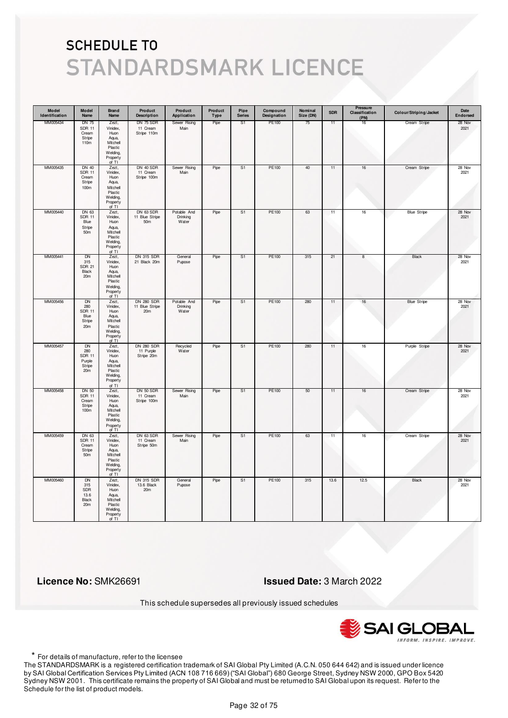| Model<br>Identification | Model<br>Name                                                            | <b>Brand</b><br>Name                                                                       | Product<br><b>Description</b>                | Product<br>Application           | Product<br>Type | Pipe<br><b>Series</b> | Compound<br>Designation | Nominal<br>Size (DN) | <b>SDR</b> | Pressure<br>Classification<br>(PN) | Colour/Striping/Jacket | Date<br>Endorsed |
|-------------------------|--------------------------------------------------------------------------|--------------------------------------------------------------------------------------------|----------------------------------------------|----------------------------------|-----------------|-----------------------|-------------------------|----------------------|------------|------------------------------------|------------------------|------------------|
| MM005434                | <b>DN 75</b><br><b>SDR 11</b><br>Cream<br>Stripe<br>110m                 | Zezt,<br>Vinidex,<br>Huon<br>Aqua,<br>Mitchell<br>Plastic<br>Welding,<br>Property<br>of TI | DN 75 SDR<br>11 Cream<br>Stripe 110m         | Sewer Rising<br>Main             | Pipe            | S1                    | PE100                   | 75                   | 11         | 16                                 | Cream Stripe           | 28 Nov<br>2021   |
| MM005435                | <b>DN 40</b><br><b>SDR 11</b><br>Cream<br>Stripe<br>100m                 | Zezt,<br>Vinidex,<br>Huon<br>Aqua,<br>Mitchell<br>Plastic<br>Welding,<br>Property<br>of TI | DN 40 SDR<br>11 Cream<br>Stripe 100m         | Sewer Rising<br>Main             | Pipe            | S1                    | PE100                   | 40                   | 11         | $16\,$                             | Cream Stripe           | 28 Nov<br>2021   |
| MM005440                | DN 63<br><b>SDR 11</b><br>Blue<br>Stripe<br>50 <sub>m</sub>              | Zezt,<br>Vinidex,<br>Huon<br>Aqua,<br>Mitchell<br>Plastic<br>Welding,<br>Property<br>of TI | DN 63 SDR<br>11 Blue Stripe<br>50m           | Potable And<br>Drinking<br>Water | Pipe            | S <sub>1</sub>        | PE100                   | 63                   | 11         | $16\,$                             | <b>Blue Stripe</b>     | 28 Nov<br>2021   |
| MM005441                | DN<br>315<br><b>SDR 21</b><br>Black<br>20 <sub>m</sub>                   | Zezt,<br>Vinidex,<br>Huon<br>Aqua,<br>Mitchell<br>Plastic<br>Welding,<br>Property<br>of TI | <b>DN 315 SDR</b><br>21 Black 20m            | General<br>Pupose                | Pipe            | S1                    | PE100                   | 315                  | 21         | 8                                  | Black                  | 28 Nov<br>2021   |
| MM005456                | DN<br>280<br><b>SDR 11</b><br>Blue<br>Stripe<br>20m                      | Zezt,<br>Vinidex,<br>Huon<br>Aqua,<br>Mitchell<br>Plastic<br>Welding,<br>Property<br>of TI | <b>DN 280 SDR</b><br>11 Blue Stripe<br>20m   | Potable And<br>Drinking<br>Water | Pipe            | S1                    | PE100                   | 280                  | 11         | 16                                 | <b>Blue Stripe</b>     | 28 Nov<br>2021   |
| MM005457                | <b>DN</b><br>280<br><b>SDR 11</b><br>Purple<br>Stripe<br>20 <sub>m</sub> | Zezt,<br>Vinidex,<br>Huon<br>Aqua,<br>Mitchell<br>Plastic<br>Welding,<br>Property<br>of TI | <b>DN 280 SDR</b><br>11 Purple<br>Stripe 20m | Recycled<br>Water                | Pipe            | S <sub>1</sub>        | <b>PE100</b>            | 280                  | 11         | 16                                 | Purple Stripe          | 28 Nov<br>2021   |
| MM005458                | DN 50<br><b>SDR 11</b><br>Cream<br>Stripe<br>100 <sub>m</sub>            | Zezt,<br>Vinidex,<br>Huon<br>Aqua,<br>Mitchell<br>Plastic<br>Welding,<br>Property<br>of TI | DN 50 SDR<br>11 Cream<br>Stripe 100m         | Sewer Rising<br>Main             | Pipe            | S1                    | PE100                   | 50                   | 11         | 16                                 | Cream Stripe           | 28 Nov<br>2021   |
| MM005459                | DN 63<br><b>SDR 11</b><br>Cream<br>Stripe<br>50m                         | Zezt,<br>Vinidex,<br>Huon<br>Aqua,<br>Mitchell<br>Plastic<br>Welding,<br>Property<br>of TI | DN 63 SDR<br>11 Cream<br>Stripe 50m          | Sewer Rising<br>Main             | Pipe            | S <sub>1</sub>        | <b>PE100</b>            | 63                   | 11         | 16                                 | Cream Stripe           | 28 Nov<br>2021   |
| MM005460                | <b>DN</b><br>315<br>SDR<br>13.6<br><b>Black</b><br>20m                   | Zezt,<br>Vinidex,<br>Huon<br>Aqua,<br>Mitchell<br>Plastic<br>Welding,<br>Property<br>of TI | <b>DN 315 SDR</b><br>13.6 Black<br>20m       | General<br>Pupose                | Pipe            | S <sub>1</sub>        | PE100                   | 315                  | 13.6       | 12.5                               | Black                  | 28 Nov<br>2021   |

 **Licence No:** SMK26691 **Issued Date:** 3 March 2022

This schedule supersedes all previously issued schedules



\* For details of manufacture, refer to the licensee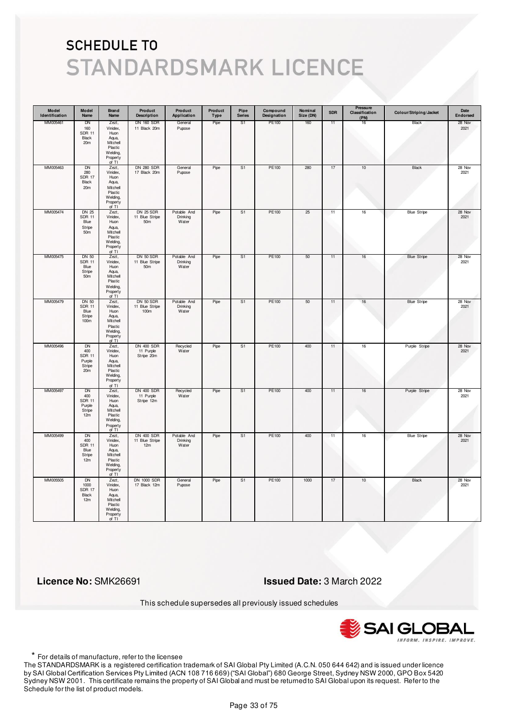| Model<br>Identification | Model<br>Name                                                            | <b>Brand</b><br>Name                                                                       | Product<br><b>Description</b>                         | Product<br>Application           | Product<br>Type | Pipe<br><b>Series</b> | Compound<br>Designation | Nominal<br>Size (DN) | <b>SDR</b> | Pressure<br>Classification<br>(PN) | Colour/Striping/Jacket | Date<br>Endorsed |
|-------------------------|--------------------------------------------------------------------------|--------------------------------------------------------------------------------------------|-------------------------------------------------------|----------------------------------|-----------------|-----------------------|-------------------------|----------------------|------------|------------------------------------|------------------------|------------------|
| MM005461                | DN<br>160<br><b>SDR 11</b><br>Black<br>20 <sub>m</sub>                   | Zezt,<br>Vinidex,<br>Huon<br>Aqua,<br>Mitchell<br>Plastic<br>Welding,<br>Property<br>of TI | <b>DN 160 SDR</b><br>11 Black 20m                     | General<br>Pupose                | Pipe            | S1                    | PE100                   | 160                  | 11         | 16                                 | Black                  | 28 Nov<br>2021   |
| MM005463                | DN<br>280<br><b>SDR 17</b><br>Black<br>20m                               | Zezt,<br>Vinidex,<br>Huon<br>Aqua,<br>Mitchell<br>Plastic<br>Welding,<br>Property<br>of TI | <b>DN 280 SDR</b><br>17 Black 20m                     | General<br>Pupose                | Pipe            | S1                    | PE100                   | 280                  | 17         | $10$                               | Black                  | 28 Nov<br>2021   |
| MM005474                | <b>DN 25</b><br><b>SDR 11</b><br>Blue<br>Stripe<br>50m                   | Zezt,<br>Vinidex,<br>Huon<br>Aqua,<br>Mitchell<br>Plastic<br>Welding,<br>Property<br>of TI | <b>DN 25 SDR</b><br>11 Blue Stripe<br>50 <sub>m</sub> | Potable And<br>Drinking<br>Water | Pipe            | S1                    | PE100                   | 25                   | 11         | $16\,$                             | <b>Blue Stripe</b>     | 28 Nov<br>2021   |
| MM005475                | <b>DN 50</b><br><b>SDR 11</b><br>Blue<br>Stripe<br>50 <sub>m</sub>       | Zezt,<br>Vinidex,<br>Huon<br>Aqua,<br>Mitchell<br>Plastic<br>Welding,<br>Property<br>of TI | DN 50 SDR<br>11 Blue Stripe<br>50 <sub>m</sub>        | Potable And<br>Drinking<br>Water | Pipe            | S1                    | PE100                   | 50                   | 11         | 16                                 | <b>Blue Stripe</b>     | 28 Nov<br>2021   |
| MM005479                | <b>DN 50</b><br><b>SDR 11</b><br>Blue<br>Stripe<br>100 <sub>m</sub>      | Zezt,<br>Vinidex,<br>Huon<br>Aqua,<br>Mitchell<br>Plastic<br>Welding,<br>Property<br>of TI | DN 50 SDR<br>11 Blue Stripe<br>100m                   | Potable And<br>Drinking<br>Water | Pipe            | S1                    | PE100                   | 50                   | 11         | 16                                 | <b>Blue Stripe</b>     | 28 Nov<br>2021   |
| MM005496                | <b>DN</b><br>400<br><b>SDR 11</b><br>Purple<br>Stripe<br>20 <sub>m</sub> | Zezt,<br>Vinidex,<br>Huon<br>Aqua,<br>Mitchell<br>Plastic<br>Welding,<br>Property<br>of TI | <b>DN 400 SDR</b><br>11 Purple<br>Stripe 20m          | Recycled<br>Water                | Pipe            | S <sub>1</sub>        | <b>PE100</b>            | 400                  | 11         | 16                                 | Purple Stripe          | 28 Nov<br>2021   |
| MM005497                | DN<br>400<br><b>SDR 11</b><br>Purple<br>Stripe<br>12m                    | Zezt,<br>Vinidex,<br>Huon<br>Aqua,<br>Mitchell<br>Plastic<br>Welding,<br>Property<br>of TI | <b>DN 400 SDR</b><br>11 Purple<br>Stripe 12m          | Recycled<br>Water                | Pipe            | S1                    | PE100                   | 400                  | 11         | 16                                 | Purple Stripe          | 28 Nov<br>2021   |
| MM005499                | <b>DN</b><br>400<br><b>SDR 11</b><br>Blue<br>Stripe<br>12m               | Zezt,<br>Vinidex,<br>Huon<br>Aqua,<br>Mitchell<br>Plastic<br>Welding,<br>Property<br>of TI | <b>DN 400 SDR</b><br>11 Blue Stripe<br>12m            | Potable And<br>Drinking<br>Water | Pipe            | S <sub>1</sub>        | <b>PE100</b>            | 400                  | 11         | 16                                 | <b>Blue Stripe</b>     | 28 Nov<br>2021   |
| MM005505                | <b>DN</b><br>1000<br><b>SDR 17</b><br>Black<br>12m                       | Zezt,<br>Vinidex,<br>Huon<br>Aqua,<br>Mitchell<br>Plastic<br>Welding,<br>Property<br>of TI | <b>DN 1000 SDR</b><br>17 Black 12m                    | General<br>Pupose                | Pipe            | S <sub>1</sub>        | PE100                   | 1000                 | 17         | 10                                 | Black                  | 28 Nov<br>2021   |

 **Licence No:** SMK26691 **Issued Date:** 3 March 2022

This schedule supersedes all previously issued schedules



\* For details of manufacture, refer to the licensee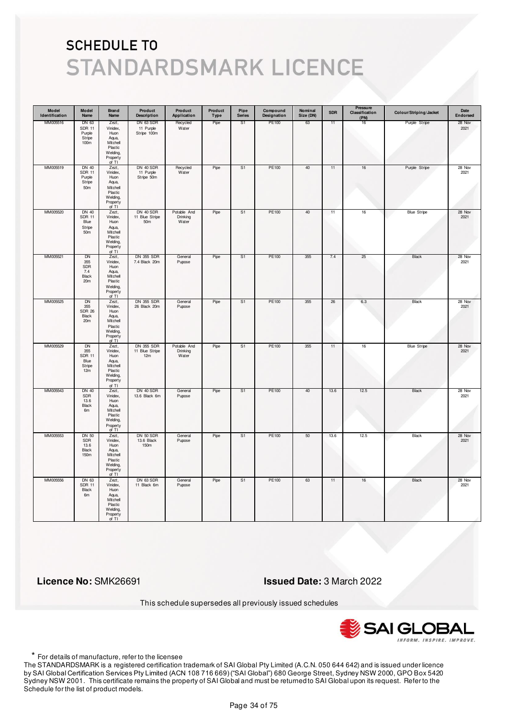| Model<br>Identification | Model<br>Name                                                        | Brand<br>Name                                                                              | Product<br><b>Description</b>              | Product<br>Application           | Product<br>Type | Pipe<br><b>Series</b> | Compound<br>Designation | Nominal<br>Size (DN) | <b>SDR</b> | Pressure<br>Classification<br>(PN) | Colour/Striping/Jacket | Date<br>Endorsed |
|-------------------------|----------------------------------------------------------------------|--------------------------------------------------------------------------------------------|--------------------------------------------|----------------------------------|-----------------|-----------------------|-------------------------|----------------------|------------|------------------------------------|------------------------|------------------|
| MM005516                | DN 63<br><b>SDR 11</b><br>Purple<br>Stripe<br>100 <sub>m</sub>       | Zezt,<br>Vinidex,<br>Huon<br>Aqua,<br>Mitchell<br>Plastic<br>Welding,<br>Property<br>of TI | DN 63 SDR<br>11 Purple<br>Stripe 100m      | Recycled<br>Water                | Pipe            | S1                    | PE100                   | 63                   | 11         | 16                                 | Purple Stripe          | 28 Nov<br>2021   |
| MM005519                | <b>DN 40</b><br><b>SDR 11</b><br>Purple<br>Stripe<br>50 <sub>m</sub> | Zezt,<br>Vinidex,<br>Huon<br>Aqua,<br>Mitchell<br>Plastic<br>Welding,<br>Property<br>of TI | DN 40 SDR<br>11 Purple<br>Stripe 50m       | Recycled<br>Water                | Pipe            | S <sub>1</sub>        | PE100                   | 40                   | 11         | $16\,$                             | Purple Stripe          | 28 Nov<br>2021   |
| MM005520                | DN 40<br><b>SDR 11</b><br>Blue<br>Stripe<br>50 <sub>m</sub>          | Zezt,<br>Vinidex,<br>Huon<br>Aqua,<br>Mitchell<br>Plastic<br>Welding,<br>Property<br>of TI | DN 40 SDR<br>11 Blue Stripe<br>50m         | Potable And<br>Drinking<br>Water | Pipe            | S <sub>1</sub>        | PE100                   | 40                   | 11         | 16                                 | <b>Blue Stripe</b>     | 28 Nov<br>2021   |
| MM005521                | DN<br>355<br><b>SDR</b><br>7.4<br><b>Black</b><br>20m                | Zezt,<br>Vinidex,<br>Huon<br>Aqua,<br>Mitchell<br>Plastic<br>Welding,<br>Property<br>of TI | DN 355 SDR<br>7.4 Black 20m                | General<br>Pupose                | Pipe            | S1                    | PE100                   | 355                  | 7.4        | 25                                 | Black                  | 28 Nov<br>2021   |
| MM005525                | DN<br>355<br><b>SDR 26</b><br>Black<br>20m                           | Zezt,<br>Vinidex,<br>Huon<br>Aqua,<br>Mitchell<br>Plastic<br>Welding,<br>Property<br>of TI | <b>DN 355 SDR</b><br>26 Black 20m          | General<br>Pupose                | Pipe            | S <sub>1</sub>        | PE100                   | 355                  | 26         | 6.3                                | Black                  | 28 Nov<br>2021   |
| MM005529                | <b>DN</b><br>355<br><b>SDR 11</b><br>Blue<br>Stripe<br>12m           | Zezt,<br>Vinidex,<br>Huon<br>Aqua,<br>Mitchell<br>Plastic<br>Welding,<br>Property<br>of TI | <b>DN 355 SDR</b><br>11 Blue Stripe<br>12m | Potable And<br>Drinking<br>Water | Pipe            | S <sub>1</sub>        | <b>PE100</b>            | 355                  | 11         | 16                                 | <b>Blue Stripe</b>     | 28 Nov<br>2021   |
| MM005543                | <b>DN 40</b><br>SDR<br>13.6<br>Black<br>6m                           | Zezt,<br>Vinidex,<br>Huon<br>Aqua,<br>Mitchell<br>Plastic<br>Welding,<br>Property<br>of TI | DN 40 SDR<br>13.6 Black 6m                 | General<br>Pupose                | Pipe            | S1                    | PE100                   | 40                   | 13.6       | 12.5                               | Black                  | 28 Nov<br>2021   |
| MM005553                | <b>DN 50</b><br>SDR<br>13.6<br>Black<br>150m                         | Zezt,<br>Vinidex,<br>Huon<br>Aqua,<br>Mitchell<br>Plastic<br>Welding,<br>Property<br>of TI | DN 50 SDR<br>13.6 Black<br>150m            | General<br>Pupose                | Pipe            | S <sub>1</sub>        | <b>PE100</b>            | 50                   | 13.6       | 12.5                               | <b>Black</b>           | 28 Nov<br>2021   |
| MM005556                | DN 63<br><b>SDR 11</b><br>Black<br>6m                                | Zezt,<br>Vinidex,<br>Huon<br>Aqua,<br>Mitchell<br>Plastic<br>Welding,<br>Property<br>of TI | DN 63 SDR<br>11 Black 6m                   | General<br>Pupose                | Pipe            | S1                    | PE100                   | 63                   | 11         | 16                                 | <b>Black</b>           | 28 Nov<br>2021   |

 **Licence No:** SMK26691 **Issued Date:** 3 March 2022

This schedule supersedes all previously issued schedules



\* For details of manufacture, refer to the licensee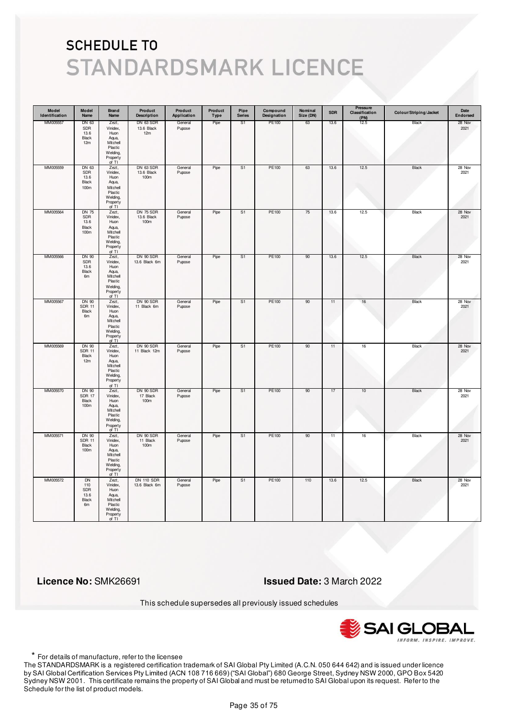| Model<br>Identification | Model<br>Name                                         | Brand<br>Name                                                                              | Product<br><b>Description</b>      | Product<br>Application | Product<br>Type | Pipe<br><b>Series</b> | Compound<br>Designation | Nominal<br>Size (DN) | <b>SDR</b> | Pressure<br>Classification<br>(PN) | Colour/Striping/Jacket | Date<br>Endorsed |
|-------------------------|-------------------------------------------------------|--------------------------------------------------------------------------------------------|------------------------------------|------------------------|-----------------|-----------------------|-------------------------|----------------------|------------|------------------------------------|------------------------|------------------|
| MM005557                | DN 63<br>SDR<br>13.6<br>Black<br>12m                  | Zezt,<br>Vinidex,<br>Huon<br>Aqua,<br>Mitchell<br>Plastic<br>Welding,<br>Property<br>of TI | DN 63 SDR<br>13.6 Black<br>12m     | General<br>Pupose      | Pipe            | S1                    | PE100                   | 63                   | 13.6       | 12.5                               | Black                  | 28 Nov<br>2021   |
| MM005559                | DN 63<br>SDR<br>13.6<br>Black<br>100m                 | Zezt,<br>Vinidex,<br>Huon<br>Aqua,<br>Mitchell<br>Plastic<br>Welding,<br>Property<br>of TI | DN 63 SDR<br>13.6 Black<br>100m    | General<br>Pupose      | Pipe            | S <sub>1</sub>        | PE100                   | 63                   | 13.6       | 12.5                               | Black                  | 28 Nov<br>2021   |
| MM005564                | <b>DN 75</b><br>SDR<br>13.6<br>Black<br>100m          | Zezt,<br>Vinidex,<br>Huon<br>Aqua,<br>Mitchell<br>Plastic<br>Welding,<br>Property<br>of TI | DN 75 SDR<br>13.6 Black<br>100m    | General<br>Pupose      | Pipe            | S <sub>1</sub>        | PE100                   | 75                   | 13.6       | 12.5                               | Black                  | 28 Nov<br>2021   |
| MM005566                | DN 90<br>SDR<br>13.6<br>Black<br>6m                   | Zezt,<br>Vinidex,<br>Huon<br>Aqua,<br>Mitchell<br>Plastic<br>Welding,<br>Property<br>of TI | DN 90 SDR<br>13.6 Black 6m         | General<br>Pupose      | Pipe            | S1                    | PE100                   | 90                   | 13.6       | 12.5                               | Black                  | 28 Nov<br>2021   |
| MM005567                | DN 90<br><b>SDR 11</b><br>Black<br>6m                 | Zezt,<br>Vinidex,<br>Huon<br>Aqua,<br>Mitchell<br>Plastic<br>Welding,<br>Property<br>of TI | DN 90 SDR<br>11 Black 6m           | General<br>Pupose      | Pipe            | S <sub>1</sub>        | PE100                   | 90                   | 11         | 16                                 | Black                  | 28 Nov<br>2021   |
| MM005569                | DN 90<br><b>SDR 11</b><br>Black<br>12m                | Zezt,<br>Vinidex,<br>Huon<br>Aqua,<br>Mitchell<br>Plastic<br>Welding,<br>Property<br>of TI | DN 90 SDR<br>11 Black 12m          | General<br>Pupose      | Pipe            | S <sub>1</sub>        | <b>PE100</b>            | 90                   | 11         | 16                                 | <b>Black</b>           | 28 Nov<br>2021   |
| MM005570                | DN 90<br><b>SDR 17</b><br>Black<br>100m               | Zezt,<br>Vinidex,<br>Huon<br>Aqua,<br>Mitchell<br>Plastic<br>Welding,<br>Property<br>of TI | DN 90 SDR<br>17 Black<br>100m      | General<br>Pupose      | Pipe            | S1                    | PE100                   | 90                   | 17         | 10                                 | Black                  | 28 Nov<br>2021   |
| MM005571                | DN 90<br><b>SDR 11</b><br>Black<br>100m               | Zezt,<br>Vinidex,<br>Huon<br>Aqua,<br>Mitchell<br>Plastic<br>Welding,<br>Property<br>of TI | DN 90 SDR<br>11 Black<br>100m      | General<br>Pupose      | Pipe            | S <sub>1</sub>        | <b>PE100</b>            | 90                   | 11         | 16                                 | <b>Black</b>           | 28 Nov<br>2021   |
| MM005572                | <b>DN</b><br>110<br>SDR<br>13.6<br><b>Black</b><br>6m | Zezt,<br>Vinidex,<br>Huon<br>Aqua,<br>Mitchell<br>Plastic<br>Welding,<br>Property<br>of TI | <b>DN 110 SDR</b><br>13.6 Black 6m | General<br>Pupose      | Pipe            | S <sub>1</sub>        | PE100                   | 110                  | 13.6       | 12.5                               | <b>Black</b>           | 28 Nov<br>2021   |

 **Licence No:** SMK26691 **Issued Date:** 3 March 2022

This schedule supersedes all previously issued schedules



\* For details of manufacture, refer to the licensee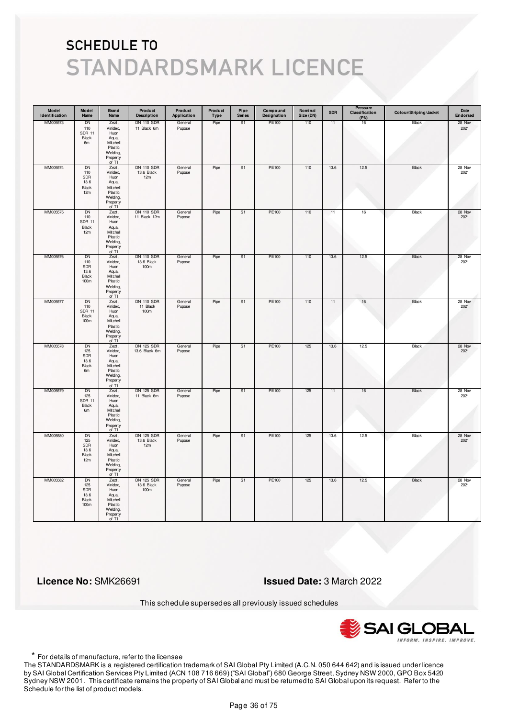| Model<br>Identification | Model<br>Name                                    | <b>Brand</b><br>Name                                                                       | Product<br><b>Description</b>           | Product<br>Application | Product<br><b>Type</b> | Pipe<br><b>Series</b> | Compound<br>Designation | Nominal<br>Size (DN) | <b>SDR</b> | Pressure<br>Classification<br>(PN) | Colour/Striping/Jacket | Date<br>Endorsed |
|-------------------------|--------------------------------------------------|--------------------------------------------------------------------------------------------|-----------------------------------------|------------------------|------------------------|-----------------------|-------------------------|----------------------|------------|------------------------------------|------------------------|------------------|
| MM005573                | DN<br>110<br><b>SDR 11</b><br>Black<br>6m        | Zezt,<br>Vinidex,<br>Huon<br>Aqua,<br>Mitchell<br>Plastic<br>Welding,<br>Property<br>of TI | <b>DN 110 SDR</b><br>11 Black 6m        | General<br>Pupose      | Pipe                   | S1                    | PE100                   | 110                  | 11         | 16                                 | Black                  | 28 Nov<br>2021   |
| MM005574                | <b>DN</b><br>110<br>SDR<br>13.6<br>Black<br>12m  | Zezt,<br>Vinidex,<br>Huon<br>Aqua,<br>Mitchell<br>Plastic<br>Welding,<br>Property<br>of TI | <b>DN 110 SDR</b><br>13.6 Black<br>12m  | General<br>Pupose      | Pipe                   | S <sub>1</sub>        | PE100                   | 110                  | 13.6       | 12.5                               | Black                  | 28 Nov<br>2021   |
| MM005575                | DN<br>110<br><b>SDR 11</b><br>Black<br>12m       | Zezt,<br>Vinidex,<br>Huon<br>Aqua,<br>Mitchell<br>Plastic<br>Welding,<br>Property<br>of TI | <b>DN 110 SDR</b><br>11 Black 12m       | General<br>Pupose      | Pipe                   | S1                    | PE100                   | 110                  | 11         | 16                                 | Black                  | 28 Nov<br>2021   |
| MM005576                | DN<br>110<br><b>SDR</b><br>13.6<br>Black<br>100m | Zezt,<br>Vinidex,<br>Huon<br>Aqua,<br>Mitchell<br>Plastic<br>Welding,<br>Property<br>of TI | <b>DN 110 SDR</b><br>13.6 Black<br>100m | General<br>Pupose      | Pipe                   | S1                    | PE100                   | 110                  | 13.6       | 12.5                               | Black                  | 28 Nov<br>2021   |
| MM005577                | DN<br>110<br><b>SDR 11</b><br>Black<br>100m      | Zezt,<br>Vinidex,<br>Huon<br>Aqua,<br>Mitchell<br>Plastic<br>Welding,<br>Property<br>of TI | <b>DN 110 SDR</b><br>11 Black<br>100m   | General<br>Pupose      | Pipe                   | S1                    | PE100                   | 110                  | 11         | 16                                 | Black                  | 28 Nov<br>2021   |
| MM005578                | <b>DN</b><br>125<br>SDR<br>13.6<br>Black<br>6m   | Zezt,<br>Vinidex,<br>Huon<br>Aqua,<br>Mitchell<br>Plastic<br>Welding,<br>Property<br>of TI | <b>DN 125 SDR</b><br>13.6 Black 6m      | General<br>Pupose      | Pipe                   | S <sub>1</sub>        | PE100                   | 125                  | 13.6       | 12.5                               | <b>Black</b>           | 28 Nov<br>2021   |
| MM005579                | DN<br>125<br><b>SDR 11</b><br>Black<br>6m        | Zezt,<br>Vinidex,<br>Huon<br>Aqua,<br>Mitchell<br>Plastic<br>Welding,<br>Property<br>of TI | DN 125 SDR<br>11 Black 6m               | General<br>Pupose      | Pipe                   | S1                    | PE100                   | 125                  | 11         | 16                                 | Black                  | 28 Nov<br>2021   |
| MM005580                | <b>DN</b><br>125<br>SDR<br>13.6<br>Black<br>12m  | Zezt,<br>Vinidex,<br>Huon<br>Aqua,<br>Mitchell<br>Plastic<br>Welding,<br>Property<br>of TI | <b>DN 125 SDR</b><br>13.6 Black<br>12m  | General<br>Pupose      | Pipe                   | S <sub>1</sub>        | PE100                   | 125                  | 13.6       | 12.5                               | <b>Black</b>           | 28 Nov<br>2021   |
| MM005582                | <b>DN</b><br>125<br>SDR<br>13.6<br>Black<br>100m | Zezt,<br>Vinidex,<br>Huon<br>Aqua,<br>Mitchell<br>Plastic<br>Welding,<br>Property<br>of TI | <b>DN 125 SDR</b><br>13.6 Black<br>100m | General<br>Pupose      | Pipe                   | S1                    | PE100                   | 125                  | 13.6       | 12.5                               | <b>Black</b>           | 28 Nov<br>2021   |

 **Licence No:** SMK26691 **Issued Date:** 3 March 2022

This schedule supersedes all previously issued schedules



\* For details of manufacture, refer to the licensee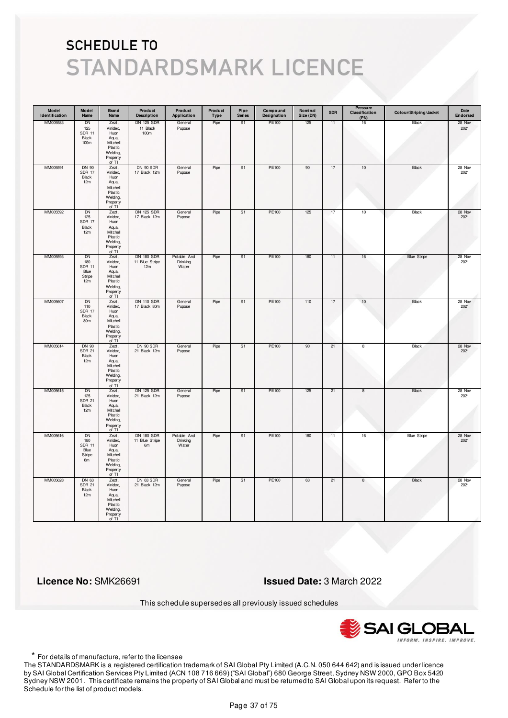| Model<br>Identification | Model<br>Name                                             | <b>Brand</b><br>Name                                                                         | Product<br><b>Description</b>              | Product<br>Application           | Product<br><b>Type</b> | Pipe<br><b>Series</b> | Compound<br>Designation | Nominal<br>Size (DN) | <b>SDR</b> | Pressure<br>Classification<br>(PN) | Colour/Striping/Jacket | Date<br>Endorsed |
|-------------------------|-----------------------------------------------------------|----------------------------------------------------------------------------------------------|--------------------------------------------|----------------------------------|------------------------|-----------------------|-------------------------|----------------------|------------|------------------------------------|------------------------|------------------|
| MM005583                | DN<br>125<br><b>SDR 11</b><br>Black<br>100m               | Zezt,<br>Vinidex,<br>Huon<br>Aqua,<br>Mitchell<br>Plastic<br>Welding,<br>Property<br>of TI   | <b>DN 125 SDR</b><br>11 Black<br>100m      | General<br>Pupose                | Pipe                   | S1                    | PE100                   | 125                  | 11         | 16                                 | Black                  | 28 Nov<br>2021   |
| MM005591                | DN 90<br><b>SDR 17</b><br>Black<br>12m                    | Zezt,<br>Vinidex,<br>Huon<br>Aqua,<br>Mitchell<br>Plastic<br>Welding,<br>Property<br>of TI   | DN 90 SDR<br>17 Black 12m                  | General<br>Pupose                | Pipe                   | S <sub>1</sub>        | PE100                   | 90                   | 17         | 10                                 | Black                  | 28 Nov<br>2021   |
| MM005592                | <b>DN</b><br>125<br><b>SDR 17</b><br>Black<br>12m         | Zezt,<br>Vinidex,<br>Huon<br>Aqua,<br>Mitchell<br>Plastic<br>Welding,<br>Property<br>of TI   | <b>DN 125 SDR</b><br>17 Black 12m          | General<br>Pupose                | Pipe                   | S1                    | PE100                   | 125                  | 17         | 10                                 | Black                  | 28 Nov<br>2021   |
| MM005593                | DN<br>180<br><b>SDR 11</b><br>Blue<br>Stripe<br>12m       | Zezt,<br>Vinidex,<br>Huon<br>Aqua,<br>Mitchell<br>Plastic<br>Welding,<br>Property<br>of $TI$ | <b>DN 180 SDR</b><br>11 Blue Stripe<br>12m | Potable And<br>Drinking<br>Water | Pipe                   | S1                    | PE100                   | 180                  | 11         | 16                                 | <b>Blue Stripe</b>     | 28 Nov<br>2021   |
| MM005607                | DN<br>110<br><b>SDR 17</b><br>Black<br>80m                | Zezt,<br>Vinidex,<br>Huon<br>Aqua,<br>Mitchell<br>Plastic<br>Welding,<br>Property<br>of TI   | <b>DN 110 SDR</b><br>17 Black 80m          | General<br>Pupose                | Pipe                   | S1                    | PE100                   | 110                  | 17         | $10$                               | Black                  | 28 Nov<br>2021   |
| MM005614                | <b>DN 90</b><br><b>SDR 21</b><br>Black<br>12m             | Zezt,<br>Vinidex,<br>Huon<br>Aqua,<br>Mitchell<br>Plastic<br>Welding,<br>Property<br>of TI   | DN 90 SDR<br>21 Black 12m                  | General<br>Pupose                | Pipe                   | S <sub>1</sub>        | PE100                   | 90                   | 21         | 8                                  | <b>Black</b>           | 28 Nov<br>2021   |
| MM005615                | DN<br>125<br><b>SDR 21</b><br>Black<br>12m                | Zezt,<br>Vinidex,<br>Huon<br>Aqua,<br>Mitchell<br>Plastic<br>Welding,<br>Property<br>of TI   | <b>DN 125 SDR</b><br>21 Black 12m          | General<br>Pupose                | Pipe                   | S1                    | PE100                   | 125                  | 21         | 8                                  | Black                  | 28 Nov<br>2021   |
| MM005616                | <b>DN</b><br>180<br><b>SDR 11</b><br>Blue<br>Stripe<br>6m | Zezt,<br>Vinidex,<br>Huon<br>Aqua,<br>Mitchell<br>Plastic<br>Welding,<br>Property<br>of TI   | <b>DN 180 SDR</b><br>11 Blue Stripe<br>6m  | Potable And<br>Drinking<br>Water | Pipe                   | S <sub>1</sub>        | PE100                   | 180                  | 11         | 16                                 | <b>Blue Stripe</b>     | 28 Nov<br>2021   |
| MM005628                | DN 63<br><b>SDR 21</b><br>Black<br>12m                    | Zezt,<br>Vinidex,<br>Huon<br>Aqua,<br>Mitchell<br>Plastic<br>Welding,<br>Property<br>of TI   | DN 63 SDR<br>21 Black 12m                  | General<br>Pupose                | Pipe                   | S <sub>1</sub>        | PE100                   | 63                   | 21         | 8                                  | <b>Black</b>           | 28 Nov<br>2021   |

 **Licence No:** SMK26691 **Issued Date:** 3 March 2022

This schedule supersedes all previously issued schedules



\* For details of manufacture, refer to the licensee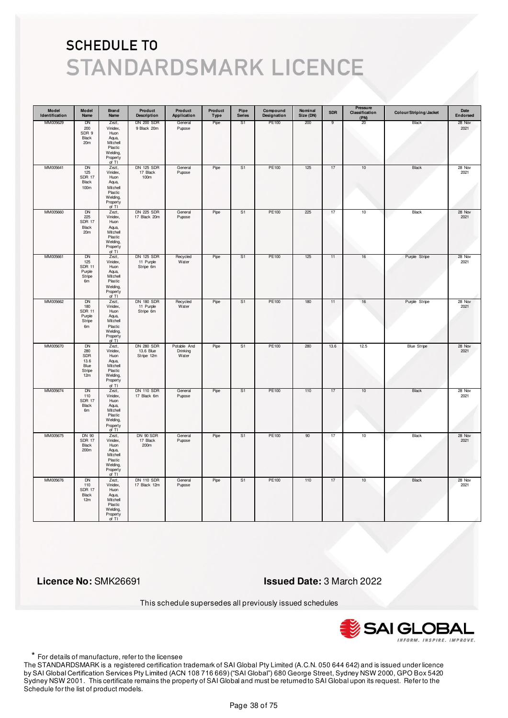| Model<br>Identification | Model<br>Name                                            | <b>Brand</b><br>Name                                                                       | Product<br><b>Description</b>                | Product<br>Application           | Product<br>Type | Pipe<br><b>Series</b> | Compound<br>Designation | Nominal<br>Size (DN) | <b>SDR</b> | Pressure<br>Classification<br>(PN) | Colour/Striping/Jacket | Date<br>Endorsed |
|-------------------------|----------------------------------------------------------|--------------------------------------------------------------------------------------------|----------------------------------------------|----------------------------------|-----------------|-----------------------|-------------------------|----------------------|------------|------------------------------------|------------------------|------------------|
| MM005629                | DN<br>200<br>SDR 9<br>Black<br>20m                       | Zezt,<br>Vinidex,<br>Huon<br>Aqua,<br>Mitchell<br>Plastic<br>Welding,<br>Property<br>of TI | <b>DN 200 SDR</b><br>9 Black 20m             | General<br>Pupose                | Pipe            | S1                    | PE100                   | 200                  | 9          | 20                                 | Black                  | 28 Nov<br>2021   |
| MM005641                | <b>DN</b><br>125<br><b>SDR 17</b><br>Black<br>100m       | Zezt,<br>Vinidex,<br>Huon<br>Aqua,<br>Mitchell<br>Plastic<br>Welding,<br>Property<br>of TI | <b>DN 125 SDR</b><br>17 Black<br>100m        | General<br>Pupose                | Pipe            | S <sub>1</sub>        | PE100                   | 125                  | 17         | 10                                 | Black                  | 28 Nov<br>2021   |
| MM005660                | DN<br>225<br><b>SDR 17</b><br>Black<br>20 <sub>m</sub>   | Zezt,<br>Vinidex,<br>Huon<br>Aqua,<br>Mitchell<br>Plastic<br>Welding,<br>Property<br>of TI | <b>DN 225 SDR</b><br>17 Black 20m            | General<br>Pupose                | Pipe            | S1                    | PE100                   | 225                  | 17         | 10                                 | Black                  | 28 Nov<br>2021   |
| MM005661                | DN<br>125<br><b>SDR 11</b><br>Purple<br>Stripe<br>6m     | Zezt,<br>Vinidex,<br>Huon<br>Aqua,<br>Mitchell<br>Plastic<br>Welding,<br>Property<br>of TI | <b>DN 125 SDR</b><br>11 Purple<br>Stripe 6m  | Recycled<br>Water                | Pipe            | S1                    | PE100                   | 125                  | 11         | 16                                 | Purple Stripe          | 28 Nov<br>2021   |
| MM005662                | DN<br>180<br><b>SDR 11</b><br>Purple<br>Stripe<br>6m     | Zezt,<br>Vinidex,<br>Huon<br>Aqua,<br>Mitchell<br>Plastic<br>Welding,<br>Property<br>of TI | <b>DN 180 SDR</b><br>11 Purple<br>Stripe 6m  | Recycled<br>Water                | Pipe            | S1                    | PE100                   | 180                  | 11         | 16                                 | Purple Stripe          | 28 Nov<br>2021   |
| MM005670                | <b>DN</b><br>280<br>SDR<br>13.6<br>Blue<br>Stripe<br>12m | Zezt,<br>Vinidex,<br>Huon<br>Aqua,<br>Mitchell<br>Plastic<br>Welding,<br>Property<br>of TI | <b>DN 280 SDR</b><br>13.6 Blue<br>Stripe 12m | Potable And<br>Drinking<br>Water | Pipe            | S <sub>1</sub>        | <b>PE100</b>            | 280                  | 13.6       | 12.5                               | <b>Blue Stripe</b>     | 28 Nov<br>2021   |
| MM005674                | DN<br>110<br><b>SDR 17</b><br>Black<br>6m                | Zezt,<br>Vinidex,<br>Huon<br>Aqua,<br>Mitchell<br>Plastic<br>Welding,<br>Property<br>of TI | <b>DN 110 SDR</b><br>17 Black 6m             | General<br>Pupose                | Pipe            | S1                    | PE100                   | 110                  | 17         | 10                                 | Black                  | 28 Nov<br>2021   |
| MM005675                | <b>DN 90</b><br><b>SDR 17</b><br>Black<br>200m           | Zezt,<br>Vinidex,<br>Huon<br>Aqua,<br>Mitchell<br>Plastic<br>Welding,<br>Property<br>of TI | DN 90 SDR<br>17 Black<br>200m                | General<br>Pupose                | Pipe            | S <sub>1</sub>        | PE100                   | 90                   | 17         | 10                                 | Black                  | 28 Nov<br>2021   |
| MM005676                | <b>DN</b><br>110<br><b>SDR 17</b><br>Black<br>12m        | Zezt,<br>Vinidex,<br>Huon<br>Aqua,<br>Mitchell<br>Plastic<br>Welding,<br>Property<br>of TI | <b>DN 110 SDR</b><br>17 Black 12m            | General<br>Pupose                | Pipe            | S <sub>1</sub>        | <b>PE100</b>            | 110                  | 17         | 10                                 | <b>Black</b>           | 28 Nov<br>2021   |

 **Licence No:** SMK26691 **Issued Date:** 3 March 2022

This schedule supersedes all previously issued schedules



\* For details of manufacture, refer to the licensee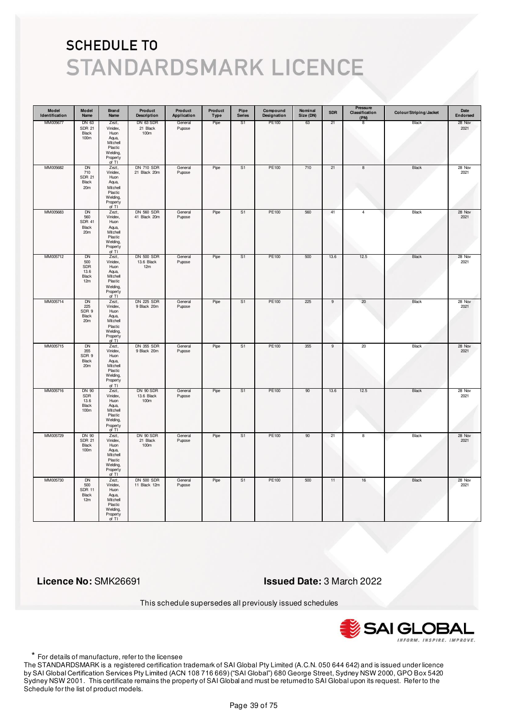| Model<br>Identification | Model<br>Name                                          | Brand<br>Name                                                                                | Product<br><b>Description</b>          | Product<br>Application | Product<br>Type | Pipe<br><b>Series</b> | Compound<br>Designation | Nominal<br>Size (DN) | <b>SDR</b>     | Pressure<br>Classification<br>(PN) | Colour/Striping/Jacket | Date<br>Endorsed |
|-------------------------|--------------------------------------------------------|----------------------------------------------------------------------------------------------|----------------------------------------|------------------------|-----------------|-----------------------|-------------------------|----------------------|----------------|------------------------------------|------------------------|------------------|
| MM005677                | DN 63<br><b>SDR 21</b><br>Black<br>100m                | Zezt,<br>Vinidex,<br>Huon<br>Aqua,<br>Mitchell<br>Plastic<br>Welding,<br>Property<br>of TI   | DN 63 SDR<br>21 Black<br>100m          | General<br>Pupose      | Pipe            | S <sub>1</sub>        | PE100                   | 63                   | 21             | 8                                  | Black                  | 28 Nov<br>2021   |
| MM005682                | DN<br>710<br><b>SDR 21</b><br>Black<br>20m             | Zezt,<br>Vinidex,<br>Huon<br>Aqua,<br>Mitchell<br>Plastic<br>Welding,<br>Property<br>of $TI$ | <b>DN 710 SDR</b><br>21 Black 20m      | General<br>Pupose      | Pipe            | S <sub>1</sub>        | PE100                   | 710                  | 21             | 8                                  | Black                  | 28 Nov<br>2021   |
| MM005683                | DN<br>560<br><b>SDR 41</b><br>Black<br>20 <sub>m</sub> | Zezt,<br>Vinidex,<br>Huon<br>Aqua,<br>Mitchell<br>Plastic<br>Welding,<br>Property<br>of TI   | <b>DN 560 SDR</b><br>41 Black 20m      | General<br>Pupose      | Pipe            | S <sub>1</sub>        | PE100                   | 560                  | 41             | $\overline{4}$                     | Black                  | 28 Nov<br>2021   |
| MM005712                | DN<br>500<br>SDR<br>13.6<br>Black<br>12m               | Zezt,<br>Vinidex,<br>Huon<br>Aqua,<br>Mitchell<br>Plastic<br>Welding,<br>Property<br>of TI   | <b>DN 500 SDR</b><br>13.6 Black<br>12m | General<br>Pupose      | Pipe            | S1                    | PE100                   | 500                  | 13.6           | 12.5                               | Black                  | 28 Nov<br>2021   |
| MM005714                | DN<br>225<br>SDR 9<br>Black<br>20m                     | Zezt,<br>Vinidex,<br>Huon<br>Aqua,<br>Mitchell<br>Plastic<br>Welding,<br>Property<br>of TI   | <b>DN 225 SDR</b><br>9 Black 20m       | General<br>Pupose      | Pipe            | S1                    | PE100                   | 225                  | $\overline{9}$ | 20                                 | Black                  | 28 Nov<br>2021   |
| MM005715                | <b>DN</b><br>355<br>SDR 9<br>Black<br>20m              | Zezt,<br>Vinidex,<br>Huon<br>Aqua,<br>Mitchell<br>Plastic<br>Welding,<br>Property<br>of TI   | <b>DN 355 SDR</b><br>9 Black 20m       | General<br>Pupose      | Pipe            | S <sub>1</sub>        | PE100                   | 355                  | $\overline{9}$ | 20                                 | <b>Black</b>           | 28 Nov<br>2021   |
| MM005716                | DN 90<br>SDR<br>13.6<br>Black<br>100m                  | Zezt,<br>Vinidex,<br>Huon<br>Aqua,<br>Mitchell<br>Plastic<br>Welding,<br>Property<br>of TI   | DN 90 SDR<br>13.6 Black<br>100m        | General<br>Pupose      | Pipe            | S1                    | PE100                   | 90                   | 13.6           | 12.5                               | Black                  | 28 Nov<br>2021   |
| MM005729                | <b>DN 90</b><br><b>SDR 21</b><br>Black<br>100m         | Zezt,<br>Vinidex,<br>Huon<br>Aqua,<br>Mitchell<br>Plastic<br>Welding,<br>Property<br>of TI   | DN 90 SDR<br>21 Black<br>100m          | General<br>Pupose      | Pipe            | S <sub>1</sub>        | <b>PE100</b>            | 90                   | 21             | 8                                  | <b>Black</b>           | 28 Nov<br>2021   |
| MM005730                | <b>DN</b><br>500<br><b>SDR 11</b><br>Black<br>12m      | Zezt,<br>Vinidex,<br>Huon<br>Aqua,<br>Mitchell<br>Plastic<br>Welding,<br>Property<br>of TI   | <b>DN 500 SDR</b><br>11 Black 12m      | General<br>Pupose      | Pipe            | S <sub>1</sub>        | PE100                   | 500                  | 11             | 16                                 | <b>Black</b>           | 28 Nov<br>2021   |

 **Licence No:** SMK26691 **Issued Date:** 3 March 2022

This schedule supersedes all previously issued schedules



\* For details of manufacture, refer to the licensee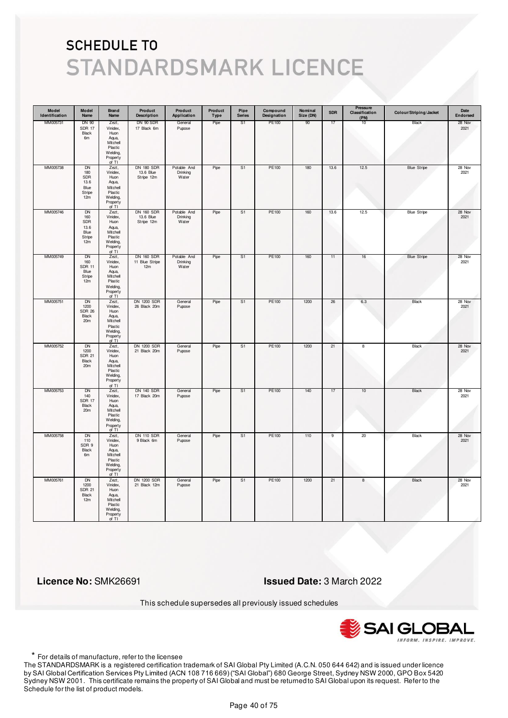| Model<br>Identification | Model<br>Name                                            | <b>Brand</b><br>Name                                                                       | Product<br><b>Description</b>                | Product<br>Application           | Product<br>Type | Pipe<br><b>Series</b> | Compound<br>Designation | Nominal<br>Size (DN) | <b>SDR</b>     | Pressure<br>Classification<br>(PN) | Colour/Striping/Jacket | Date<br>Endorsed |
|-------------------------|----------------------------------------------------------|--------------------------------------------------------------------------------------------|----------------------------------------------|----------------------------------|-----------------|-----------------------|-------------------------|----------------------|----------------|------------------------------------|------------------------|------------------|
| MM005731                | DN 90<br><b>SDR 17</b><br>Black<br>6m                    | Zezt,<br>Vinidex,<br>Huon<br>Aqua,<br>Mitchell<br>Plastic<br>Welding,<br>Property<br>of TI | DN 90 SDR<br>17 Black 6m                     | General<br>Pupose                | Pipe            | S1                    | PE100                   | 90                   | 17             | 10                                 | Black                  | 28 Nov<br>2021   |
| MM005738                | DN<br>180<br>SDR<br>13.6<br>Blue<br>Stripe<br>12m        | Zezt,<br>Vinidex,<br>Huon<br>Aqua,<br>Mitchell<br>Plastic<br>Welding,<br>Property<br>of TI | <b>DN 180 SDR</b><br>13.6 Blue<br>Stripe 12m | Potable And<br>Drinking<br>Water | Pipe            | S1                    | PE100                   | 180                  | 13.6           | 12.5                               | <b>Blue Stripe</b>     | 28 Nov<br>2021   |
| MM005746                | <b>DN</b><br>160<br>SDR<br>13.6<br>Blue<br>Stripe<br>12m | Zezt,<br>Vinidex,<br>Huon<br>Aqua,<br>Mitchell<br>Plastic<br>Welding,<br>Property<br>of TI | <b>DN 160 SDR</b><br>13.6 Blue<br>Stripe 12m | Potable And<br>Drinking<br>Water | Pipe            | S <sub>1</sub>        | PE100                   | 160                  | 13.6           | 12.5                               | <b>Blue Stripe</b>     | 28 Nov<br>2021   |
| MM005749                | DN<br>160<br><b>SDR 11</b><br>Blue<br>Stripe<br>12m      | Zezt,<br>Vinidex,<br>Huon<br>Aqua,<br>Mitchell<br>Plastic<br>Welding,<br>Property<br>of TI | <b>DN 160 SDR</b><br>11 Blue Stripe<br>12m   | Potable And<br>Drinking<br>Water | Pipe            | S1                    | PE100                   | 160                  | 11             | 16                                 | <b>Blue Stripe</b>     | 28 Nov<br>2021   |
| MM005751                | <b>DN</b><br>1200<br><b>SDR 26</b><br>Black<br>20m       | Zezt,<br>Vinidex,<br>Huon<br>Aqua,<br>Mitchell<br>Plastic<br>Welding,<br>Property<br>of TI | <b>DN 1200 SDR</b><br>26 Black 20m           | General<br>Pupose                | Pipe            | S1                    | PE100                   | 1200                 | 26             | 6.3                                | Black                  | 28 Nov<br>2021   |
| MM005752                | <b>DN</b><br>1200<br><b>SDR 21</b><br>Black<br>20m       | Zezt,<br>Vinidex,<br>Huon<br>Aqua,<br>Mitchell<br>Plastic<br>Welding,<br>Property<br>of TI | <b>DN 1200 SDR</b><br>21 Black 20m           | General<br>Pupose                | Pipe            | S <sub>1</sub>        | PE100                   | 1200                 | 21             | 8                                  | Black                  | 28 Nov<br>2021   |
| MM005753                | DN<br>140<br><b>SDR 17</b><br>Black<br>20 <sub>m</sub>   | Zezt,<br>Vinidex,<br>Huon<br>Aqua,<br>Mitchell<br>Plastic<br>Welding,<br>Property<br>of TI | <b>DN 140 SDR</b><br>17 Black 20m            | General<br>Pupose                | Pipe            | S1                    | PE100                   | 140                  | 17             | 10                                 | Black                  | 28 Nov<br>2021   |
| MM005758                | <b>DN</b><br>110<br>SDR 9<br>Black<br>6m                 | Zezt,<br>Vinidex,<br>Huon<br>Aqua,<br>Mitchell<br>Plastic<br>Welding,<br>Property<br>of TI | <b>DN 110 SDR</b><br>9 Black 6m              | General<br>Pupose                | Pipe            | S1                    | PE100                   | 110                  | $\overline{9}$ | 20                                 | Black                  | 28 Nov<br>2021   |
| MM005761                | <b>DN</b><br>1200<br><b>SDR 21</b><br>Black<br>12m       | Zezt,<br>Vinidex,<br>Huon<br>Aqua,<br>Mitchell<br>Plastic<br>Welding,<br>Property<br>of TI | <b>DN 1200 SDR</b><br>21 Black 12m           | General<br>Pupose                | Pipe            | S <sub>1</sub>        | <b>PE100</b>            | 1200                 | 21             | 8                                  | <b>Black</b>           | 28 Nov<br>2021   |

 **Licence No:** SMK26691 **Issued Date:** 3 March 2022

This schedule supersedes all previously issued schedules



\* For details of manufacture, refer to the licensee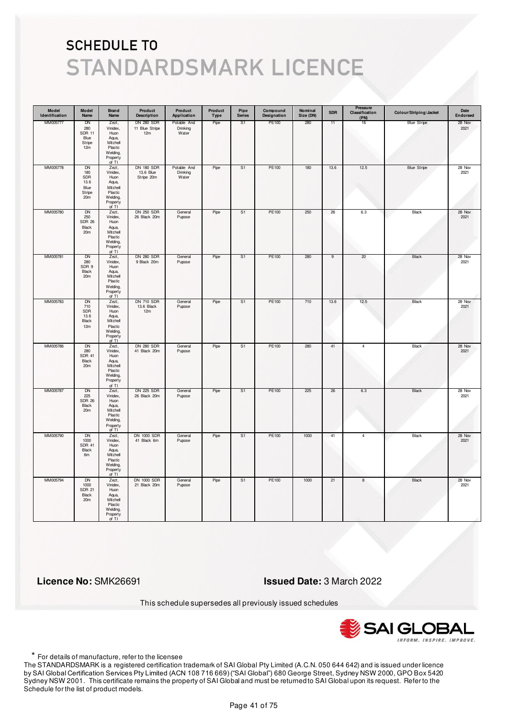| Model<br>Identification | Model<br>Name                                                        | <b>Brand</b><br>Name                                                                       | Product<br><b>Description</b>                | Product<br>Application           | Product<br>Type | Pipe<br><b>Series</b> | Compound<br>Designation | Nominal<br>Size (DN) | <b>SDR</b> | Pressure<br>Classification<br>(PN) | Colour/Striping/Jacket | Date<br>Endorsed |
|-------------------------|----------------------------------------------------------------------|--------------------------------------------------------------------------------------------|----------------------------------------------|----------------------------------|-----------------|-----------------------|-------------------------|----------------------|------------|------------------------------------|------------------------|------------------|
| MM005777                | DN<br>280<br><b>SDR 11</b><br>Blue<br>Stripe<br>12m                  | Zezt,<br>Vinidex,<br>Huon<br>Aqua,<br>Mitchell<br>Plastic<br>Welding,<br>Property<br>of TI | <b>DN 280 SDR</b><br>11 Blue Stripe<br>12m   | Potable And<br>Drinking<br>Water | Pipe            | S <sub>1</sub>        | PE100                   | 280                  | 11         | 16                                 | <b>Blue Stripe</b>     | 28 Nov<br>2021   |
| MM005778                | <b>DN</b><br>180<br>SDR<br>13.6<br>Blue<br>Stripe<br>20 <sub>m</sub> | Zezt,<br>Vinidex,<br>Huon<br>Aqua,<br>Mitchell<br>Plastic<br>Welding,<br>Property<br>of TI | <b>DN 180 SDR</b><br>13.6 Blue<br>Stripe 20m | Potable And<br>Drinking<br>Water | Pipe            | S <sub>1</sub>        | PE100                   | 180                  | 13.6       | 12.5                               | <b>Blue Stripe</b>     | 28 Nov<br>2021   |
| MM005780                | <b>DN</b><br>250<br><b>SDR 26</b><br>Black<br>20m                    | Zezt,<br>Vinidex,<br>Huon<br>Aqua,<br>Mitchell<br>Plastic<br>Welding,<br>Property<br>of TI | <b>DN 250 SDR</b><br>26 Black 20m            | General<br>Pupose                | Pipe            | S <sub>1</sub>        | PE100                   | 250                  | 26         | 6.3                                | Black                  | 28 Nov<br>2021   |
| MM005781                | DN<br>280<br>SDR 9<br>Black<br>20m                                   | Zezt,<br>Vinidex,<br>Huon<br>Aqua,<br>Mitchell<br>Plastic<br>Welding,<br>Property<br>of TI | <b>DN 280 SDR</b><br>9 Black 20m             | General<br>Pupose                | Pipe            | S1                    | PE100                   | 280                  | 9          | 20                                 | Black                  | 28 Nov<br>2021   |
| MM005783                | DN<br>710<br>SDR<br>13.6<br>Black<br>12m                             | Zezt,<br>Vinidex,<br>Huon<br>Aqua,<br>Mitchell<br>Plastic<br>Welding,<br>Property<br>of TI | <b>DN 710 SDR</b><br>13.6 Black<br>12m       | General<br>Pupose                | Pipe            | S <sub>1</sub>        | PE100                   | 710                  | 13.6       | 12.5                               | Black                  | 28 Nov<br>2021   |
| MM005786                | <b>DN</b><br>280<br><b>SDR 41</b><br>Black<br>20m                    | Zezt,<br>Vinidex,<br>Huon<br>Aqua,<br>Mitchell<br>Plastic<br>Welding,<br>Property<br>of TI | <b>DN 280 SDR</b><br>41 Black 20m            | General<br>Pupose                | Pipe            | S <sub>1</sub>        | <b>PE100</b>            | 280                  | 41         | $\overline{4}$                     | <b>Black</b>           | 28 Nov<br>2021   |
| MM005787                | DN<br>225<br><b>SDR 26</b><br>Black<br>20m                           | Zezt,<br>Vinidex,<br>Huon<br>Aqua,<br>Mitchell<br>Plastic<br>Welding,<br>Property<br>of TI | <b>DN 225 SDR</b><br>26 Black 20m            | General<br>Pupose                | Pipe            | S1                    | PE100                   | 225                  | 26         | 6.3                                | Black                  | 28 Nov<br>2021   |
| MM005790                | <b>DN</b><br>1000<br><b>SDR 41</b><br>Black<br>6m                    | Zezt,<br>Vinidex,<br>Huon<br>Aqua,<br>Mitchell<br>Plastic<br>Welding,<br>Property<br>of TI | <b>DN 1000 SDR</b><br>41 Black 6m            | General<br>Pupose                | Pipe            | S <sub>1</sub>        | <b>PE100</b>            | 1000                 | 41         | $\overline{4}$                     | <b>Black</b>           | 28 Nov<br>2021   |
| MM005794                | <b>DN</b><br>1000<br><b>SDR 21</b><br>Black<br>20m                   | Zezt,<br>Vinidex,<br>Huon<br>Aqua,<br>Mitchell<br>Plastic<br>Welding,<br>Property<br>of TI | <b>DN 1000 SDR</b><br>21 Black 20m           | General<br>Pupose                | Pipe            | S1                    | PE100                   | 1000                 | 21         | 8                                  | <b>Black</b>           | 28 Nov<br>2021   |

 **Licence No:** SMK26691 **Issued Date:** 3 March 2022

This schedule supersedes all previously issued schedules



\* For details of manufacture, refer to the licensee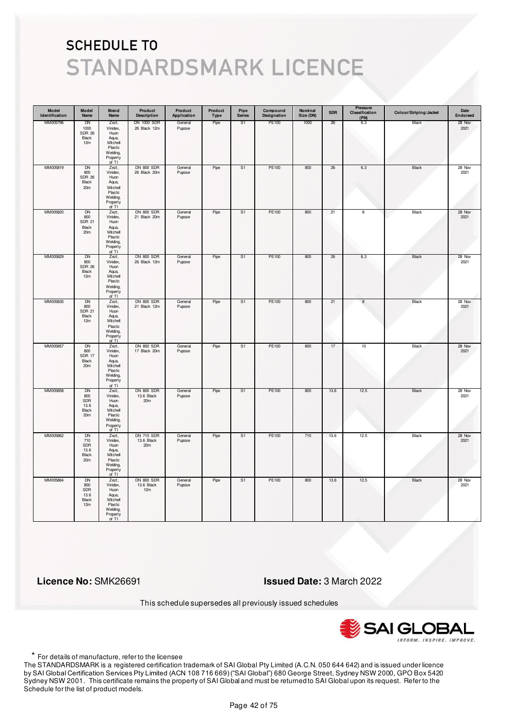| Model<br>Identification | Model<br>Name                                               | Brand<br>Name                                                                                | Product<br><b>Description</b>          | Product<br>Application | Product<br>Type | Pipe<br><b>Series</b> | Compound<br>Designation | Nominal<br>Size (DN) | <b>SDR</b> | Pressure<br>Classification<br>(PN) | Colour/Striping/Jacket | Date<br>Endorsed |
|-------------------------|-------------------------------------------------------------|----------------------------------------------------------------------------------------------|----------------------------------------|------------------------|-----------------|-----------------------|-------------------------|----------------------|------------|------------------------------------|------------------------|------------------|
| MM005796                | <b>DN</b><br>1000<br><b>SDR 26</b><br>Black<br>12m          | Zezt,<br>Vinidex,<br>Huon<br>Aqua,<br>Mitchell<br>Plastic<br>Welding,<br>Property<br>of TI   | <b>DN 1000 SDR</b><br>26 Black 12m     | General<br>Pupose      | Pipe            | S <sub>1</sub>        | PE100                   | 1000                 | 26         | 6.3                                | Black                  | 28 Nov<br>2021   |
| MM005819                | DN<br>800<br><b>SDR 26</b><br>Black<br>20m                  | Zezt,<br>Vinidex,<br>Huon<br>Aqua,<br>Mitchell<br>Plastic<br>Welding,<br>Property<br>of $TI$ | <b>DN 800 SDR</b><br>26 Black 20m      | General<br>Pupose      | Pipe            | S1                    | PE100                   | 800                  | 26         | $6.3\,$                            | Black                  | 28 Nov<br>2021   |
| MM005820                | DN<br>800<br><b>SDR 21</b><br>Black<br>20 <sub>m</sub>      | Zezt,<br>Vinidex,<br>Huon<br>Aqua,<br>Mitchell<br>Plastic<br>Welding,<br>Property<br>of TI   | <b>DN 800 SDR</b><br>21 Black 20m      | General<br>Pupose      | Pipe            | S <sub>1</sub>        | PE100                   | 800                  | 21         | $\overline{8}$                     | Black                  | 28 Nov<br>2021   |
| MM005829                | DN<br>800<br><b>SDR 26</b><br>Black<br>12m                  | Zezt,<br>Vinidex,<br>Huon<br>Aqua,<br>Mitchell<br>Plastic<br>Welding,<br>Property<br>of TI   | <b>DN 800 SDR</b><br>26 Black 12m      | General<br>Pupose      | Pipe            | S1                    | PE100                   | 800                  | 26         | 6.3                                | Black                  | 28 Nov<br>2021   |
| MM005835                | DN<br>800<br><b>SDR 21</b><br>Black<br>12m                  | Zezt,<br>Vinidex,<br>Huon<br>Aqua,<br>Mitchell<br>Plastic<br>Welding,<br>Property<br>of TI   | <b>DN 800 SDR</b><br>21 Black 12m      | General<br>Pupose      | Pipe            | S1                    | PE100                   | 800                  | 21         | $\boldsymbol{8}$                   | Black                  | 28 Nov<br>2021   |
| MM005857                | <b>DN</b><br>800<br><b>SDR 17</b><br>Black<br>20m           | Zezt,<br>Vinidex,<br>Huon<br>Aqua,<br>Mitchell<br>Plastic<br>Welding,<br>Property<br>of TI   | <b>DN 800 SDR</b><br>17 Black 20m      | General<br>Pupose      | Pipe            | S <sub>1</sub>        | PE100                   | 800                  | 17         | 10                                 | <b>Black</b>           | 28 Nov<br>2021   |
| MM005858                | DN<br>800<br>SDR<br>13.6<br><b>Black</b><br>20 <sub>m</sub> | Zezt,<br>Vinidex,<br>Huon<br>Aqua,<br>Mitchell<br>Plastic<br>Welding,<br>Property<br>of TI   | <b>DN 800 SDR</b><br>13.6 Black<br>20m | General<br>Pupose      | Pipe            | S1                    | PE100                   | 800                  | 13.6       | 12.5                               | Black                  | 28 Nov<br>2021   |
| MM005862                | <b>DN</b><br>710<br>SDR<br>13.6<br>Black<br>20m             | Zezt,<br>Vinidex,<br>Huon<br>Aqua,<br>Mitchell<br>Plastic<br>Welding,<br>Property<br>of TI   | <b>DN 710 SDR</b><br>13.6 Black<br>20m | General<br>Pupose      | Pipe            | S <sub>1</sub>        | <b>PE100</b>            | 710                  | 13.6       | 12.5                               | <b>Black</b>           | 28 Nov<br>2021   |
| MM005864                | <b>DN</b><br>800<br>SDR<br>13.6<br>Black<br>12m             | Zezt,<br>Vinidex,<br>Huon<br>Aqua,<br>Mitchell<br>Plastic<br>Welding,<br>Property<br>of TI   | <b>DN 800 SDR</b><br>13.6 Black<br>12m | General<br>Pupose      | Pipe            | S1                    | PE100                   | 800                  | 13.6       | 12.5                               | Black                  | 28 Nov<br>2021   |

 **Licence No:** SMK26691 **Issued Date:** 3 March 2022

This schedule supersedes all previously issued schedules



\* For details of manufacture, refer to the licensee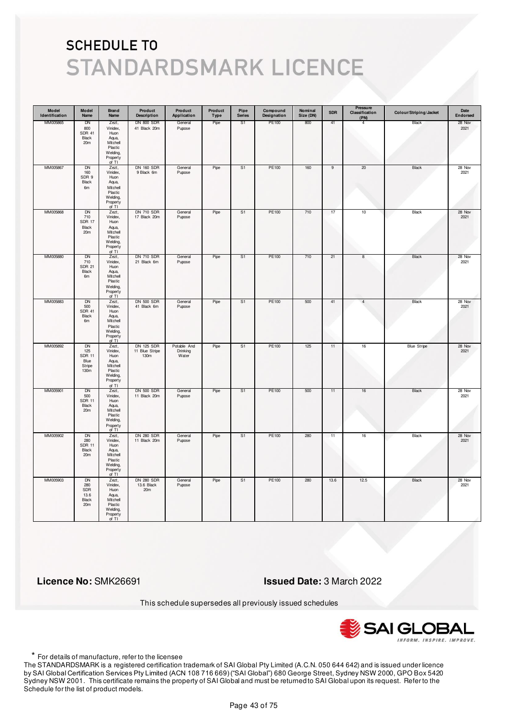| Model<br>Identification | Model<br>Name                                               | <b>Brand</b><br>Name                                                                         | Product<br><b>Description</b>               | Product<br>Application           | Product<br><b>Type</b> | Pipe<br><b>Series</b> | Compound<br>Designation | Nominal<br>Size (DN) | <b>SDR</b>     | Pressure<br>Classification<br>(PN) | Colour/Striping/Jacket | Date<br>Endorsed |
|-------------------------|-------------------------------------------------------------|----------------------------------------------------------------------------------------------|---------------------------------------------|----------------------------------|------------------------|-----------------------|-------------------------|----------------------|----------------|------------------------------------|------------------------|------------------|
| MM005865                | DN<br>800<br><b>SDR 41</b><br>Black<br>20 <sub>m</sub>      | Zezt,<br>Vinidex,<br>Huon<br>Aqua,<br>Mitchell<br>Plastic<br>Welding,<br>Property<br>of TI   | <b>DN 800 SDR</b><br>41 Black 20m           | General<br>Pupose                | Pipe                   | S1                    | PE100                   | 800                  | 41             | $\overline{4}$                     | Black                  | 28 Nov<br>2021   |
| MM005867                | <b>DN</b><br>160<br>SDR 9<br>Black<br>6m                    | Zezt,<br>Vinidex,<br>Huon<br>Aqua,<br>Mitchell<br>Plastic<br>Welding,<br>Property<br>of TI   | <b>DN 160 SDR</b><br>9 Black 6m             | General<br>Pupose                | Pipe                   | S <sub>1</sub>        | PE100                   | 160                  | $\overline{9}$ | 20                                 | Black                  | 28 Nov<br>2021   |
| MM005868                | DN<br>710<br>SDR 17<br>Black<br>20m                         | Zezt,<br>Vinidex,<br>Huon<br>Aqua,<br>Mitchell<br>Plastic<br>Welding,<br>Property<br>of TI   | <b>DN 710 SDR</b><br>17 Black 20m           | General<br>Pupose                | Pipe                   | S1                    | PE100                   | 710                  | 17             | 10                                 | Black                  | 28 Nov<br>2021   |
| MM005880                | DN<br>710<br><b>SDR 21</b><br>Black<br>6m                   | Zezt,<br>Vinidex,<br>Huon<br>Aqua,<br>Mitchell<br>Plastic<br>Welding,<br>Property<br>of $TI$ | <b>DN 710 SDR</b><br>21 Black 6m            | General<br>Pupose                | Pipe                   | S1                    | PE100                   | 710                  | 21             | 8                                  | Black                  | 28 Nov<br>2021   |
| MM005883                | DN<br>500<br><b>SDR 41</b><br>Black<br>6m                   | Zezt,<br>Vinidex,<br>Huon<br>Aqua,<br>Mitchell<br>Plastic<br>Welding,<br>Property<br>of TI   | <b>DN 500 SDR</b><br>41 Black 6m            | General<br>Pupose                | Pipe                   | S1                    | PE100                   | 500                  | 41             | $\overline{4}$                     | Black                  | 28 Nov<br>2021   |
| MM005892                | <b>DN</b><br>125<br><b>SDR 11</b><br>Blue<br>Stripe<br>130m | Zezt,<br>Vinidex,<br>Huon<br>Aqua,<br>Mitchell<br>Plastic<br>Welding,<br>Property<br>of TI   | <b>DN 125 SDR</b><br>11 Blue Stripe<br>130m | Potable And<br>Drinking<br>Water | Pipe                   | S <sub>1</sub>        | PE100                   | 125                  | 11             | 16                                 | <b>Blue Stripe</b>     | 28 Nov<br>2021   |
| MM005901                | DN<br>500<br><b>SDR 11</b><br>Black<br>20m                  | Zezt,<br>Vinidex,<br>Huon<br>Aqua,<br>Mitchell<br>Plastic<br>Welding,<br>Property<br>of TI   | <b>DN 500 SDR</b><br>11 Black 20m           | General<br>Pupose                | Pipe                   | S1                    | PE100                   | 500                  | 11             | 16                                 | Black                  | 28 Nov<br>2021   |
| MM005902                | <b>DN</b><br>280<br><b>SDR 11</b><br>Black<br>20m           | Zezt,<br>Vinidex,<br>Huon<br>Aqua,<br>Mitchell<br>Plastic<br>Welding,<br>Property<br>of TI   | <b>DN 280 SDR</b><br>11 Black 20m           | General<br>Pupose                | Pipe                   | S <sub>1</sub>        | PE100                   | 280                  | 11             | 16                                 | <b>Black</b>           | 28 Nov<br>2021   |
| MM005903                | <b>DN</b><br>280<br>SDR<br>13.6<br>Black<br>20m             | Zezt,<br>Vinidex,<br>Huon<br>Aqua,<br>Mitchell<br>Plastic<br>Welding,<br>Property<br>of TI   | <b>DN 280 SDR</b><br>13.6 Black<br>20m      | General<br>Pupose                | Pipe                   | S1                    | PE100                   | 280                  | 13.6           | 12.5                               | <b>Black</b>           | 28 Nov<br>2021   |

 **Licence No:** SMK26691 **Issued Date:** 3 March 2022

This schedule supersedes all previously issued schedules



\* For details of manufacture, refer to the licensee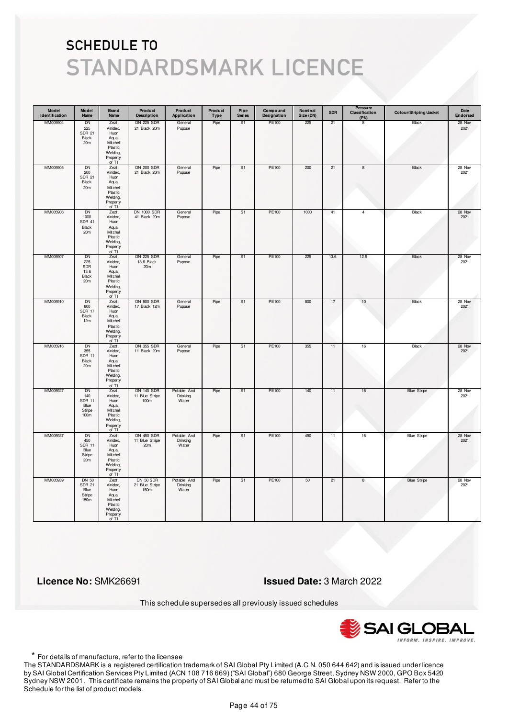| Model<br>Identification | Model<br>Name                                                          | Brand<br>Name                                                                                | Product<br><b>Description</b>                      | Product<br>Application           | Product<br>Type | Pipe<br><b>Series</b> | Compound<br>Designation | Nominal<br>Size (DN) | <b>SDR</b> | Pressure<br>Classification<br>(PN) | Colour/Striping/Jacket | Date<br>Endorsed |
|-------------------------|------------------------------------------------------------------------|----------------------------------------------------------------------------------------------|----------------------------------------------------|----------------------------------|-----------------|-----------------------|-------------------------|----------------------|------------|------------------------------------|------------------------|------------------|
| MM005904                | DN<br>225<br><b>SDR 21</b><br>Black<br>20 <sub>m</sub>                 | Zezt,<br>Vinidex,<br>Huon<br>Aqua,<br>Mitchell<br>Plastic<br>Welding,<br>Property<br>of TI   | <b>DN 225 SDR</b><br>21 Black 20m                  | General<br>Pupose                | Pipe            | S1                    | PE100                   | 225                  | 21         | 8                                  | Black                  | 28 Nov<br>2021   |
| MM005905                | DN<br>200<br><b>SDR 21</b><br>Black<br>20m                             | Zezt,<br>Vinidex,<br>Huon<br>Aqua,<br>Mitchell<br>Plastic<br>Welding,<br>Property<br>of $TI$ | <b>DN 200 SDR</b><br>21 Black 20m                  | General<br>Pupose                | Pipe            | S1                    | PE100                   | 200                  | 21         | 8                                  | Black                  | 28 Nov<br>2021   |
| MM005906                | <b>DN</b><br>1000<br><b>SDR 41</b><br>Black<br>20 <sub>m</sub>         | Zezt,<br>Vinidex,<br>Huon<br>Aqua,<br>Mitchell<br>Plastic<br>Welding,<br>Property<br>of TI   | <b>DN 1000 SDR</b><br>41 Black 20m                 | General<br>Pupose                | Pipe            | S <sub>1</sub>        | PE100                   | 1000                 | 41         | $\overline{4}$                     | Black                  | 28 Nov<br>2021   |
| MM005907                | DN<br>225<br>SDR<br>13.6<br>Black<br>20 <sub>m</sub>                   | Zezt,<br>Vinidex,<br>Huon<br>Aqua,<br>Mitchell<br>Plastic<br>Welding,<br>Property<br>of TI   | <b>DN 225 SDR</b><br>13.6 Black<br>20 <sub>m</sub> | General<br>Pupose                | Pipe            | S1                    | PE100                   | 225                  | 13.6       | 12.5                               | Black                  | 28 Nov<br>2021   |
| MM005910                | DN<br>800<br><b>SDR 17</b><br>Black<br>12m                             | Zezt,<br>Vinidex,<br>Huon<br>Aqua,<br>Mitchell<br>Plastic<br>Welding,<br>Property<br>of TI   | <b>DN 800 SDR</b><br>17 Black 12m                  | General<br>Pupose                | Pipe            | S <sub>1</sub>        | PE100                   | 800                  | 17         | 10                                 | Black                  | 28 Nov<br>2021   |
| MM005916                | <b>DN</b><br>355<br><b>SDR 11</b><br>Black<br>20m                      | Zezt,<br>Vinidex,<br>Huon<br>Aqua,<br>Mitchell<br>Plastic<br>Welding,<br>Property<br>of TI   | <b>DN 355 SDR</b><br>11 Black 20m                  | General<br>Pupose                | Pipe            | S <sub>1</sub>        | <b>PE100</b>            | 355                  | 11         | 16                                 | <b>Black</b>           | 28 Nov<br>2021   |
| MM005927                | DN<br>140<br><b>SDR 11</b><br>Blue<br>Stripe<br>100m                   | Zezt,<br>Vinidex,<br>Huon<br>Aqua,<br>Mitchell<br>Plastic<br>Welding,<br>Property<br>of TI   | <b>DN 140 SDR</b><br>11 Blue Stripe<br>100m        | Potable And<br>Drinking<br>Water | Pipe            | S1                    | PE100                   | 140                  | 11         | 16                                 | <b>Blue Stripe</b>     | 28 Nov<br>2021   |
| MM005937                | <b>DN</b><br>450<br><b>SDR 11</b><br>Blue<br>Stripe<br>20 <sub>m</sub> | Zezt,<br>Vinidex,<br>Huon<br>Aqua,<br>Mitchell<br>Plastic<br>Welding,<br>Property<br>of TI   | <b>DN 450 SDR</b><br>11 Blue Stripe<br>20m         | Potable And<br>Drinking<br>Water | Pipe            | S <sub>1</sub>        | <b>PE100</b>            | 450                  | 11         | 16                                 | <b>Blue Stripe</b>     | 28 Nov<br>2021   |
| MM005939                | <b>DN 50</b><br><b>SDR 21</b><br>Blue<br>Stripe<br>150m                | Zezt,<br>Vinidex,<br>Huon<br>Aqua,<br>Mitchell<br>Plastic<br>Welding,<br>Property<br>of TI   | DN 50 SDR<br>21 Blue Stripe<br>150m                | Potable And<br>Drinking<br>Water | Pipe            | S1                    | PE100                   | 50                   | 21         | 8                                  | <b>Blue Stripe</b>     | 28 Nov<br>2021   |

 **Licence No:** SMK26691 **Issued Date:** 3 March 2022

This schedule supersedes all previously issued schedules



\* For details of manufacture, refer to the licensee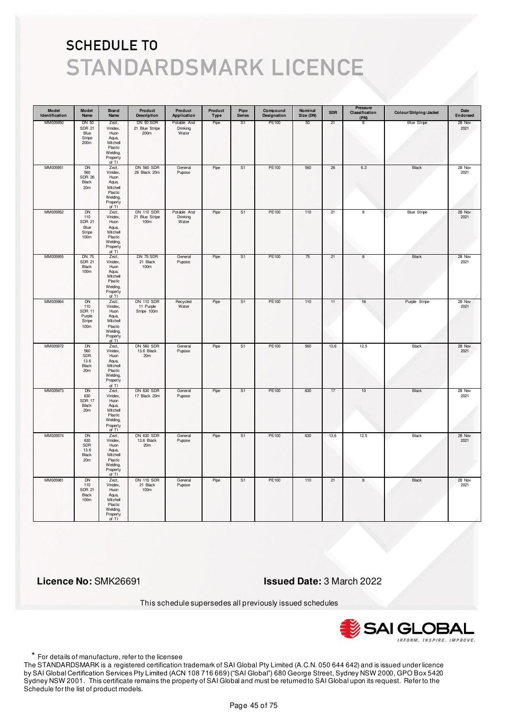| Model<br>Identification | Model<br>Name                                                    | <b>Brand</b><br>Name                                                                       | Product<br><b>Description</b>                 | Product<br>Application           | Product<br><b>Type</b> | Pipe<br><b>Series</b> | Compound<br>Designation | Nominal<br>Size (DN) | <b>SDR</b> | Pressure<br>Classification<br>(PN) | Colour/Striping/Jacket | Date<br>Endorsed |
|-------------------------|------------------------------------------------------------------|--------------------------------------------------------------------------------------------|-----------------------------------------------|----------------------------------|------------------------|-----------------------|-------------------------|----------------------|------------|------------------------------------|------------------------|------------------|
| MM005950                | <b>DN 50</b><br><b>SDR 21</b><br>Blue<br>Stripe<br>200m          | Zezt,<br>Vinidex,<br>Huon<br>Aqua,<br>Mitchell<br>Plastic<br>Welding,<br>Property<br>of TI | DN 50 SDR<br>21 Blue Stripe<br>200m           | Potable And<br>Drinking<br>Water | Pipe                   | S1                    | PE100                   | 50                   | 21         | 8                                  | <b>Blue Stripe</b>     | 28 Nov<br>2021   |
| MM005951                | <b>DN</b><br>560<br><b>SDR 26</b><br>Black<br>20m                | Zezt,<br>Vinidex,<br>Huon<br>Aqua,<br>Mitchell<br>Plastic<br>Welding,<br>Property<br>of TI | <b>DN 560 SDR</b><br>26 Black 20m             | General<br>Pupose                | Pipe                   | S <sub>1</sub>        | PE100                   | 560                  | 26         | $6.3\,$                            | Black                  | 28 Nov<br>2021   |
| MM005952                | DN<br>110<br><b>SDR 21</b><br>Blue<br>Stripe<br>100 <sub>m</sub> | Zezt,<br>Vinidex,<br>Huon<br>Aqua,<br>Mitchell<br>Plastic<br>Welding,<br>Property<br>of TI | <b>DN 110 SDR</b><br>21 Blue Stripe<br>100m   | Potable And<br>Drinking<br>Water | Pipe                   | S <sub>1</sub>        | PE100                   | 110                  | 21         | 8                                  | <b>Blue Stripe</b>     | 28 Nov<br>2021   |
| MM005955                | <b>DN 75</b><br><b>SDR 21</b><br>Black<br>100m                   | Zezt,<br>Vinidex,<br>Huon<br>Aqua,<br>Mitchell<br>Plastic<br>Welding,<br>Property<br>of TI | DN 75 SDR<br>21 Black<br>100m                 | General<br>Pupose                | Pipe                   | S1                    | PE100                   | 75                   | 21         | 8                                  | Black                  | 28 Nov<br>2021   |
| MM005964                | DN<br>110<br><b>SDR 11</b><br>Purple<br>Stripe<br>100m           | Zezt,<br>Vinidex,<br>Huon<br>Aqua,<br>Mitchell<br>Plastic<br>Welding,<br>Property<br>of TI | <b>DN 110 SDR</b><br>11 Purple<br>Stripe 100m | Recycled<br>Water                | Pipe                   | S <sub>1</sub>        | PE100                   | 110                  | 11         | 16                                 | Purple Stripe          | 28 Nov<br>2021   |
| MM005972                | <b>DN</b><br>560<br>SDR<br>13.6<br>Black<br>20m                  | Zezt,<br>Vinidex,<br>Huon<br>Aqua,<br>Mitchell<br>Plastic<br>Welding,<br>Property<br>of TI | <b>DN 560 SDR</b><br>13.6 Black<br>20m        | General<br>Pupose                | Pipe                   | S <sub>1</sub>        | <b>PE100</b>            | 560                  | 13.6       | 12.5                               | <b>Black</b>           | 28 Nov<br>2021   |
| MM005973                | DN<br>630<br>SDR 17<br>Black<br>20m                              | Zezt,<br>Vinidex,<br>Huon<br>Aqua,<br>Mitchell<br>Plastic<br>Welding,<br>Property<br>of TI | <b>DN 630 SDR</b><br>17 Black 20m             | General<br>Pupose                | Pipe                   | S1                    | PE100                   | 630                  | 17         | 10                                 | Black                  | 28 Nov<br>2021   |
| MM005974                | DN<br>630<br>SDR<br>13.6<br>Black<br>20m                         | Zezt,<br>Vinidex,<br>Huon<br>Aqua,<br>Mitchell<br>Plastic<br>Welding,<br>Property<br>of TI | <b>DN 630 SDR</b><br>13.6 Black<br>20m        | General<br>Pupose                | Pipe                   | S1                    | PE100                   | 630                  | 13.6       | 12.5                               | Black                  | 28 Nov<br>2021   |
| MM005981                | <b>DN</b><br>110<br><b>SDR 21</b><br>Black<br>100m               | Zezt,<br>Vinidex,<br>Huon<br>Aqua,<br>Mitchell<br>Plastic<br>Welding,<br>Property<br>of TI | <b>DN 110 SDR</b><br>21 Black<br>100m         | General<br>Pupose                | Pipe                   | S <sub>1</sub>        | <b>PE100</b>            | 110                  | 21         | $\boldsymbol{8}$                   | <b>Black</b>           | 28 Nov<br>2021   |

 **Licence No:** SMK26691 **Issued Date:** 3 March 2022

This schedule supersedes all previously issued schedules



\* For details of manufacture, refer to the licensee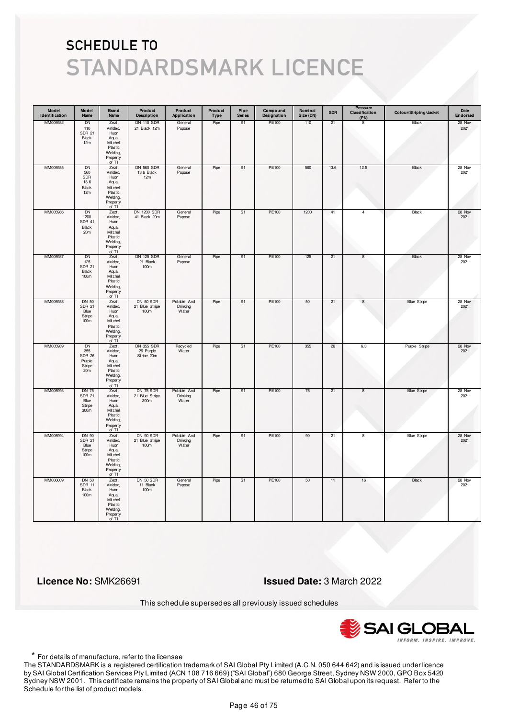| Model<br>Identification | Model<br>Name                                                            | <b>Brand</b><br>Name                                                                       | Product<br><b>Description</b>                | Product<br>Application           | Product<br>Type | Pipe<br><b>Series</b> | Compound<br>Designation | Nominal<br>Size (DN) | <b>SDR</b> | Pressure<br>Classification<br>(PN) | Colour/Striping/Jacket | Date<br>Endorsed |
|-------------------------|--------------------------------------------------------------------------|--------------------------------------------------------------------------------------------|----------------------------------------------|----------------------------------|-----------------|-----------------------|-------------------------|----------------------|------------|------------------------------------|------------------------|------------------|
| MM005982                | DN<br>110<br><b>SDR 21</b><br>Black<br>12m                               | Zezt,<br>Vinidex,<br>Huon<br>Aqua,<br>Mitchell<br>Plastic<br>Welding,<br>Property<br>of TI | <b>DN 110 SDR</b><br>21 Black 12m            | General<br>Pupose                | Pipe            | S1                    | PE100                   | 110                  | 21         | 8                                  | Black                  | 28 Nov<br>2021   |
| MM005985                | <b>DN</b><br>560<br>SDR<br>13.6<br>Black<br>12m                          | Zezt,<br>Vinidex,<br>Huon<br>Aqua,<br>Mitchell<br>Plastic<br>Welding,<br>Property<br>of TI | <b>DN 560 SDR</b><br>13.6 Black<br>12m       | General<br>Pupose                | Pipe            | S <sub>1</sub>        | PE100                   | 560                  | 13.6       | 12.5                               | Black                  | 28 Nov<br>2021   |
| MM005986                | DN<br>1200<br><b>SDR 41</b><br>Black<br>20m                              | Zezt,<br>Vinidex,<br>Huon<br>Aqua,<br>Mitchell<br>Plastic<br>Welding,<br>Property<br>of TI | <b>DN 1200 SDR</b><br>41 Black 20m           | General<br>Pupose                | Pipe            | S <sub>1</sub>        | PE100                   | 1200                 | 41         | 4                                  | Black                  | 28 Nov<br>2021   |
| MM005987                | DN<br>125<br><b>SDR 21</b><br>Black<br>100m                              | Zezt,<br>Vinidex,<br>Huon<br>Aqua,<br>Mitchell<br>Plastic<br>Welding,<br>Property<br>of TI | <b>DN 125 SDR</b><br>21 Black<br>100m        | General<br>Pupose                | Pipe            | S1                    | PE100                   | 125                  | 21         | 8                                  | Black                  | 28 Nov<br>2021   |
| MM005988                | DN 50<br><b>SDR 21</b><br>Blue<br>Stripe<br>100m                         | Zezt,<br>Vinidex,<br>Huon<br>Aqua,<br>Mitchell<br>Plastic<br>Welding,<br>Property<br>of TI | DN 50 SDR<br>21 Blue Stripe<br>100m          | Potable And<br>Drinking<br>Water | Pipe            | S <sub>1</sub>        | PE100                   | 50                   | 21         | $\bf8$                             | <b>Blue Stripe</b>     | 28 Nov<br>2021   |
| MM005989                | <b>DN</b><br>355<br><b>SDR 26</b><br>Purple<br>Stripe<br>20 <sub>m</sub> | Zezt,<br>Vinidex,<br>Huon<br>Aqua,<br>Mitchell<br>Plastic<br>Welding,<br>Property<br>of TI | <b>DN 355 SDR</b><br>26 Purple<br>Stripe 20m | Recycled<br>Water                | Pipe            | S <sub>1</sub>        | <b>PE100</b>            | 355                  | 26         | 6.3                                | Purple Stripe          | 28 Nov<br>2021   |
| MM005993                | <b>DN 75</b><br><b>SDR 21</b><br>Blue<br>Stripe<br>300 <sub>m</sub>      | Zezt,<br>Vinidex,<br>Huon<br>Aqua,<br>Mitchell<br>Plastic<br>Welding,<br>Property<br>of TI | DN 75 SDR<br>21 Blue Stripe<br>300m          | Potable And<br>Drinking<br>Water | Pipe            | S1                    | PE100                   | 75                   | 21         | 8                                  | <b>Blue Stripe</b>     | 28 Nov<br>2021   |
| MM005994                | DN 90<br><b>SDR 21</b><br>Blue<br>Stripe<br>100m                         | Zezt,<br>Vinidex,<br>Huon<br>Aqua,<br>Mitchell<br>Plastic<br>Welding,<br>Property<br>of TI | DN 90 SDR<br>21 Blue Stripe<br>100m          | Potable And<br>Drinking<br>Water | Pipe            | S <sub>1</sub>        | <b>PE100</b>            | 90                   | 21         | 8                                  | <b>Blue Stripe</b>     | 28 Nov<br>2021   |
| MM006009                | <b>DN 50</b><br><b>SDR 11</b><br>Black<br>100m                           | Zezt,<br>Vinidex,<br>Huon<br>Aqua,<br>Mitchell<br>Plastic<br>Welding,<br>Property<br>of TI | DN 50 SDR<br>11 Black<br>100m                | General<br>Pupose                | Pipe            | S <sub>1</sub>        | PE100                   | 50                   | 11         | 16                                 | <b>Black</b>           | 28 Nov<br>2021   |

 **Licence No:** SMK26691 **Issued Date:** 3 March 2022

This schedule supersedes all previously issued schedules



\* For details of manufacture, refer to the licensee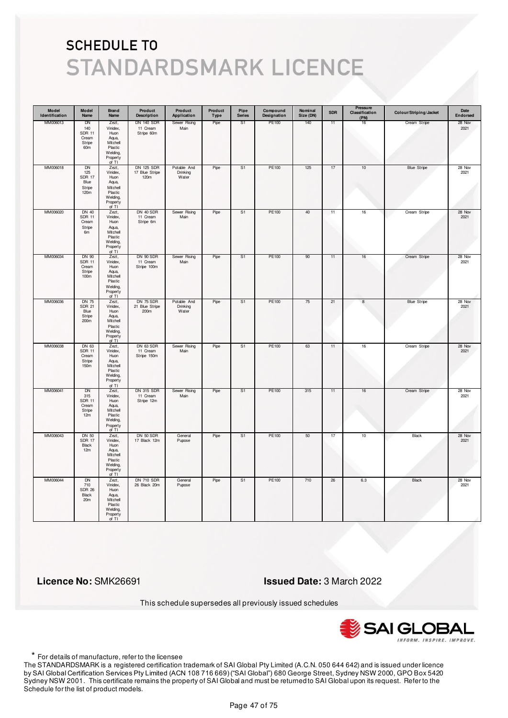| Model<br>Identification | Model<br>Name                                                        | <b>Brand</b><br>Name                                                                       | Product<br><b>Description</b>               | Product<br>Application           | Product<br>Type | Pipe<br><b>Series</b> | Compound<br>Designation | Nominal<br>Size (DN) | <b>SDR</b> | Pressure<br>Classification<br>(PN) | Colour/Striping/Jacket | Date<br>Endorsed |
|-------------------------|----------------------------------------------------------------------|--------------------------------------------------------------------------------------------|---------------------------------------------|----------------------------------|-----------------|-----------------------|-------------------------|----------------------|------------|------------------------------------|------------------------|------------------|
| MM006013                | DN<br>140<br><b>SDR 11</b><br>Cream<br>Stripe<br>60m                 | Zezt,<br>Vinidex,<br>Huon<br>Aqua,<br>Mitchell<br>Plastic<br>Welding,<br>Property<br>of TI | <b>DN 140 SDR</b><br>11 Cream<br>Stripe 60m | Sewer Rising<br>Main             | Pipe            | S1                    | PE100                   | 140                  | 11         | 16                                 | Cream Stripe           | 28 Nov<br>2021   |
| MM006018                | DN<br>125<br><b>SDR 17</b><br>Blue<br>Stripe<br>120m                 | Zezt,<br>Vinidex,<br>Huon<br>Aqua,<br>Mitchell<br>Plastic<br>Welding,<br>Property<br>of TI | DN 125 SDR<br>17 Blue Stripe<br>120m        | Potable And<br>Drinking<br>Water | Pipe            | S1                    | PE100                   | 125                  | 17         | $10$                               | <b>Blue Stripe</b>     | 28 Nov<br>2021   |
| MM006020                | <b>DN 40</b><br><b>SDR 11</b><br>Cream<br>Stripe<br>6m               | Zezt,<br>Vinidex,<br>Huon<br>Aqua,<br>Mitchell<br>Plastic<br>Welding,<br>Property<br>of TI | DN 40 SDR<br>11 Cream<br>Stripe 6m          | Sewer Rising<br>Main             | Pipe            | S <sub>1</sub>        | PE100                   | 40                   | 11         | $16\,$                             | Cream Stripe           | 28 Nov<br>2021   |
| MM006034                | <b>DN 90</b><br><b>SDR 11</b><br>Cream<br>Stripe<br>100 <sub>m</sub> | Zezt,<br>Vinidex,<br>Huon<br>Aqua,<br>Mitchell<br>Plastic<br>Welding,<br>Property<br>of TI | DN 90 SDR<br>11 Cream<br>Stripe 100m        | Sewer Rising<br>Main             | Pipe            | S1                    | PE100                   | 90                   | 11         | 16                                 | Cream Stripe           | 28 Nov<br>2021   |
| MM006036                | <b>DN 75</b><br><b>SDR 21</b><br>Blue<br>Stripe<br>200 <sub>m</sub>  | Zezt,<br>Vinidex,<br>Huon<br>Aqua,<br>Mitchell<br>Plastic<br>Welding,<br>Property<br>of TI | DN 75 SDR<br>21 Blue Stripe<br>200m         | Potable And<br>Drinking<br>Water | Pipe            | S1                    | PE100                   | 75                   | 21         | $^{\rm 8}$                         | <b>Blue Stripe</b>     | 28 Nov<br>2021   |
| MM006038                | DN 63<br><b>SDR 11</b><br>Cream<br>Stripe<br>150 <sub>m</sub>        | Zezt,<br>Vinidex,<br>Huon<br>Aqua,<br>Mitchell<br>Plastic<br>Welding,<br>Property<br>of TI | DN 63 SDR<br>11 Cream<br>Stripe 150m        | Sewer Rising<br>Main             | Pipe            | S <sub>1</sub>        | <b>PE100</b>            | 63                   | 11         | 16                                 | Cream Stripe           | 28 Nov<br>2021   |
| MM006041                | DN<br>315<br><b>SDR 11</b><br>Cream<br>Stripe<br>12m                 | Zezt,<br>Vinidex,<br>Huon<br>Aqua,<br>Mitchell<br>Plastic<br>Welding,<br>Property<br>of TI | DN 315 SDR<br>11 Cream<br>Stripe 12m        | Sewer Rising<br>Main             | Pipe            | S1                    | PE100                   | 315                  | 11         | 16                                 | Cream Stripe           | 28 Nov<br>2021   |
| MM006043                | DN 50<br><b>SDR 17</b><br>Black<br>12m                               | Zezt,<br>Vinidex,<br>Huon<br>Aqua,<br>Mitchell<br>Plastic<br>Welding,<br>Property<br>of TI | DN 50 SDR<br>17 Black 12m                   | General<br>Pupose                | Pipe            | S <sub>1</sub>        | PE100                   | 50                   | 17         | 10                                 | <b>Black</b>           | 28 Nov<br>2021   |
| MM006044                | <b>DN</b><br>710<br><b>SDR 26</b><br>Black<br>20m                    | Zezt,<br>Vinidex,<br>Huon<br>Aqua,<br>Mitchell<br>Plastic<br>Welding,<br>Property<br>of TI | <b>DN 710 SDR</b><br>26 Black 20m           | General<br>Pupose                | Pipe            | S <sub>1</sub>        | PE100                   | 710                  | 26         | 6.3                                | Black                  | 28 Nov<br>2021   |

 **Licence No:** SMK26691 **Issued Date:** 3 March 2022

This schedule supersedes all previously issued schedules



\* For details of manufacture, refer to the licensee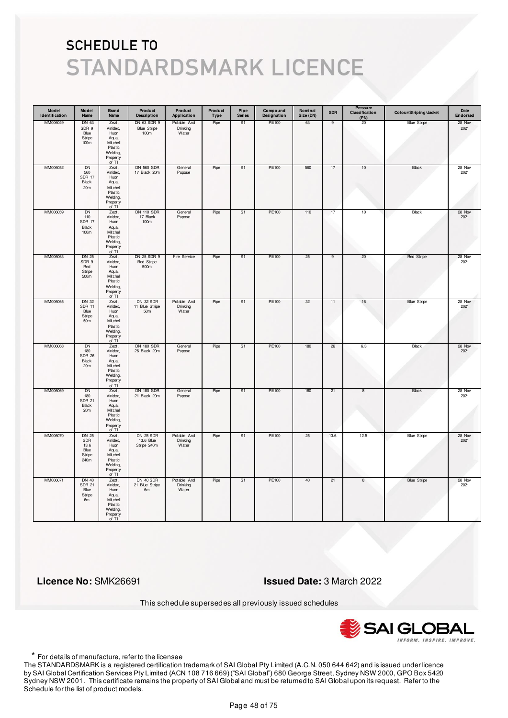| Model<br>Identification | Model<br>Name                                                 | <b>Brand</b><br>Name                                                                       | Product<br><b>Description</b>             | Product<br>Application           | Product<br>Type | Pipe<br><b>Series</b> | Compound<br>Designation | Nominal<br>Size (DN) | <b>SDR</b> | Pressure<br>Classification<br>(PN) | Colour/Striping/Jacket | Date<br>Endorsed |
|-------------------------|---------------------------------------------------------------|--------------------------------------------------------------------------------------------|-------------------------------------------|----------------------------------|-----------------|-----------------------|-------------------------|----------------------|------------|------------------------------------|------------------------|------------------|
| MM006049                | DN 63<br>SDR 9<br>Blue<br>Stripe<br>100 <sub>m</sub>          | Zezt,<br>Vinidex,<br>Huon<br>Aqua,<br>Mitchell<br>Plastic<br>Welding,<br>Property<br>of TI | DN 63 SDR 9<br><b>Blue Stripe</b><br>100m | Potable And<br>Drinking<br>Water | Pipe            | S <sub>1</sub>        | PE100                   | 63                   | 9          | 20                                 | <b>Blue Stripe</b>     | 28 Nov<br>2021   |
| MM006052                | <b>DN</b><br>560<br><b>SDR 17</b><br>Black<br>20 <sub>m</sub> | Zezt,<br>Vinidex,<br>Huon<br>Aqua,<br>Mitchell<br>Plastic<br>Welding,<br>Property<br>of TI | <b>DN 560 SDR</b><br>17 Black 20m         | General<br>Pupose                | Pipe            | S <sub>1</sub>        | PE100                   | 560                  | 17         | 10                                 | Black                  | 28 Nov<br>2021   |
| MM006059                | DN<br>110<br><b>SDR 17</b><br>Black<br>100m                   | Zezt,<br>Vinidex,<br>Huon<br>Aqua,<br>Mitchell<br>Plastic<br>Welding,<br>Property<br>of TI | <b>DN 110 SDR</b><br>17 Black<br>100m     | General<br>Pupose                | Pipe            | S <sub>1</sub>        | PE100                   | 110                  | 17         | 10                                 | Black                  | 28 Nov<br>2021   |
| MM006063                | DN 25<br>SDR 9<br>Red<br>Stripe<br>500 <sub>m</sub>           | Zezt,<br>Vinidex,<br>Huon<br>Aqua,<br>Mitchell<br>Plastic<br>Welding,<br>Property<br>of TI | DN 25 SDR 9<br>Red Stripe<br>500m         | Fire Service                     | Pipe            | S1                    | PE100                   | 25                   | 9          | 20                                 | <b>Red Stripe</b>      | 28 Nov<br>2021   |
| MM006065                | DN 32<br><b>SDR 11</b><br>Blue<br>Stripe<br>50m               | Zezt,<br>Vinidex,<br>Huon<br>Aqua,<br>Mitchell<br>Plastic<br>Welding,<br>Property<br>of TI | DN 32 SDR<br>11 Blue Stripe<br>50m        | Potable And<br>Drinking<br>Water | Pipe            | S <sub>1</sub>        | PE100                   | 32                   | 11         | 16                                 | <b>Blue Stripe</b>     | 28 Nov<br>2021   |
| MM006068                | <b>DN</b><br>180<br><b>SDR 26</b><br>Black<br>20m             | Zezt,<br>Vinidex,<br>Huon<br>Aqua,<br>Mitchell<br>Plastic<br>Welding,<br>Property<br>of TI | <b>DN 180 SDR</b><br>26 Black 20m         | General<br>Pupose                | Pipe            | S <sub>1</sub>        | <b>PE100</b>            | 180                  | 26         | 6.3                                | <b>Black</b>           | 28 Nov<br>2021   |
| MM006069                | DN<br>180<br><b>SDR 21</b><br>Black<br>20m                    | Zezt,<br>Vinidex,<br>Huon<br>Aqua,<br>Mitchell<br>Plastic<br>Welding,<br>Property<br>of TI | <b>DN 180 SDR</b><br>21 Black 20m         | General<br>Pupose                | Pipe            | S1                    | PE100                   | 180                  | 21         | 8                                  | Black                  | 28 Nov<br>2021   |
| MM006070                | <b>DN 25</b><br><b>SDR</b><br>13.6<br>Blue<br>Stripe<br>240m  | Zezt,<br>Vinidex,<br>Huon<br>Aqua,<br>Mitchell<br>Plastic<br>Welding,<br>Property<br>of TI | DN 25 SDR<br>13.6 Blue<br>Stripe 240m     | Potable And<br>Drinking<br>Water | Pipe            | S <sub>1</sub>        | PE100                   | 25                   | 13.6       | 12.5                               | <b>Blue Stripe</b>     | 28 Nov<br>2021   |
| MM006071                | <b>DN 40</b><br><b>SDR 21</b><br>Blue<br>Stripe<br>6m         | Zezt,<br>Vinidex,<br>Huon<br>Aqua,<br>Mitchell<br>Plastic<br>Welding,<br>Property<br>of TI | DN 40 SDR<br>21 Blue Stripe<br>6m         | Potable And<br>Drinking<br>Water | Pipe            | S <sub>1</sub>        | PE100                   | 40                   | 21         | 8                                  | <b>Blue Stripe</b>     | 28 Nov<br>2021   |

 **Licence No:** SMK26691 **Issued Date:** 3 March 2022

This schedule supersedes all previously issued schedules



\* For details of manufacture, refer to the licensee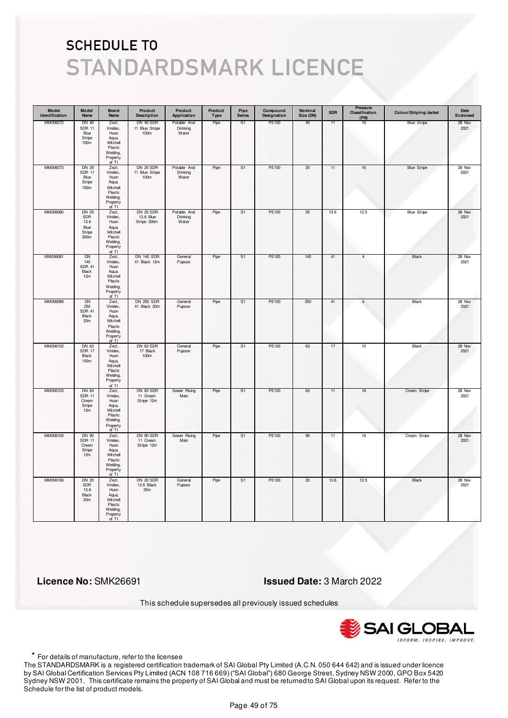| Model<br>Identification | Model<br>Name                                                     | Brand<br>Name                                                                              | Product<br><b>Description</b>              | Product<br>Application           | Product<br>Type | Pipe<br><b>Series</b> | Compound<br>Designation | Nominal<br>Size (DN) | <b>SDR</b> | Pressure<br>Classification<br>(PN) | Colour/Striping/Jacket | Date<br>Endorsed |
|-------------------------|-------------------------------------------------------------------|--------------------------------------------------------------------------------------------|--------------------------------------------|----------------------------------|-----------------|-----------------------|-------------------------|----------------------|------------|------------------------------------|------------------------|------------------|
| MM006072                | DN 40<br><b>SDR 11</b><br>Blue<br>Stripe<br>100 <sub>m</sub>      | Zezt,<br>Vinidex,<br>Huon<br>Aqua,<br>Mitchell<br>Plastic<br>Welding,<br>Property<br>of TI | DN 40 SDR<br>11 Blue Stripe<br>100m        | Potable And<br>Drinking<br>Water | Pipe            | S1                    | PE100                   | 40                   | 11         | 16                                 | <b>Blue Stripe</b>     | 28 Nov<br>2021   |
| MM006073                | <b>DN 25</b><br><b>SDR 11</b><br>Blue<br>Stripe<br>100m           | Zezt,<br>Vinidex,<br>Huon<br>Aqua,<br>Mitchell<br>Plastic<br>Welding,<br>Property<br>of TI | <b>DN 25 SDR</b><br>11 Blue Stripe<br>100m | Potable And<br>Drinking<br>Water | Pipe            | S <sub>1</sub>        | PE100                   | 25                   | 11         | $16\,$                             | <b>Blue Stripe</b>     | 28 Nov<br>2021   |
| MM006080                | <b>DN 25</b><br>SDR<br>13.6<br>Blue<br>Stripe<br>300 <sub>m</sub> | Zezt,<br>Vinidex,<br>Huon<br>Aqua,<br>Mitchell<br>Plastic<br>Welding,<br>Property<br>of TI | DN 25 SDR<br>13.6 Blue<br>Stripe 300m      | Potable And<br>Drinking<br>Water | Pipe            | S <sub>1</sub>        | PE100                   | 25                   | 13.6       | 12.5                               | <b>Blue Stripe</b>     | 28 Nov<br>2021   |
| MM006081                | DN<br>140<br><b>SDR 41</b><br>Black<br>12m                        | Zezt,<br>Vinidex,<br>Huon<br>Aqua,<br>Mitchell<br>Plastic<br>Welding,<br>Property<br>of TI | <b>DN 140 SDR</b><br>41 Black 12m          | General<br>Pupose                | Pipe            | S1                    | PE100                   | 140                  | 41         | 4                                  | Black                  | 28 Nov<br>2021   |
| MM006089                | <b>DN</b><br>250<br><b>SDR 41</b><br>Black<br>20m                 | Zezt,<br>Vinidex,<br>Huon<br>Aqua,<br>Mitchell<br>Plastic<br>Welding,<br>Property<br>of TI | <b>DN 250 SDR</b><br>41 Black 20m          | General<br>Pupose                | Pipe            | S <sub>1</sub>        | PE100                   | 250                  | 41         | $\overline{4}$                     | Black                  | 28 Nov<br>2021   |
| MM006102                | DN 63<br>SDR 17<br>Black<br>100m                                  | Zezt,<br>Vinidex,<br>Huon<br>Aqua,<br>Mitchell<br>Plastic<br>Welding,<br>Property<br>of TI | DN 63 SDR<br>17 Black<br>100m              | General<br>Pupose                | Pipe            | S <sub>1</sub>        | <b>PE100</b>            | 63                   | 17         | 10                                 | <b>Black</b>           | 28 Nov<br>2021   |
| MM006103                | DN 63<br><b>SDR 11</b><br>Cream<br>Stripe<br>12m                  | Zezt,<br>Vinidex,<br>Huon<br>Aqua,<br>Mitchell<br>Plastic<br>Welding,<br>Property<br>of TI | DN 63 SDR<br>11 Cream<br>Stripe 12m        | Sewer Rising<br>Main             | Pipe            | S1                    | PE100                   | 63                   | 11         | 16                                 | Cream Stripe           | 28 Nov<br>2021   |
| MM006105                | DN 90<br><b>SDR 11</b><br>Cream<br>Stripe<br>12m                  | Zezt,<br>Vinidex,<br>Huon<br>Aqua,<br>Mitchell<br>Plastic<br>Welding,<br>Property<br>of TI | DN 90 SDR<br>11 Cream<br>Stripe 12m        | Sewer Rising<br>Main             | Pipe            | S <sub>1</sub>        | PE100                   | 90                   | 11         | 16                                 | Cream Stripe           | 28 Nov<br>2021   |
| MM006106                | <b>DN 20</b><br><b>SDR</b><br>13.6<br>Black<br>20m                | Zezt,<br>Vinidex,<br>Huon<br>Aqua,<br>Mitchell<br>Plastic<br>Welding,<br>Property<br>of TI | DN 20 SDR<br>13.6 Black<br>20m             | General<br>Pupose                | Pipe            | S1                    | PE100                   | 20                   | 13.6       | 12.5                               | <b>Black</b>           | 28 Nov<br>2021   |

 **Licence No:** SMK26691 **Issued Date:** 3 March 2022

This schedule supersedes all previously issued schedules



\* For details of manufacture, refer to the licensee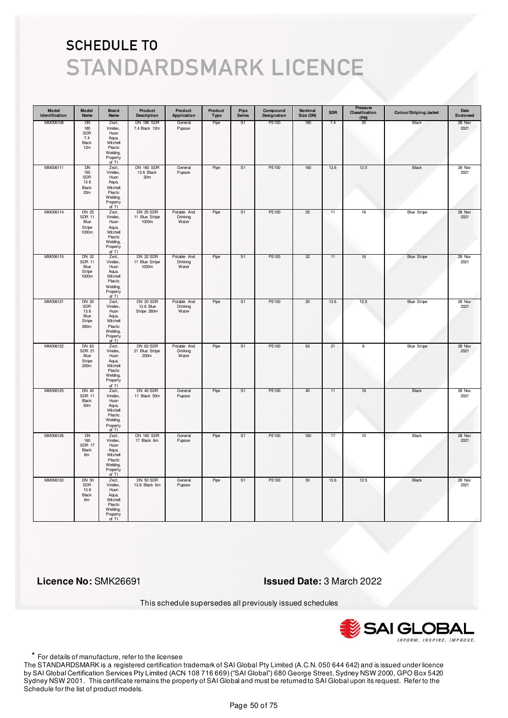| Model<br>Identification | Model<br>Name                                         | <b>Brand</b><br>Name                                                                       | Product<br><b>Description</b>               | Product<br>Application           | Product<br>Type | Pipe<br><b>Series</b> | Compound<br>Designation | Nominal<br>Size (DN) | <b>SDR</b> | Pressure<br>Classification<br>(PN) | Colour/Striping/Jacket | Date<br>Endorsed |
|-------------------------|-------------------------------------------------------|--------------------------------------------------------------------------------------------|---------------------------------------------|----------------------------------|-----------------|-----------------------|-------------------------|----------------------|------------|------------------------------------|------------------------|------------------|
| MM006108                | DN<br>180<br>SDR<br>7.4<br>Black<br>12m               | Zezt,<br>Vinidex,<br>Huon<br>Aqua,<br>Mitchell<br>Plastic<br>Welding,<br>Property<br>of TI | <b>DN 180 SDR</b><br>7.4 Black 12m          | General<br>Pupose                | Pipe            | S <sub>1</sub>        | PE100                   | 180                  | 7.4        | 25                                 | Black                  | 28 Nov<br>2021   |
| MM006111                | <b>DN</b><br>160<br>SDR<br>13.6<br>Black<br>20m       | Zezt,<br>Vinidex,<br>Huon<br>Aqua,<br>Mitchell<br>Plastic<br>Welding,<br>Property<br>of TI | <b>DN 160 SDR</b><br>13.6 Black<br>20m      | General<br>Pupose                | Pipe            | S <sub>1</sub>        | PE100                   | 160                  | 13.6       | 12.5                               | Black                  | 28 Nov<br>2021   |
| MM006114                | DN 25<br><b>SDR 11</b><br>Blue<br>Stripe<br>1000m     | Zezt,<br>Vinidex,<br>Huon<br>Aqua,<br>Mitchell<br>Plastic<br>Welding,<br>Property<br>of TI | <b>DN 25 SDR</b><br>11 Blue Stripe<br>1000m | Potable And<br>Drinking<br>Water | Pipe            | S <sub>1</sub>        | PE100                   | 25                   | 11         | 16                                 | <b>Blue Stripe</b>     | 28 Nov<br>2021   |
| MM006115                | DN 32<br><b>SDR 11</b><br>Blue<br>Stripe<br>1000m     | Zezt,<br>Vinidex,<br>Huon<br>Aqua,<br>Mitchell<br>Plastic<br>Welding,<br>Property<br>of TI | DN 32 SDR<br>11 Blue Stripe<br>1000m        | Potable And<br>Drinking<br>Water | Pipe            | S1                    | PE100                   | 32                   | 11         | 16                                 | <b>Blue Stripe</b>     | 28 Nov<br>2021   |
| MM006121                | <b>DN 20</b><br>SDR<br>13.6<br>Blue<br>Stripe<br>260m | Zezt,<br>Vinidex,<br>Huon<br>Aqua,<br>Mitchell<br>Plastic<br>Welding,<br>Property<br>of TI | DN 20 SDR<br>13.6 Blue<br>Stripe 260m       | Potable And<br>Drinking<br>Water | Pipe            | S <sub>1</sub>        | PE100                   | 20                   | 13.6       | 12.5                               | <b>Blue Stripe</b>     | 28 Nov<br>2021   |
| MM006122                | DN 63<br><b>SDR 21</b><br>Blue<br>Stripe<br>200m      | Zezt,<br>Vinidex,<br>Huon<br>Aqua,<br>Mitchell<br>Plastic<br>Welding,<br>Property<br>of TI | DN 63 SDR<br>21 Blue Stripe<br>200m         | Potable And<br>Drinking<br>Water | Pipe            | S <sub>1</sub>        | <b>PE100</b>            | 63                   | 21         | 8                                  | <b>Blue Stripe</b>     | 28 Nov<br>2021   |
| MM006125                | DN 40<br><b>SDR 11</b><br>Black<br>50m                | Zezt,<br>Vinidex,<br>Huon<br>Aqua,<br>Mitchell<br>Plastic<br>Welding,<br>Property<br>of TI | DN 40 SDR<br>11 Black 50m                   | General<br>Pupose                | Pipe            | S1                    | PE100                   | 40                   | 11         | 16                                 | Black                  | 28 Nov<br>2021   |
| MM006126                | <b>DN</b><br>160<br><b>SDR 17</b><br>Black<br>6m      | Zezt,<br>Vinidex,<br>Huon<br>Aqua,<br>Mitchell<br>Plastic<br>Welding,<br>Property<br>of TI | <b>DN 160 SDR</b><br>17 Black 6m            | General<br>Pupose                | Pipe            | S <sub>1</sub>        | PE100                   | 160                  | 17         | 10                                 | <b>Black</b>           | 28 Nov<br>2021   |
| MM006130                | <b>DN 50</b><br><b>SDR</b><br>13.6<br>Black<br>6m     | Zezt,<br>Vinidex,<br>Huon<br>Aqua,<br>Mitchell<br>Plastic<br>Welding,<br>Property<br>of TI | DN 50 SDR<br>13.6 Black 6m                  | General<br>Pupose                | Pipe            | S <sub>1</sub>        | PE100                   | 50                   | 13.6       | 12.5                               | <b>Black</b>           | 28 Nov<br>2021   |

 **Licence No:** SMK26691 **Issued Date:** 3 March 2022

This schedule supersedes all previously issued schedules



\* For details of manufacture, refer to the licensee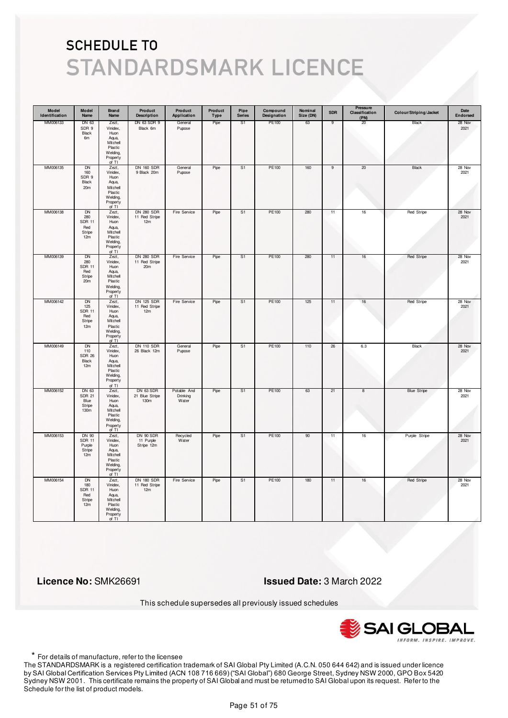| Model<br>Identification | Model<br>Name                                                  | <b>Brand</b><br>Name                                                                       | Product<br><b>Description</b>                         | Product<br>Application           | Product<br>Type | Pipe<br><b>Series</b> | Compound<br>Designation | Nominal<br>Size (DN) | <b>SDR</b>     | Pressure<br>Classification<br>(PN) | Colour/Striping/Jacket | Date<br>Endorsed |
|-------------------------|----------------------------------------------------------------|--------------------------------------------------------------------------------------------|-------------------------------------------------------|----------------------------------|-----------------|-----------------------|-------------------------|----------------------|----------------|------------------------------------|------------------------|------------------|
| MM006133                | DN 63<br>SDR 9<br>Black<br>6m                                  | Zezt,<br>Vinidex,<br>Huon<br>Aqua,<br>Mitchell<br>Plastic<br>Welding,<br>Property<br>of TI | DN 63 SDR 9<br>Black 6m                               | General<br>Pupose                | Pipe            | S1                    | PE100                   | 63                   | 9              | 20                                 | Black                  | 28 Nov<br>2021   |
| MM006135                | <b>DN</b><br>160<br>SDR 9<br>Black<br>20 <sub>m</sub>          | Zezt,<br>Vinidex,<br>Huon<br>Aqua,<br>Mitchell<br>Plastic<br>Welding,<br>Property<br>of TI | <b>DN 160 SDR</b><br>9 Black 20m                      | General<br>Pupose                | Pipe            | S <sub>1</sub>        | PE100                   | 160                  | $\overline{9}$ | 20                                 | Black                  | 28 Nov<br>2021   |
| MM006138                | <b>DN</b><br>280<br><b>SDR 11</b><br>Red<br>Stripe<br>12m      | Zezt,<br>Vinidex,<br>Huon<br>Aqua,<br>Mitchell<br>Plastic<br>Welding,<br>Property<br>of TI | <b>DN 280 SDR</b><br>11 Red Stripe<br>12m             | Fire Service                     | Pipe            | S <sub>1</sub>        | PE100                   | 280                  | 11             | 16                                 | Red Stripe             | 28 Nov<br>2021   |
| MM006139                | DN<br>280<br><b>SDR 11</b><br>Red<br>Stripe<br>20 <sub>m</sub> | Zezt,<br>Vinidex,<br>Huon<br>Aqua,<br>Mitchell<br>Plastic<br>Welding,<br>Property<br>of TI | <b>DN 280 SDR</b><br>11 Red Stripe<br>20 <sub>m</sub> | Fire Service                     | Pipe            | S1                    | PE100                   | 280                  | 11             | 16                                 | <b>Red Stripe</b>      | 28 Nov<br>2021   |
| MM006142                | DN<br>125<br><b>SDR 11</b><br>Red<br>Stripe<br>12m             | Zezt,<br>Vinidex,<br>Huon<br>Aqua,<br>Mitchell<br>Plastic<br>Welding,<br>Property<br>of TI | <b>DN 125 SDR</b><br>11 Red Stripe<br>12m             | Fire Service                     | Pipe            | S <sub>1</sub>        | PE100                   | 125                  | 11             | 16                                 | Red Stripe             | 28 Nov<br>2021   |
| MM006149                | <b>DN</b><br>110<br><b>SDR 26</b><br>Black<br>12m              | Zezt,<br>Vinidex,<br>Huon<br>Aqua,<br>Mitchell<br>Plastic<br>Welding,<br>Property<br>of TI | <b>DN 110 SDR</b><br>26 Black 12m                     | General<br>Pupose                | Pipe            | S <sub>1</sub>        | PE100                   | 110                  | 26             | 6.3                                | <b>Black</b>           | 28 Nov<br>2021   |
| MM006152                | DN 63<br><b>SDR 21</b><br>Blue<br>Stripe<br>130 <sub>m</sub>   | Zezt,<br>Vinidex,<br>Huon<br>Aqua,<br>Mitchell<br>Plastic<br>Welding,<br>Property<br>of TI | DN 63 SDR<br>21 Blue Stripe<br>130m                   | Potable And<br>Drinking<br>Water | Pipe            | S1                    | PE100                   | 63                   | 21             | 8                                  | <b>Blue Stripe</b>     | 28 Nov<br>2021   |
| MM006153                | DN 90<br><b>SDR 11</b><br>Purple<br>Stripe<br>12m              | Zezt,<br>Vinidex,<br>Huon<br>Aqua,<br>Mitchell<br>Plastic<br>Welding,<br>Property<br>of TI | DN 90 SDR<br>11 Purple<br>Stripe 12m                  | Recycled<br>Water                | Pipe            | S <sub>1</sub>        | PE100                   | 90                   | 11             | 16                                 | Purple Stripe          | 28 Nov<br>2021   |
| MM006154                | <b>DN</b><br>180<br><b>SDR 11</b><br>Red<br>Stripe<br>12m      | Zezt,<br>Vinidex,<br>Huon<br>Aqua,<br>Mitchell<br>Plastic<br>Welding,<br>Property<br>of TI | <b>DN 180 SDR</b><br>11 Red Stripe<br>12m             | Fire Service                     | Pipe            | S <sub>1</sub>        | PE100                   | 180                  | 11             | 16                                 | Red Stripe             | 28 Nov<br>2021   |

 **Licence No:** SMK26691 **Issued Date:** 3 March 2022

This schedule supersedes all previously issued schedules



\* For details of manufacture, refer to the licensee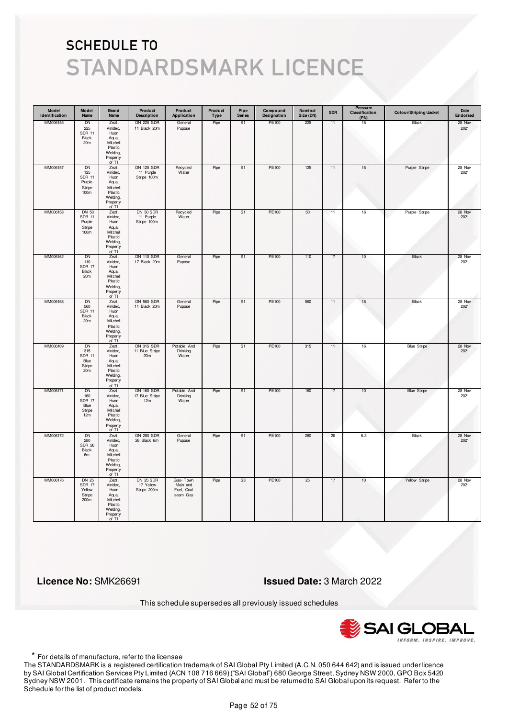| Model<br>Identification | Model<br>Name                                                          | <b>Brand</b><br>Name                                                                          | Product<br><b>Description</b>                | Product<br>Application                         | Product<br>Type | Pipe<br><b>Series</b> | Compound<br>Designation | Nominal<br>Size (DN) | <b>SDR</b> | Pressure<br>Classification<br>(PN) | Colour/Striping/Jacket | Date<br>Endorsed |
|-------------------------|------------------------------------------------------------------------|-----------------------------------------------------------------------------------------------|----------------------------------------------|------------------------------------------------|-----------------|-----------------------|-------------------------|----------------------|------------|------------------------------------|------------------------|------------------|
| MM006155                | DN<br>225<br><b>SDR 11</b><br>Black<br>20 <sub>m</sub>                 | Zezt,<br>Vinidex,<br>Huon<br>Aqua,<br>Mitchell<br>Plastic<br>Welding,<br>Property<br>of TI    | <b>DN 225 SDR</b><br>11 Black 20m            | General<br>Pupose                              | Pipe            | S1                    | PE100                   | 225                  | 11         | 16                                 | Black                  | 28 Nov<br>2021   |
| MM006157                | DN<br>125<br><b>SDR 11</b><br>Purple<br>Stripe<br>100m                 | Zezt,<br>Vinidex,<br>Huon<br>Aqua,<br>Mitchell<br>Plastic<br>Welding,<br>Property<br>of TI    | DN 125 SDR<br>11 Purple<br>Stripe 100m       | Recycled<br>Water                              | Pipe            | S1                    | PE100                   | 125                  | 11         | $16\,$                             | Purple Stripe          | 28 Nov<br>2021   |
| MM006158                | DN 50<br><b>SDR 11</b><br>Purple<br>Stripe<br>100m                     | Zezt,<br>Vinidex,<br>Huon<br>Aqua,<br>Mitchell<br>Plastic<br>Welding,<br>Property<br>of TI    | DN 50 SDR<br>11 Purple<br>Stripe 100m        | Recycled<br>Water                              | Pipe            | S <sub>1</sub>        | PE100                   | 50                   | 11         | $16\,$                             | Purple Stripe          | 28 Nov<br>2021   |
| MM006162                | DN<br>110<br><b>SDR 17</b><br>Black<br>20 <sub>m</sub>                 | Zezt,<br>Vinidex,<br>$H$ uon<br>Aqua,<br>Mitchell<br>Plastic<br>Welding,<br>Property<br>of TI | <b>DN 110 SDR</b><br>17 Black 20m            | General<br>Pupose                              | Pipe            | S1                    | PE100                   | 110                  | 17         | 10                                 | Black                  | 28 Nov<br>2021   |
| MM006168                | DN<br>560<br><b>SDR 11</b><br>Black<br>20m                             | Zezt,<br>Vinidex,<br>Huon<br>Aqua,<br>Mitchell<br>Plastic<br>Welding,<br>Property<br>of TI    | <b>DN 560 SDR</b><br>11 Black 20m            | General<br>Pupose                              | Pipe            | S1                    | PE100                   | 560                  | 11         | 16                                 | Black                  | 28 Nov<br>2021   |
| MM006169                | <b>DN</b><br>315<br><b>SDR 11</b><br>Blue<br>Stripe<br>20 <sub>m</sub> | Zezt,<br>Vinidex,<br>Huon<br>Aqua,<br>Mitchell<br>Plastic<br>Welding,<br>Property<br>of TI    | <b>DN 315 SDR</b><br>11 Blue Stripe<br>20m   | Potable And<br>Drinking<br>Water               | Pipe            | S <sub>1</sub>        | <b>PE100</b>            | 315                  | 11         | 16                                 | <b>Blue Stripe</b>     | 28 Nov<br>2021   |
| MM006171                | DN<br>160<br><b>SDR 17</b><br>Blue<br>Stripe<br>12m                    | Zezt,<br>Vinidex,<br>Huon<br>Aqua,<br>Mitchell<br>Plastic<br>Welding,<br>Property<br>of TI    | <b>DN 160 SDR</b><br>17 Blue Stripe<br>12m   | Potable And<br>Drinking<br>Water               | Pipe            | S1                    | PE100                   | 160                  | 17         | 10                                 | <b>Blue Stripe</b>     | 28 Nov<br>2021   |
| MM006172                | <b>DN</b><br>280<br><b>SDR 26</b><br>Black<br>6m                       | Zezt,<br>Vinidex,<br>Huon<br>Aqua,<br>Mitchell<br>Plastic<br>Welding,<br>Property<br>of TI    | <b>DN 280 SDR</b><br>26 Black 6m             | General<br>Pupose                              | Pipe            | S <sub>1</sub>        | PE100                   | 280                  | 26         | 6.3                                | <b>Black</b>           | 28 Nov<br>2021   |
| MM006176                | <b>DN 25</b><br><b>SDR 17</b><br>Yellow<br>Stripe<br>200 <sub>m</sub>  | Zezt,<br>Vinidex,<br>Huon<br>Aqua,<br>Mitchell<br>Plastic<br>Welding,<br>Property<br>of TI    | <b>DN 25 SDR</b><br>17 Yellow<br>Stripe 200m | Gas-Town<br>Main and<br>Fuel, Coal<br>seam Gas | Pipe            | S <sub>3</sub>        | PE100                   | 25                   | 17         | 10                                 | Yellow Stripe          | 28 Nov<br>2021   |

 **Licence No:** SMK26691 **Issued Date:** 3 March 2022

This schedule supersedes all previously issued schedules



\* For details of manufacture, refer to the licensee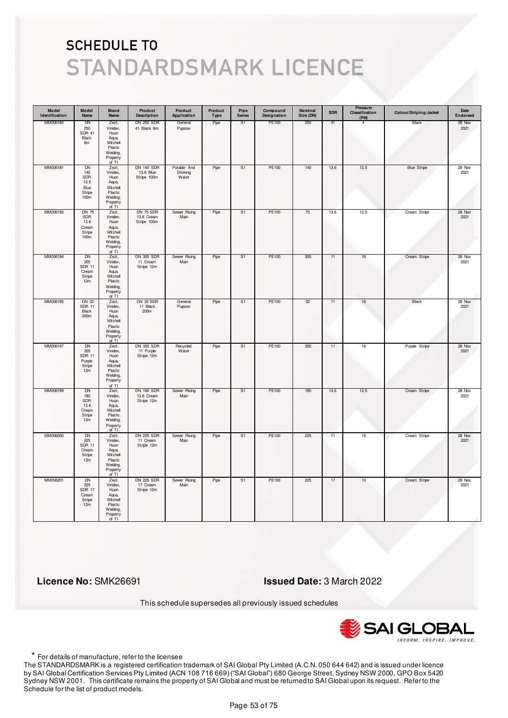| Model<br>Identification | Model<br>Name                                                      | <b>Brand</b><br>Name                                                                       | Product<br><b>Description</b>                 | Product<br>Application           | Product<br>Type | Pipe<br><b>Series</b> | Compound<br>Designation | Nominal<br>Size (DN) | <b>SDR</b> | Pressure<br>Classification<br>(PN) | Colour/Striping/Jacket | Date<br>Endorsed |
|-------------------------|--------------------------------------------------------------------|--------------------------------------------------------------------------------------------|-----------------------------------------------|----------------------------------|-----------------|-----------------------|-------------------------|----------------------|------------|------------------------------------|------------------------|------------------|
| MM006180                | DN<br>250<br><b>SDR 41</b><br>Black<br>6m                          | Zezt,<br>Vinidex,<br>Huon<br>Aqua,<br>Mitchell<br>Plastic<br>Welding,<br>Property<br>of TI | <b>DN 250 SDR</b><br>41 Black 6m              | General<br>Pupose                | Pipe            | S1                    | PE100                   | 250                  | 41         | 4                                  | Black                  | 28 Nov<br>2021   |
| MM006181                | <b>DN</b><br>140<br>SDR<br>13.6<br>Blue<br>Stripe<br>100m          | Zezt,<br>Vinidex,<br>Huon<br>Aqua,<br>Mitchell<br>Plastic<br>Welding,<br>Property<br>of TI | <b>DN 140 SDR</b><br>13.6 Blue<br>Stripe 100m | Potable And<br>Drinking<br>Water | Pipe            | S1                    | PE100                   | 140                  | 13.6       | 12.5                               | <b>Blue Stripe</b>     | 28 Nov<br>2021   |
| MM006193                | <b>DN 75</b><br>SDR<br>13.6<br>Cream<br>Stripe<br>100 <sub>m</sub> | Zezt,<br>Vinidex,<br>Huon<br>Aqua,<br>Mitchell<br>Plastic<br>Welding,<br>Property<br>of TI | DN 75 SDR<br>13.6 Cream<br>Stripe 100m        | Sewer Rising<br>Main             | Pipe            | S <sub>1</sub>        | PE100                   | 75                   | 13.6       | 12.5                               | Cream Stripe           | 28 Nov<br>2021   |
| MM006194                | DN<br>355<br><b>SDR 11</b><br>Cream<br>Stripe<br>12m               | Zezt,<br>Vinidex,<br>Huon<br>Aqua,<br>Mitchell<br>Plastic<br>Welding,<br>Property<br>of TI | DN 355 SDR<br>11 Cream<br>Stripe 12m          | Sewer Rising<br>Main             | Pipe            | S1                    | PE100                   | 355                  | 11         | 16                                 | Cream Stripe           | 28 Nov<br>2021   |
| MM006195                | <b>DN 32</b><br><b>SDR 11</b><br>Black<br>200m                     | Zezt,<br>Vinidex,<br>Huon<br>Aqua,<br>Mitchell<br>Plastic<br>Welding,<br>Property<br>of TI | DN 32 SDR<br>11 Black<br>200m                 | General<br>Pupose                | Pipe            | S1                    | PE100                   | 32                   | 11         | 16                                 | Black                  | 28 Nov<br>2021   |
| MM006197                | <b>DN</b><br>355<br><b>SDR 11</b><br>Purple<br>Stripe<br>12m       | Zezt,<br>Vinidex,<br>Huon<br>Aqua,<br>Mitchell<br>Plastic<br>Welding,<br>Property<br>of TI | <b>DN 355 SDR</b><br>11 Purple<br>Stripe 12m  | Recycled<br>Water                | Pipe            | S <sub>1</sub>        | <b>PE100</b>            | 355                  | 11         | 16                                 | Purple Stripe          | 28 Nov<br>2021   |
| MM006199                | DN<br>180<br>SDR<br>13.6<br>Cream<br>Stripe<br>12m                 | Zezt,<br>Vinidex,<br>Huon<br>Aqua,<br>Mitchell<br>Plastic<br>Welding,<br>Property<br>of TI | <b>DN 180 SDR</b><br>13.6 Cream<br>Stripe 12m | Sewer Rising<br>Main             | Pipe            | S1                    | PE100                   | 180                  | 13.6       | 12.5                               | Cream Stripe           | 28 Nov<br>2021   |
| MM006200                | <b>DN</b><br>225<br><b>SDR 11</b><br>Cream<br>Stripe<br>12m        | Zezt,<br>Vinidex,<br>Huon<br>Aqua,<br>Mitchell<br>Plastic<br>Welding,<br>Property<br>of TI | <b>DN 225 SDR</b><br>11 Cream<br>Stripe 12m   | Sewer Rising<br>Main             | Pipe            | S <sub>1</sub>        | <b>PE100</b>            | 225                  | 11         | 16                                 | Cream Stripe           | 28 Nov<br>2021   |
| MM006201                | <b>DN</b><br>225<br><b>SDR 17</b><br>Cream<br>Stripe<br>12m        | Zezt,<br>Vinidex,<br>Huon<br>Aqua,<br>Mitchell<br>Plastic<br>Welding,<br>Property<br>of TI | <b>DN 225 SDR</b><br>17 Cream<br>Stripe 12m   | Sewer Rising<br>Main             | Pipe            | S <sub>1</sub>        | PE100                   | 225                  | 17         | 10                                 | Cream Stripe           | 28 Nov<br>2021   |

 **Licence No:** SMK26691 **Issued Date:** 3 March 2022

This schedule supersedes all previously issued schedules



\* For details of manufacture, refer to the licensee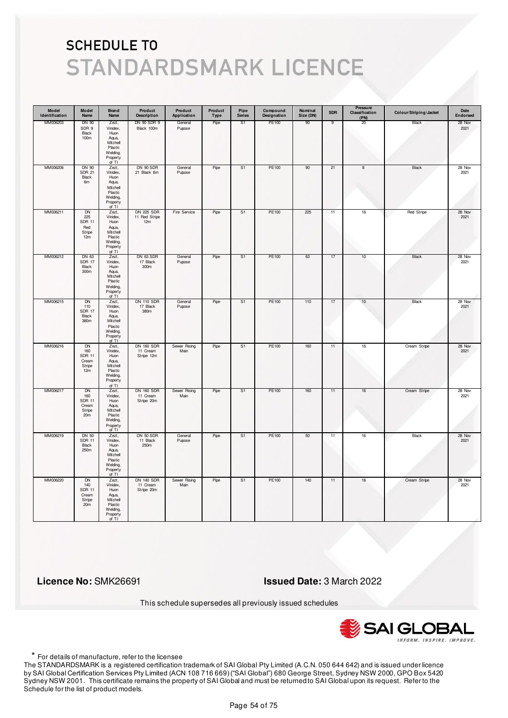| Model<br>Identification | Model<br>Name                                                    | <b>Brand</b><br>Name                                                                       | Product<br><b>Description</b>               | Product<br>Application | Product<br><b>Type</b> | Pipe<br><b>Series</b> | Compound<br>Designation | Nominal<br>Size (DN) | <b>SDR</b> | Pressure<br>Classification<br>(PN) | Colour/Striping/Jacket | Date<br>Endorsed |
|-------------------------|------------------------------------------------------------------|--------------------------------------------------------------------------------------------|---------------------------------------------|------------------------|------------------------|-----------------------|-------------------------|----------------------|------------|------------------------------------|------------------------|------------------|
| MM006203                | <b>DN 90</b><br>SDR 9<br>Black<br>100m                           | Zezt,<br>Vinidex,<br>Huon<br>Aqua,<br>Mitchell<br>Plastic<br>Welding,<br>Property<br>of TI | DN 90 SDR 9<br>Black 100m                   | General<br>Pupose      | Pipe                   | S1                    | PE100                   | 90                   | 9          | 20                                 | Black                  | 28 Nov<br>2021   |
| MM006206                | DN 90<br><b>SDR 21</b><br>Black<br>6m                            | Zezt,<br>Vinidex,<br>Huon<br>Aqua,<br>Mitchell<br>Plastic<br>Welding,<br>Property<br>of TI | DN 90 SDR<br>21 Black 6m                    | General<br>Pupose      | Pipe                   | S <sub>1</sub>        | PE100                   | 90                   | 21         | 8                                  | Black                  | 28 Nov<br>2021   |
| MM006211                | <b>DN</b><br>225<br><b>SDR 11</b><br>Red<br>Stripe<br>12m        | Zezt,<br>Vinidex,<br>Huon<br>Aqua,<br>Mitchell<br>Plastic<br>Welding,<br>Property<br>of TI | <b>DN 225 SDR</b><br>11 Red Stripe<br>12m   | Fire Service           | Pipe                   | S1                    | PE100                   | 225                  | 11         | 16                                 | Red Stripe             | 28 Nov<br>2021   |
| MM006212                | DN 63<br><b>SDR 17</b><br>Black<br>300m                          | Zezt,<br>Vinidex,<br>Huon<br>Aqua,<br>Mitchell<br>Plastic<br>Welding,<br>Property<br>of TI | DN 63 SDR<br>17 Black<br>300m               | General<br>Pupose      | Pipe                   | S1                    | PE100                   | 63                   | 17         | 10                                 | Black                  | 28 Nov<br>2021   |
| MM006215                | DN<br>110<br><b>SDR 17</b><br>Black<br>380m                      | Zezt,<br>Vinidex,<br>Huon<br>Aqua,<br>Mitchell<br>Plastic<br>Welding,<br>Property<br>of TI | <b>DN 110 SDR</b><br>17 Black<br>380m       | General<br>Pupose      | Pipe                   | S1                    | PE100                   | 110                  | 17         | $10$                               | Black                  | 28 Nov<br>2021   |
| MM006216                | <b>DN</b><br>160<br><b>SDR 11</b><br>Cream<br>Stripe<br>12m      | Zezt,<br>Vinidex,<br>Huon<br>Aqua,<br>Mitchell<br>Plastic<br>Welding,<br>Property<br>of TI | <b>DN 160 SDR</b><br>11 Cream<br>Stripe 12m | Sewer Rising<br>Main   | Pipe                   | S <sub>1</sub>        | PE100                   | 160                  | 11         | 16                                 | Cream Stripe           | 28 Nov<br>2021   |
| MM006217                | DN<br>160<br><b>SDR 11</b><br>Cream<br>Stripe<br>20 <sub>m</sub> | Zezt,<br>Vinidex,<br>Huon<br>Aqua,<br>Mitchell<br>Plastic<br>Welding,<br>Property<br>of TI | <b>DN 160 SDR</b><br>11 Cream<br>Stripe 20m | Sewer Rising<br>Main   | Pipe                   | S1                    | PE100                   | 160                  | 11         | 16                                 | Cream Stripe           | 28 Nov<br>2021   |
| MM006219                | <b>DN 50</b><br><b>SDR 11</b><br>Black<br>250m                   | Zezt,<br>Vinidex,<br>Huon<br>Aqua,<br>Mitchell<br>Plastic<br>Welding,<br>Property<br>of TI | DN 50 SDR<br>11 Black<br>250m               | General<br>Pupose      | Pipe                   | S <sub>1</sub>        | PE100                   | 50                   | 11         | 16                                 | <b>Black</b>           | 28 Nov<br>2021   |
| MM006220                | <b>DN</b><br>140<br><b>SDR 11</b><br>Cream<br>Stripe<br>20m      | Zezt,<br>Vinidex,<br>Huon<br>Aqua,<br>Mitchell<br>Plastic<br>Welding,<br>Property<br>of TI | <b>DN 140 SDR</b><br>11 Cream<br>Stripe 20m | Sewer Rising<br>Main   | Pipe                   | S1                    | PE100                   | 140                  | 11         | 16                                 | Cream Stripe           | 28 Nov<br>2021   |

 **Licence No:** SMK26691 **Issued Date:** 3 March 2022

This schedule supersedes all previously issued schedules



\* For details of manufacture, refer to the licensee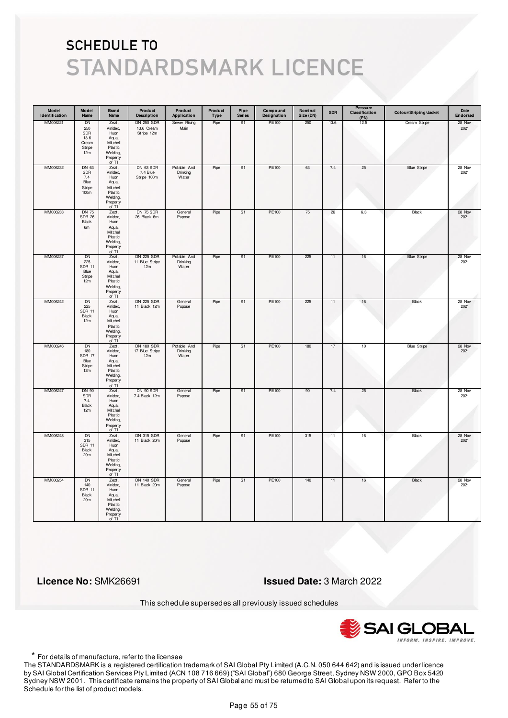| Model<br>Identification | Model<br>Name                                              | <b>Brand</b><br>Name                                                                       | Product<br><b>Description</b>                 | Product<br>Application           | Product<br>Type | Pipe<br><b>Series</b> | Compound<br>Designation | Nominal<br>Size (DN) | <b>SDR</b> | Pressure<br>Classification<br>(PN) | Colour/Striping/Jacket | Date<br>Endorsed |
|-------------------------|------------------------------------------------------------|--------------------------------------------------------------------------------------------|-----------------------------------------------|----------------------------------|-----------------|-----------------------|-------------------------|----------------------|------------|------------------------------------|------------------------|------------------|
| MM006221                | DN<br>250<br>SDR<br>13.6<br>Cream<br>Stripe<br>12m         | Zezt,<br>Vinidex,<br>Huon<br>Aqua,<br>Mitchell<br>Plastic<br>Welding,<br>Property<br>of TI | <b>DN 250 SDR</b><br>13.6 Cream<br>Stripe 12m | Sewer Rising<br>Main             | Pipe            | S <sub>1</sub>        | PE100                   | 250                  | 13.6       | 12.5                               | Cream Stripe           | 28 Nov<br>2021   |
| MM006232                | DN 63<br>SDR<br>7.4<br>Blue<br>Stripe<br>100 <sub>m</sub>  | Zezt,<br>Vinidex,<br>Huon<br>Aqua,<br>Mitchell<br>Plastic<br>Welding,<br>Property<br>of TI | DN 63 SDR<br>7.4 Blue<br>Stripe 100m          | Potable And<br>Drinking<br>Water | Pipe            | S1                    | PE100                   | 63                   | 7.4        | 25                                 | <b>Blue Stripe</b>     | 28 Nov<br>2021   |
| MM006233                | <b>DN 75</b><br><b>SDR 26</b><br>Black<br>6m               | Zezt,<br>Vinidex,<br>Huon<br>Aqua,<br>Mitchell<br>Plastic<br>Welding,<br>Property<br>of TI | DN 75 SDR<br>26 Black 6m                      | General<br>Pupose                | Pipe            | S1                    | PE100                   | 75                   | 26         | 6.3                                | Black                  | 28 Nov<br>2021   |
| MM006237                | DN<br>225<br><b>SDR 11</b><br>Blue<br>Stripe<br>12m        | Zezt,<br>Vinidex.<br>Huon<br>Aqua,<br>Mitchell<br>Plastic<br>Welding,<br>Property<br>of TI | DN 225 SDR<br>11 Blue Stripe<br>12m           | Potable And<br>Drinking<br>Water | Pipe            | S1                    | PE100                   | 225                  | 11         | 16                                 | <b>Blue Stripe</b>     | 28 Nov<br>2021   |
| MM006242                | <b>DN</b><br>225<br><b>SDR 11</b><br>Black<br>12m          | Zezt,<br>Vinidex,<br>Huon<br>Aqua,<br>Mitchell<br>Plastic<br>Welding,<br>Property<br>of TI | <b>DN 225 SDR</b><br>11 Black 12m             | General<br>Pupose                | Pipe            | S1                    | PE100                   | 225                  | 11         | 16                                 | Black                  | 28 Nov<br>2021   |
| MM006246                | <b>DN</b><br>180<br><b>SDR 17</b><br>Blue<br>Stripe<br>12m | Zezt,<br>Vinidex,<br>Huon<br>Aqua,<br>Mitchell<br>Plastic<br>Welding,<br>Property<br>of TI | <b>DN 180 SDR</b><br>17 Blue Stripe<br>12m    | Potable And<br>Drinking<br>Water | Pipe            | S <sub>1</sub>        | PE100                   | 180                  | 17         | 10                                 | <b>Blue Stripe</b>     | 28 Nov<br>2021   |
| MM006247                | <b>DN 90</b><br>SDR<br>7.4<br>Black<br>12m                 | Zezt,<br>Vinidex,<br>Huon<br>Aqua,<br>Mitchell<br>Plastic<br>Welding,<br>Property<br>of TI | DN 90 SDR<br>7.4 Black 12m                    | General<br>Pupose                | Pipe            | S1                    | PE100                   | 90                   | 7.4        | 25                                 | Black                  | 28 Nov<br>2021   |
| MM006248                | DN<br>315<br><b>SDR 11</b><br>Black<br>20m                 | Zezt,<br>Vinidex,<br>Huon<br>Aqua,<br>Mitchell<br>Plastic<br>Welding,<br>Property<br>of TI | <b>DN 315 SDR</b><br>11 Black 20m             | General<br>Pupose                | Pipe            | S1                    | PE100                   | 315                  | 11         | 16                                 | <b>Black</b>           | 28 Nov<br>2021   |
| MM006254                | <b>DN</b><br>140<br><b>SDR 11</b><br>Black<br>20m          | Zezt,<br>Vinidex,<br>Huon<br>Aqua,<br>Mitchell<br>Plastic<br>Welding,<br>Property<br>of TI | <b>DN 140 SDR</b><br>11 Black 20m             | General<br>Pupose                | Pipe            | S1                    | PE100                   | 140                  | 11         | 16                                 | Black                  | 28 Nov<br>2021   |

 **Licence No:** SMK26691 **Issued Date:** 3 March 2022

This schedule supersedes all previously issued schedules



\* For details of manufacture, refer to the licensee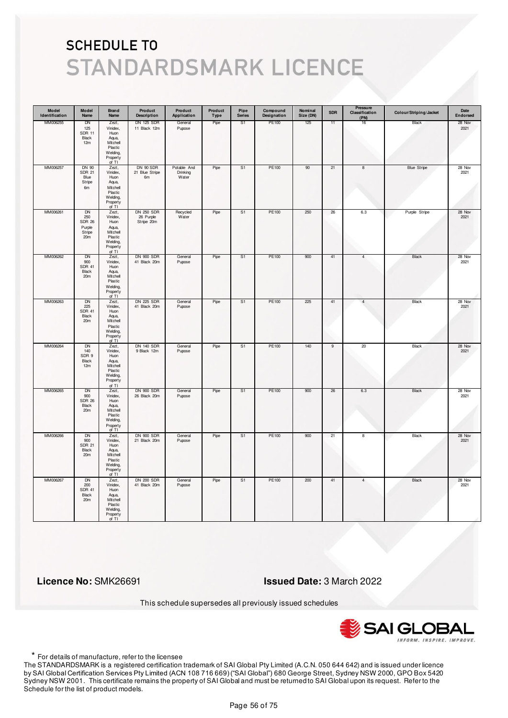| Model<br>Identification | Model<br>Name                                                            | Brand<br>Name                                                                                | Product<br><b>Description</b>                | Product<br>Application           | Product<br><b>Type</b> | Pipe<br><b>Series</b> | Compound<br>Designation | Nominal<br>Size (DN) | <b>SDR</b>     | Pressure<br>Classification<br>(PN) | Colour/Striping/Jacket | Date<br>Endorsed |
|-------------------------|--------------------------------------------------------------------------|----------------------------------------------------------------------------------------------|----------------------------------------------|----------------------------------|------------------------|-----------------------|-------------------------|----------------------|----------------|------------------------------------|------------------------|------------------|
| MM006255                | DN<br>125<br><b>SDR 11</b><br>Black<br>12m                               | Zezt,<br>Vinidex,<br>Huon<br>Aqua,<br>Mitchell<br>Plastic<br>Welding,<br>Property<br>of TI   | <b>DN 125 SDR</b><br>11 Black 12m            | General<br>Pupose                | Pipe                   | S1                    | PE100                   | 125                  | 11             | 16                                 | Black                  | 28 Nov<br>2021   |
| MM006257                | DN 90<br><b>SDR 21</b><br>Blue<br>Stripe<br>6m                           | Zezt,<br>Vinidex,<br>Huon<br>Aqua,<br>Mitchell<br>Plastic<br>Welding,<br>Property<br>of TI   | <b>DN 90 SDR</b><br>21 Blue Stripe<br>6m     | Potable And<br>Drinking<br>Water | Pipe                   | S <sub>1</sub>        | PE100                   | 90                   | 21             | 8                                  | <b>Blue Stripe</b>     | 28 Nov<br>2021   |
| MM006261                | <b>DN</b><br>250<br><b>SDR 26</b><br>Purple<br>Stripe<br>20 <sub>m</sub> | Zezt,<br>Vinidex,<br>Huon<br>Aqua,<br>Mitchell<br>Plastic<br>Welding,<br>Property<br>of TI   | <b>DN 250 SDR</b><br>26 Purple<br>Stripe 20m | Recycled<br>Water                | Pipe                   | S1                    | PE100                   | 250                  | 26             | 6.3                                | Purple Stripe          | 28 Nov<br>2021   |
| MM006262                | DN<br>900<br><b>SDR 41</b><br>Black<br>20m                               | Zezt,<br>Vinidex,<br>Huon<br>Aqua,<br>Mitchell<br>Plastic<br>Welding,<br>Property<br>of $TI$ | <b>DN 900 SDR</b><br>41 Black 20m            | General<br>Pupose                | Pipe                   | S1                    | PE100                   | 900                  | 41             | 4                                  | Black                  | 28 Nov<br>2021   |
| MM006263                | DN<br>225<br><b>SDR 41</b><br>Black<br>20m                               | Zezt,<br>Vinidex,<br>Huon<br>Aqua,<br>Mitchell<br>Plastic<br>Welding,<br>Property<br>of TI   | <b>DN 225 SDR</b><br>41 Black 20m            | General<br>Pupose                | Pipe                   | S1                    | PE100                   | 225                  | 41             | $\overline{4}$                     | Black                  | 28 Nov<br>2021   |
| MM006264                | <b>DN</b><br>140<br>SDR 9<br>Black<br>12m                                | Zezt,<br>Vinidex,<br>Huon<br>Aqua,<br>Mitchell<br>Plastic<br>Welding,<br>Property<br>of TI   | <b>DN 140 SDR</b><br>9 Black 12m             | General<br>Pupose                | Pipe                   | S <sub>1</sub>        | PE100                   | 140                  | $\overline{9}$ | 20                                 | <b>Black</b>           | 28 Nov<br>2021   |
| MM006265                | DN<br>900<br><b>SDR 26</b><br>Black<br>20m                               | Zezt,<br>Vinidex,<br>Huon<br>Aqua,<br>Mitchell<br>Plastic<br>Welding,<br>Property<br>of TI   | <b>DN 900 SDR</b><br>26 Black 20m            | General<br>Pupose                | Pipe                   | S1                    | PE100                   | 900                  | 26             | 6.3                                | Black                  | 28 Nov<br>2021   |
| MM006266                | <b>DN</b><br>900<br><b>SDR 21</b><br>Black<br>20m                        | Zezt,<br>Vinidex,<br>Huon<br>Aqua,<br>Mitchell<br>Plastic<br>Welding,<br>Property<br>of TI   | <b>DN 900 SDR</b><br>21 Black 20m            | General<br>Pupose                | Pipe                   | S <sub>1</sub>        | PE100                   | 900                  | 21             | 8                                  | <b>Black</b>           | 28 Nov<br>2021   |
| MM006267                | <b>DN</b><br>200<br><b>SDR 41</b><br>Black<br>20m                        | Zezt,<br>Vinidex,<br>Huon<br>Aqua,<br>Mitchell<br>Plastic<br>Welding,<br>Property<br>of TI   | <b>DN 200 SDR</b><br>41 Black 20m            | General<br>Pupose                | Pipe                   | S1                    | PE100                   | 200                  | 41             | $\overline{4}$                     | <b>Black</b>           | 28 Nov<br>2021   |

 **Licence No:** SMK26691 **Issued Date:** 3 March 2022

This schedule supersedes all previously issued schedules



\* For details of manufacture, refer to the licensee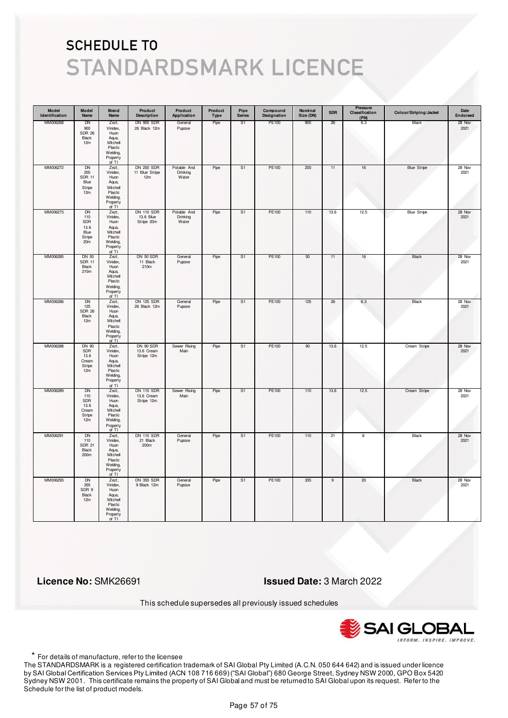| Model<br>Identification | Model<br>Name                                                        | <b>Brand</b><br>Name                                                                       | Product<br><b>Description</b>                 | Product<br>Application           | Product<br>Type | Pipe<br><b>Series</b> | Compound<br>Designation | Nominal<br>Size (DN) | <b>SDR</b> | Pressure<br>Classification<br>(PN) | Colour/Striping/Jacket | Date<br>Endorsed |
|-------------------------|----------------------------------------------------------------------|--------------------------------------------------------------------------------------------|-----------------------------------------------|----------------------------------|-----------------|-----------------------|-------------------------|----------------------|------------|------------------------------------|------------------------|------------------|
| MM006268                | DN<br>900<br><b>SDR 26</b><br>Black<br>12m                           | Zezt,<br>Vinidex,<br>Huon<br>Aqua,<br>Mitchell<br>Plastic<br>Welding,<br>Property<br>of TI | <b>DN 900 SDR</b><br>26 Black 12m             | General<br>Pupose                | Pipe            | S1                    | PE100                   | 900                  | 26         | 6.3                                | Black                  | 28 Nov<br>2021   |
| MM006272                | DN<br>200<br><b>SDR 11</b><br>Blue<br>Stripe<br>12m                  | Zezt,<br>Vinidex,<br>Huon<br>Aqua,<br>Mitchell<br>Plastic<br>Welding,<br>Property<br>of TI | <b>DN 200 SDR</b><br>11 Blue Stripe<br>12m    | Potable And<br>Drinking<br>Water | Pipe            | S1                    | PE100                   | 200                  | 11         | $16\,$                             | <b>Blue Stripe</b>     | 28 Nov<br>2021   |
| MM006273                | <b>DN</b><br>110<br>SDR<br>13.6<br>Blue<br>Stripe<br>20 <sub>m</sub> | Zezt,<br>Vinidex,<br>Huon<br>Aqua,<br>Mitchell<br>Plastic<br>Welding,<br>Property<br>of TI | <b>DN 110 SDR</b><br>13.6 Blue<br>Stripe 20m  | Potable And<br>Drinking<br>Water | Pipe            | S1                    | PE100                   | 110                  | 13.6       | 12.5                               | <b>Blue Stripe</b>     | 28 Nov<br>2021   |
| MM006285                | <b>DN 50</b><br><b>SDR 11</b><br><b>Black</b><br>210m                | Zezt,<br>Vinidex,<br>Huon<br>Aqua,<br>Mitchell<br>Plastic<br>Welding,<br>Property<br>of TI | DN 50 SDR<br>11 Black<br>210m                 | General<br>Pupose                | Pipe            | S1                    | PE100                   | 50                   | 11         | 16                                 | Black                  | 28 Nov<br>2021   |
| MM006286                | <b>DN</b><br>125<br><b>SDR 26</b><br>Black<br>12m                    | Zezt,<br>Vinidex,<br>Huon<br>Aqua,<br>Mitchell<br>Plastic<br>Welding,<br>Property<br>of TI | <b>DN 125 SDR</b><br>26 Black 12m             | General<br>Pupose                | Pipe            | S1                    | PE100                   | 125                  | 26         | 6.3                                | Black                  | 28 Nov<br>2021   |
| MM006288                | <b>DN 90</b><br>SDR<br>13.6<br>Cream<br>Stripe<br>12m                | Zezt,<br>Vinidex,<br>Huon<br>Aqua,<br>Mitchell<br>Plastic<br>Welding,<br>Property<br>of TI | DN 90 SDR<br>13.6 Cream<br>Stripe 12m         | Sewer Rising<br>Main             | Pipe            | S <sub>1</sub>        | <b>PE100</b>            | 90                   | 13.6       | 12.5                               | Cream Stripe           | 28 Nov<br>2021   |
| MM006289                | DN<br>110<br>SDR<br>13.6<br>Cream<br>Stripe<br>12m                   | Zezt,<br>Vinidex,<br>Huon<br>Aqua,<br>Mitchell<br>Plastic<br>Welding,<br>Property<br>of TI | <b>DN 110 SDR</b><br>13.6 Cream<br>Stripe 12m | Sewer Rising<br>Main             | Pipe            | S1                    | PE100                   | 110                  | 13.6       | 12.5                               | Cream Stripe           | 28 Nov<br>2021   |
| MM006291                | <b>DN</b><br>110<br><b>SDR 21</b><br>Black<br>200m                   | Zezt,<br>Vinidex,<br>Huon<br>Aqua,<br>Mitchell<br>Plastic<br>Welding,<br>Property<br>of TI | <b>DN 110 SDR</b><br>21 Black<br>200m         | General<br>Pupose                | Pipe            | S <sub>1</sub>        | <b>PE100</b>            | 110                  | 21         | 8                                  | <b>Black</b>           | 28 Nov<br>2021   |
| MM006293                | <b>DN</b><br>355<br>SDR 9<br>Black<br>12m                            | Zezt,<br>Vinidex,<br>Huon<br>Aqua,<br>Mitchell<br>Plastic<br>Welding,<br>Property<br>of TI | DN 355 SDR<br>9 Black 12m                     | General<br>Pupose                | Pipe            | S <sub>1</sub>        | PE100                   | 355                  | 9          | 20                                 | Black                  | 28 Nov<br>2021   |

 **Licence No:** SMK26691 **Issued Date:** 3 March 2022

This schedule supersedes all previously issued schedules



\* For details of manufacture, refer to the licensee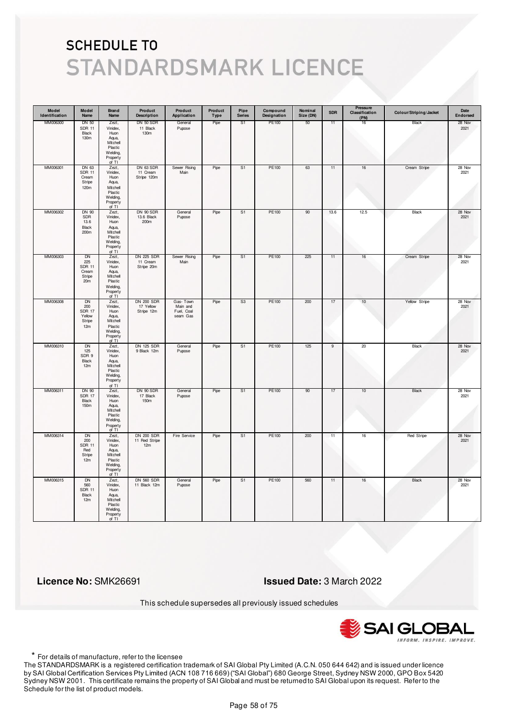| Model<br>Identification | Model<br>Name                                                    | <b>Brand</b><br>Name                                                                       | Product<br><b>Description</b>                | Product<br>Application                         | Product<br>Type | Pipe<br><b>Series</b> | Compound<br>Designation | Nominal<br>Size (DN) | <b>SDR</b>     | Pressure<br>Classification<br>(PN) | Colour/Striping/Jacket | Date<br>Endorsed |
|-------------------------|------------------------------------------------------------------|--------------------------------------------------------------------------------------------|----------------------------------------------|------------------------------------------------|-----------------|-----------------------|-------------------------|----------------------|----------------|------------------------------------|------------------------|------------------|
| MM006300                | <b>DN 50</b><br><b>SDR 11</b><br>Black<br>130m                   | Zezt,<br>Vinidex,<br>Huon<br>Aqua,<br>Mitchell<br>Plastic<br>Welding,<br>Property<br>of TI | DN 50 SDR<br>11 Black<br>130m                | General<br>Pupose                              | Pipe            | S1                    | PE100                   | 50                   | 11             | 16                                 | Black                  | 28 Nov<br>2021   |
| MM006301                | DN 63<br><b>SDR 11</b><br>Cream<br>Stripe<br>120m                | Zezt,<br>Vinidex,<br>Huon<br>Aqua,<br>Mitchell<br>Plastic<br>Welding,<br>Property<br>of TI | DN 63 SDR<br>11 Cream<br>Stripe 120m         | Sewer Rising<br>Main                           | Pipe            | S1                    | PE100                   | 63                   | 11             | $16\,$                             | Cream Stripe           | 28 Nov<br>2021   |
| MM006302                | DN 90<br>SDR<br>13.6<br>Black<br>200m                            | Zezt,<br>Vinidex,<br>Huon<br>Aqua,<br>Mitchell<br>Plastic<br>Welding,<br>Property<br>of TI | DN 90 SDR<br>13.6 Black<br>200m              | General<br>Pupose                              | Pipe            | S1                    | PE100                   | 90                   | 13.6           | 12.5                               | Black                  | 28 Nov<br>2021   |
| MM006303                | DN<br>225<br><b>SDR 11</b><br>Cream<br>Stripe<br>20 <sub>m</sub> | Zezt,<br>Vinidex,<br>Huon<br>Aqua,<br>Mitchell<br>Plastic<br>Welding,<br>Property<br>of TI | <b>DN 225 SDR</b><br>11 Cream<br>Stripe 20m  | Sewer Rising<br>Main                           | Pipe            | S1                    | PE100                   | 225                  | 11             | 16                                 | Cream Stripe           | 28 Nov<br>2021   |
| MM006308                | DN<br>200<br><b>SDR 17</b><br>Yellow<br>Stripe<br>12m            | Zezt,<br>Vinidex,<br>Huon<br>Aqua,<br>Mitchell<br>Plastic<br>Welding,<br>Property<br>of TI | <b>DN 200 SDR</b><br>17 Yellow<br>Stripe 12m | Gas-Town<br>Main and<br>Fuel, Coal<br>seam Gas | Pipe            | S3                    | PE100                   | 200                  | 17             | 10                                 | Yellow Stripe          | 28 Nov<br>2021   |
| MM006310                | <b>DN</b><br>125<br>SDR 9<br>Black<br>12m                        | Zezt,<br>Vinidex,<br>Huon<br>Aqua,<br>Mitchell<br>Plastic<br>Welding,<br>Property<br>of TI | <b>DN 125 SDR</b><br>9 Black 12m             | General<br>Pupose                              | Pipe            | S <sub>1</sub>        | <b>PE100</b>            | 125                  | $\overline{9}$ | 20                                 | <b>Black</b>           | 28 Nov<br>2021   |
| MM006311                | DN 90<br><b>SDR 17</b><br>Black<br>150m                          | Zezt,<br>Vinidex,<br>Huon<br>Aqua,<br>Mitchell<br>Plastic<br>Welding,<br>Property<br>of TI | DN 90 SDR<br>17 Black<br>150m                | General<br>Pupose                              | Pipe            | S1                    | PE100                   | 90                   | 17             | 10                                 | Black                  | 28 Nov<br>2021   |
| MM006314                | <b>DN</b><br>200<br><b>SDR 11</b><br>Red<br>Stripe<br>12m        | Zezt,<br>Vinidex,<br>Huon<br>Aqua,<br>Mitchell<br>Plastic<br>Welding,<br>Property<br>of TI | <b>DN 200 SDR</b><br>11 Red Stripe<br>12m    | Fire Service                                   | Pipe            | S <sub>1</sub>        | <b>PE100</b>            | 200                  | 11             | 16                                 | <b>Red Stripe</b>      | 28 Nov<br>2021   |
| MM006315                | <b>DN</b><br>560<br><b>SDR 11</b><br>Black<br>12m                | Zezt,<br>Vinidex,<br>Huon<br>Aqua,<br>Mitchell<br>Plastic<br>Welding,<br>Property<br>of TI | <b>DN 560 SDR</b><br>11 Black 12m            | General<br>Pupose                              | Pipe            | S <sub>1</sub>        | PE100                   | 560                  | 11             | 16                                 | <b>Black</b>           | 28 Nov<br>2021   |

 **Licence No:** SMK26691 **Issued Date:** 3 March 2022

This schedule supersedes all previously issued schedules



\* For details of manufacture, refer to the licensee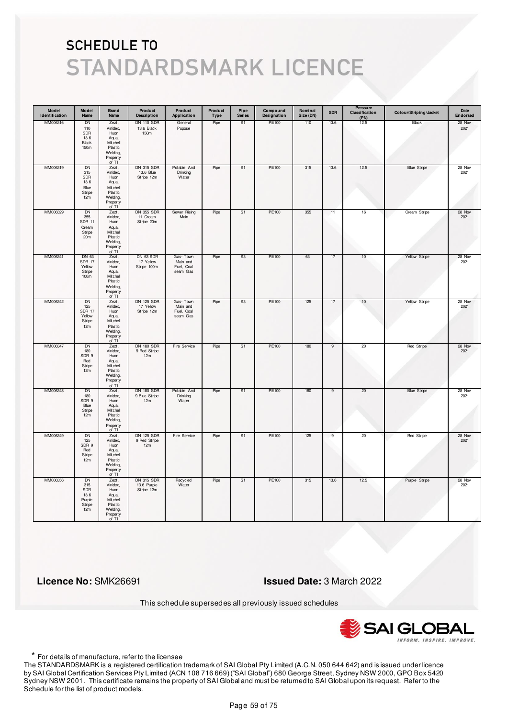| Model<br>Identification | Model<br>Name                                                           | <b>Brand</b><br>Name                                                                       | Product<br><b>Description</b>                  | Product<br>Application                         | Product<br>Type | Pipe<br><b>Series</b> | Compound<br>Designation | Nominal<br>Size (DN) | <b>SDR</b>     | Pressure<br>Classification<br>(PN) | Colour/Striping/Jacket | Date<br>Endorsed |
|-------------------------|-------------------------------------------------------------------------|--------------------------------------------------------------------------------------------|------------------------------------------------|------------------------------------------------|-----------------|-----------------------|-------------------------|----------------------|----------------|------------------------------------|------------------------|------------------|
| MM006316                | DN<br>110<br>SDR<br>13.6<br>Black<br>150m                               | Zezt,<br>Vinidex,<br>Huon<br>Aqua,<br>Mitchell<br>Plastic<br>Welding,<br>Property<br>of TI | <b>DN 110 SDR</b><br>13.6 Black<br>150m        | General<br>Pupose                              | Pipe            | S1                    | PE100                   | 110                  | 13.6           | 12.5                               | Black                  | 28 Nov<br>2021   |
| MM006319                | <b>DN</b><br>315<br>SDR<br>13.6<br>Blue<br>Stripe<br>12m                | Zezt,<br>Vinidex,<br>Huon<br>Aqua,<br>Mitchell<br>Plastic<br>Welding,<br>Property<br>of TI | DN 315 SDR<br>13.6 Blue<br>Stripe 12m          | Potable And<br>Drinking<br>Water               | Pipe            | S1                    | PE100                   | 315                  | 13.6           | 12.5                               | <b>Blue Stripe</b>     | 28 Nov<br>2021   |
| MM006329                | <b>DN</b><br>355<br><b>SDR 11</b><br>Cream<br>Stripe<br>20 <sub>m</sub> | Zezt,<br>Vinidex,<br>Huon<br>Aqua,<br>Mitchell<br>Plastic<br>Welding,<br>Property<br>of TI | <b>DN 355 SDR</b><br>11 Cream<br>Stripe 20m    | Sewer Rising<br>Main                           | Pipe            | S1                    | PE100                   | 355                  | 11             | $16\,$                             | Cream Stripe           | 28 Nov<br>2021   |
| MM006341                | DN 63<br><b>SDR 17</b><br>Yellow<br>Stripe<br>100 <sub>m</sub>          | Zezt,<br>Vinidex,<br>Huon<br>Aqua,<br>Mitchell<br>Plastic<br>Welding,<br>Property<br>of TI | DN 63 SDR<br>17 Yellow<br>Stripe 100m          | Gas-Town<br>Main and<br>Fuel, Coal<br>seam Gas | Pipe            | S3                    | PE100                   | 63                   | 17             | 10                                 | Yellow Stripe          | 28 Nov<br>2021   |
| MM006342                | <b>DN</b><br>125<br><b>SDR 17</b><br>Yellow<br>Stripe<br>12m            | Zezt,<br>Vinidex,<br>Huon<br>Aqua,<br>Mitchell<br>Plastic<br>Welding,<br>Property<br>of TI | <b>DN 125 SDR</b><br>17 Yellow<br>Stripe 12m   | Gas-Town<br>Main and<br>Fuel, Coal<br>seam Gas | Pipe            | S3                    | PE100                   | 125                  | 17             | 10                                 | Yellow Stripe          | 28 Nov<br>2021   |
| MM006347                | <b>DN</b><br>180<br>SDR 9<br>Red<br>Stripe<br>12m                       | Zezt,<br>Vinidex,<br>Huon<br>Aqua,<br>Mitchell<br>Plastic<br>Welding,<br>Property<br>of TI | <b>DN 180 SDR</b><br>9 Red Stripe<br>12m       | Fire Service                                   | Pipe            | S <sub>1</sub>        | <b>PE100</b>            | 180                  | $\overline{9}$ | 20                                 | <b>Red Stripe</b>      | 28 Nov<br>2021   |
| MM006348                | DN<br>180<br>SDR 9<br>Blue<br>Stripe<br>12m                             | Zezt,<br>Vinidex,<br>Huon<br>Aqua,<br>Mitchell<br>Plastic<br>Welding,<br>Property<br>of TI | <b>DN 180 SDR</b><br>9 Blue Stripe<br>12m      | Potable And<br>Drinking<br>Water               | Pipe            | S1                    | PE100                   | 180                  | 9              | 20                                 | <b>Blue Stripe</b>     | 28 Nov<br>2021   |
| MM006349                | <b>DN</b><br>125<br>SDR 9<br>Red<br>Stripe<br>12m                       | Zezt,<br>Vinidex,<br>Huon<br>Aqua,<br>Mitchell<br>Plastic<br>Welding,<br>Property<br>of TI | <b>DN 125 SDR</b><br>9 Red Stripe<br>12m       | Fire Service                                   | Pipe            | S <sub>1</sub>        | PE100                   | 125                  | $\overline{9}$ | 20                                 | Red Stripe             | 28 Nov<br>2021   |
| MM006356                | <b>DN</b><br>315<br>SDR<br>13.6<br>Purple<br>Stripe<br>12m              | Zezt,<br>Vinidex,<br>Huon<br>Aqua,<br>Mitchell<br>Plastic<br>Welding,<br>Property<br>of TI | <b>DN 315 SDR</b><br>13.6 Purple<br>Stripe 12m | Recycled<br>Water                              | Pipe            | S <sub>1</sub>        | PE100                   | 315                  | 13.6           | 12.5                               | Purple Stripe          | 28 Nov<br>2021   |

 **Licence No:** SMK26691 **Issued Date:** 3 March 2022

This schedule supersedes all previously issued schedules



\* For details of manufacture, refer to the licensee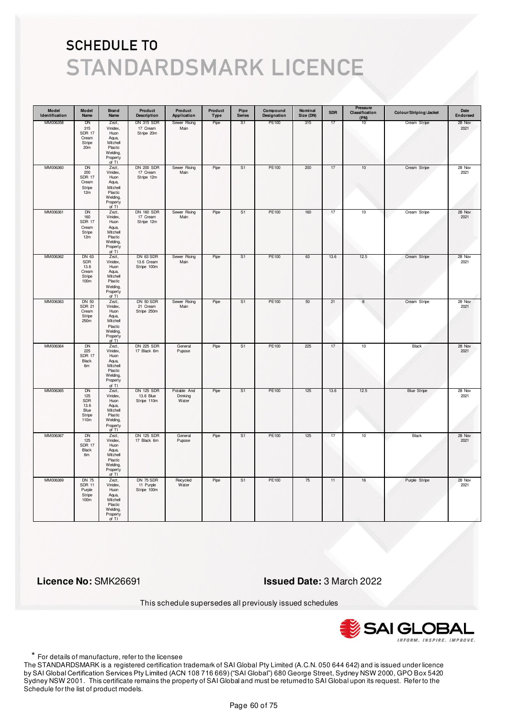| Model<br>Identification | Model<br>Name                                                         | <b>Brand</b><br>Name                                                                       | Product<br><b>Description</b>                 | Product<br>Application           | Product<br>Type | Pipe<br><b>Series</b> | Compound<br>Designation | Nominal<br>Size (DN) | <b>SDR</b> | <b>Pressure</b><br>Classification<br>(PN) | Colour/Striping/Jacket | Date<br>Endorsed |
|-------------------------|-----------------------------------------------------------------------|--------------------------------------------------------------------------------------------|-----------------------------------------------|----------------------------------|-----------------|-----------------------|-------------------------|----------------------|------------|-------------------------------------------|------------------------|------------------|
| MM006358                | DN<br>315<br><b>SDR 17</b><br>Cream<br>Stripe<br>20m                  | Zezt,<br>Vinidex,<br>Huon<br>Aqua,<br>Mitchell<br>Plastic<br>Welding,<br>Property<br>of TI | <b>DN 315 SDR</b><br>17 Cream<br>Stripe 20m   | Sewer Rising<br>Main             | Pipe            | S <sub>1</sub>        | PE100                   | 315                  | 17         | 10                                        | Cream Stripe           | 28 Nov<br>2021   |
| MM006360                | <b>DN</b><br>200<br><b>SDR 17</b><br>Cream<br>Stripe<br>12m           | Zezt,<br>Vinidex,<br>Huon<br>Aqua,<br>Mitchell<br>Plastic<br>Welding,<br>Property<br>of TI | <b>DN 200 SDR</b><br>17 Cream<br>Stripe 12m   | Sewer Rising<br>Main             | Pipe            | S <sub>1</sub>        | PE100                   | 200                  | 17         | 10                                        | Cream Stripe           | 28 Nov<br>2021   |
| MM006361                | DN<br>160<br><b>SDR 17</b><br>Cream<br>Stripe<br>12m                  | Zezt,<br>Vinidex,<br>Huon<br>Aqua,<br>Mitchell<br>Plastic<br>Welding,<br>Property<br>of TI | <b>DN 160 SDR</b><br>17 Cream<br>Stripe 12m   | Sewer Rising<br>Main             | Pipe            | S <sub>1</sub>        | PE100                   | 160                  | 17         | 10                                        | Cream Stripe           | 28 Nov<br>2021   |
| MM006362                | DN 63<br>SDR<br>13.6<br>Cream<br>Stripe<br>100m                       | Zezt,<br>Vinidex,<br>Huon<br>Aqua,<br>Mitchell<br>Plastic<br>Welding,<br>Property<br>of TI | DN 63 SDR<br>13.6 Cream<br>Stripe 100m        | Sewer Rising<br>Main             | Pipe            | S1                    | PE100                   | 63                   | 13.6       | 12.5                                      | Cream Stripe           | 28 Nov<br>2021   |
| MM006363                | <b>DN 50</b><br><b>SDR 21</b><br>Cream<br>Stripe<br>250m              | Zezt,<br>Vinidex,<br>Huon<br>Aqua,<br>Mitchell<br>Plastic<br>Welding,<br>Property<br>of TI | DN 50 SDR<br>21 Cream<br>Stripe 250m          | Sewer Rising<br>Main             | Pipe            | S <sub>1</sub>        | PE100                   | 50                   | 21         | $\bf8$                                    | Cream Stripe           | 28 Nov<br>2021   |
| MM006364                | <b>DN</b><br>225<br><b>SDR 17</b><br>Black<br>6 <sub>m</sub>          | Zezt,<br>Vinidex,<br>Huon<br>Aqua,<br>Mitchell<br>Plastic<br>Welding,<br>Property<br>of TI | <b>DN 225 SDR</b><br>17 Black 6m              | General<br>Pupose                | Pipe            | S <sub>1</sub>        | <b>PE100</b>            | 225                  | 17         | 10                                        | <b>Black</b>           | 28 Nov<br>2021   |
| MM006365                | DN<br>125<br>SDR<br>13.6<br>Blue<br>Stripe<br>110m                    | Zezt,<br>Vinidex,<br>Huon<br>Aqua,<br>Mitchell<br>Plastic<br>Welding,<br>Property<br>of TI | <b>DN 125 SDR</b><br>13.6 Blue<br>Stripe 110m | Potable And<br>Drinking<br>Water | Pipe            | S1                    | PE100                   | 125                  | 13.6       | 12.5                                      | <b>Blue Stripe</b>     | 28 Nov<br>2021   |
| MM006367                | <b>DN</b><br>125<br><b>SDR 17</b><br>Black<br>6m                      | Zezt,<br>Vinidex,<br>Huon<br>Aqua,<br>Mitchell<br>Plastic<br>Welding,<br>Property<br>of TI | <b>DN 125 SDR</b><br>17 Black 6m              | General<br>Pupose                | Pipe            | S <sub>1</sub>        | PE100                   | 125                  | 17         | 10                                        | <b>Black</b>           | 28 Nov<br>2021   |
| MM006369                | <b>DN 75</b><br><b>SDR 11</b><br>Purple<br>Stripe<br>100 <sub>m</sub> | Zezt,<br>Vinidex,<br>Huon<br>Aqua,<br>Mitchell<br>Plastic<br>Welding,<br>Property<br>of TI | DN 75 SDR<br>11 Purple<br>Stripe 100m         | Recycled<br>Water                | Pipe            | S <sub>1</sub>        | PE100                   | 75                   | 11         | 16                                        | Purple Stripe          | 28 Nov<br>2021   |

 **Licence No:** SMK26691 **Issued Date:** 3 March 2022

This schedule supersedes all previously issued schedules



\* For details of manufacture, refer to the licensee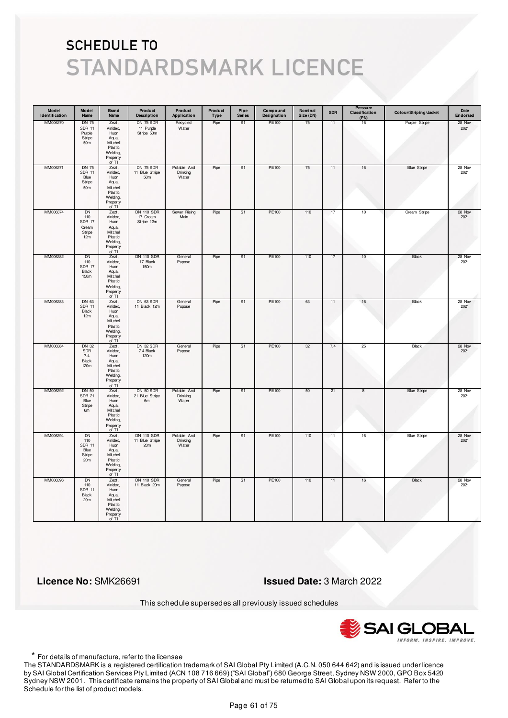| Model<br>Identification | Model<br>Name                                                 | Brand<br>Name                                                                              | Product<br><b>Description</b>                         | Product<br>Application           | Product<br>Type | Pipe<br><b>Series</b> | Compound<br>Designation | Nominal<br>Size (DN) | <b>SDR</b> | Pressure<br>Classification<br>(PN) | Colour/Striping/Jacket | Date<br>Endorsed |
|-------------------------|---------------------------------------------------------------|--------------------------------------------------------------------------------------------|-------------------------------------------------------|----------------------------------|-----------------|-----------------------|-------------------------|----------------------|------------|------------------------------------|------------------------|------------------|
| MM006370                | DN 75<br><b>SDR 11</b><br>Purple<br>Stripe<br>50 <sub>m</sub> | Zezt,<br>Vinidex,<br>Huon<br>Aqua,<br>Mitchell<br>Plastic<br>Welding,<br>Property<br>of TI | DN 75 SDR<br>11 Purple<br>Stripe 50m                  | Recycled<br>Water                | Pipe            | S1                    | PE100                   | 75                   | 11         | 16                                 | Purple Stripe          | 28 Nov<br>2021   |
| MM006371                | <b>DN 75</b><br><b>SDR 11</b><br>Blue<br>Stripe<br>50m        | Zezt,<br>Vinidex,<br>Huon<br>Aqua,<br>Mitchell<br>Plastic<br>Welding,<br>Property<br>of TI | <b>DN 75 SDR</b><br>11 Blue Stripe<br>50 <sub>m</sub> | Potable And<br>Drinking<br>Water | Pipe            | S <sub>1</sub>        | PE100                   | 75                   | 11         | $16\,$                             | <b>Blue Stripe</b>     | 28 Nov<br>2021   |
| MM006374                | DN<br>110<br><b>SDR 17</b><br>Cream<br>Stripe<br>12m          | Zezt,<br>Vinidex,<br>Huon<br>Aqua,<br>Mitchell<br>Plastic<br>Welding,<br>Property<br>of TI | <b>DN 110 SDR</b><br>17 Cream<br>Stripe 12m           | Sewer Rising<br>Main             | Pipe            | S1                    | PE100                   | 110                  | 17         | 10                                 | Cream Stripe           | 28 Nov<br>2021   |
| MM006382                | DN<br>110<br>SDR 17<br>Black<br>150m                          | Zezt,<br>Vinidex,<br>Huon<br>Aqua,<br>Mitchell<br>Plastic<br>Welding,<br>Property<br>of TI | <b>DN 110 SDR</b><br>17 Black<br>150m                 | General<br>Pupose                | Pipe            | S1                    | PE100                   | 110                  | 17         | 10                                 | Black                  | 28 Nov<br>2021   |
| MM006383                | DN 63<br><b>SDR 11</b><br>Black<br>12m                        | Zezt,<br>Vinidex,<br>Huon<br>Aqua,<br>Mitchell<br>Plastic<br>Welding,<br>Property<br>of TI | DN 63 SDR<br>11 Black 12m                             | General<br>Pupose                | Pipe            | S1                    | PE100                   | 63                   | 11         | 16                                 | <b>Black</b>           | 28 Nov<br>2021   |
| MM006384                | <b>DN 32</b><br>SDR<br>7.4<br>Black<br>120m                   | Zezt,<br>Vinidex,<br>Huon<br>Aqua,<br>Mitchell<br>Plastic<br>Welding,<br>Property<br>of TI | DN 32 SDR<br>7.4 Black<br>120m                        | General<br>Pupose                | Pipe            | S <sub>1</sub>        | <b>PE100</b>            | 32                   | 7.4        | 25                                 | <b>Black</b>           | 28 Nov<br>2021   |
| MM006392                | DN 50<br><b>SDR 21</b><br>Blue<br>Stripe<br>6m                | Zezt,<br>Vinidex,<br>Huon<br>Aqua,<br>Mitchell<br>Plastic<br>Welding,<br>Property<br>of TI | DN 50 SDR<br>21 Blue Stripe<br>6 <sub>m</sub>         | Potable And<br>Drinking<br>Water | Pipe            | S1                    | PE100                   | 50                   | 21         | 8                                  | <b>Blue Stripe</b>     | 28 Nov<br>2021   |
| MM006394                | <b>DN</b><br>110<br><b>SDR 11</b><br>Blue<br>Stripe<br>20m    | Zezt,<br>Vinidex,<br>Huon<br>Aqua,<br>Mitchell<br>Plastic<br>Welding,<br>Property<br>of TI | <b>DN 110 SDR</b><br>11 Blue Stripe<br>20m            | Potable And<br>Drinking<br>Water | Pipe            | S <sub>1</sub>        | PE100                   | 110                  | 11         | 16                                 | <b>Blue Stripe</b>     | 28 Nov<br>2021   |
| MM006396                | <b>DN</b><br>110<br><b>SDR 11</b><br>Black<br>20 <sub>m</sub> | Zezt,<br>Vinidex,<br>Huon<br>Aqua,<br>Mitchell<br>Plastic<br>Welding,<br>Property<br>of TI | <b>DN 110 SDR</b><br>11 Black 20m                     | General<br>Pupose                | Pipe            | S <sub>1</sub>        | <b>PE100</b>            | 110                  | 11         | 16                                 | <b>Black</b>           | 28 Nov<br>2021   |

 **Licence No:** SMK26691 **Issued Date:** 3 March 2022

This schedule supersedes all previously issued schedules



\* For details of manufacture, refer to the licensee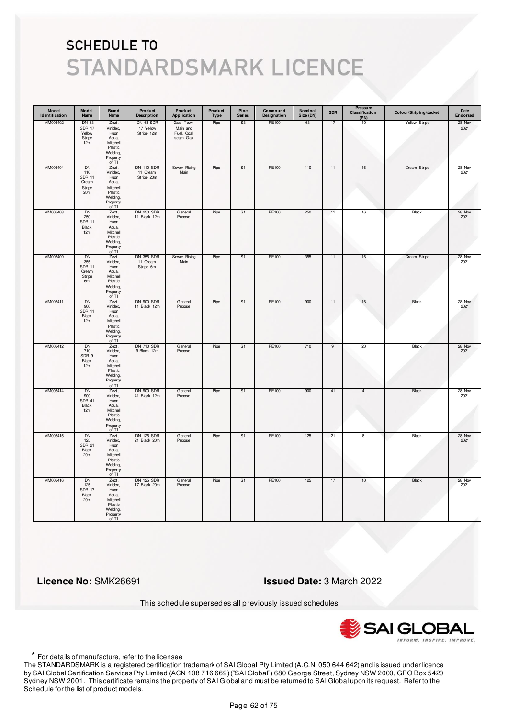| Model<br>Identification | Model<br>Name                                        | Brand<br>Name                                                                                | Product<br><b>Description</b>               | Product<br>Application                         | Product<br><b>Type</b> | Pipe<br><b>Series</b> | Compound<br>Designation | Nominal<br>Size (DN) | <b>SDR</b>     | Pressure<br>Classification<br>(PN) | Colour/Striping/Jacket | Date<br>Endorsed |
|-------------------------|------------------------------------------------------|----------------------------------------------------------------------------------------------|---------------------------------------------|------------------------------------------------|------------------------|-----------------------|-------------------------|----------------------|----------------|------------------------------------|------------------------|------------------|
| MM006402                | DN 63<br>SDR 17<br>Yellow<br>Stripe<br>12m           | Zezt,<br>Vinidex,<br>Huon<br>Aqua,<br>Mitchell<br>Plastic<br>Welding,<br>Property<br>of TI   | DN 63 SDR<br>17 Yellow<br>Stripe 12m        | Gas-Town<br>Main and<br>Fuel, Coal<br>seam Gas | Pipe                   | S3                    | PE100                   | 63                   | 17             | 10                                 | Yellow Stripe          | 28 Nov<br>2021   |
| MM006404                | DN<br>110<br><b>SDR 11</b><br>Cream<br>Stripe<br>20m | Zezt,<br>Vinidex,<br>Huon<br>Aqua,<br>Mitchell<br>Plastic<br>Welding,<br>Property<br>of $TI$ | <b>DN 110 SDR</b><br>11 Cream<br>Stripe 20m | Sewer Rising<br>Main                           | Pipe                   | S <sub>1</sub>        | PE100                   | 110                  | 11             | $16\,$                             | Cream Stripe           | 28 Nov<br>2021   |
| MM006408                | DN<br>250<br><b>SDR 11</b><br>Black<br>12m           | Zezt,<br>Vinidex,<br>Huon<br>Aqua,<br>Mitchell<br>Plastic<br>Welding,<br>Property<br>of TI   | <b>DN 250 SDR</b><br>11 Black 12m           | General<br>Pupose                              | Pipe                   | S <sub>1</sub>        | PE100                   | 250                  | 11             | $16\,$                             | Black                  | 28 Nov<br>2021   |
| MM006409                | DN<br>355<br><b>SDR 11</b><br>Cream<br>Stripe<br>6m  | Zezt,<br>Vinidex.<br>Huon<br>Aqua,<br>Mitchell<br>Plastic<br>Welding,<br>Property<br>of TI   | <b>DN 355 SDR</b><br>11 Cream<br>Stripe 6m  | Sewer Rising<br>Main                           | Pipe                   | S1                    | PE100                   | 355                  | 11             | 16                                 | Cream Stripe           | 28 Nov<br>2021   |
| MM006411                | <b>DN</b><br>900<br><b>SDR 11</b><br>Black<br>12m    | Zezt,<br>Vinidex,<br>Huon<br>Aqua,<br>Mitchell<br>Plastic<br>Welding,<br>Property<br>of TI   | <b>DN 900 SDR</b><br>11 Black 12m           | General<br>Pupose                              | Pipe                   | S1                    | PE100                   | 900                  | 11             | 16                                 | Black                  | 28 Nov<br>2021   |
| MM006412                | DN<br>710<br>SDR 9<br>Black<br>12m                   | Zezt,<br>Vinidex,<br>Huon<br>Aqua,<br>Mitchell<br>Plastic<br>Welding,<br>Property<br>of TI   | <b>DN 710 SDR</b><br>9 Black 12m            | General<br>Pupose                              | Pipe                   | S <sub>1</sub>        | PE100                   | 710                  | $\overline{9}$ | 20                                 | Black                  | 28 Nov<br>2021   |
| MM006414                | DN<br>900<br><b>SDR 41</b><br>Black<br>12m           | Zezt,<br>Vinidex,<br>Huon<br>Aqua,<br>Mitchell<br>Plastic<br>Welding,<br>Property<br>of TI   | <b>DN 900 SDR</b><br>41 Black 12m           | General<br>Pupose                              | Pipe                   | S1                    | PE100                   | 900                  | 41             | 4                                  | Black                  | 28 Nov<br>2021   |
| MM006415                | <b>DN</b><br>125<br><b>SDR 21</b><br>Black<br>20m    | Zezt,<br>Vinidex,<br>Huon<br>Aqua,<br>Mitchell<br>Plastic<br>Welding,<br>Property<br>of TI   | <b>DN 125 SDR</b><br>21 Black 20m           | General<br>Pupose                              | Pipe                   | S1                    | PE100                   | 125                  | 21             | $\overline{\mathbf{8}}$            | <b>Black</b>           | 28 Nov<br>2021   |
| MM006416                | DN<br>125<br><b>SDR 17</b><br>Black<br>20m           | Zezt,<br>Vinidex,<br>Huon<br>Aqua,<br>Mitchell<br>Plastic<br>Welding,<br>Property<br>of TI   | <b>DN 125 SDR</b><br>17 Black 20m           | General<br>Pupose                              | Pipe                   | S1                    | PE100                   | 125                  | 17             | 10                                 | Black                  | 28 Nov<br>2021   |

 **Licence No:** SMK26691 **Issued Date:** 3 March 2022

This schedule supersedes all previously issued schedules



\* For details of manufacture, refer to the licensee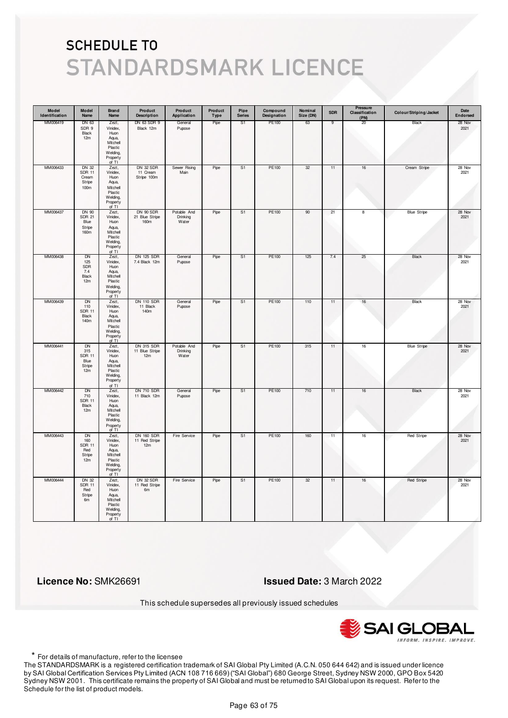| Model<br>Identification | Model<br>Name                                              | <b>Brand</b><br>Name                                                                       | Product<br><b>Description</b>              | Product<br>Application           | Product<br>Type | Pipe<br><b>Series</b> | Compound<br>Designation | Nominal<br>Size (DN) | <b>SDR</b> | Pressure<br>Classification<br>(PN) | Colour/Striping/Jacket | Date<br>Endorsed |
|-------------------------|------------------------------------------------------------|--------------------------------------------------------------------------------------------|--------------------------------------------|----------------------------------|-----------------|-----------------------|-------------------------|----------------------|------------|------------------------------------|------------------------|------------------|
| MM006419                | DN 63<br>SDR 9<br>Black<br>12m                             | Zezt,<br>Vinidex,<br>Huon<br>Aqua,<br>Mitchell<br>Plastic<br>Welding,<br>Property<br>of TI | DN 63 SDR 9<br>Black 12m                   | General<br>Pupose                | Pipe            | S1                    | PE100                   | 63                   | 9          | 20                                 | Black                  | 28 Nov<br>2021   |
| MM006433                | DN 32<br><b>SDR 11</b><br>Cream<br>Stripe<br>100m          | Zezt,<br>Vinidex,<br>Huon<br>Aqua,<br>Mitchell<br>Plastic<br>Welding,<br>Property<br>of TI | DN 32 SDR<br>11 Cream<br>Stripe 100m       | Sewer Rising<br>Main             | Pipe            | S1                    | PE100                   | 32                   | 11         | $16\,$                             | Cream Stripe           | 28 Nov<br>2021   |
| MM006437                | DN 90<br><b>SDR 21</b><br>Blue<br>Stripe<br>160m           | Zezt,<br>Vinidex,<br>Huon<br>Aqua,<br>Mitchell<br>Plastic<br>Welding,<br>Property<br>of TI | DN 90 SDR<br>21 Blue Stripe<br>160m        | Potable And<br>Drinking<br>Water | Pipe            | S <sub>1</sub>        | PE100                   | 90                   | 21         | 8                                  | <b>Blue Stripe</b>     | 28 Nov<br>2021   |
| MM006438                | DN<br>125<br>SDR<br>7.4<br>Black<br>12m                    | Zezt,<br>Vinidex,<br>Huon<br>Aqua,<br>Mitchell<br>Plastic<br>Welding,<br>Property<br>of TI | <b>DN 125 SDR</b><br>7.4 Black 12m         | General<br>Pupose                | Pipe            | S1                    | PE100                   | 125                  | 7.4        | 25                                 | Black                  | 28 Nov<br>2021   |
| MM006439                | DN<br>110<br><b>SDR 11</b><br>Black<br>140m                | Zezt,<br>Vinidex,<br>Huon<br>Aqua,<br>Mitchell<br>Plastic<br>Welding,<br>Property<br>of TI | <b>DN 110 SDR</b><br>11 Black<br>140m      | General<br>Pupose                | Pipe            | S1                    | PE100                   | 110                  | 11         | 16                                 | Black                  | 28 Nov<br>2021   |
| MM006441                | <b>DN</b><br>315<br><b>SDR 11</b><br>Blue<br>Stripe<br>12m | Zezt,<br>Vinidex,<br>Huon<br>Aqua,<br>Mitchell<br>Plastic<br>Welding,<br>Property<br>of TI | <b>DN 315 SDR</b><br>11 Blue Stripe<br>12m | Potable And<br>Drinking<br>Water | Pipe            | S <sub>1</sub>        | <b>PE100</b>            | 315                  | 11         | 16                                 | <b>Blue Stripe</b>     | 28 Nov<br>2021   |
| MM006442                | DN<br>710<br><b>SDR 11</b><br>Black<br>12m                 | Zezt,<br>Vinidex,<br>Huon<br>Aqua,<br>Mitchell<br>Plastic<br>Welding,<br>Property<br>of TI | <b>DN 710 SDR</b><br>11 Black 12m          | General<br>Pupose                | Pipe            | S1                    | PE100                   | 710                  | 11         | 16                                 | Black                  | 28 Nov<br>2021   |
| MM006443                | <b>DN</b><br>160<br><b>SDR 11</b><br>Red<br>Stripe<br>12m  | Zezt,<br>Vinidex,<br>Huon<br>Aqua,<br>Mitchell<br>Plastic<br>Welding,<br>Property<br>of TI | <b>DN 160 SDR</b><br>11 Red Stripe<br>12m  | Fire Service                     | Pipe            | S <sub>1</sub>        | PE100                   | 160                  | 11         | 16                                 | <b>Red Stripe</b>      | 28 Nov<br>2021   |
| MM006444                | <b>DN 32</b><br><b>SDR 11</b><br>Red<br>Stripe<br>6m       | Zezt,<br>Vinidex,<br>Huon<br>Aqua,<br>Mitchell<br>Plastic<br>Welding,<br>Property<br>of TI | <b>DN 32 SDR</b><br>11 Red Stripe<br>6m    | Fire Service                     | Pipe            | S <sub>1</sub>        | PE100                   | 32                   | 11         | 16                                 | Red Stripe             | 28 Nov<br>2021   |

 **Licence No:** SMK26691 **Issued Date:** 3 March 2022

This schedule supersedes all previously issued schedules



\* For details of manufacture, refer to the licensee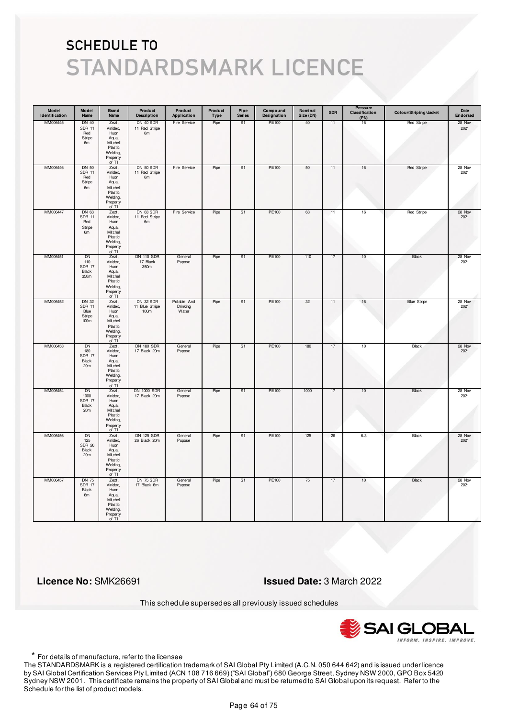| Model<br>Identification | Model<br>Name                                           | <b>Brand</b><br>Name                                                                       | Product<br><b>Description</b>         | Product<br>Application           | Product<br>Type | Pipe<br><b>Series</b> | Compound<br>Designation | Nominal<br>Size (DN) | <b>SDR</b> | Pressure<br>Classification<br>(PN) | Colour/Striping/Jacket | Date<br>Endorsed |
|-------------------------|---------------------------------------------------------|--------------------------------------------------------------------------------------------|---------------------------------------|----------------------------------|-----------------|-----------------------|-------------------------|----------------------|------------|------------------------------------|------------------------|------------------|
| MM006445                | DN 40<br><b>SDR 11</b><br>Red<br>Stripe<br>6m           | Zezt,<br>Vinidex,<br>Huon<br>Aqua,<br>Mitchell<br>Plastic<br>Welding,<br>Property<br>of TI | DN 40 SDR<br>11 Red Stripe<br>6m      | Fire Service                     | Pipe            | S1                    | PE100                   | 40                   | 11         | 16                                 | Red Stripe             | 28 Nov<br>2021   |
| MM006446                | <b>DN 50</b><br><b>SDR 11</b><br>Red<br>Stripe<br>6m    | Zezt,<br>Vinidex,<br>Huon<br>Aqua,<br>Mitchell<br>Plastic<br>Welding,<br>Property<br>of TI | DN 50 SDR<br>11 Red Stripe<br>6m      | Fire Service                     | Pipe            | S <sub>1</sub>        | PE100                   | 50                   | 11         | 16                                 | <b>Red Stripe</b>      | 28 Nov<br>2021   |
| MM006447                | DN 63<br><b>SDR 11</b><br>Red<br>Stripe<br>6m           | Zezt,<br>Vinidex,<br>Huon<br>Aqua,<br>Mitchell<br>Plastic<br>Welding,<br>Property<br>of TI | DN 63 SDR<br>11 Red Stripe<br>6m      | Fire Service                     | Pipe            | S <sub>1</sub>        | PE100                   | 63                   | 11         | 16                                 | Red Stripe             | 28 Nov<br>2021   |
| MM006451                | DN<br>110<br><b>SDR 17</b><br>Black<br>350m             | Zezt,<br>Vinidex,<br>Huon<br>Aqua,<br>Mitchell<br>Plastic<br>Welding,<br>Property<br>of TI | <b>DN 110 SDR</b><br>17 Black<br>350m | General<br>Pupose                | Pipe            | S1                    | PE100                   | 110                  | 17         | 10                                 | Black                  | 28 Nov<br>2021   |
| MM006452                | <b>DN 32</b><br><b>SDR 11</b><br>Blue<br>Stripe<br>100m | Zezt,<br>Vinidex,<br>Huon<br>Aqua,<br>Mitchell<br>Plastic<br>Welding,<br>Property<br>of TI | DN 32 SDR<br>11 Blue Stripe<br>100m   | Potable And<br>Drinking<br>Water | Pipe            | S <sub>1</sub>        | <b>PE100</b>            | 32                   | 11         | 16                                 | <b>Blue Stripe</b>     | 28 Nov<br>2021   |
| MM006453                | <b>DN</b><br>180<br><b>SDR 17</b><br>Black<br>20m       | Zezt,<br>Vinidex,<br>Huon<br>Aqua,<br>Mitchell<br>Plastic<br>Welding,<br>Property<br>of TI | <b>DN 180 SDR</b><br>17 Black 20m     | General<br>Pupose                | Pipe            | S <sub>1</sub>        | PE100                   | 180                  | 17         | 10                                 | Black                  | 28 Nov<br>2021   |
| MM006454                | DN<br>1000<br><b>SDR 17</b><br>Black<br>20m             | Zezt,<br>Vinidex,<br>Huon<br>Aqua,<br>Mitchell<br>Plastic<br>Welding,<br>Property<br>of TI | <b>DN 1000 SDR</b><br>17 Black 20m    | General<br>Pupose                | Pipe            | S1                    | PE100                   | 1000                 | 17         | 10                                 | Black                  | 28 Nov<br>2021   |
| MM006456                | <b>DN</b><br>125<br><b>SDR 26</b><br>Black<br>20m       | Zezt,<br>Vinidex,<br>Huon<br>Aqua,<br>Mitchell<br>Plastic<br>Welding,<br>Property<br>of TI | <b>DN 125 SDR</b><br>26 Black 20m     | General<br>Pupose                | Pipe            | S1                    | <b>PE100</b>            | 125                  | 26         | 6.3                                | <b>Black</b>           | 28 Nov<br>2021   |
| MM006457                | <b>DN 75</b><br><b>SDR 17</b><br>Black<br>6m            | Zezt,<br>Vinidex,<br>Huon<br>Aqua,<br>Mitchell<br>Plastic<br>Welding,<br>Property<br>of TI | <b>DN 75 SDR</b><br>17 Black 6m       | General<br>Pupose                | Pipe            | S <sub>1</sub>        | PE100                   | 75                   | 17         | 10                                 | <b>Black</b>           | 28 Nov<br>2021   |

 **Licence No:** SMK26691 **Issued Date:** 3 March 2022

This schedule supersedes all previously issued schedules



\* For details of manufacture, refer to the licensee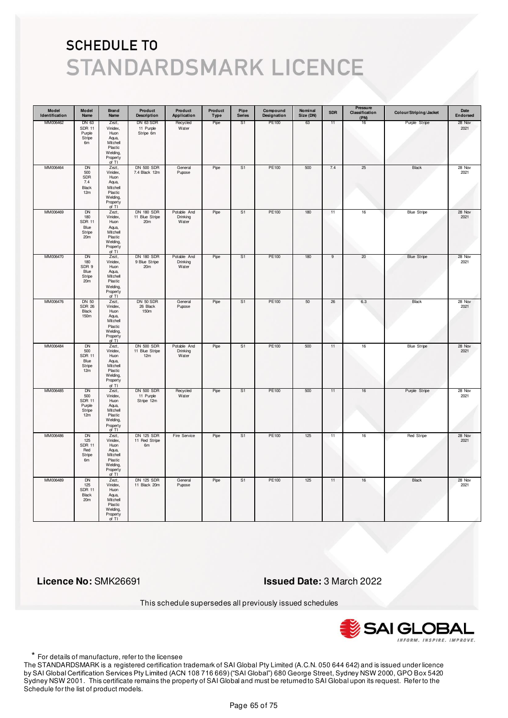| Model<br>Identification | Model<br>Name                                                          | <b>Brand</b><br>Name                                                                         | Product<br><b>Description</b>                         | Product<br>Application           | Product<br>Type | Pipe<br><b>Series</b> | Compound<br>Designation | Nominal<br>Size (DN) | <b>SDR</b> | Pressure<br>Classification<br>(PN) | Colour/Striping/Jacket | Date<br>Endorsed |
|-------------------------|------------------------------------------------------------------------|----------------------------------------------------------------------------------------------|-------------------------------------------------------|----------------------------------|-----------------|-----------------------|-------------------------|----------------------|------------|------------------------------------|------------------------|------------------|
| MM006462                | DN 63<br><b>SDR 11</b><br>Purple<br>Stripe<br>6m                       | Zezt,<br>Vinidex,<br>Huon<br>Aqua,<br>Mitchell<br>Plastic<br>Welding,<br>Property<br>of TI   | DN 63 SDR<br>11 Purple<br>Stripe 6m                   | Recycled<br>Water                | Pipe            | S1                    | PE100                   | 63                   | 11         | 16                                 | Purple Stripe          | 28 Nov<br>2021   |
| MM006464                | <b>DN</b><br>500<br>SDR<br>7.4<br>Black<br>12m                         | Zezt,<br>Vinidex,<br>Huon<br>Aqua,<br>Mitchell<br>Plastic<br>Welding,<br>Property<br>of TI   | <b>DN 500 SDR</b><br>7.4 Black 12m                    | General<br>Pupose                | Pipe            | S1                    | PE100                   | 500                  | 7.4        | 25                                 | Black                  | 28 Nov<br>2021   |
| MM006469                | <b>DN</b><br>180<br><b>SDR 11</b><br>Blue<br>Stripe<br>20 <sub>m</sub> | Zezt,<br>Vinidex,<br>Huon<br>Aqua,<br>Mitchell<br>Plastic<br>Welding,<br>Property<br>of TI   | <b>DN 180 SDR</b><br>11 Blue Stripe<br>20m            | Potable And<br>Drinking<br>Water | Pipe            | S <sub>1</sub>        | PE100                   | 180                  | 11         | $16\,$                             | <b>Blue Stripe</b>     | 28 Nov<br>2021   |
| MM006470                | DN<br>180<br>SDR 9<br>Blue<br>Stripe<br>20 <sub>m</sub>                | Zezt,<br>Vinidex,<br>Huon<br>Aqua,<br>Mitchell<br>Plastic<br>Welding,<br>Property<br>of TI   | <b>DN 180 SDR</b><br>9 Blue Stripe<br>20 <sub>m</sub> | Potable And<br>Drinking<br>Water | Pipe            | S1                    | PE100                   | 180                  | 9          | 20                                 | <b>Blue Stripe</b>     | 28 Nov<br>2021   |
| MM006476                | <b>DN 50</b><br><b>SDR 26</b><br>Black<br>150m                         | Zezt,<br>Vinidex,<br>Huon<br>Aqua,<br>Mitchell<br>Plastic<br>Welding,<br>Property<br>of TI   | DN 50 SDR<br>26 Black<br>150m                         | General<br>Pupose                | Pipe            | S1                    | PE100                   | 50                   | 26         | 6.3                                | Black                  | 28 Nov<br>2021   |
| MM006484                | <b>DN</b><br>500<br><b>SDR 11</b><br>Blue<br>Stripe<br>12m             | Zezt,<br>Vinidex,<br>Huon<br>Aqua,<br>Mitchell<br>Plastic<br>Welding,<br>Property<br>of $TI$ | <b>DN 500 SDR</b><br>11 Blue Stripe<br>12m            | Potable And<br>Drinking<br>Water | Pipe            | S <sub>1</sub>        | <b>PE100</b>            | 500                  | 11         | 16                                 | <b>Blue Stripe</b>     | 28 Nov<br>2021   |
| MM006485                | DN<br>500<br><b>SDR 11</b><br>Purple<br>Stripe<br>12m                  | Zezt,<br>Vinidex,<br>Huon<br>Aqua,<br>Mitchell<br>Plastic<br>Welding,<br>Property<br>of TI   | <b>DN 500 SDR</b><br>11 Purple<br>Stripe 12m          | Recycled<br>Water                | Pipe            | S1                    | PE100                   | 500                  | 11         | 16                                 | Purple Stripe          | 28 Nov<br>2021   |
| MM006486                | <b>DN</b><br>125<br><b>SDR 11</b><br>Red<br>Stripe<br>6m               | Zezt,<br>Vinidex,<br>Huon<br>Aqua,<br>Mitchell<br>Plastic<br>Welding,<br>Property<br>of TI   | <b>DN 125 SDR</b><br>11 Red Stripe<br>6m              | Fire Service                     | Pipe            | S <sub>1</sub>        | <b>PE100</b>            | 125                  | 11         | 16                                 | <b>Red Stripe</b>      | 28 Nov<br>2021   |
| MM006489                | DN<br>125<br><b>SDR 11</b><br>Black<br>20m                             | Zezt,<br>Vinidex,<br>Huon<br>Aqua,<br>Mitchell<br>Plastic<br>Welding,<br>Property<br>of TI   | <b>DN 125 SDR</b><br>11 Black 20m                     | General<br>Pupose                | Pipe            | S <sub>1</sub>        | PE100                   | 125                  | 11         | 16                                 | <b>Black</b>           | 28 Nov<br>2021   |

 **Licence No:** SMK26691 **Issued Date:** 3 March 2022

This schedule supersedes all previously issued schedules



\* For details of manufacture, refer to the licensee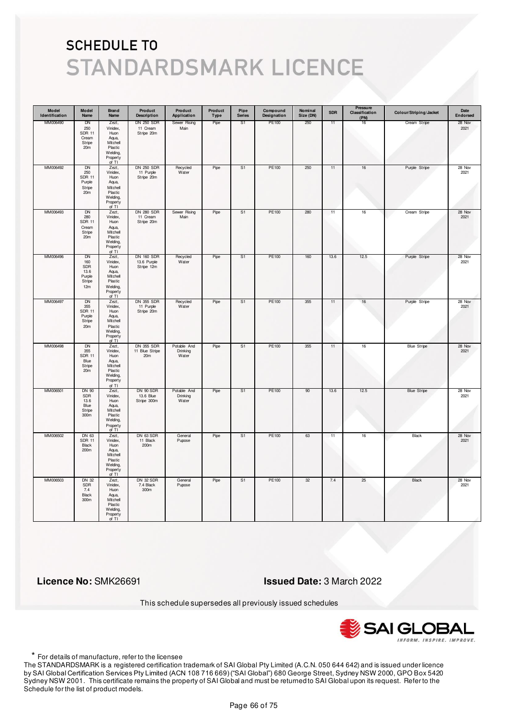| Model<br>Identification | Model<br>Name                                                           | <b>Brand</b><br>Name                                                                       | Product<br><b>Description</b>                          | Product<br>Application           | Product<br>Type | Pipe<br><b>Series</b> | Compound<br>Designation | Nominal<br>Size (DN) | <b>SDR</b> | <b>Pressure</b><br>Classification<br>(PN) | Colour/Striping/Jacket | Date<br>Endorsed |
|-------------------------|-------------------------------------------------------------------------|--------------------------------------------------------------------------------------------|--------------------------------------------------------|----------------------------------|-----------------|-----------------------|-------------------------|----------------------|------------|-------------------------------------------|------------------------|------------------|
| MM006490                | DN<br>250<br><b>SDR 11</b><br>Cream<br>Stripe<br>20m                    | Zezt,<br>Vinidex,<br>Huon<br>Aqua,<br>Mitchell<br>Plastic<br>Welding,<br>Property<br>of TI | <b>DN 250 SDR</b><br>11 Cream<br>Stripe 20m            | Sewer Rising<br>Main             | Pipe            | S1                    | PE100                   | 250                  | 11         | 16                                        | Cream Stripe           | 28 Nov<br>2021   |
| MM006492                | <b>DN</b><br>250<br><b>SDR 11</b><br>Purple<br>Stripe<br>20m            | Zezt,<br>Vinidex,<br>Huon<br>Aqua,<br>Mitchell<br>Plastic<br>Welding,<br>Property<br>of TI | <b>DN 250 SDR</b><br>11 Purple<br>Stripe 20m           | Recycled<br>Water                | Pipe            | S <sub>1</sub>        | PE100                   | 250                  | 11         | $16\,$                                    | Purple Stripe          | 28 Nov<br>2021   |
| MM006493                | <b>DN</b><br>280<br><b>SDR 11</b><br>Cream<br>Stripe<br>20 <sub>m</sub> | Zezt,<br>Vinidex,<br>Huon<br>Aqua,<br>Mitchell<br>Plastic<br>Welding,<br>Property<br>of TI | <b>DN 280 SDR</b><br>11 Cream<br>Stripe 20m            | Sewer Rising<br>Main             | Pipe            | S1                    | PE100                   | 280                  | 11         | 16                                        | Cream Stripe           | 28 Nov<br>2021   |
| MM006496                | DN<br>160<br><b>SDR</b><br>13.6<br>Purple<br>Stripe<br>12m              | Zezt,<br>Vinidex,<br>Huon<br>Aqua,<br>Mitchell<br>Plastic<br>Welding,<br>Property<br>of TI | <b>DN 160 SDR</b><br>13.6 Purple<br>Stripe 12m         | Recycled<br>Water                | Pipe            | S1                    | PE100                   | 160                  | 13.6       | 12.5                                      | Purple Stripe          | 28 Nov<br>2021   |
| MM006497                | DN<br>355<br><b>SDR 11</b><br>Purple<br>Stripe<br>20m                   | Zezt,<br>Vinidex,<br>Huon<br>Aqua,<br>Mitchell<br>Plastic<br>Welding,<br>Property<br>of TI | <b>DN 355 SDR</b><br>11 Purple<br>Stripe 20m           | Recycled<br>Water                | Pipe            | S <sub>1</sub>        | PE100                   | 355                  | 11         | 16                                        | Purple Stripe          | 28 Nov<br>2021   |
| MM006498                | <b>DN</b><br>355<br><b>SDR 11</b><br>Blue<br>Stripe<br>20 <sub>m</sub>  | Zezt,<br>Vinidex,<br>Huon<br>Aqua,<br>Mitchell<br>Plastic<br>Welding,<br>Property<br>of TI | <b>DN 355 SDR</b><br>11 Blue Stripe<br>20 <sub>m</sub> | Potable And<br>Drinking<br>Water | Pipe            | S <sub>1</sub>        | <b>PE100</b>            | 355                  | 11         | 16                                        | <b>Blue Stripe</b>     | 28 Nov<br>2021   |
| MM006501                | <b>DN 90</b><br>SDR<br>13.6<br>Blue<br>Stripe<br>300m                   | Zezt,<br>Vinidex,<br>Huon<br>Aqua,<br>Mitchell<br>Plastic<br>Welding,<br>Property<br>of TI | DN 90 SDR<br>13.6 Blue<br>Stripe 300m                  | Potable And<br>Drinking<br>Water | Pipe            | S1                    | PE100                   | 90                   | 13.6       | 12.5                                      | <b>Blue Stripe</b>     | 28 Nov<br>2021   |
| MM006502                | DN 63<br><b>SDR 11</b><br>Black<br>200m                                 | Zezt,<br>Vinidex,<br>Huon<br>Aqua,<br>Mitchell<br>Plastic<br>Welding,<br>Property<br>of TI | DN 63 SDR<br>11 Black<br>200m                          | General<br>Pupose                | Pipe            | S <sub>1</sub>        | <b>PE100</b>            | 63                   | 11         | 16                                        | <b>Black</b>           | 28 Nov<br>2021   |
| MM006503                | <b>DN 32</b><br>SDR<br>7.4<br>Black<br>300m                             | Zezt,<br>Vinidex,<br>Huon<br>Aqua,<br>Mitchell<br>Plastic<br>Welding,<br>Property<br>of TI | DN 32 SDR<br>7.4 Black<br>300m                         | General<br>Pupose                | Pipe            | S <sub>1</sub>        | PE100                   | 32                   | 7.4        | 25                                        | <b>Black</b>           | 28 Nov<br>2021   |

 **Licence No:** SMK26691 **Issued Date:** 3 March 2022

This schedule supersedes all previously issued schedules



\* For details of manufacture, refer to the licensee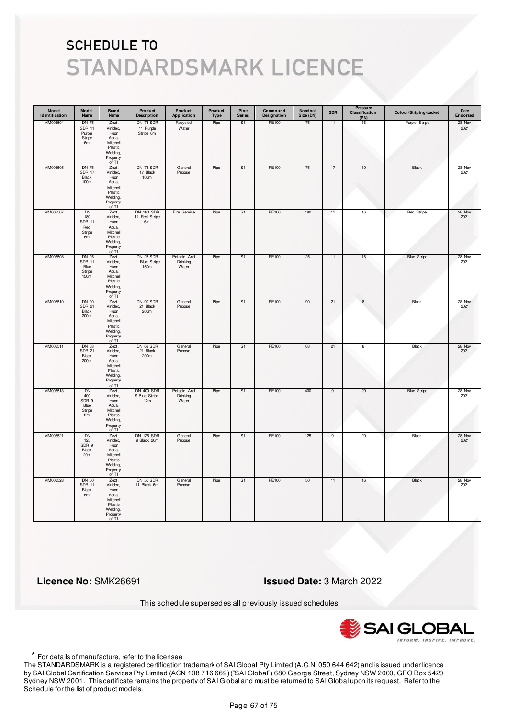| Model<br>Identification | Model<br>Name                                     | <b>Brand</b><br>Name                                                                                 | Product<br><b>Description</b>             | Product<br>Application           | Product<br>Type | Pipe<br><b>Series</b> | Compound<br>Designation | Nominal<br>Size (DN) | <b>SDR</b>     | Pressure<br>Classification<br>(PN) | Colour/Striping/Jacket | Date<br>Endorsed |
|-------------------------|---------------------------------------------------|------------------------------------------------------------------------------------------------------|-------------------------------------------|----------------------------------|-----------------|-----------------------|-------------------------|----------------------|----------------|------------------------------------|------------------------|------------------|
| MM006504                | DN 75<br><b>SDR 11</b><br>Purple<br>Stripe<br>6m  | Zezt,<br>Vinidex,<br>Huon<br>Aqua,<br>Mitchell<br>Plastic<br>Welding,<br>Property<br>of TI           | DN 75 SDR<br>11 Purple<br>Stripe 6m       | Recycled<br>Water                | Pipe            | S1                    | PE100                   | 75                   | 11             | 16                                 | Purple Stripe          | 28 Nov<br>2021   |
| MM006505                | <b>DN 75</b><br><b>SDR 17</b><br>Black<br>100m    | Zezt,<br>Vinidex,<br>Huon<br>Aqua,<br>Mitchell<br>Plastic<br>Welding,<br>Property<br>of TI           | DN 75 SDR<br>17 Black<br>100m             | General<br>Pupose                | Pipe            | S <sub>1</sub>        | PE100                   | 75                   | 17             | 10                                 | Black                  | 28 Nov<br>2021   |
| MM006507                | DN<br>180<br><b>SDR 11</b><br>Red<br>Stripe<br>6m | Zezt,<br>Vinidex,<br>Huon<br>Aqua,<br>Mitchell<br>Plastic<br>Welding,<br>Property<br>of TI           | <b>DN 180 SDR</b><br>11 Red Stripe<br>6m  | Fire Service                     | Pipe            | S <sub>1</sub>        | PE100                   | 180                  | 11             | 16                                 | Red Stripe             | 28 Nov<br>2021   |
| MM006508                | DN 25<br><b>SDR 11</b><br>Blue<br>Stripe<br>150m  | Zezt,<br>Vinidex,<br>H <sub>U</sub><br>Aqua,<br>Mitchell<br>Plastic<br>Welding,<br>Property<br>of TI | DN 25 SDR<br>11 Blue Stripe<br>150m       | Potable And<br>Drinking<br>Water | Pipe            | S1                    | PE100                   | 25                   | 11             | 16                                 | <b>Blue Stripe</b>     | 28 Nov<br>2021   |
| MM006510                | DN 90<br><b>SDR 21</b><br>Black<br>200m           | Zezt,<br>Vinidex,<br>Huon<br>Aqua,<br>Mitchell<br>Plastic<br>Welding,<br>Property<br>of TI           | DN 90 SDR<br>21 Black<br>200m             | General<br>Pupose                | Pipe            | S <sub>1</sub>        | PE100                   | 90                   | 21             | $\bf8$                             | Black                  | 28 Nov<br>2021   |
| MM006511                | DN 63<br><b>SDR 21</b><br>Black<br>200m           | Zezt,<br>Vinidex,<br>Huon<br>Aqua,<br>Mitchell<br>Plastic<br>Welding,<br>Property<br>of TI           | DN 63 SDR<br>21 Black<br>200m             | General<br>Pupose                | Pipe            | S <sub>1</sub>        | PE100                   | 63                   | 21             | 8                                  | <b>Black</b>           | 28 Nov<br>2021   |
| MM006513                | DN<br>400<br>SDR 9<br>Blue<br>Stripe<br>12m       | Zezt,<br>Vinidex,<br>Huon<br>Aqua,<br>Mitchell<br>Plastic<br>Welding,<br>Property<br>of TI           | <b>DN 400 SDR</b><br>9 Blue Stripe<br>12m | Potable And<br>Drinking<br>Water | Pipe            | S1                    | PE100                   | 400                  | 9              | 20                                 | <b>Blue Stripe</b>     | 28 Nov<br>2021   |
| MM006521                | <b>DN</b><br>125<br>SDR 9<br>Black<br>20m         | Zezt,<br>Vinidex,<br>Huon<br>Aqua,<br>Mitchell<br>Plastic<br>Welding,<br>Property<br>of TI           | <b>DN 125 SDR</b><br>9 Black 20m          | General<br>Pupose                | Pipe            | S <sub>1</sub>        | <b>PE100</b>            | 125                  | $\overline{9}$ | 20                                 | <b>Black</b>           | 28 Nov<br>2021   |
| MM006528                | <b>DN 50</b><br><b>SDR 11</b><br>Black<br>6m      | Zezt,<br>Vinidex,<br>Huon<br>Aqua,<br>Mitchell<br>Plastic<br>Welding,<br>Property<br>of TI           | DN 50 SDR<br>11 Black 6m                  | General<br>Pupose                | Pipe            | S <sub>1</sub>        | PE100                   | 50                   | 11             | 16                                 | <b>Black</b>           | 28 Nov<br>2021   |

 **Licence No:** SMK26691 **Issued Date:** 3 March 2022

This schedule supersedes all previously issued schedules



\* For details of manufacture, refer to the licensee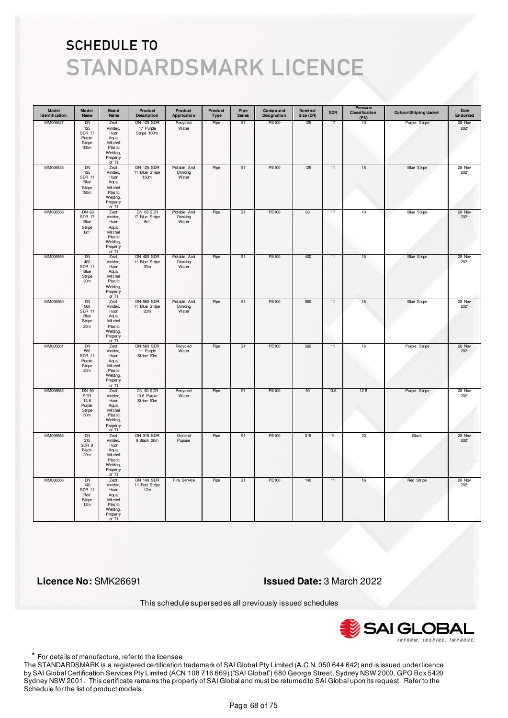| Model<br>Identification | Model<br>Name                                                      | <b>Brand</b><br>Name                                                                       | Product<br><b>Description</b>                          | Product<br>Application           | Product<br>Type | Pipe<br><b>Series</b> | Compound<br>Designation | Nominal<br>Size (DN) | <b>SDR</b>     | Pressure<br>Classification<br>(PN) | Colour/Striping/Jacket | Date<br>Endorsed |
|-------------------------|--------------------------------------------------------------------|--------------------------------------------------------------------------------------------|--------------------------------------------------------|----------------------------------|-----------------|-----------------------|-------------------------|----------------------|----------------|------------------------------------|------------------------|------------------|
| MM006537                | DN<br>125<br><b>SDR 17</b><br>Purple<br>Stripe<br>100 <sub>m</sub> | Zezt,<br>Vinidex,<br>Huon<br>Aqua,<br>Mitchell<br>Plastic<br>Welding,<br>Property<br>of TI | <b>DN 125 SDR</b><br>17 Purple<br>Stripe 100m          | Recycled<br>Water                | Pipe            | S1                    | PE100                   | 125                  | 17             | 10                                 | Purple Stripe          | 28 Nov<br>2021   |
| MM006538                | DN<br>125<br><b>SDR 11</b><br>Blue<br>Stripe<br>150m               | Zezt,<br>Vinidex,<br>Huon<br>Aqua,<br>Mitchell<br>Plastic<br>Welding,<br>Property<br>of TI | DN 125 SDR<br>11 Blue Stripe<br>150m                   | Potable And<br>Drinking<br>Water | Pipe            | S1                    | PE100                   | 125                  | 11             | 16                                 | <b>Blue Stripe</b>     | 28 Nov<br>2021   |
| MM006558                | DN 63<br><b>SDR 17</b><br>Blue<br>Stripe<br>6m                     | Zezt,<br>Vinidex,<br>Huon<br>Aqua,<br>Mitchell<br>Plastic<br>Welding,<br>Property<br>of TI | DN 63 SDR<br>17 Blue Stripe<br>6m                      | Potable And<br>Drinking<br>Water | Pipe            | S <sub>1</sub>        | PE100                   | 63                   | 17             | 10                                 | <b>Blue Stripe</b>     | 28 Nov<br>2021   |
| MM006559                | DN<br>400<br><b>SDR 11</b><br>Blue<br>Stripe<br>20m                | Zezt,<br>Vinidex,<br>Huon<br>Aqua,<br>Mitchell<br>Plastic<br>Welding,<br>Property<br>of TI | <b>DN 400 SDR</b><br>11 Blue Stripe<br>20m             | Potable And<br>Drinking<br>Water | Pipe            | S1                    | PE100                   | 400                  | 11             | 16                                 | <b>Blue Stripe</b>     | 28 Nov<br>2021   |
| MM006560                | DN<br>560<br><b>SDR 11</b><br>Blue<br>Stripe<br>20m                | Zezt,<br>Vinidex,<br>Huon<br>Aqua,<br>Mitchell<br>Plastic<br>Welding,<br>Property<br>of TI | <b>DN 560 SDR</b><br>11 Blue Stripe<br>20 <sub>m</sub> | Potable And<br>Drinking<br>Water | Pipe            | S1                    | PE100                   | 560                  | 11             | 16                                 | <b>Blue Stripe</b>     | 28 Nov<br>2021   |
| MM006561                | DN<br>560<br><b>SDR 11</b><br>Purple<br>Stripe<br>20m              | Zezt,<br>Vinidex,<br>Huon<br>Aqua,<br>Mitchell<br>Plastic<br>Welding,<br>Property<br>of TI | <b>DN 560 SDR</b><br>11 Purple<br>Stripe 20m           | Recycled<br>Water                | Pipe            | S <sub>1</sub>        | PE100                   | 560                  | 11             | 16                                 | Purple Stripe          | 28 Nov<br>2021   |
| MM006562                | <b>DN 50</b><br>SDR<br>13.6<br>Purple<br>Stripe<br>50m             | Zezt,<br>Vinidex,<br>Huon<br>Aqua,<br>Mitchell<br>Plastic<br>Welding,<br>Property<br>of TI | DN 50 SDR<br>13.6 Purple<br>Stripe 50m                 | Recycled<br>Water                | Pipe            | S1                    | PE100                   | 50                   | 13.6           | 12.5                               | Purple Stripe          | 28 Nov<br>2021   |
| MM006565                | <b>DN</b><br>315<br>SDR 9<br>Black<br>20m                          | Zezt,<br>Vinidex,<br>Huon<br>Aqua,<br>Mitchell<br>Plastic<br>Welding,<br>Property<br>of TI | <b>DN 315 SDR</b><br>9 Black 20m                       | General<br>Pupose                | Pipe            | S1                    | PE100                   | 315                  | $\overline{9}$ | 20                                 | Black                  | 28 Nov<br>2021   |
| MM006566                | <b>DN</b><br>140<br><b>SDR 11</b><br>Red<br>Stripe<br>12m          | Zezt,<br>Vinidex,<br>Huon<br>Aqua,<br>Mitchell<br>Plastic<br>Welding,<br>Property<br>of TI | <b>DN 140 SDR</b><br>11 Red Stripe<br>12m              | Fire Service                     | Pipe            | S <sub>1</sub>        | <b>PE100</b>            | 140                  | 11             | 16                                 | <b>Red Stripe</b>      | 28 Nov<br>2021   |

 **Licence No:** SMK26691 **Issued Date:** 3 March 2022

This schedule supersedes all previously issued schedules



\* For details of manufacture, refer to the licensee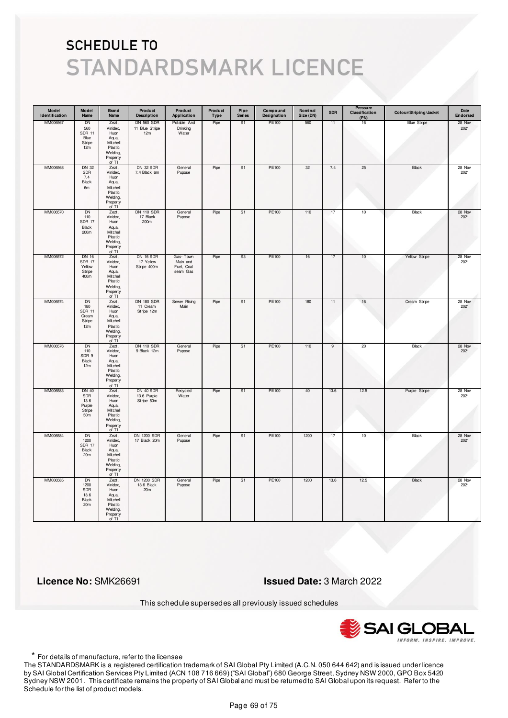| Model<br>Identification | Model<br>Name                                                      | <b>Brand</b><br>Name                                                                       | Product<br><b>Description</b>               | Product<br>Application                         | Product<br>Type | Pipe<br><b>Series</b> | Compound<br>Designation | Nominal<br>Size (DN) | <b>SDR</b>     | Pressure<br>Classification<br>(PN) | Colour/Striping/Jacket | Date<br>Endorsed |
|-------------------------|--------------------------------------------------------------------|--------------------------------------------------------------------------------------------|---------------------------------------------|------------------------------------------------|-----------------|-----------------------|-------------------------|----------------------|----------------|------------------------------------|------------------------|------------------|
| MM006567                | DN<br>560<br><b>SDR 11</b><br>Blue<br>Stripe<br>12m                | Zezt,<br>Vinidex,<br>Huon<br>Aqua,<br>Mitchell<br>Plastic<br>Welding,<br>Property<br>of TI | <b>DN 560 SDR</b><br>11 Blue Stripe<br>12m  | Potable And<br>Drinking<br>Water               | Pipe            | S1                    | PE100                   | 560                  | 11             | 16                                 | <b>Blue Stripe</b>     | 28 Nov<br>2021   |
| MM006568                | <b>DN 32</b><br>SDR<br>7.4<br>Black<br>6m                          | Zezt,<br>Vinidex,<br>Huon<br>Aqua,<br>Mitchell<br>Plastic<br>Welding,<br>Property<br>of TI | <b>DN 32 SDR</b><br>7.4 Black 6m            | General<br>Pupose                              | Pipe            | S <sub>1</sub>        | PE100                   | 32                   | 7.4            | 25                                 | Black                  | 28 Nov<br>2021   |
| MM006570                | DN<br>110<br><b>SDR 17</b><br>Black<br>200m                        | Zezt,<br>Vinidex,<br>Huon<br>Aqua,<br>Mitchell<br>Plastic<br>Welding,<br>Property<br>of TI | <b>DN 110 SDR</b><br>17 Black<br>200m       | General<br>Pupose                              | Pipe            | S <sub>1</sub>        | PE100                   | 110                  | 17             | 10                                 | Black                  | 28 Nov<br>2021   |
| MM006572                | DN 16<br><b>SDR 17</b><br>Yellow<br>Stripe<br>400m                 | Zezt,<br>Vinidex,<br>Huon<br>Aqua,<br>Mitchell<br>Plastic<br>Welding,<br>Property<br>of TI | DN 16 SDR<br>17 Yellow<br>Stripe 400m       | Gas-Town<br>Main and<br>Fuel, Coal<br>seam Gas | Pipe            | S3                    | PE100                   | 16                   | 17             | 10                                 | Yellow Stripe          | 28 Nov<br>2021   |
| MM006574                | <b>DN</b><br>180<br><b>SDR 11</b><br>Cream<br>Stripe<br>12m        | Zezt,<br>Vinidex,<br>Huon<br>Aqua,<br>Mitchell<br>Plastic<br>Welding,<br>Property<br>of TI | <b>DN 180 SDR</b><br>11 Cream<br>Stripe 12m | Sewer Rising<br>Main                           | Pipe            | S <sub>1</sub>        | PE100                   | 180                  | 11             | 16                                 | Cream Stripe           | 28 Nov<br>2021   |
| MM006576                | <b>DN</b><br>110<br>SDR 9<br>Black<br>12m                          | Zezt,<br>Vinidex,<br>Huon<br>Aqua,<br>Mitchell<br>Plastic<br>Welding,<br>Property<br>of TI | <b>DN 110 SDR</b><br>9 Black 12m            | General<br>Pupose                              | Pipe            | S <sub>1</sub>        | <b>PE100</b>            | 110                  | $\overline{9}$ | 20                                 | <b>Black</b>           | 28 Nov<br>2021   |
| MM006583                | <b>DN 40</b><br>SDR<br>13.6<br>Purple<br>Stripe<br>50 <sub>m</sub> | Zezt,<br>Vinidex,<br>Huon<br>Aqua,<br>Mitchell<br>Plastic<br>Welding,<br>Property<br>of TI | DN 40 SDR<br>13.6 Purple<br>Stripe 50m      | Recycled<br>Water                              | Pipe            | S1                    | PE100                   | 40                   | 13.6           | 12.5                               | Purple Stripe          | 28 Nov<br>2021   |
| MM006584                | <b>DN</b><br>1200<br><b>SDR 17</b><br>Black<br>20m                 | Zezt,<br>Vinidex,<br>Huon<br>Aqua,<br>Mitchell<br>Plastic<br>Welding,<br>Property<br>of TI | <b>DN 1200 SDR</b><br>17 Black 20m          | General<br>Pupose                              | Pipe            | S <sub>1</sub>        | <b>PE100</b>            | 1200                 | 17             | 10                                 | <b>Black</b>           | 28 Nov<br>2021   |
| MM006585                | <b>DN</b><br>1200<br>SDR<br>13.6<br><b>Black</b><br>20m            | Zezt,<br>Vinidex,<br>Huon<br>Aqua,<br>Mitchell<br>Plastic<br>Welding,<br>Property<br>of TI | <b>DN 1200 SDR</b><br>13.6 Black<br>20m     | General<br>Pupose                              | Pipe            | S1                    | PE100                   | 1200                 | 13.6           | 12.5                               | <b>Black</b>           | 28 Nov<br>2021   |

 **Licence No:** SMK26691 **Issued Date:** 3 March 2022

This schedule supersedes all previously issued schedules



\* For details of manufacture, refer to the licensee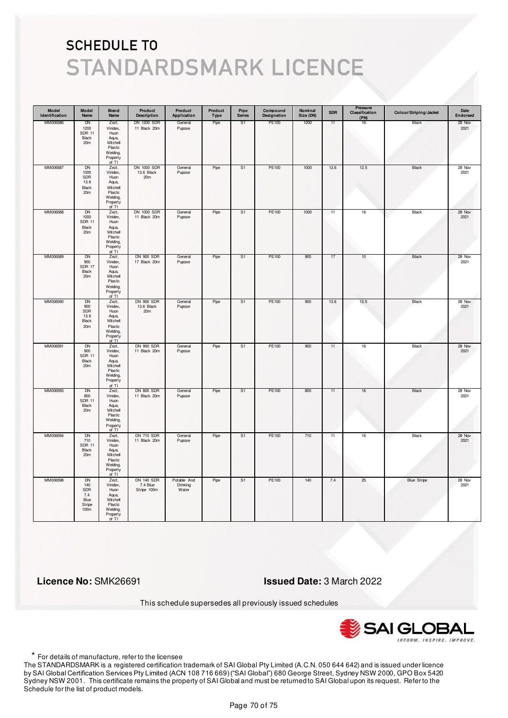| Model<br>Identification | Model<br>Name                                                 | <b>Brand</b><br>Name                                                                       | Product<br><b>Description</b>                | Product<br>Application           | Product<br>Type | Pipe<br><b>Series</b> | Compound<br>Designation | Nominal<br>Size (DN) | <b>SDR</b> | Pressure<br>Classification<br>(PN) | Colour/Striping/Jacket | Date<br>Endorsed |
|-------------------------|---------------------------------------------------------------|--------------------------------------------------------------------------------------------|----------------------------------------------|----------------------------------|-----------------|-----------------------|-------------------------|----------------------|------------|------------------------------------|------------------------|------------------|
| MM006586                | DN<br>1200<br><b>SDR 11</b><br>Black<br>20 <sub>m</sub>       | Zezt,<br>Vinidex,<br>Huon<br>Aqua,<br>Mitchell<br>Plastic<br>Welding,<br>Property<br>of TI | <b>DN 1200 SDR</b><br>11 Black 20m           | General<br>Pupose                | Pipe            | S <sub>1</sub>        | PE100                   | 1200                 | 11         | 16                                 | Black                  | 28 Nov<br>2021   |
| MM006587                | <b>DN</b><br>1000<br>SDR<br>13.6<br>Black<br>20m              | Zezt,<br>Vinidex,<br>Huon<br>Aqua,<br>Mitchell<br>Plastic<br>Welding,<br>Property<br>of TI | <b>DN 1000 SDR</b><br>13.6 Black<br>20m      | General<br>Pupose                | Pipe            | S <sub>1</sub>        | PE100                   | 1000                 | 13.6       | 12.5                               | Black                  | 28 Nov<br>2021   |
| MM006588                | DN<br>1000<br><b>SDR 11</b><br>Black<br>20m                   | Zezt,<br>Vinidex,<br>Huon<br>Aqua,<br>Mitchell<br>Plastic<br>Welding,<br>Property<br>of TI | DN 1000 SDR<br>11 Black 20m                  | General<br>Pupose                | Pipe            | S <sub>1</sub>        | PE100                   | 1000                 | 11         | 16                                 | Black                  | 28 Nov<br>2021   |
| MM006589                | DN<br>900<br><b>SDR 17</b><br>Black<br>20m                    | Zezt,<br>Vinidex,<br>Huon<br>Aqua,<br>Mitchell<br>Plastic<br>Welding,<br>Property<br>of TI | <b>DN 900 SDR</b><br>17 Black 20m            | General<br>Pupose                | Pipe            | S1                    | PE100                   | 900                  | 17         | 10                                 | Black                  | 28 Nov<br>2021   |
| MM006590                | DN<br>900<br>SDR<br>13.6<br>Black<br>20m                      | Zezt,<br>Vinidex,<br>Huon<br>Aqua,<br>Mitchell<br>Plastic<br>Welding,<br>Property<br>of TI | <b>DN 900 SDR</b><br>13.6 Black<br>20m       | General<br>Pupose                | Pipe            | S <sub>1</sub>        | PE100                   | 900                  | 13.6       | 12.5                               | Black                  | 28 Nov<br>2021   |
| MM006591                | <b>DN</b><br>900<br><b>SDR 11</b><br>Black<br>20 <sub>m</sub> | Zezt,<br>Vinidex,<br>Huon<br>Aqua,<br>Mitchell<br>Plastic<br>Welding,<br>Property<br>of TI | <b>DN 900 SDR</b><br>11 Black 20m            | General<br>Pupose                | Pipe            | S <sub>1</sub>        | <b>PE100</b>            | 900                  | 11         | 16                                 | <b>Black</b>           | 28 Nov<br>2021   |
| MM006593                | DN<br>800<br><b>SDR 11</b><br>Black<br>20m                    | Zezt,<br>Vinidex,<br>Huon<br>Aqua,<br>Mitchell<br>Plastic<br>Welding,<br>Property<br>of TI | <b>DN 800 SDR</b><br>11 Black 20m            | General<br>Pupose                | Pipe            | S1                    | PE100                   | 800                  | 11         | 16                                 | Black                  | 28 Nov<br>2021   |
| MM006594                | <b>DN</b><br>710<br><b>SDR 11</b><br>Black<br>20m             | Zezt,<br>Vinidex,<br>Huon<br>Aqua,<br>Mitchell<br>Plastic<br>Welding,<br>Property<br>of TI | <b>DN 710 SDR</b><br>11 Black 20m            | General<br>Pupose                | Pipe            | S <sub>1</sub>        | <b>PE100</b>            | 710                  | 11         | 16                                 | <b>Black</b>           | 28 Nov<br>2021   |
| MM006598                | DN<br>140<br>SDR<br>7.4<br>Blue<br>Stripe<br>100m             | Zezt,<br>Vinidex,<br>Huon<br>Aqua,<br>Mitchell<br>Plastic<br>Welding,<br>Property<br>of TI | <b>DN 140 SDR</b><br>7.4 Blue<br>Stripe 100m | Potable And<br>Drinking<br>Water | Pipe            | S <sub>1</sub>        | PE100                   | 140                  | 7.4        | 25                                 | <b>Blue Stripe</b>     | 28 Nov<br>2021   |

 **Licence No:** SMK26691 **Issued Date:** 3 March 2022

This schedule supersedes all previously issued schedules



\* For details of manufacture, refer to the licensee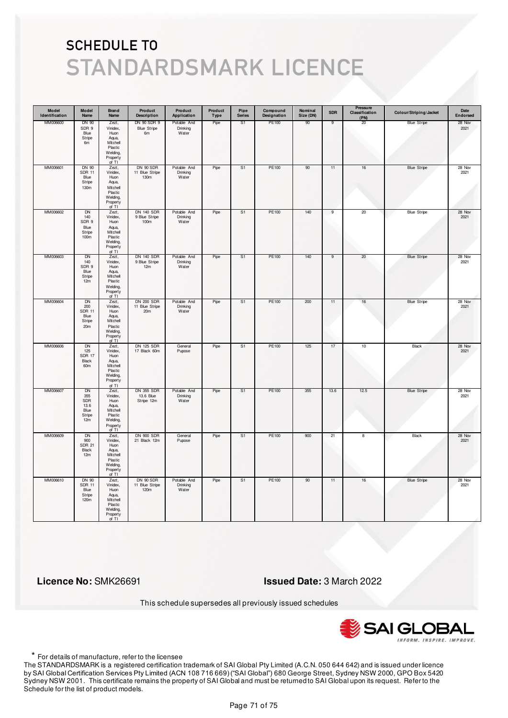| Model<br>Identification | Model<br>Name                                                   | <b>Brand</b><br>Name                                                                         | Product<br><b>Description</b>                | Product<br>Application           | Product<br>Type | Pipe<br><b>Series</b> | Compound<br>Designation | Nominal<br>Size (DN) | <b>SDR</b>     | Pressure<br>Classification<br>(PN) | Colour/Striping/Jacket | Date<br>Endorsed |
|-------------------------|-----------------------------------------------------------------|----------------------------------------------------------------------------------------------|----------------------------------------------|----------------------------------|-----------------|-----------------------|-------------------------|----------------------|----------------|------------------------------------|------------------------|------------------|
| MM006600                | DN 90<br>SDR 9<br>Blue<br>Stripe<br>6m                          | Zezt,<br>Vinidex,<br>Huon<br>Aqua,<br>Mitchell<br>Plastic<br>Welding,<br>Property<br>of TI   | DN 90 SDR 9<br><b>Blue Stripe</b><br>6m      | Potable And<br>Drinking<br>Water | Pipe            | S1                    | PE100                   | 90                   | 9              | 20                                 | <b>Blue Stripe</b>     | 28 Nov<br>2021   |
| MM006601                | DN 90<br><b>SDR 11</b><br>Blue<br>Stripe<br>130m                | Zezt,<br>Vinidex,<br>Huon<br>Aqua,<br>Mitchell<br>Plastic<br>Welding,<br>Property<br>of TI   | DN 90 SDR<br>11 Blue Stripe<br>130m          | Potable And<br>Drinking<br>Water | Pipe            | S1                    | PE100                   | 90                   | 11             | $16\,$                             | <b>Blue Stripe</b>     | 28 Nov<br>2021   |
| MM006602                | <b>DN</b><br>140<br>SDR 9<br>Blue<br>Stripe<br>100 <sub>m</sub> | Zezt,<br>Vinidex,<br>Huon<br>Aqua,<br>Mitchell<br>Plastic<br>Welding,<br>Property<br>of TI   | <b>DN 140 SDR</b><br>9 Blue Stripe<br>100m   | Potable And<br>Drinking<br>Water | Pipe            | S <sub>1</sub>        | PE100                   | 140                  | $\overline{9}$ | 20                                 | <b>Blue Stripe</b>     | 28 Nov<br>2021   |
| MM006603                | DN<br>140<br>SDR 9<br>Blue<br>Stripe<br>12m                     | Zezt,<br>Vinidex,<br>Huon<br>Aqua,<br>Mitchell<br>Plastic<br>Welding,<br>Property<br>of TI   | <b>DN 140 SDR</b><br>9 Blue Stripe<br>12m    | Potable And<br>Drinking<br>Water | Pipe            | S1                    | PE100                   | 140                  | 9              | 20                                 | <b>Blue Stripe</b>     | 28 Nov<br>2021   |
| MM006604                | DN<br>200<br><b>SDR 11</b><br>Blue<br>Stripe<br>20m             | Zezt,<br>Vinidex,<br>Huon<br>Aqua,<br>Mitchell<br>Plastic<br>Welding,<br>Property<br>of TI   | <b>DN 200 SDR</b><br>11 Blue Stripe<br>20m   | Potable And<br>Drinking<br>Water | Pipe            | S1                    | PE100                   | 200                  | 11             | 16                                 | <b>Blue Stripe</b>     | 28 Nov<br>2021   |
| MM006606                | <b>DN</b><br>125<br><b>SDR 17</b><br>Black<br>60m               | Zezt,<br>Vinidex,<br>Huon<br>Aqua,<br>Mitchell<br>Plastic<br>Welding,<br>Property<br>of $TI$ | <b>DN 125 SDR</b><br>17 Black 60m            | General<br>Pupose                | Pipe            | S <sub>1</sub>        | <b>PE100</b>            | 125                  | 17             | 10                                 | <b>Black</b>           | 28 Nov<br>2021   |
| MM006607                | DN<br>355<br>SDR<br>13.6<br>Blue<br>Stripe<br>12m               | Zezt,<br>Vinidex,<br>Huon<br>Aqua,<br>Mitchell<br>Plastic<br>Welding,<br>Property<br>of TI   | <b>DN 355 SDR</b><br>13.6 Blue<br>Stripe 12m | Potable And<br>Drinking<br>Water | Pipe            | S1                    | PE100                   | 355                  | 13.6           | 12.5                               | <b>Blue Stripe</b>     | 28 Nov<br>2021   |
| MM006609                | <b>DN</b><br>900<br><b>SDR 21</b><br>Black<br>12m               | Zezt,<br>Vinidex,<br>Huon<br>Aqua,<br>Mitchell<br>Plastic<br>Welding,<br>Property<br>of TI   | <b>DN 900 SDR</b><br>21 Black 12m            | General<br>Pupose                | Pipe            | S <sub>1</sub>        | PE100                   | 900                  | 21             | 8                                  | <b>Black</b>           | 28 Nov<br>2021   |
| MM006610                | DN 90<br><b>SDR 11</b><br>Blue<br>Stripe<br>120m                | Zezt,<br>Vinidex,<br>Huon<br>Aqua,<br>Mitchell<br>Plastic<br>Welding,<br>Property<br>of TI   | DN 90 SDR<br>11 Blue Stripe<br>120m          | Potable And<br>Drinking<br>Water | Pipe            | S <sub>1</sub>        | PE100                   | 90                   | 11             | 16                                 | <b>Blue Stripe</b>     | 28 Nov<br>2021   |

 **Licence No:** SMK26691 **Issued Date:** 3 March 2022

This schedule supersedes all previously issued schedules



\* For details of manufacture, refer to the licensee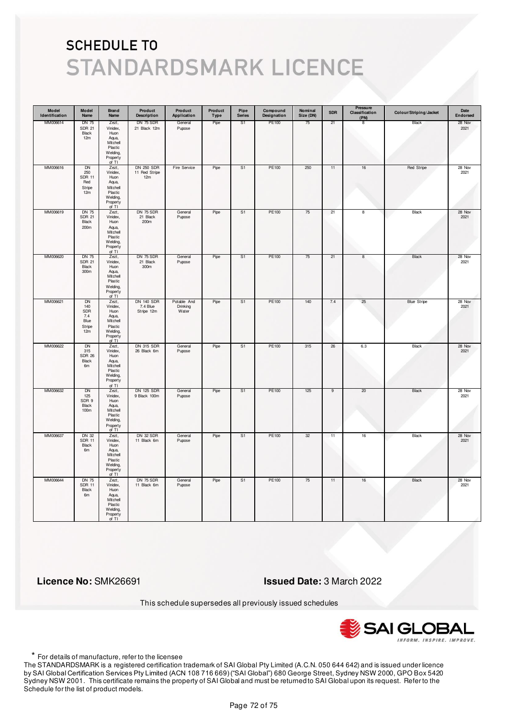| Model<br>Identification | Model<br>Name                                            | <b>Brand</b><br>Name                                                                       | Product<br><b>Description</b>               | Product<br>Application           | Product<br>Type | Pipe<br><b>Series</b> | Compound<br>Designation | Nominal<br>Size (DN) | <b>SDR</b> | Pressure<br>Classification<br>(PN) | Colour/Striping/Jacket | Date<br>Endorsed |
|-------------------------|----------------------------------------------------------|--------------------------------------------------------------------------------------------|---------------------------------------------|----------------------------------|-----------------|-----------------------|-------------------------|----------------------|------------|------------------------------------|------------------------|------------------|
| MM006614                | <b>DN 75</b><br><b>SDR 21</b><br>Black<br>12m            | Zezt,<br>Vinidex,<br>Huon<br>Aqua,<br>Mitchell<br>Plastic<br>Welding,<br>Property<br>of TI | DN 75 SDR<br>21 Black 12m                   | General<br>Pupose                | Pipe            | S1                    | PE100                   | 75                   | 21         | 8                                  | Black                  | 28 Nov<br>2021   |
| MM006616                | DN<br>250<br><b>SDR 11</b><br>Red<br>Stripe<br>12m       | Zezt,<br>Vinidex,<br>Huon<br>Aqua,<br>Mitchell<br>Plastic<br>Welding,<br>Property<br>of TI | <b>DN 250 SDR</b><br>11 Red Stripe<br>12m   | Fire Service                     | Pipe            | S1                    | PE100                   | 250                  | 11         | $16\,$                             | Red Stripe             | 28 Nov<br>2021   |
| MM006619                | <b>DN 75</b><br><b>SDR 21</b><br>Black<br>200m           | Zezt,<br>Vinidex,<br>Huon<br>Aqua,<br>Mitchell<br>Plastic<br>Welding,<br>Property<br>of TI | DN 75 SDR<br>21 Black<br>200m               | General<br>Pupose                | Pipe            | S <sub>1</sub>        | PE100                   | 75                   | 21         | 8                                  | Black                  | 28 Nov<br>2021   |
| MM006620                | <b>DN 75</b><br><b>SDR 21</b><br>Black<br>300m           | Zezt,<br>Vinidex,<br>Huon<br>Aqua,<br>Mitchell<br>Plastic<br>Welding,<br>Property<br>of TI | DN 75 SDR<br>21 Black<br>300m               | General<br>Pupose                | Pipe            | S1                    | PE100                   | 75                   | 21         | 8                                  | Black                  | 28 Nov<br>2021   |
| MM006621                | DN<br>140<br>SDR<br>7.4<br>Blue<br>Stripe<br>12m         | Zezt,<br>Vinidex,<br>Huon<br>Aqua,<br>Mitchell<br>Plastic<br>Welding,<br>Property<br>of TI | <b>DN 140 SDR</b><br>7.4 Blue<br>Stripe 12m | Potable And<br>Drinking<br>Water | Pipe            | S1                    | PE100                   | 140                  | 7.4        | 25                                 | <b>Blue Stripe</b>     | 28 Nov<br>2021   |
| MM006622                | <b>DN</b><br>315<br><b>SDR 26</b><br>Black<br>6m         | Zezt,<br>Vinidex,<br>Huon<br>Aqua,<br>Mitchell<br>Plastic<br>Welding,<br>Property<br>of TI | <b>DN 315 SDR</b><br>26 Black 6m            | General<br>Pupose                | Pipe            | S <sub>1</sub>        | <b>PE100</b>            | 315                  | 26         | 6.3                                | <b>Black</b>           | 28 Nov<br>2021   |
| MM006632                | DN<br>125<br>SDR 9<br>Black<br>100m                      | Zezt,<br>Vinidex,<br>Huon<br>Aqua,<br>Mitchell<br>Plastic<br>Welding,<br>Property<br>of TI | <b>DN 125 SDR</b><br>9 Black 100m           | General<br>Pupose                | Pipe            | S1                    | PE100                   | 125                  | 9          | 20                                 | Black                  | 28 Nov<br>2021   |
| MM006637                | <b>DN 32</b><br><b>SDR 11</b><br>Black<br>6 <sub>m</sub> | Zezt,<br>Vinidex,<br>Huon<br>Aqua,<br>Mitchell<br>Plastic<br>Welding,<br>Property<br>of TI | <b>DN 32 SDR</b><br>11 Black 6m             | General<br>Pupose                | Pipe            | S <sub>1</sub>        | PE100                   | 32                   | 11         | 16                                 | <b>Black</b>           | 28 Nov<br>2021   |
| MM006644                | <b>DN 75</b><br><b>SDR 11</b><br>Black<br>6m             | Zezt,<br>Vinidex,<br>Huon<br>Aqua,<br>Mitchell<br>Plastic<br>Welding,<br>Property<br>of TI | <b>DN 75 SDR</b><br>11 Black 6m             | General<br>Pupose                | Pipe            | S <sub>1</sub>        | PE100                   | 75                   | 11         | 16                                 | Black                  | 28 Nov<br>2021   |

 **Licence No:** SMK26691 **Issued Date:** 3 March 2022

This schedule supersedes all previously issued schedules



\* For details of manufacture, refer to the licensee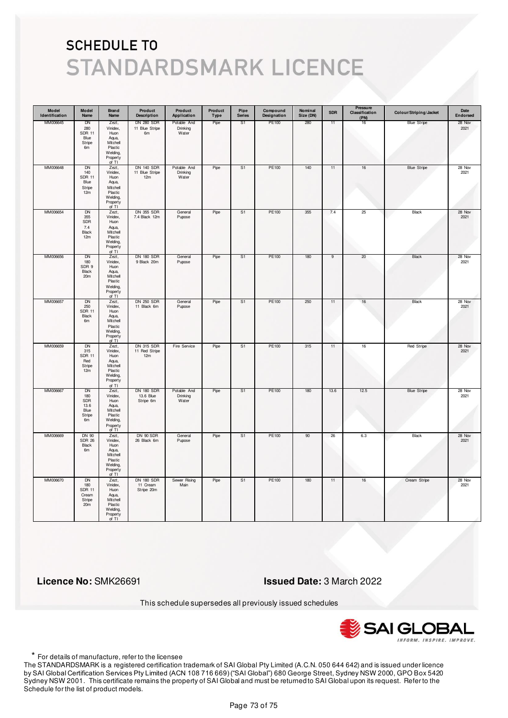| Model<br>Identification | Model<br>Name                                               | <b>Brand</b><br>Name                                                                       | Product<br><b>Description</b>               | Product<br>Application           | Product<br>Type | Pipe<br><b>Series</b> | Compound<br>Designation | Nominal<br>Size (DN) | <b>SDR</b> | Pressure<br>Classification<br>(PN) | Colour/Striping/Jacket | Date<br>Endorsed |
|-------------------------|-------------------------------------------------------------|--------------------------------------------------------------------------------------------|---------------------------------------------|----------------------------------|-----------------|-----------------------|-------------------------|----------------------|------------|------------------------------------|------------------------|------------------|
| MM006645                | DN<br>280<br><b>SDR 11</b><br>Blue<br>Stripe<br>6m          | Zezt,<br>Vinidex,<br>Huon<br>Aqua,<br>Mitchell<br>Plastic<br>Welding,<br>Property<br>of TI | <b>DN 280 SDR</b><br>11 Blue Stripe<br>6m   | Potable And<br>Drinking<br>Water | Pipe            | S <sub>1</sub>        | PE100                   | 280                  | 11         | 16                                 | <b>Blue Stripe</b>     | 28 Nov<br>2021   |
| MM006648                | <b>DN</b><br>140<br><b>SDR 11</b><br>Blue<br>Stripe<br>12m  | Zezt,<br>Vinidex,<br>Huon<br>Aqua,<br>Mitchell<br>Plastic<br>Welding,<br>Property<br>of TI | <b>DN 140 SDR</b><br>11 Blue Stripe<br>12m  | Potable And<br>Drinking<br>Water | Pipe            | S <sub>1</sub>        | PE100                   | 140                  | 11         | $16\,$                             | <b>Blue Stripe</b>     | 28 Nov<br>2021   |
| MM006654                | <b>DN</b><br>355<br>SDR<br>7.4<br><b>Black</b><br>12m       | Zezt,<br>Vinidex,<br>Huon<br>Aqua,<br>Mitchell<br>Plastic<br>Welding,<br>Property<br>of TI | DN 355 SDR<br>7.4 Black 12m                 | General<br>Pupose                | Pipe            | S <sub>1</sub>        | PE100                   | 355                  | 7.4        | 25                                 | Black                  | 28 Nov<br>2021   |
| MM006656                | DN<br>180<br>SDR 9<br>Black<br>20m                          | Zezt,<br>Vinidex,<br>Huon<br>Aqua,<br>Mitchell<br>Plastic<br>Welding,<br>Property<br>of TI | <b>DN 180 SDR</b><br>9 Black 20m            | General<br>Pupose                | Pipe            | S1                    | PE100                   | 180                  | 9          | 20                                 | Black                  | 28 Nov<br>2021   |
| MM006657                | <b>DN</b><br>250<br><b>SDR 11</b><br>Black<br>6m            | Zezt,<br>Vinidex,<br>Huon<br>Aqua,<br>Mitchell<br>Plastic<br>Welding,<br>Property<br>of TI | <b>DN 250 SDR</b><br>11 Black 6m            | General<br>Pupose                | Pipe            | S <sub>1</sub>        | PE100                   | 250                  | 11         | 16                                 | Black                  | 28 Nov<br>2021   |
| MM006659                | <b>DN</b><br>315<br><b>SDR 11</b><br>Red<br>Stripe<br>12m   | Zezt,<br>Vinidex,<br>Huon<br>Aqua,<br>Mitchell<br>Plastic<br>Welding,<br>Property<br>of TI | <b>DN 315 SDR</b><br>11 Red Stripe<br>12m   | Fire Service                     | Pipe            | S <sub>1</sub>        | <b>PE100</b>            | 315                  | 11         | 16                                 | Red Stripe             | 28 Nov<br>2021   |
| MM006667                | DN<br>180<br>SDR<br>13.6<br>Blue<br>Stripe<br>6m            | Zezt,<br>Vinidex,<br>Huon<br>Aqua,<br>Mitchell<br>Plastic<br>Welding,<br>Property<br>of TI | <b>DN 180 SDR</b><br>13.6 Blue<br>Stripe 6m | Potable And<br>Drinking<br>Water | Pipe            | S1                    | PE100                   | 180                  | 13.6       | 12.5                               | <b>Blue Stripe</b>     | 28 Nov<br>2021   |
| MM006669                | DN 90<br><b>SDR 26</b><br>Black<br>6 <sub>m</sub>           | Zezt,<br>Vinidex,<br>Huon<br>Aqua,<br>Mitchell<br>Plastic<br>Welding,<br>Property<br>of TI | DN 90 SDR<br>26 Black 6m                    | General<br>Pupose                | Pipe            | S <sub>1</sub>        | PE100                   | 90                   | 26         | 6.3                                | <b>Black</b>           | 28 Nov<br>2021   |
| MM006670                | <b>DN</b><br>180<br><b>SDR 11</b><br>Cream<br>Stripe<br>20m | Zezt,<br>Vinidex,<br>Huon<br>Aqua,<br>Mitchell<br>Plastic<br>Welding,<br>Property<br>of TI | <b>DN 180 SDR</b><br>11 Cream<br>Stripe 20m | Sewer Rising<br>Main             | Pipe            | S <sub>1</sub>        | PE100                   | 180                  | 11         | 16                                 | Cream Stripe           | 28 Nov<br>2021   |

 **Licence No:** SMK26691 **Issued Date:** 3 March 2022

This schedule supersedes all previously issued schedules



\* For details of manufacture, refer to the licensee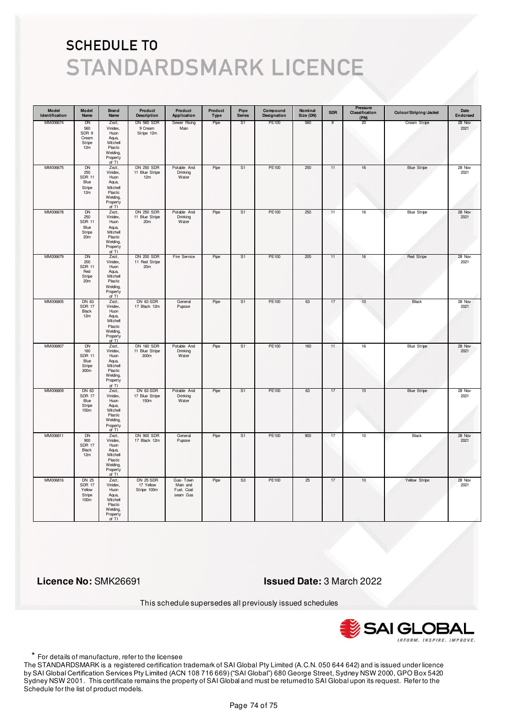| Model<br>Identification | Model<br>Name                                                          | <b>Brand</b><br>Name                                                                       | Product<br><b>Description</b>                         | Product<br>Application                         | Product<br>Type | Pipe<br><b>Series</b> | Compound<br>Designation | Nominal<br>Size (DN) | <b>SDR</b> | Pressure<br>Classification<br>(PN) | Colour/Striping/Jacket | Date<br>Endorsed |
|-------------------------|------------------------------------------------------------------------|--------------------------------------------------------------------------------------------|-------------------------------------------------------|------------------------------------------------|-----------------|-----------------------|-------------------------|----------------------|------------|------------------------------------|------------------------|------------------|
| MM006674                | DN<br>560<br>SDR 9<br>Cream<br>Stripe<br>12m                           | Zezt,<br>Vinidex,<br>Huon<br>Aqua,<br>Mitchell<br>Plastic<br>Welding,<br>Property<br>of TI | <b>DN 560 SDR</b><br>9 Cream<br>Stripe 12m            | Sewer Rising<br>Main                           | Pipe            | S1                    | PE100                   | 560                  | 9          | 20                                 | Cream Stripe           | 28 Nov<br>2021   |
| MM006675                | <b>DN</b><br>250<br><b>SDR 11</b><br>Blue<br>Stripe<br>12m             | Zezt,<br>Vinidex,<br>Huon<br>Aqua,<br>Mitchell<br>Plastic<br>Welding,<br>Property<br>of TI | <b>DN 250 SDR</b><br>11 Blue Stripe<br>12m            | Potable And<br>Drinking<br>Water               | Pipe            | S1                    | PE100                   | 250                  | 11         | $16\,$                             | <b>Blue Stripe</b>     | 28 Nov<br>2021   |
| MM006678                | <b>DN</b><br>250<br><b>SDR 11</b><br>Blue<br>Stripe<br>20 <sub>m</sub> | Zezt,<br>Vinidex,<br>Huon<br>Aqua,<br>Mitchell<br>Plastic<br>Welding,<br>Property<br>of TI | <b>DN 250 SDR</b><br>11 Blue Stripe<br>20m            | Potable And<br>Drinking<br>Water               | Pipe            | S <sub>1</sub>        | PE100                   | 250                  | 11         | $16\,$                             | <b>Blue Stripe</b>     | 28 Nov<br>2021   |
| MM006679                | DN<br>200<br><b>SDR 11</b><br>Red<br>Stripe<br>20 <sub>m</sub>         | Zezt,<br>Vinidex,<br>Huon<br>Aqua,<br>Mitchell<br>Plastic<br>Welding,<br>Property<br>of TI | <b>DN 200 SDR</b><br>11 Red Stripe<br>20 <sub>m</sub> | Fire Service                                   | Pipe            | S1                    | PE100                   | 200                  | 11         | 16                                 | <b>Red Stripe</b>      | 28 Nov<br>2021   |
| MM006805                | DN 63<br><b>SDR 17</b><br>Black<br>12m                                 | Zezt,<br>Vinidex,<br>Huon<br>Aqua,<br>Mitchell<br>Plastic<br>Welding,<br>Property<br>of TI | DN 63 SDR<br>17 Black 12m                             | General<br>Pupose                              | Pipe            | S1                    | PE100                   | 63                   | 17         | 10                                 | Black                  | 28 Nov<br>2021   |
| MM006807                | <b>DN</b><br>160<br><b>SDR 11</b><br>Blue<br>Stripe<br>300m            | Zezt,<br>Vinidex,<br>Huon<br>Aqua,<br>Mitchell<br>Plastic<br>Welding,<br>Property<br>of TI | <b>DN 160 SDR</b><br>11 Blue Stripe<br>300m           | Potable And<br>Drinking<br>Water               | Pipe            | S <sub>1</sub>        | <b>PE100</b>            | 160                  | 11         | 16                                 | <b>Blue Stripe</b>     | 28 Nov<br>2021   |
| MM006809                | DN 63<br><b>SDR 17</b><br>Blue<br>Stripe<br>150 <sub>m</sub>           | Zezt,<br>Vinidex,<br>Huon<br>Aqua,<br>Mitchell<br>Plastic<br>Welding,<br>Property<br>of TI | DN 63 SDR<br>17 Blue Stripe<br>150m                   | Potable And<br>Drinking<br>Water               | Pipe            | S1                    | PE100                   | 63                   | 17         | 10                                 | <b>Blue Stripe</b>     | 28 Nov<br>2021   |
| MM006811                | <b>DN</b><br>900<br><b>SDR 17</b><br>Black<br>12m                      | Zezt,<br>Vinidex,<br>Huon<br>Aqua,<br>Mitchell<br>Plastic<br>Welding,<br>Property<br>of TI | <b>DN 900 SDR</b><br>17 Black 12m                     | General<br>Pupose                              | Pipe            | S <sub>1</sub>        | PE100                   | 900                  | 17         | 10                                 | <b>Black</b>           | 28 Nov<br>2021   |
| MM006816                | <b>DN 25</b><br><b>SDR 17</b><br>Yellow<br>Stripe<br>100 <sub>m</sub>  | Zezt,<br>Vinidex,<br>Huon<br>Aqua,<br>Mitchell<br>Plastic<br>Welding,<br>Property<br>of TI | <b>DN 25 SDR</b><br>17 Yellow<br>Stripe 100m          | Gas-Town<br>Main and<br>Fuel, Coal<br>seam Gas | Pipe            | S <sub>3</sub>        | PE100                   | 25                   | 17         | 10                                 | Yellow Stripe          | 28 Nov<br>2021   |

 **Licence No:** SMK26691 **Issued Date:** 3 March 2022

This schedule supersedes all previously issued schedules



\* For details of manufacture, refer to the licensee